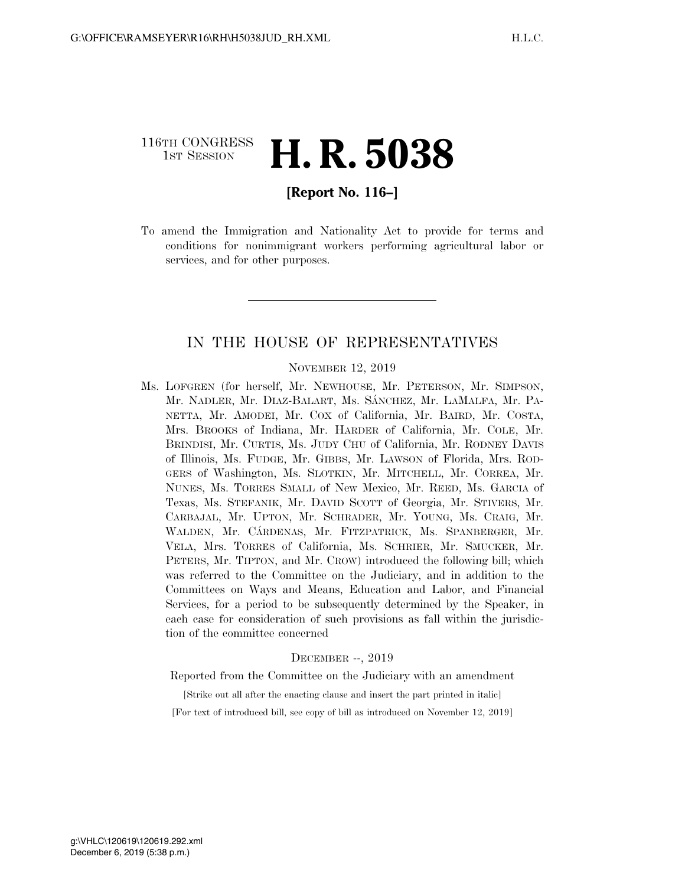# 116TH CONGRESS **1st Session H. R. 5038**

# **[Report No. 116–]**

To amend the Immigration and Nationality Act to provide for terms and conditions for nonimmigrant workers performing agricultural labor or services, and for other purposes.

# IN THE HOUSE OF REPRESENTATIVES

#### NOVEMBER 12, 2019

Ms. LOFGREN (for herself, Mr. NEWHOUSE, Mr. PETERSON, Mr. SIMPSON, Mr. NADLER, Mr. DIAZ-BALART, Ms. SA´NCHEZ, Mr. LAMALFA, Mr. PA-NETTA, Mr. AMODEI, Mr. COX of California, Mr. BAIRD, Mr. COSTA, Mrs. BROOKS of Indiana, Mr. HARDER of California, Mr. COLE, Mr. BRINDISI, Mr. CURTIS, Ms. JUDY CHU of California, Mr. RODNEY DAVIS of Illinois, Ms. FUDGE, Mr. GIBBS, Mr. LAWSON of Florida, Mrs. ROD-GERS of Washington, Ms. SLOTKIN, Mr. MITCHELL, Mr. CORREA, Mr. NUNES, Ms. TORRES SMALL of New Mexico, Mr. REED, Ms. GARCIA of Texas, Ms. STEFANIK, Mr. DAVID SCOTT of Georgia, Mr. STIVERS, Mr. CARBAJAL, Mr. UPTON, Mr. SCHRADER, Mr. YOUNG, Ms. CRAIG, Mr. WALDEN, Mr. CÁRDENAS, Mr. FITZPATRICK, Ms. SPANBERGER, Mr. VELA, Mrs. TORRES of California, Ms. SCHRIER, Mr. SMUCKER, Mr. PETERS, Mr. TIPTON, and Mr. CROW) introduced the following bill; which was referred to the Committee on the Judiciary, and in addition to the Committees on Ways and Means, Education and Labor, and Financial Services, for a period to be subsequently determined by the Speaker, in each case for consideration of such provisions as fall within the jurisdiction of the committee concerned

#### DECEMBER --, 2019

Reported from the Committee on the Judiciary with an amendment

[Strike out all after the enacting clause and insert the part printed in italic]

[For text of introduced bill, see copy of bill as introduced on November 12, 2019]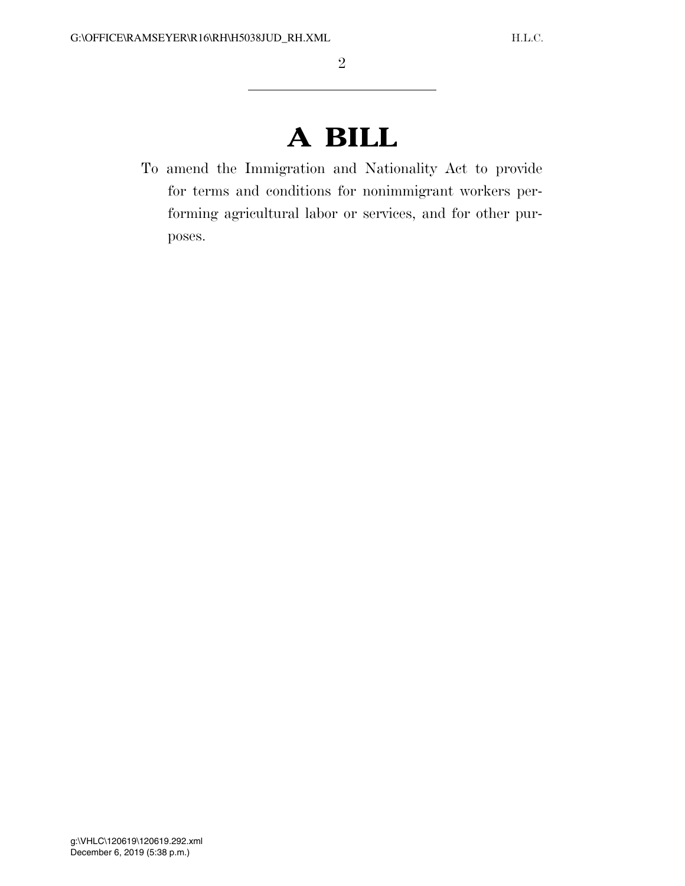# **A BILL**

To amend the Immigration and Nationality Act to provide for terms and conditions for nonimmigrant workers performing agricultural labor or services, and for other purposes.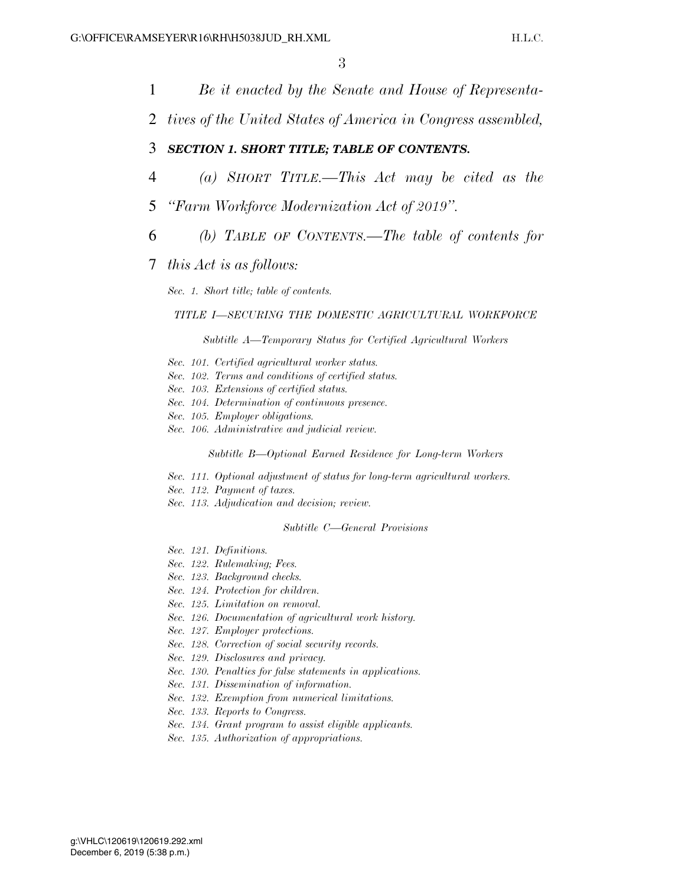- 1 *Be it enacted by the Senate and House of Representa-*
- 2 *tives of the United States of America in Congress assembled,*

#### 3 *SECTION 1. SHORT TITLE; TABLE OF CONTENTS.*

- 4 *(a) SHORT TITLE.—This Act may be cited as the*
- 5 *''Farm Workforce Modernization Act of 2019''.*
- 6 *(b) TABLE OF CONTENTS.—The table of contents for*

#### 7 *this Act is as follows:*

*Sec. 1. Short title; table of contents.* 

#### *TITLE I—SECURING THE DOMESTIC AGRICULTURAL WORKFORCE*

*Subtitle A—Temporary Status for Certified Agricultural Workers* 

- *Sec. 101. Certified agricultural worker status.*
- *Sec. 102. Terms and conditions of certified status.*
- *Sec. 103. Extensions of certified status.*
- *Sec. 104. Determination of continuous presence.*
- *Sec. 105. Employer obligations.*
- *Sec. 106. Administrative and judicial review.*

*Subtitle B—Optional Earned Residence for Long-term Workers* 

- *Sec. 111. Optional adjustment of status for long-term agricultural workers.*
- *Sec. 112. Payment of taxes.*
- *Sec. 113. Adjudication and decision; review.*

#### *Subtitle C—General Provisions*

- *Sec. 121. Definitions.*
- *Sec. 122. Rulemaking; Fees.*
- *Sec. 123. Background checks.*
- *Sec. 124. Protection for children.*
- *Sec. 125. Limitation on removal.*
- *Sec. 126. Documentation of agricultural work history.*
- *Sec. 127. Employer protections.*
- *Sec. 128. Correction of social security records.*
- *Sec. 129. Disclosures and privacy.*
- *Sec. 130. Penalties for false statements in applications.*
- *Sec. 131. Dissemination of information.*
- *Sec. 132. Exemption from numerical limitations.*
- *Sec. 133. Reports to Congress.*
- *Sec. 134. Grant program to assist eligible applicants.*
- *Sec. 135. Authorization of appropriations.*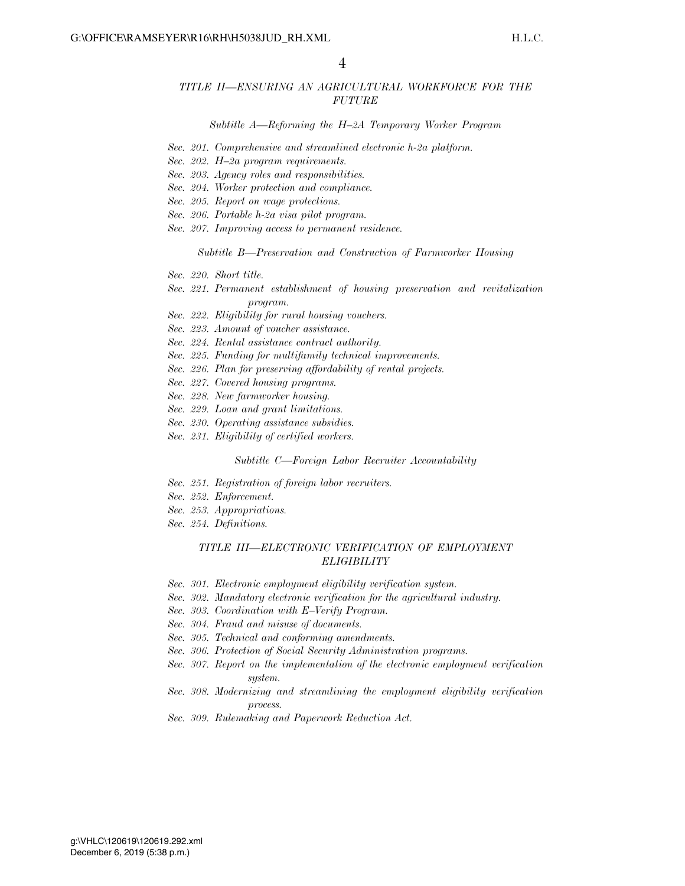#### *TITLE II—ENSURING AN AGRICULTURAL WORKFORCE FOR THE FUTURE*

#### *Subtitle A—Reforming the H–2A Temporary Worker Program*

- *Sec. 201. Comprehensive and streamlined electronic h-2a platform.*
- *Sec. 202. H–2a program requirements.*
- *Sec. 203. Agency roles and responsibilities.*
- *Sec. 204. Worker protection and compliance.*
- *Sec. 205. Report on wage protections.*
- *Sec. 206. Portable h-2a visa pilot program.*
- *Sec. 207. Improving access to permanent residence.*

#### *Subtitle B—Preservation and Construction of Farmworker Housing*

- *Sec. 220. Short title.*
- *Sec. 221. Permanent establishment of housing preservation and revitalization program.*
- *Sec. 222. Eligibility for rural housing vouchers.*
- *Sec. 223. Amount of voucher assistance.*
- *Sec. 224. Rental assistance contract authority.*
- *Sec. 225. Funding for multifamily technical improvements.*
- *Sec. 226. Plan for preserving affordability of rental projects.*
- *Sec. 227. Covered housing programs.*
- *Sec. 228. New farmworker housing.*
- *Sec. 229. Loan and grant limitations.*
- *Sec. 230. Operating assistance subsidies.*
- *Sec. 231. Eligibility of certified workers.*

#### *Subtitle C—Foreign Labor Recruiter Accountability*

- *Sec. 251. Registration of foreign labor recruiters.*
- *Sec. 252. Enforcement.*
- *Sec. 253. Appropriations.*
- *Sec. 254. Definitions.*

#### *TITLE III—ELECTRONIC VERIFICATION OF EMPLOYMENT ELIGIBILITY*

- *Sec. 301. Electronic employment eligibility verification system.*
- *Sec. 302. Mandatory electronic verification for the agricultural industry.*
- *Sec. 303. Coordination with E–Verify Program.*
- *Sec. 304. Fraud and misuse of documents.*
- *Sec. 305. Technical and conforming amendments.*
- *Sec. 306. Protection of Social Security Administration programs.*
- *Sec. 307. Report on the implementation of the electronic employment verification system.*
- *Sec. 308. Modernizing and streamlining the employment eligibility verification process.*
- *Sec. 309. Rulemaking and Paperwork Reduction Act.*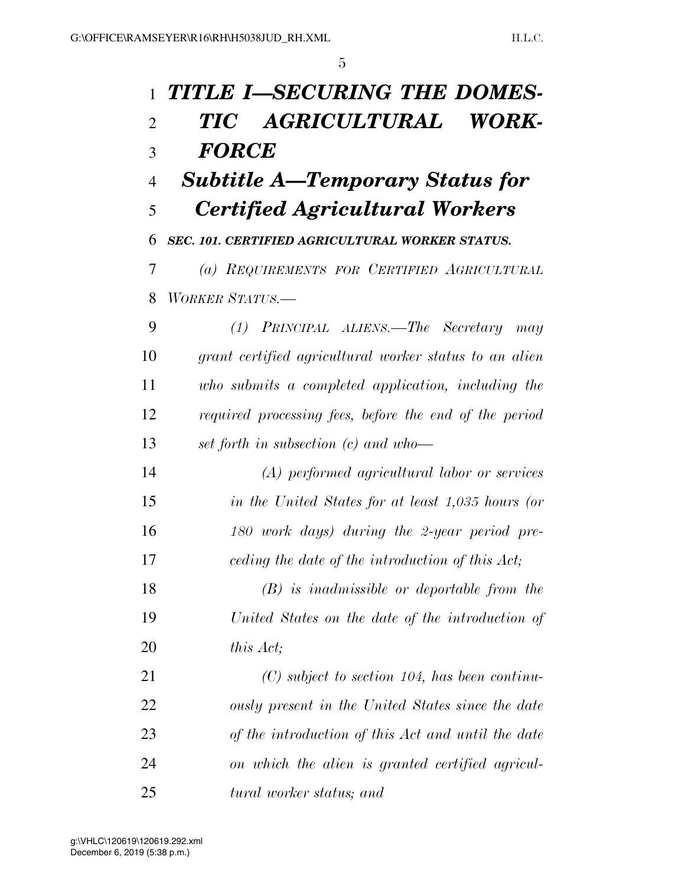| $\mathbf{1}$   | TITLE I-SECURING THE DOMES-                            |
|----------------|--------------------------------------------------------|
| $\overline{2}$ | ${\bf AGRICULTURAL}$<br><b>TIC</b><br>WORK-            |
| 3              | <b>FORCE</b>                                           |
| $\overline{4}$ | <b>Subtitle A—Temporary Status for</b>                 |
| 5              | <b>Certified Agricultural Workers</b>                  |
| 6              | SEC. 101. CERTIFIED AGRICULTURAL WORKER STATUS.        |
| 7              | (a) REQUIREMENTS FOR CERTIFIED AGRICULTURAL            |
| 8              | WORKER STATUS.—                                        |
| 9              | (1) PRINCIPAL ALIENS.—The Secretary may                |
| 10             | grant certified agricultural worker status to an alien |
| 11             | who submits a completed application, including the     |
| 12             | required processing fees, before the end of the period |
| 13             | set forth in subsection (c) and who-                   |
| 14             | (A) performed agricultural labor or services           |
| 15             | in the United States for at least 1,035 hours (or      |
| 16             | 180 work days) during the 2-year period pre-           |
| 17             | ceding the date of the introduction of this Act;       |
| 18             | $(B)$ is inadmissible or deportable from the           |
| 19             | United States on the date of the introduction of       |
| 20             | this Act;                                              |
| 21             | $(C)$ subject to section 104, has been continu-        |
| 22             | ously present in the United States since the date      |
| 23             | of the introduction of this Act and until the date     |
| 24             | on which the alien is granted certified agricul-       |
| 25             | tural worker status; and                               |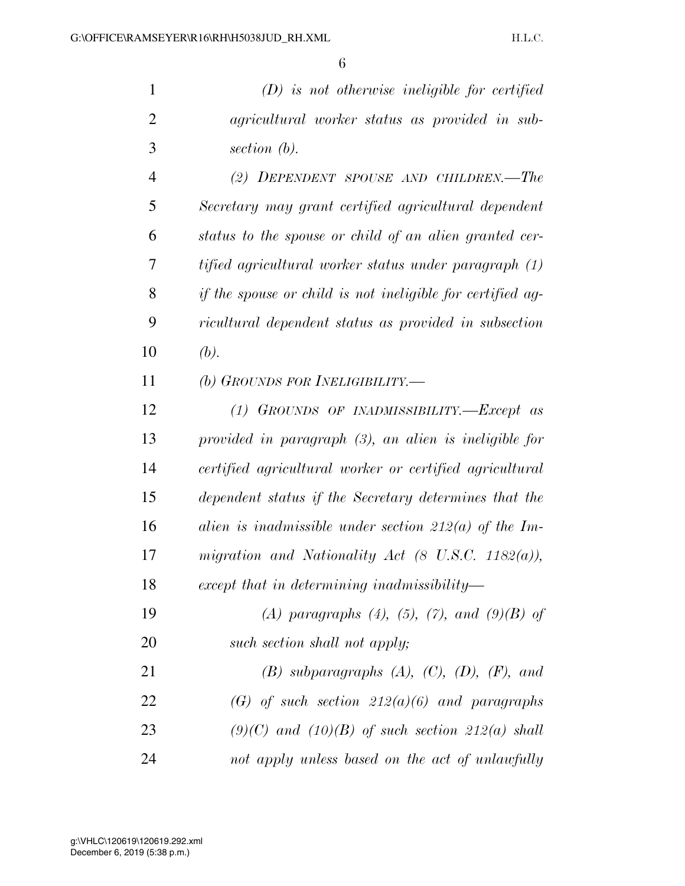*(D) is not otherwise ineligible for certified agricultural worker status as provided in sub-section (b).* 

 *(2) DEPENDENT SPOUSE AND CHILDREN.—The Secretary may grant certified agricultural dependent status to the spouse or child of an alien granted cer- tified agricultural worker status under paragraph (1) if the spouse or child is not ineligible for certified ag- ricultural dependent status as provided in subsection (b).* 

*(b) GROUNDS FOR INELIGIBILITY.—* 

 *(1) GROUNDS OF INADMISSIBILITY.—Except as provided in paragraph (3), an alien is ineligible for certified agricultural worker or certified agricultural dependent status if the Secretary determines that the alien is inadmissible under section 212(a) of the Im- migration and Nationality Act (8 U.S.C. 1182(a)), except that in determining inadmissibility—* 

 *(A) paragraphs (4), (5), (7), and (9)(B) of such section shall not apply;* 

 *(B) subparagraphs (A), (C), (D), (F), and (G) of such section 212(a)(6) and paragraphs (9)(C) and (10)(B) of such section 212(a) shall not apply unless based on the act of unlawfully*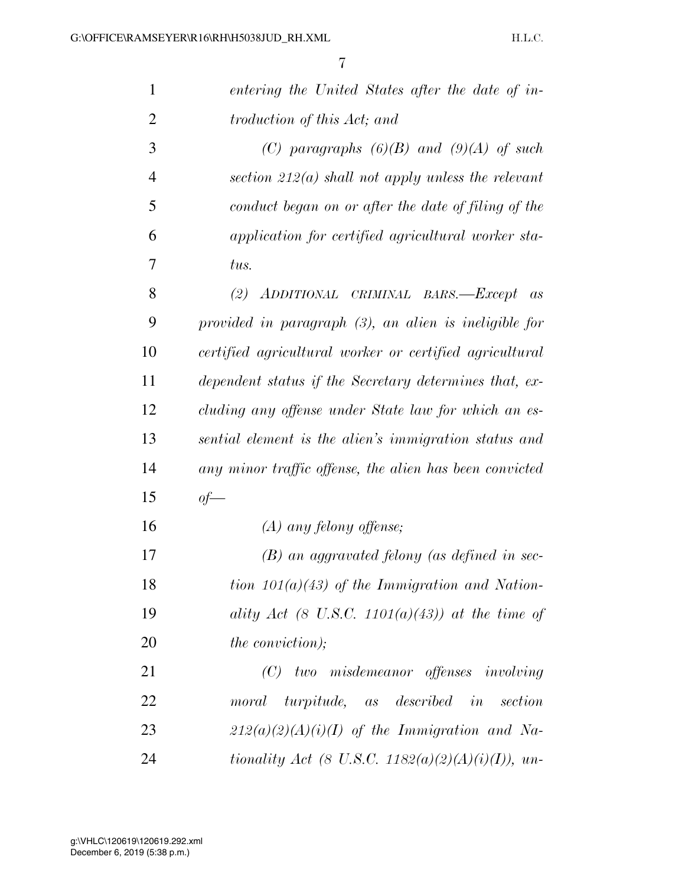| $\mathbf{1}$   | entering the United States after the date of in-        |
|----------------|---------------------------------------------------------|
| $\overline{2}$ | troduction of this Act; and                             |
| 3              | (C) paragraphs $(6)(B)$ and $(9)(A)$ of such            |
| $\overline{4}$ | section $212(a)$ shall not apply unless the relevant    |
| 5              | conduct began on or after the date of filing of the     |
| 6              | application for certified agricultural worker sta-      |
| 7              | tus.                                                    |
| 8              | (2) ADDITIONAL CRIMINAL BARS.-Except<br>as              |
| 9              | provided in paragraph (3), an alien is ineligible for   |
| 10             | certified agricultural worker or certified agricultural |
| 11             | dependent status if the Secretary determines that, ex-  |
| 12             | cluding any offense under State law for which an es-    |
| 13             | sential element is the alien's immigration status and   |
| 14             | any minor traffic offense, the alien has been convicted |
| 15             | $of-$                                                   |
| 16             | $(A)$ any felony offense;                               |
| 17             | $(B)$ an aggravated felony (as defined in sec-          |
| 18             | tion $101(a)(43)$ of the Immigration and Nation-        |
| 19             | ality Act (8 U.S.C. 1101(a)(43)) at the time of         |
| 20             | <i>the conviction)</i> ;                                |
| 21             | $(C)$ two misdemeanor offenses involving                |
| 22             | moral turpitude, as described in<br>section             |
| 23             | $212(a)(2)(A)(i)(I)$ of the Immigration and Na-         |
| 24             | tionality Act (8 U.S.C. 1182(a)(2)(A)(i)(I)), un-       |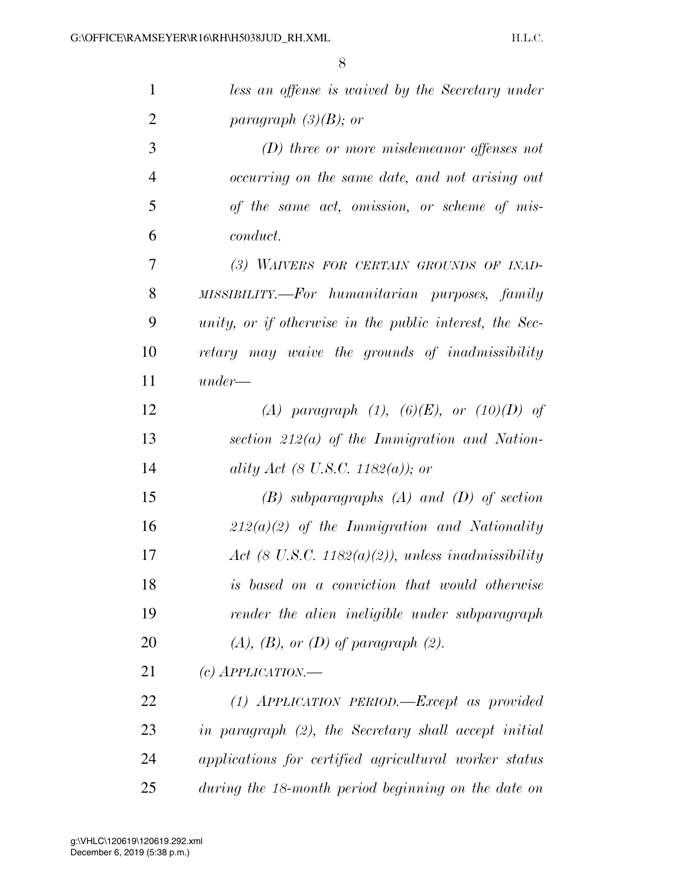| $\mathbf{1}$   | less an offense is waived by the Secretary under        |
|----------------|---------------------------------------------------------|
| $\overline{2}$ | paragraph $(3)(B)$ ; or                                 |
| 3              | $(D)$ three or more misdemeanor offenses not            |
| $\overline{4}$ | occurring on the same date, and not arising out         |
| 5              | of the same act, omission, or scheme of mis-            |
| 6              | <i>conduct.</i>                                         |
| 7              | (3) WAIVERS FOR CERTAIN GROUNDS OF INAD-                |
| 8              | MISSIBILITY.—For humanitarian purposes, family          |
| 9              | unity, or if otherwise in the public interest, the Sec- |
| 10             | retary may waive the grounds of inadmissibility         |
| 11             | $under-$                                                |
| 12             | (A) paragraph (1), (6)(E), or (10)(D) of                |
| 13             | section $212(a)$ of the Immigration and Nation-         |
| 14             | ality Act (8 U.S.C. 1182(a)); or                        |
| 15             | $(B)$ subparagraphs $(A)$ and $(D)$ of section          |
| 16             | $212(a)(2)$ of the Immigration and Nationality          |
| 17             | Act (8 U.S.C. 1182 $(a)(2)$ ), unless inadmissibility   |
| 18             | is based on a conviction that would otherwise           |
| 19             | render the alien ineligible under subparagraph          |
| 20             | $(A), (B), or (D)$ of paragraph $(2).$                  |
| 21             | (c) $APPLICATION$ .                                     |
| 22             | $(1)$ APPLICATION PERIOD.—Except as provided            |
| 23             | in paragraph (2), the Secretary shall accept initial    |
| 24             | applications for certified agricultural worker status   |
| 25             | during the 18-month period beginning on the date on     |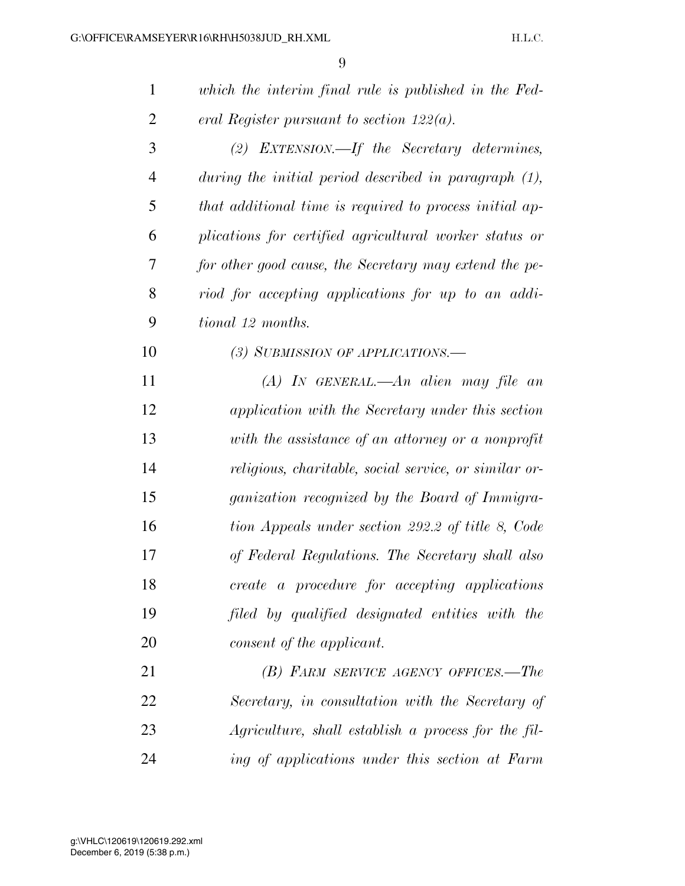| 1              | which the interim final rule is published in the Fed-    |
|----------------|----------------------------------------------------------|
| $\overline{2}$ | eral Register pursuant to section $122(a)$ .             |
| 3              | $(2)$ EXTENSION.—If the Secretary determines,            |
| $\overline{4}$ | during the initial period described in paragraph $(1)$ , |
| 5              | that additional time is required to process initial ap-  |
| 6              | plications for certified agricultural worker status or   |
| 7              | for other good cause, the Secretary may extend the pe-   |
| 8              | riod for accepting applications for up to an addi-       |
| 9              | tional 12 months.                                        |
| 10             | (3) SUBMISSION OF APPLICATIONS.—                         |
| 11             | $(A)$ IN GENERAL.—An alien may file an                   |
| 12             | application with the Secretary under this section        |
| 13             | with the assistance of an attorney or a nonprofit        |
| 14             | religious, charitable, social service, or similar or-    |
| 15             | ganization recognized by the Board of Immigra-           |
| 16             | tion Appeals under section 292.2 of title 8, Code        |
| 17             | of Federal Regulations. The Secretary shall also         |
| 18             | $create\ a\ procedure\ for\ accepting\ applications$     |
| 19             | filed by qualified designated entities with the          |
| 20             | consent of the applicant.                                |
| 21             | (B) FARM SERVICE AGENCY OFFICES.—The                     |
| 22             | Secretary, in consultation with the Secretary of         |
| 23             | Agriculture, shall establish a process for the fil-      |
| 24             | ing of applications under this section at Farm           |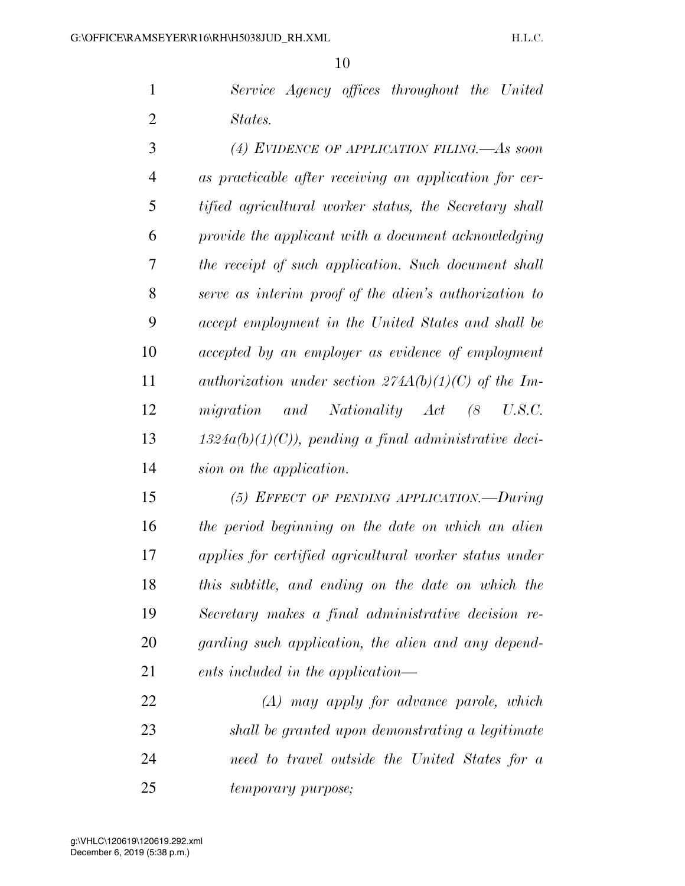*Service Agency offices throughout the United States.* 

 *(4) EVIDENCE OF APPLICATION FILING.—As soon as practicable after receiving an application for cer- tified agricultural worker status, the Secretary shall provide the applicant with a document acknowledging the receipt of such application. Such document shall serve as interim proof of the alien's authorization to accept employment in the United States and shall be accepted by an employer as evidence of employment authorization under section 274A(b)(1)(C) of the Im- migration and Nationality Act (8 U.S.C. 1324a(b)(1)(C)), pending a final administrative deci-sion on the application.* 

 *(5) EFFECT OF PENDING APPLICATION.—During the period beginning on the date on which an alien applies for certified agricultural worker status under this subtitle, and ending on the date on which the Secretary makes a final administrative decision re- garding such application, the alien and any depend-ents included in the application—* 

 *(A) may apply for advance parole, which shall be granted upon demonstrating a legitimate need to travel outside the United States for a temporary purpose;*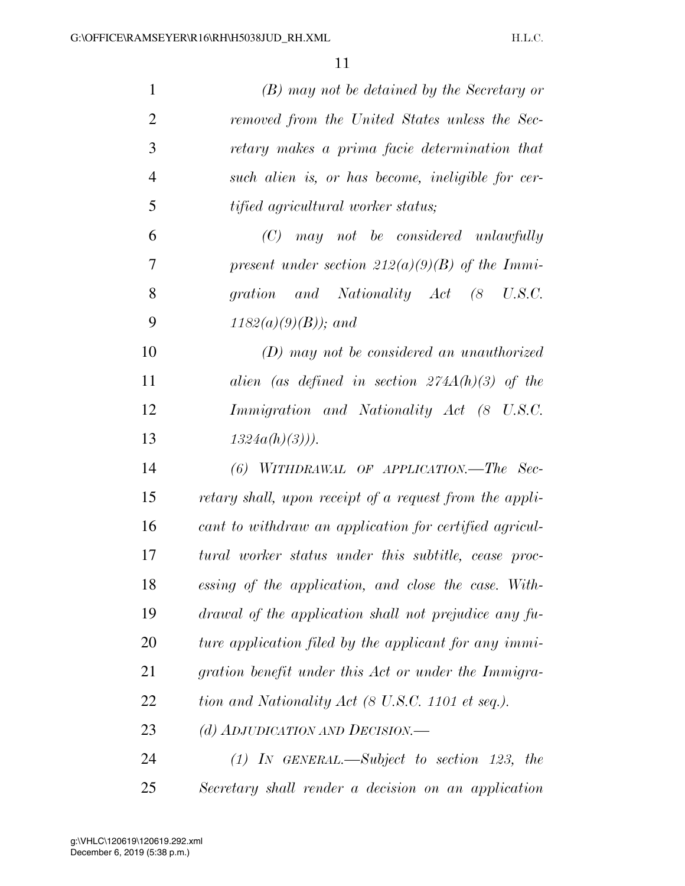| $\mathbf{1}$   | $(B)$ may not be detained by the Secretary or           |
|----------------|---------------------------------------------------------|
| $\overline{2}$ | removed from the United States unless the Sec-          |
| 3              | retary makes a prima facie determination that           |
| $\overline{4}$ | such alien is, or has become, ineligible for cer-       |
| 5              | tified agricultural worker status;                      |
| 6              | $(C)$ may not be considered unlawfully                  |
| 7              | present under section $212(a)(9)(B)$ of the Immi-       |
| 8              | gration and Nationality Act (8 U.S.C.                   |
| 9              | $1182(a)(9)(B)$ ; and                                   |
| 10             | $(D)$ may not be considered an unauthorized             |
| 11             | alien (as defined in section $274A(h)(3)$ of the        |
| 12             | Immigration and Nationality Act (8 U.S.C.               |
| 13             | $1324a(h)(3))$ .                                        |
| 14             | (6) WITHDRAWAL OF APPLICATION.—The Sec-                 |
| 15             | retary shall, upon receipt of a request from the appli- |
| 16             | cant to withdraw an application for certified agricul-  |
| 17             | tural worker status under this subtitle, cease proc-    |
| 18             | essing of the application, and close the case. With-    |
| 19             | drawal of the application shall not prejudice any fu-   |
| 20             | ture application filed by the applicant for any immi-   |
| 21             | gration benefit under this Act or under the Immigra-    |
| 22             | tion and Nationality Act (8 U.S.C. 1101 et seq.).       |
| 23             | (d) ADJUDICATION AND DECISION.—                         |
| 24             | $(1)$ IN GENERAL.—Subject to section 123, the           |
| 25             | Secretary shall render a decision on an application     |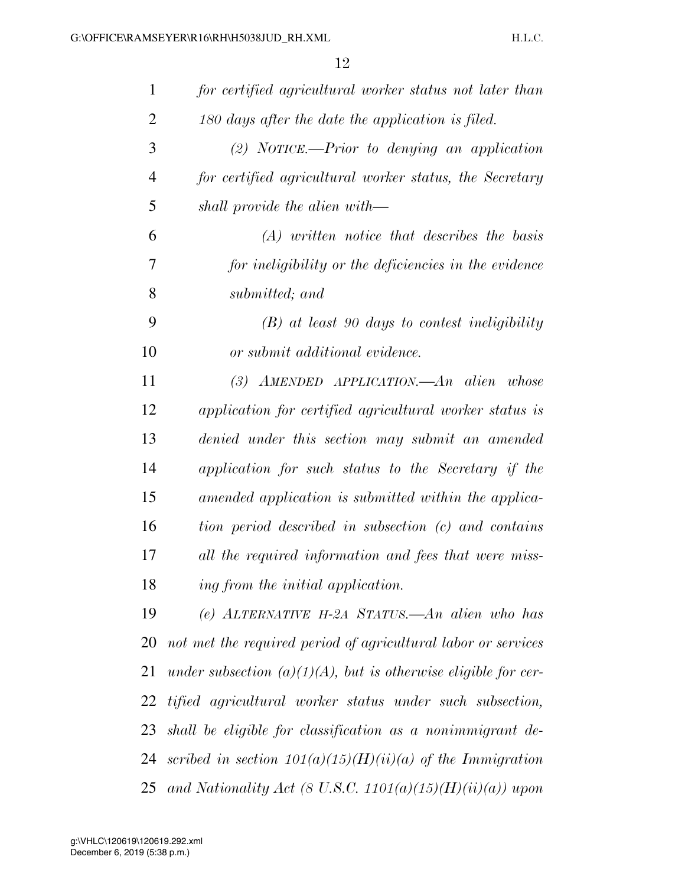| $\mathbf{1}$   | for certified agricultural worker status not later than           |
|----------------|-------------------------------------------------------------------|
| $\overline{2}$ | 180 days after the date the application is filed.                 |
| 3              | (2) NOTICE.—Prior to denying an application                       |
| $\overline{4}$ | for certified agricultural worker status, the Secretary           |
| 5              | shall provide the alien with—                                     |
| 6              | $(A)$ written notice that describes the basis                     |
| 7              | for ineligibility or the deficiencies in the evidence             |
| 8              | submitted; and                                                    |
| 9              | $(B)$ at least 90 days to contest ineligibility                   |
| 10             | or submit additional evidence.                                    |
| 11             | $(3)$ AMENDED APPLICATION.—An alien whose                         |
| 12             | application for certified agricultural worker status is           |
| 13             | denied under this section may submit an amended                   |
| 14             | application for such status to the Secretary if the               |
| 15             | amended application is submitted within the applica-              |
| 16             | tion period described in subsection (c) and contains              |
| 17             | all the required information and fees that were miss-             |
| 18             | ing from the initial application.                                 |
| 19             | (e) ALTERNATIVE H-2A STATUS.—An alien who has                     |
| 20             | not met the required period of agricultural labor or services     |
| 21             | under subsection $(a)(1)(A)$ , but is otherwise eligible for cer- |
| 22             | tified agricultural worker status under such subsection,          |
| 23             | shall be eligible for classification as a nonimmigrant de-        |
| 24             | scribed in section $101(a)(15)(H)(ii)(a)$ of the Immigration      |
| 25             | and Nationality Act (8 U.S.C. 1101(a)(15)(H)(ii)(a)) upon         |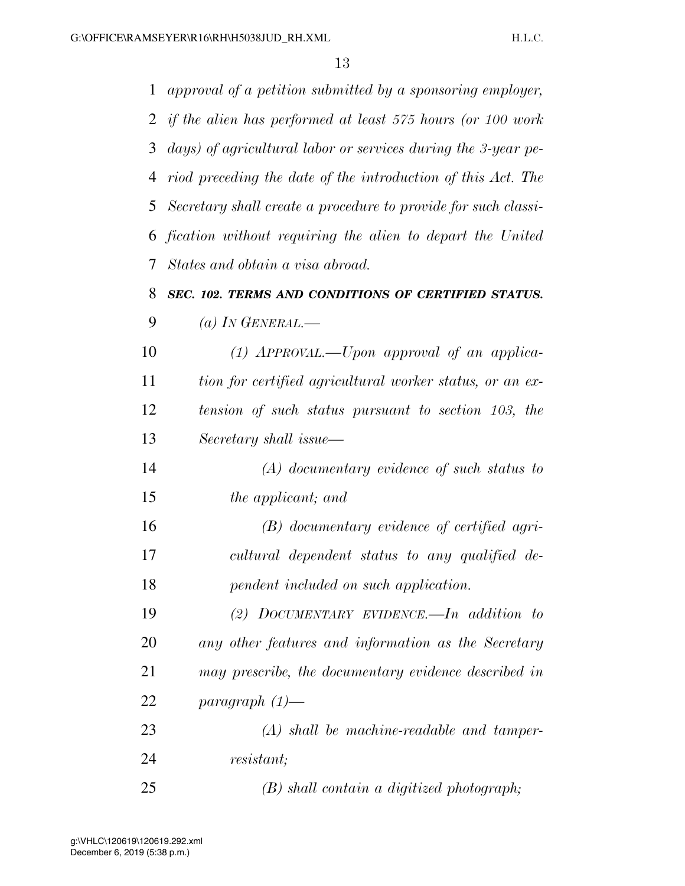*approval of a petition submitted by a sponsoring employer, if the alien has performed at least 575 hours (or 100 work days) of agricultural labor or services during the 3-year pe- riod preceding the date of the introduction of this Act. The Secretary shall create a procedure to provide for such classi- fication without requiring the alien to depart the United States and obtain a visa abroad. SEC. 102. TERMS AND CONDITIONS OF CERTIFIED STATUS. (a) IN GENERAL.— (1) APPROVAL.—Upon approval of an applica- tion for certified agricultural worker status, or an ex- tension of such status pursuant to section 103, the Secretary shall issue— (A) documentary evidence of such status to the applicant; and (B) documentary evidence of certified agri- cultural dependent status to any qualified de- pendent included on such application. (2) DOCUMENTARY EVIDENCE.—In addition to any other features and information as the Secretary may prescribe, the documentary evidence described in paragraph (1)— (A) shall be machine-readable and tamper- resistant; (B) shall contain a digitized photograph;*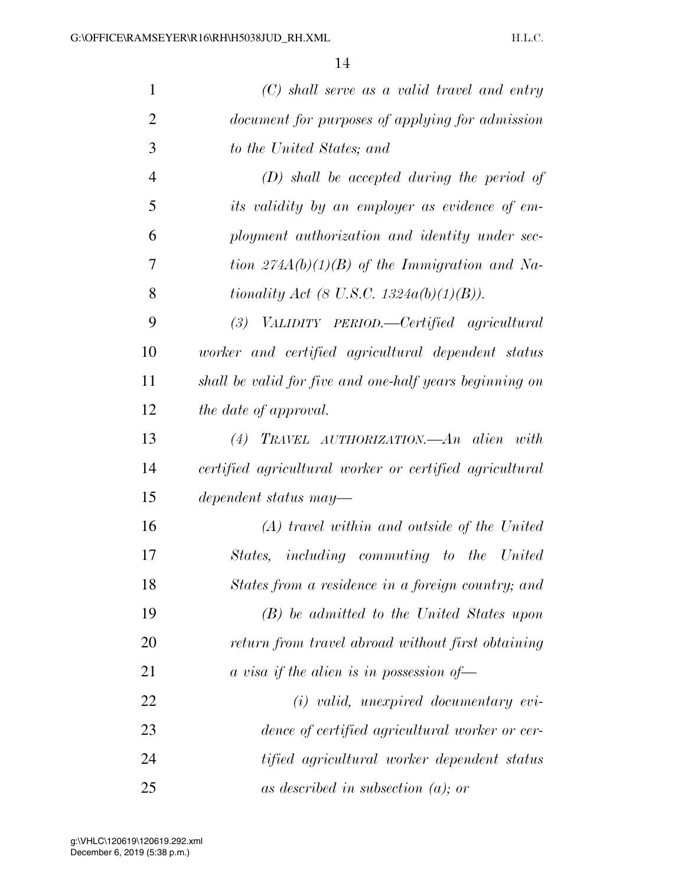| $\mathbf{1}$   | $(C)$ shall serve as a valid travel and entry           |
|----------------|---------------------------------------------------------|
| $\overline{2}$ | document for purposes of applying for admission         |
| 3              | to the United States; and                               |
| $\overline{4}$ | $(D)$ shall be accepted during the period of            |
| 5              | its validity by an employer as evidence of em-          |
| 6              | ployment authorization and identity under sec-          |
| 7              | tion $274A(b)(1)(B)$ of the Immigration and Na-         |
| 8              | <i>tionality Act</i> (8 U.S.C. 1324 $a(b)(1)(B)$ ).     |
| 9              | $(3)$ VALIDITY PERIOD.—Certified agricultural           |
| 10             | worker and certified agricultural dependent status      |
| 11             | shall be valid for five and one-half years beginning on |
| 12             | the date of approval.                                   |
| 13             | $(4)$ TRAVEL AUTHORIZATION.—An alien with               |
| 14             | certified agricultural worker or certified agricultural |
| 15             | dependent status may—                                   |
| 16             | $(A)$ travel within and outside of the United           |
| 17             | States, including commuting to the United               |
| 18             | States from a residence in a foreign country; and       |
| 19             | (B) be admitted to the United States upon               |
| 20             | return from travel abroad without first obtaining       |
| 21             | $\alpha$ visa if the alien is in possession of —        |
| 22             | $(i)$ valid, unexpired documentary evi-                 |
| 23             | dence of certified agricultural worker or cer-          |
| 24             | tified agricultural worker dependent status             |
| 25             | as described in subsection $(a)$ ; or                   |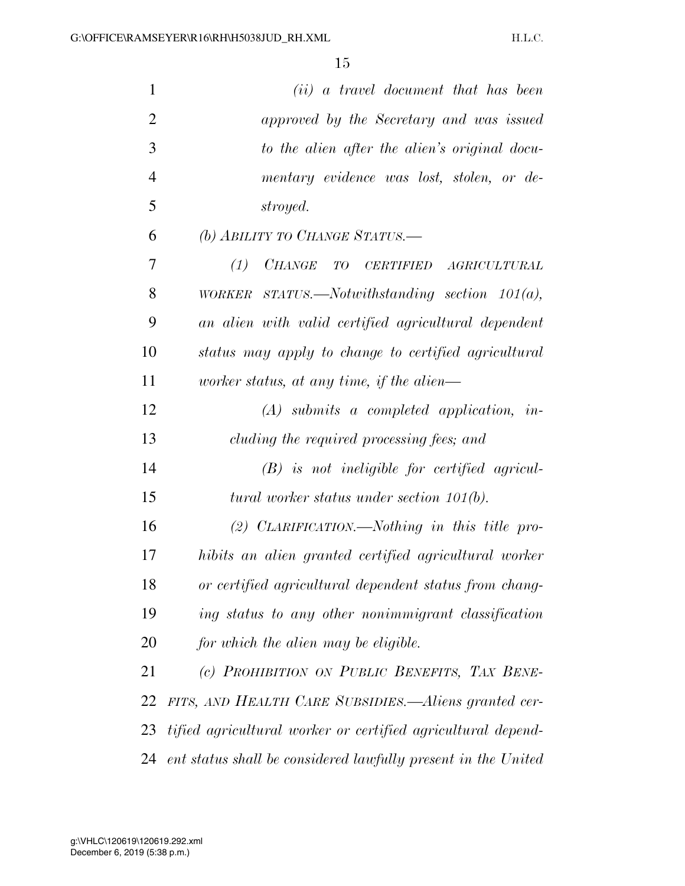| $\mathbf{1}$   | $(ii)$ a travel document that has been                        |
|----------------|---------------------------------------------------------------|
| $\overline{2}$ | approved by the Secretary and was issued                      |
| 3              | to the alien after the alien's original docu-                 |
| $\overline{4}$ | mentary evidence was lost, stolen, or de-                     |
| 5              | stroyed.                                                      |
| 6              | (b) ABILITY TO CHANGE STATUS.-                                |
| 7              | <i>CHANGE</i><br>(1)<br>TO CERTIFIED AGRICULTURAL             |
| 8              | WORKER STATUS.—Notwithstanding section $101(a)$ ,             |
| 9              | an alien with valid certified agricultural dependent          |
| 10             | status may apply to change to certified agricultural          |
| 11             | worker status, at any time, if the alien—                     |
| 12             | $(A)$ submits a completed application, in-                    |
| 13             | cluding the required processing fees; and                     |
| 14             | $(B)$ is not ineligible for certified agricul-                |
| 15             | tural worker status under section $101(b)$ .                  |
| 16             | (2) CLARIFICATION.—Nothing in this title pro-                 |
| 17             | hibits an alien granted certified agricultural worker         |
| 18             | or certified agricultural dependent status from chang-        |
| 19             | ing status to any other nonimmigrant classification           |
| 20             | for which the alien may be eligible.                          |
| 21             | (c) PROHIBITION ON PUBLIC BENEFITS, TAX BENE-                 |
| 22             | FITS, AND HEALTH CARE SUBSIDIES.-Aliens granted cer-          |
| 23             | tified agricultural worker or certified agricultural depend-  |
| 24             | ent status shall be considered lawfully present in the United |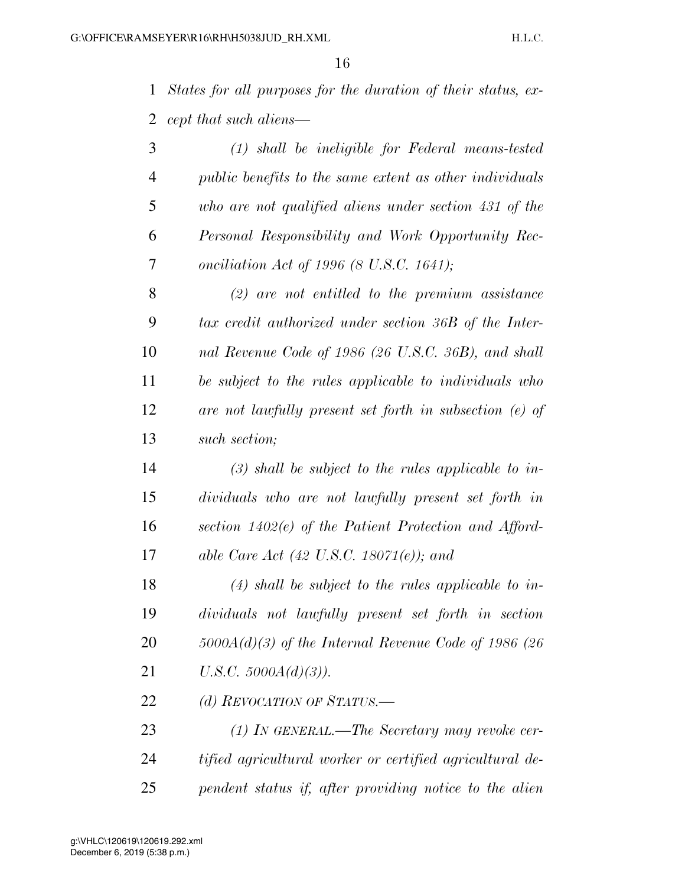*States for all purposes for the duration of their status, ex-cept that such aliens—* 

 *(1) shall be ineligible for Federal means-tested public benefits to the same extent as other individuals who are not qualified aliens under section 431 of the Personal Responsibility and Work Opportunity Rec-onciliation Act of 1996 (8 U.S.C. 1641);* 

 *(2) are not entitled to the premium assistance tax credit authorized under section 36B of the Inter- nal Revenue Code of 1986 (26 U.S.C. 36B), and shall be subject to the rules applicable to individuals who are not lawfully present set forth in subsection (e) of such section;* 

 *(3) shall be subject to the rules applicable to in- dividuals who are not lawfully present set forth in section 1402(e) of the Patient Protection and Afford-able Care Act (42 U.S.C. 18071(e)); and* 

 *(4) shall be subject to the rules applicable to in- dividuals not lawfully present set forth in section 5000A(d)(3) of the Internal Revenue Code of 1986 (26 U.S.C. 5000A(d)(3)).* 

*(d) REVOCATION OF STATUS.—* 

 *(1) IN GENERAL.—The Secretary may revoke cer- tified agricultural worker or certified agricultural de-pendent status if, after providing notice to the alien*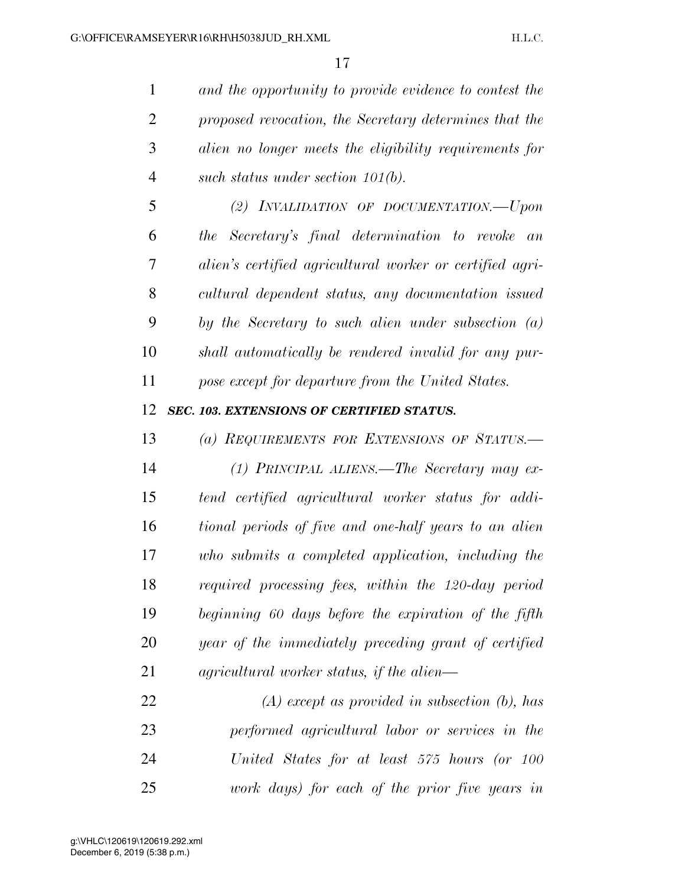*and the opportunity to provide evidence to contest the proposed revocation, the Secretary determines that the alien no longer meets the eligibility requirements for such status under section 101(b).* 

 *(2) INVALIDATION OF DOCUMENTATION.—Upon the Secretary's final determination to revoke an alien's certified agricultural worker or certified agri- cultural dependent status, any documentation issued by the Secretary to such alien under subsection (a) shall automatically be rendered invalid for any pur-pose except for departure from the United States.* 

#### *SEC. 103. EXTENSIONS OF CERTIFIED STATUS.*

 *(a) REQUIREMENTS FOR EXTENSIONS OF STATUS.— (1) PRINCIPAL ALIENS.—The Secretary may ex- tend certified agricultural worker status for addi- tional periods of five and one-half years to an alien who submits a completed application, including the required processing fees, within the 120-day period beginning 60 days before the expiration of the fifth year of the immediately preceding grant of certified agricultural worker status, if the alien—* 

 *(A) except as provided in subsection (b), has performed agricultural labor or services in the United States for at least 575 hours (or 100 work days) for each of the prior five years in*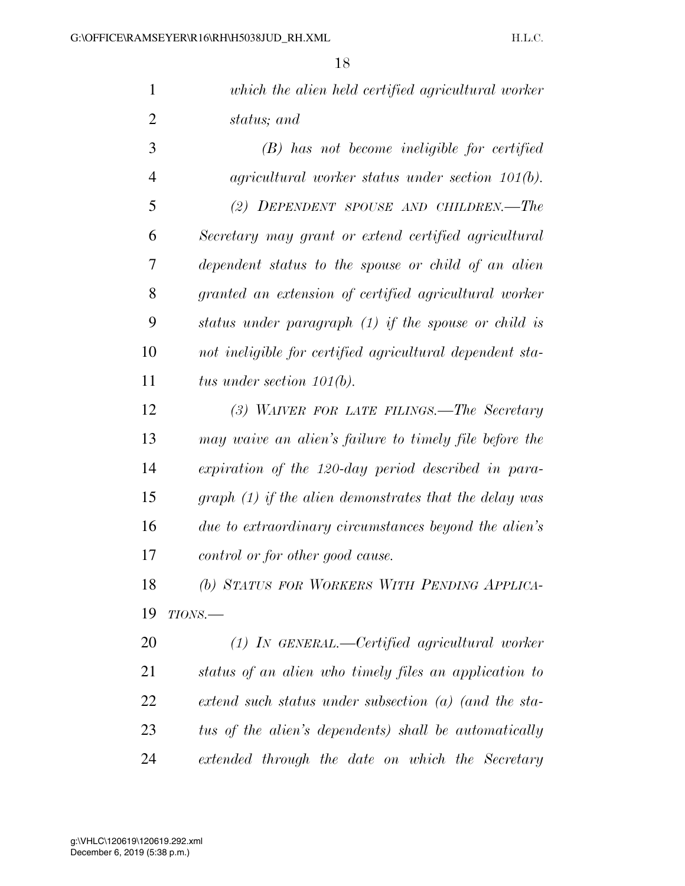| which the alien held certified agricultural worker |
|----------------------------------------------------|
| status; and                                        |
| $(B)$ has not become ineligible for certified      |

 *agricultural worker status under section 101(b). (2) DEPENDENT SPOUSE AND CHILDREN.—The Secretary may grant or extend certified agricultural dependent status to the spouse or child of an alien granted an extension of certified agricultural worker status under paragraph (1) if the spouse or child is not ineligible for certified agricultural dependent sta-tus under section 101(b).* 

 *(3) WAIVER FOR LATE FILINGS.—The Secretary may waive an alien's failure to timely file before the expiration of the 120-day period described in para- graph (1) if the alien demonstrates that the delay was due to extraordinary circumstances beyond the alien's control or for other good cause.* 

 *(b) STATUS FOR WORKERS WITH PENDING APPLICA-TIONS.—* 

 *(1) IN GENERAL.—Certified agricultural worker status of an alien who timely files an application to extend such status under subsection (a) (and the sta- tus of the alien's dependents) shall be automatically extended through the date on which the Secretary*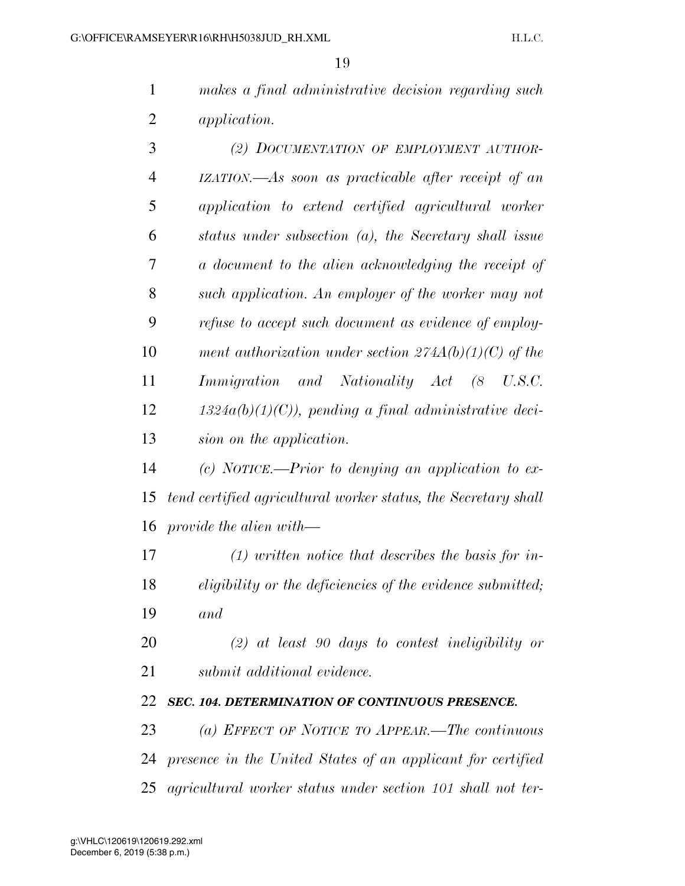*makes a final administrative decision regarding such application.* 

 *(2) DOCUMENTATION OF EMPLOYMENT AUTHOR- IZATION.—As soon as practicable after receipt of an application to extend certified agricultural worker status under subsection (a), the Secretary shall issue a document to the alien acknowledging the receipt of such application. An employer of the worker may not refuse to accept such document as evidence of employ- ment authorization under section 274A(b)(1)(C) of the Immigration and Nationality Act (8 U.S.C. 1324a(b)(1)(C)), pending a final administrative deci-sion on the application.* 

 *(c) NOTICE.—Prior to denying an application to ex- tend certified agricultural worker status, the Secretary shall provide the alien with—* 

 *(1) written notice that describes the basis for in- eligibility or the deficiencies of the evidence submitted; and* 

 *(2) at least 90 days to contest ineligibility or submit additional evidence.* 

## *SEC. 104. DETERMINATION OF CONTINUOUS PRESENCE.*

 *(a) EFFECT OF NOTICE TO APPEAR.—The continuous presence in the United States of an applicant for certified agricultural worker status under section 101 shall not ter-*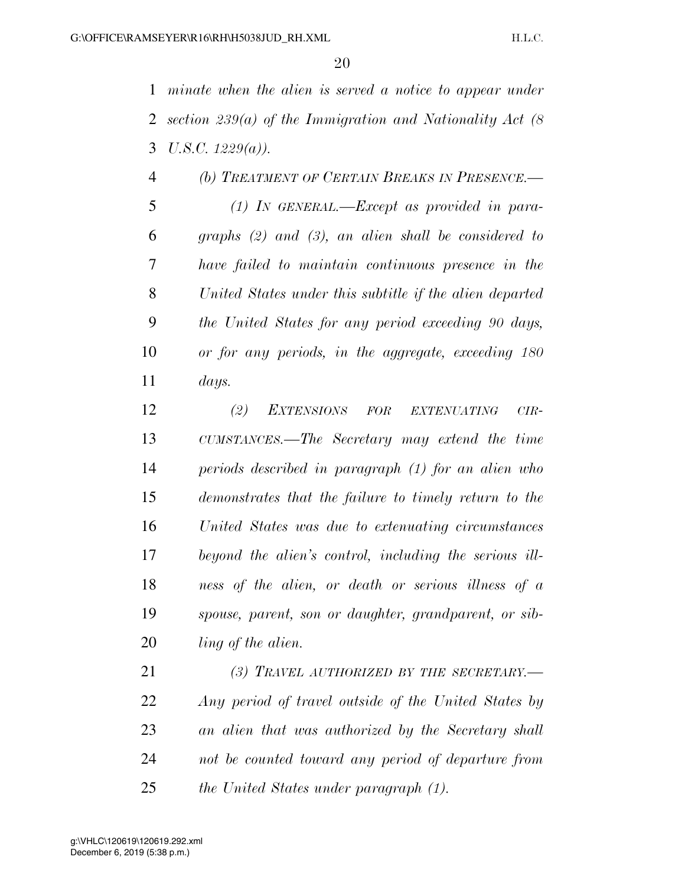*minate when the alien is served a notice to appear under section 239(a) of the Immigration and Nationality Act (8 U.S.C. 1229(a)).* 

 *(b) TREATMENT OF CERTAIN BREAKS IN PRESENCE.— (1) IN GENERAL.—Except as provided in para- graphs (2) and (3), an alien shall be considered to have failed to maintain continuous presence in the United States under this subtitle if the alien departed the United States for any period exceeding 90 days, or for any periods, in the aggregate, exceeding 180 days.* 

 *(2) EXTENSIONS FOR EXTENUATING CIR- CUMSTANCES.—The Secretary may extend the time periods described in paragraph (1) for an alien who demonstrates that the failure to timely return to the United States was due to extenuating circumstances beyond the alien's control, including the serious ill- ness of the alien, or death or serious illness of a spouse, parent, son or daughter, grandparent, or sib-ling of the alien.* 

 *(3) TRAVEL AUTHORIZED BY THE SECRETARY.— Any period of travel outside of the United States by an alien that was authorized by the Secretary shall not be counted toward any period of departure from the United States under paragraph (1).*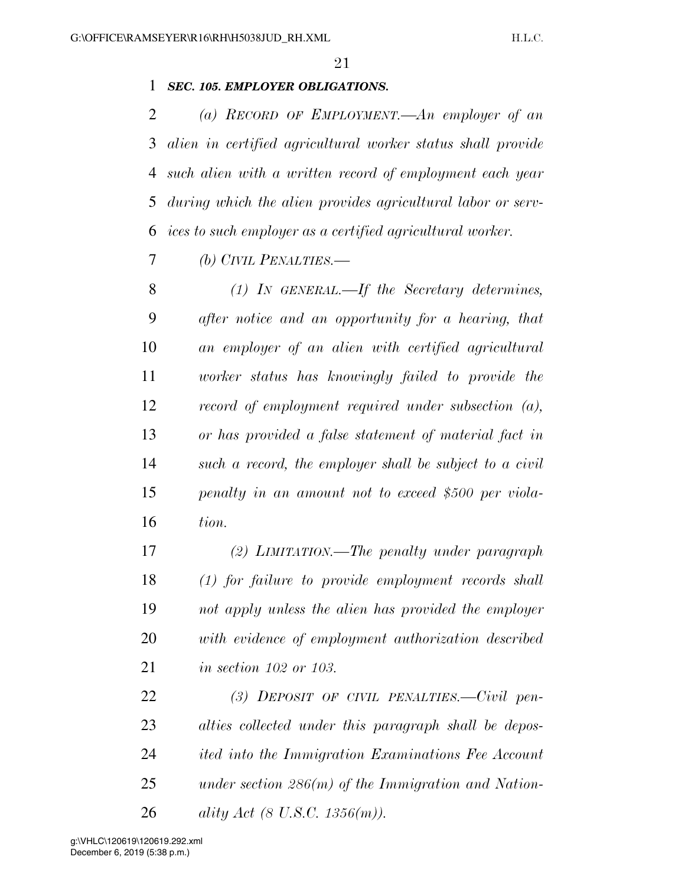# *SEC. 105. EMPLOYER OBLIGATIONS.*

 *(a) RECORD OF EMPLOYMENT.—An employer of an alien in certified agricultural worker status shall provide such alien with a written record of employment each year during which the alien provides agricultural labor or serv-ices to such employer as a certified agricultural worker.* 

*(b) CIVIL PENALTIES.—* 

 *(1) IN GENERAL.—If the Secretary determines, after notice and an opportunity for a hearing, that an employer of an alien with certified agricultural worker status has knowingly failed to provide the record of employment required under subsection (a), or has provided a false statement of material fact in such a record, the employer shall be subject to a civil penalty in an amount not to exceed \$500 per viola-tion.* 

 *(2) LIMITATION.—The penalty under paragraph (1) for failure to provide employment records shall not apply unless the alien has provided the employer with evidence of employment authorization described in section 102 or 103.* 

 *(3) DEPOSIT OF CIVIL PENALTIES.—Civil pen- alties collected under this paragraph shall be depos- ited into the Immigration Examinations Fee Account under section 286(m) of the Immigration and Nation-ality Act (8 U.S.C. 1356(m)).*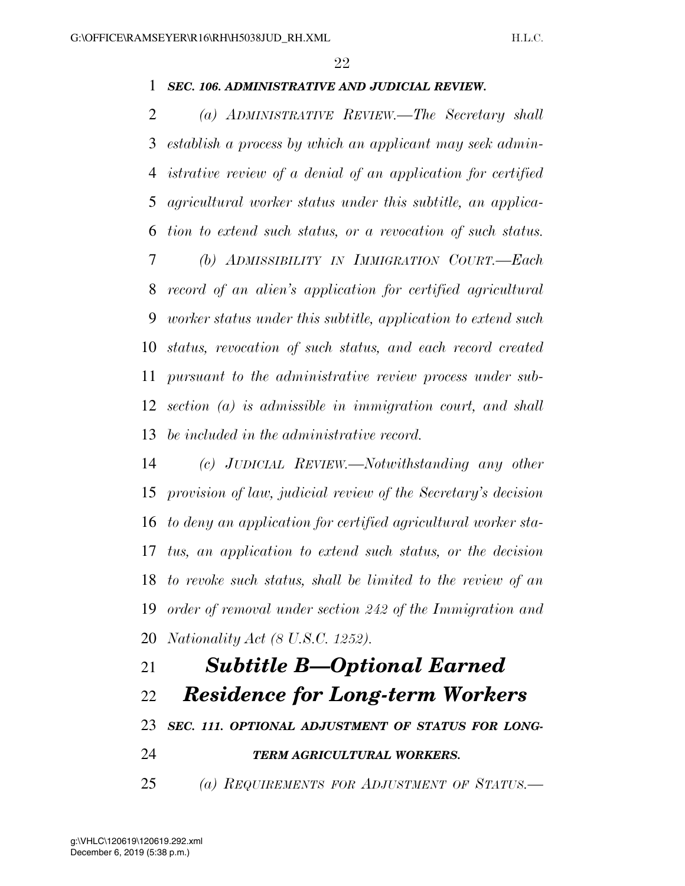# *SEC. 106. ADMINISTRATIVE AND JUDICIAL REVIEW.*

 *(a) ADMINISTRATIVE REVIEW.—The Secretary shall establish a process by which an applicant may seek admin- istrative review of a denial of an application for certified agricultural worker status under this subtitle, an applica- tion to extend such status, or a revocation of such status. (b) ADMISSIBILITY IN IMMIGRATION COURT.—Each record of an alien's application for certified agricultural worker status under this subtitle, application to extend such status, revocation of such status, and each record created pursuant to the administrative review process under sub- section (a) is admissible in immigration court, and shall be included in the administrative record.* 

 *(c) JUDICIAL REVIEW.—Notwithstanding any other provision of law, judicial review of the Secretary's decision to deny an application for certified agricultural worker sta- tus, an application to extend such status, or the decision to revoke such status, shall be limited to the review of an order of removal under section 242 of the Immigration and Nationality Act (8 U.S.C. 1252).* 

 *Subtitle B—Optional Earned Residence for Long-term Workers SEC. 111. OPTIONAL ADJUSTMENT OF STATUS FOR LONG- TERM AGRICULTURAL WORKERS. (a) REQUIREMENTS FOR ADJUSTMENT OF STATUS.—*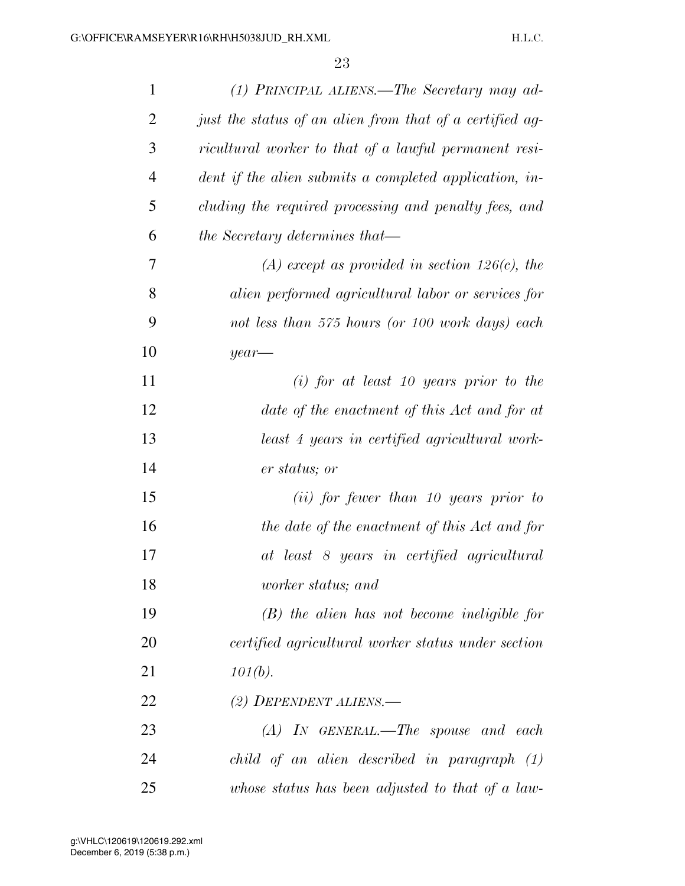| $\mathbf{1}$   | (1) PRINCIPAL ALIENS.—The Secretary may ad-              |
|----------------|----------------------------------------------------------|
| $\overline{2}$ | just the status of an alien from that of a certified ag- |
| 3              | ricultural worker to that of a lawful permanent resi-    |
| 4              | dent if the alien submits a completed application, in-   |
| 5              | cluding the required processing and penalty fees, and    |
| 6              | the Secretary determines that—                           |
| 7              | $(A)$ except as provided in section 126(c), the          |
| 8              | alien performed agricultural labor or services for       |
| 9              | not less than 575 hours (or 100 work days) each          |
| 10             | $year-$                                                  |
| 11             | $(i)$ for at least 10 years prior to the                 |
| 12             | date of the enactment of this Act and for at             |
| 13             | least 4 years in certified agricultural work-            |
| 14             | er status; or                                            |
| 15             | (ii) for fewer than 10 years prior to                    |
| 16             | the date of the enactment of this Act and for            |
| 17             | at least 8 years in certified agricultural               |
| 18             | worker status; and                                       |
| 19             | $(B)$ the alien has not become ineligible for            |
| 20             | certified agricultural worker status under section       |
| 21             | 101(b).                                                  |
| 22             | (2) DEPENDENT ALIENS.—                                   |
| 23             | $(A)$ IN GENERAL.—The spouse and each                    |
| 24             | $child$ of an alien described in paragraph $(1)$         |
| 25             | whose status has been adjusted to that of a law-         |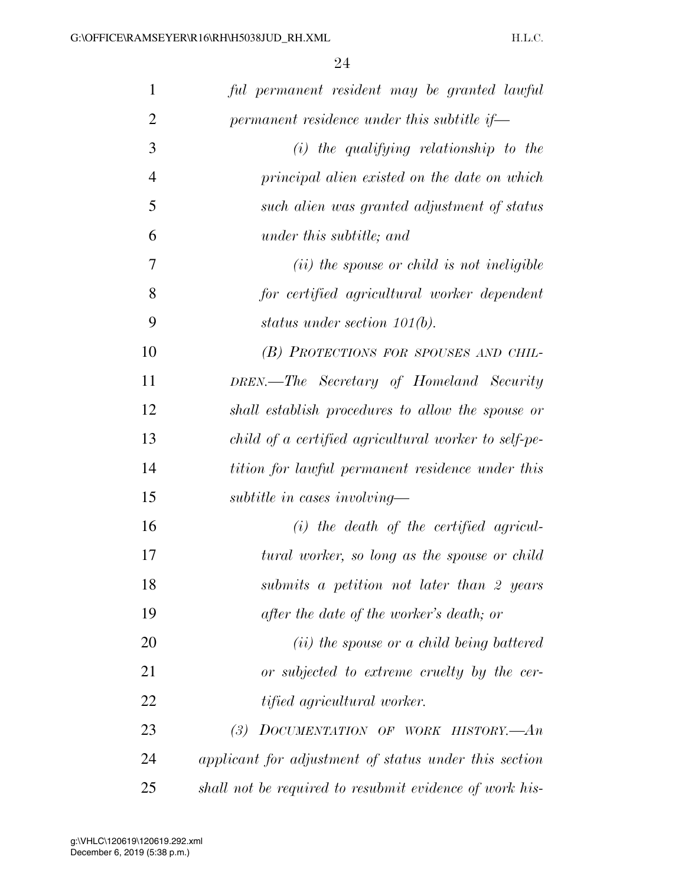| 1              | ful permanent resident may be granted lawful            |
|----------------|---------------------------------------------------------|
| $\overline{2}$ | permanent residence under this subtitle if-             |
| 3              | $(i)$ the qualifying relationship to the                |
| $\overline{4}$ | principal alien existed on the date on which            |
| 5              | such alien was granted adjustment of status             |
| 6              | under this subtitle; and                                |
| 7              | ( <i>ii</i> ) the spouse or child is not ineligible     |
| 8              | for certified agricultural worker dependent             |
| 9              | status under section $101(b)$ .                         |
| 10             | (B) PROTECTIONS FOR SPOUSES AND CHIL-                   |
| 11             | DREN.—The Secretary of Homeland Security                |
| 12             | shall establish procedures to allow the spouse or       |
| 13             | child of a certified agricultural worker to self-pe-    |
| 14             | tition for lawful permanent residence under this        |
| 15             | subtitle in cases involving—                            |
| 16             | $(i)$ the death of the certified agricul-               |
| 17             | tural worker, so long as the spouse or child            |
| 18             | submits a petition not later than 2 years               |
| 19             | after the date of the worker's death; or                |
| 20             | (ii) the spouse or a child being battered               |
| 21             | or subjected to extreme cruelty by the cer-             |
| 22             | <i>tified agricultural worker.</i>                      |
| 23             | DOCUMENTATION OF WORK HISTORY.- An<br>(3)               |
| 24             | applicant for adjustment of status under this section   |
| 25             | shall not be required to resubmit evidence of work his- |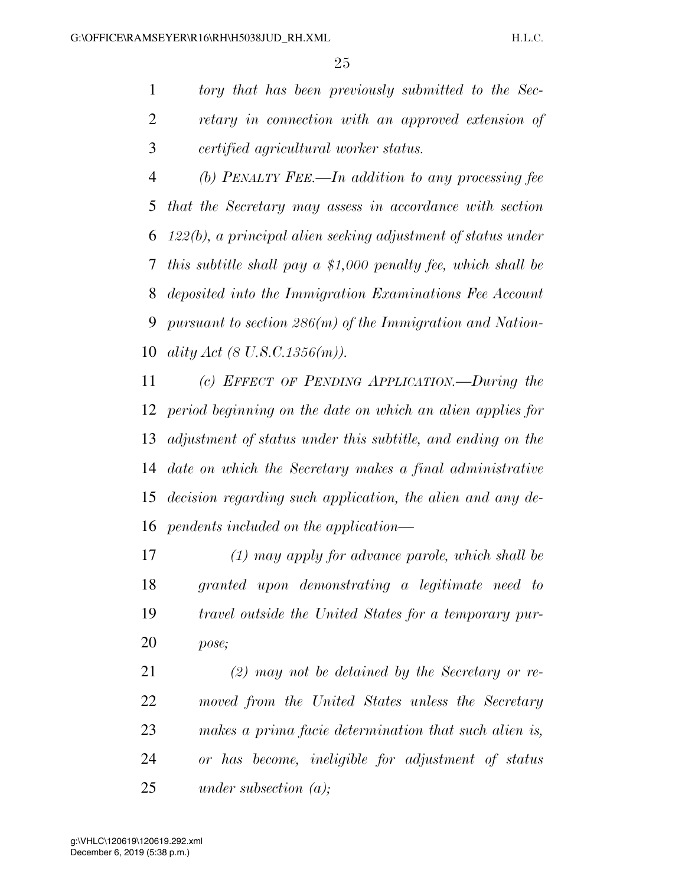*tory that has been previously submitted to the Sec- retary in connection with an approved extension of certified agricultural worker status.* 

 *(b) PENALTY FEE.—In addition to any processing fee that the Secretary may assess in accordance with section 122(b), a principal alien seeking adjustment of status under this subtitle shall pay a \$1,000 penalty fee, which shall be deposited into the Immigration Examinations Fee Account pursuant to section 286(m) of the Immigration and Nation-ality Act (8 U.S.C.1356(m)).* 

 *(c) EFFECT OF PENDING APPLICATION.—During the period beginning on the date on which an alien applies for adjustment of status under this subtitle, and ending on the date on which the Secretary makes a final administrative decision regarding such application, the alien and any de-pendents included on the application—* 

 *(1) may apply for advance parole, which shall be granted upon demonstrating a legitimate need to travel outside the United States for a temporary pur-pose;* 

 *(2) may not be detained by the Secretary or re- moved from the United States unless the Secretary makes a prima facie determination that such alien is, or has become, ineligible for adjustment of status under subsection (a);*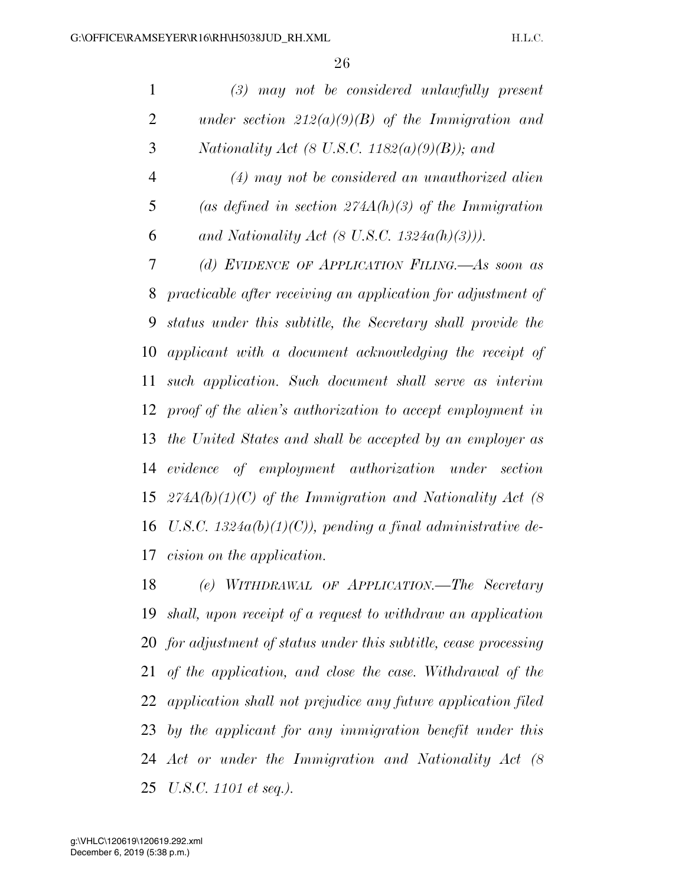| $\mathbf{1}$   | $(3)$ may not be considered unlawfully present               |
|----------------|--------------------------------------------------------------|
| $\overline{2}$ | under section $212(a)(9)(B)$ of the Immigration and          |
| 3              | Nationality Act (8 U.S.C. 1182(a)(9)(B)); and                |
| $\overline{4}$ | $(4)$ may not be considered an unauthorized alien            |
| 5              | (as defined in section $274A(h)(3)$ of the Immigration       |
| 6              | and Nationality Act (8 U.S.C. 1324 $a(h)(3)$ ).              |
| 7              | (d) EVIDENCE OF APPLICATION FILING.—As soon as               |
| 8              | practicable after receiving an application for adjustment of |
| 9              | status under this subtitle, the Secretary shall provide the  |
| 10             | applicant with a document acknowledging the receipt of       |
| 11             | such application. Such document shall serve as interiment    |
| 12             | proof of the alien's authorization to accept employment in   |
| 13             | the United States and shall be accepted by an employer as    |
| 14             | evidence of employment authorization under section           |
| 15             | $274A(b)(1)(C)$ of the Immigration and Nationality Act (8)   |
| 16             | U.S.C. $1324a(b)(1)(C)$ , pending a final administrative de- |
| 17             | cision on the application.                                   |
| 18             | (e) WITHDRAWAL OF APPLICATION.—The Secretary                 |

 *shall, upon receipt of a request to withdraw an application for adjustment of status under this subtitle, cease processing of the application, and close the case. Withdrawal of the application shall not prejudice any future application filed by the applicant for any immigration benefit under this Act or under the Immigration and Nationality Act (8 U.S.C. 1101 et seq.).*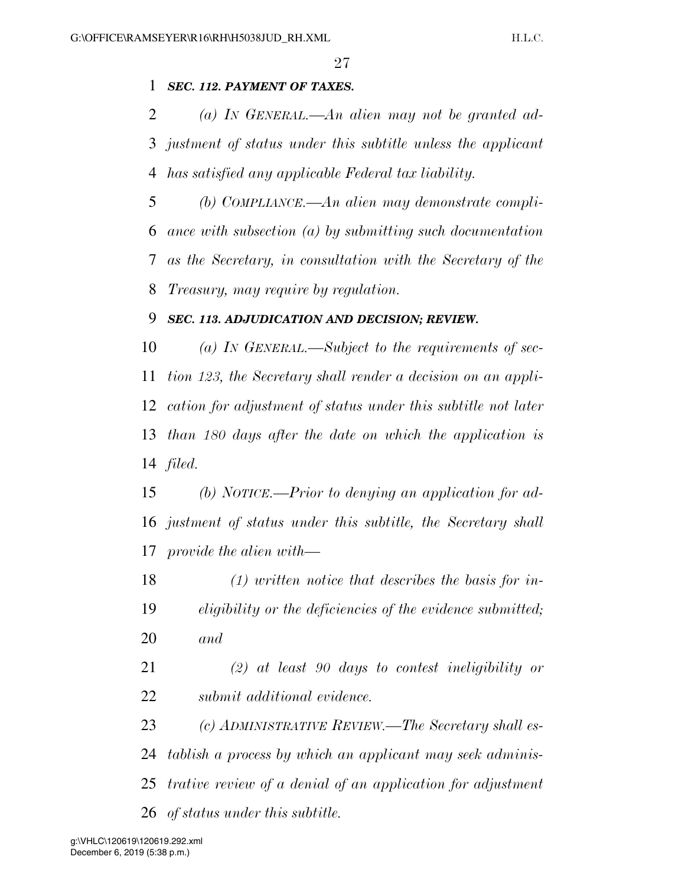# *SEC. 112. PAYMENT OF TAXES.*

 *(a) IN GENERAL.—An alien may not be granted ad- justment of status under this subtitle unless the applicant has satisfied any applicable Federal tax liability.* 

 *(b) COMPLIANCE.—An alien may demonstrate compli- ance with subsection (a) by submitting such documentation as the Secretary, in consultation with the Secretary of the Treasury, may require by regulation.* 

# *SEC. 113. ADJUDICATION AND DECISION; REVIEW.*

 *(a) IN GENERAL.—Subject to the requirements of sec- tion 123, the Secretary shall render a decision on an appli- cation for adjustment of status under this subtitle not later than 180 days after the date on which the application is filed.* 

 *(b) NOTICE.—Prior to denying an application for ad- justment of status under this subtitle, the Secretary shall provide the alien with—* 

 *(1) written notice that describes the basis for in- eligibility or the deficiencies of the evidence submitted; and* 

 *(2) at least 90 days to contest ineligibility or submit additional evidence.* 

 *(c) ADMINISTRATIVE REVIEW.—The Secretary shall es- tablish a process by which an applicant may seek adminis- trative review of a denial of an application for adjustment of status under this subtitle.*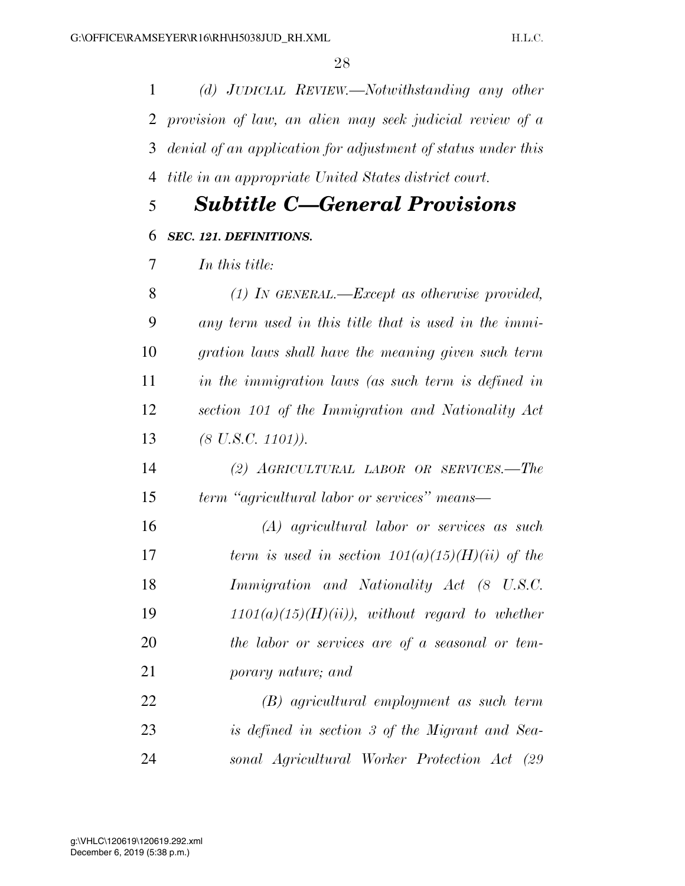*(d) JUDICIAL REVIEW.—Notwithstanding any other provision of law, an alien may seek judicial review of a denial of an application for adjustment of status under this title in an appropriate United States district court.* 

# *Subtitle C—General Provisions*

# *SEC. 121. DEFINITIONS.*

*In this title:* 

 *(1) IN GENERAL.—Except as otherwise provided, any term used in this title that is used in the immi- gration laws shall have the meaning given such term in the immigration laws (as such term is defined in section 101 of the Immigration and Nationality Act (8 U.S.C. 1101)).* 

 *(2) AGRICULTURAL LABOR OR SERVICES.—The term ''agricultural labor or services'' means—* 

 *(A) agricultural labor or services as such term is used in section 101(a)(15)(H)(ii) of the Immigration and Nationality Act (8 U.S.C. 1101(a)(15)(H)(ii)), without regard to whether the labor or services are of a seasonal or tem-porary nature; and* 

 *(B) agricultural employment as such term is defined in section 3 of the Migrant and Sea-sonal Agricultural Worker Protection Act (29*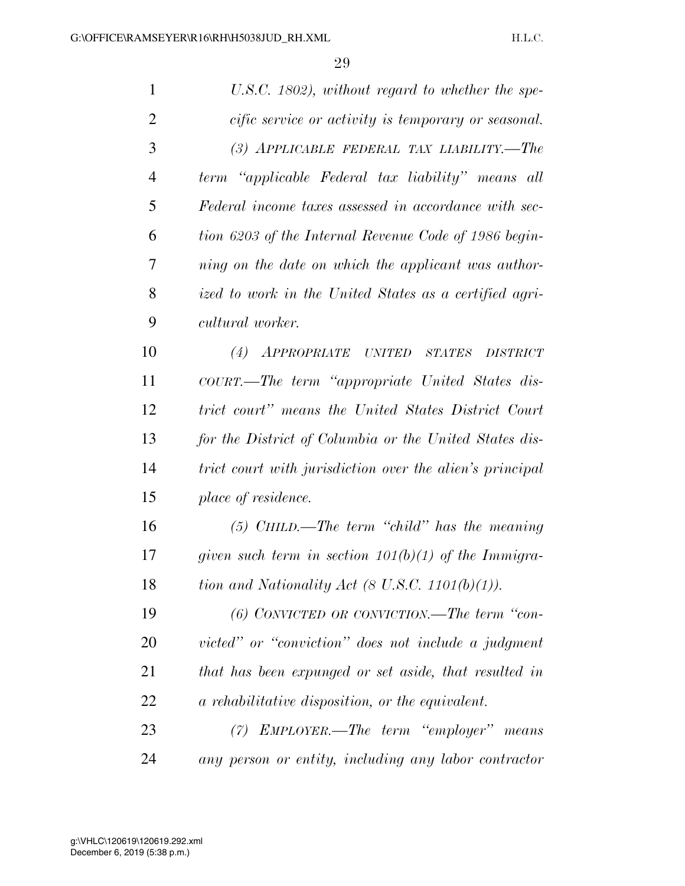| $\mathbf{1}$   | U.S.C. 1802), without regard to whether the spe-           |
|----------------|------------------------------------------------------------|
| $\overline{2}$ | cific service or activity is temporary or seasonal.        |
| 3              | (3) APPLICABLE FEDERAL TAX LIABILITY.—The                  |
| $\overline{4}$ | term "applicable Federal tax liability" means all          |
| 5              | Federal income taxes assessed in accordance with sec-      |
| 6              | tion 6203 of the Internal Revenue Code of 1986 begin-      |
| 7              | ning on the date on which the applicant was author-        |
| 8              | ized to work in the United States as a certified agri-     |
| 9              | cultural worker.                                           |
| 10             | (4)<br>APPROPRIATE UNITED STATES<br><b>DISTRICT</b>        |
| 11             | COURT.—The term "appropriate United States dis-            |
| 12             | trict court" means the United States District Court        |
| 13             | for the District of Columbia or the United States dis-     |
| 14             | trict court with jurisdiction over the alien's principal   |
| 15             | place of residence.                                        |
| 16             | $(5)$ CHILD.—The term "child" has the meaning              |
| 17             | given such term in section $101(b)(1)$ of the Immigra-     |
| 18             | tion and Nationality Act $(8 \text{ U.S.C. } 1101(b)(1)).$ |
| 19             | $(6)$ CONVICTED OR CONVICTION.—The term "con-              |
| 20             | victed" or "conviction" does not include a judgment        |
| 21             | that has been expunged or set aside, that resulted in      |
| 22             | a rehabilitative disposition, or the equivalent.           |
| 23             | (7) EMPLOYER.—The term "employer" means                    |
| 24             | any person or entity, including any labor contractor       |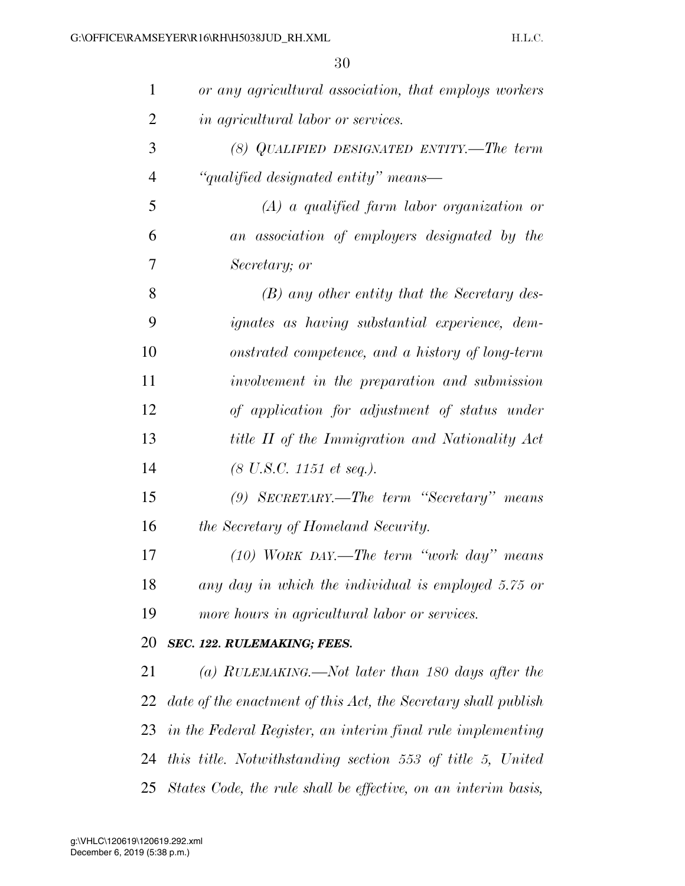| $\mathbf{1}$   | or any agricultural association, that employs workers          |
|----------------|----------------------------------------------------------------|
| $\overline{2}$ | <i>in agricultural labor or services.</i>                      |
| 3              | (8) QUALIFIED DESIGNATED ENTITY.—The term                      |
| $\overline{4}$ | "qualified designated entity" means—                           |
| 5              | $(A)$ a qualified farm labor organization or                   |
| 6              | an association of employers designated by the                  |
| 7              | Secretary; or                                                  |
| 8              | $(B)$ any other entity that the Secretary des-                 |
| 9              | <i>ignates as having substantial experience, dem-</i>          |
| 10             | onstrated competence, and a history of long-term               |
| 11             | involvement in the preparation and submission                  |
| 12             | of application for adjustment of status under                  |
| 13             | title II of the Immigration and Nationality Act                |
| 14             | $(8 \text{ U.S. C. } 1151 \text{ et seq.}).$                   |
| 15             | (9) SECRETARY.—The term "Secretary" means                      |
| 16             | the Secretary of Homeland Security.                            |
| 17             | $(10)$ WORK DAY.—The term "work day" means                     |
| 18             | any day in which the individual is employed 5.75 or            |
| 19             | more hours in agricultural labor or services.                  |
| 20             | SEC. 122. RULEMAKING; FEES.                                    |
| 21             | (a) RULEMAKING.—Not later than 180 days after the              |
| 22             | date of the enactment of this Act, the Secretary shall publish |
| 23             | in the Federal Register, an interim final rule implementing    |
| 24             | this title. Notwithstanding section 553 of title 5, United     |
| 25             | States Code, the rule shall be effective, on an interim basis, |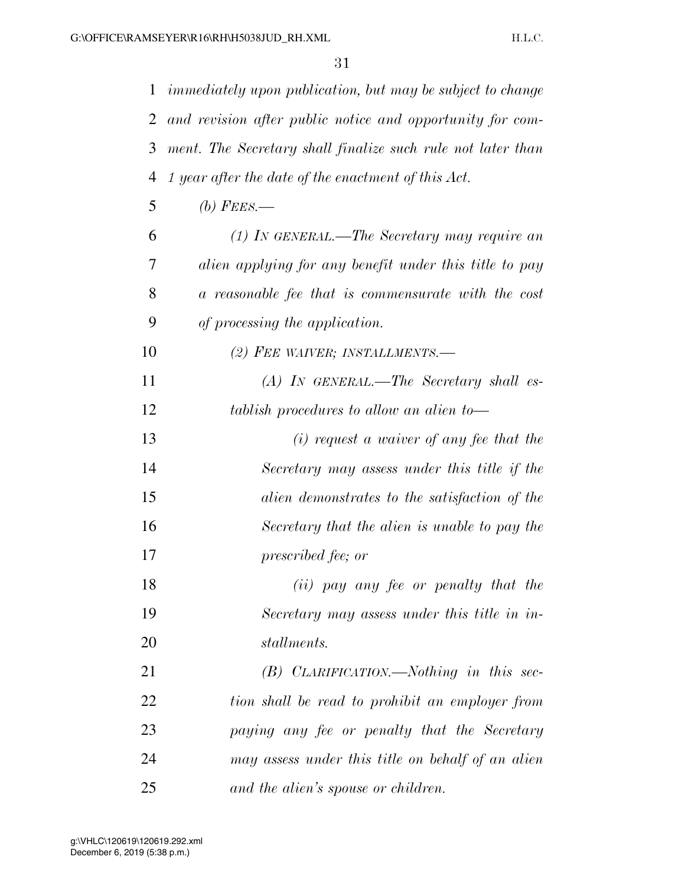|    | 1 <i>immediately upon publication, but may be subject to change</i> |
|----|---------------------------------------------------------------------|
| 2  | and revision after public notice and opportunity for com-           |
| 3  | ment. The Secretary shall finalize such rule not later than         |
| 4  | 1 year after the date of the enactment of this Act.                 |
| 5  | (b) FEES.—                                                          |
| 6  | $(1)$ In GENERAL.—The Secretary may require an                      |
| 7  | alien applying for any benefit under this title to pay              |
| 8  | a reasonable fee that is commensurate with the cost                 |
| 9  | of processing the application.                                      |
| 10 | (2) FEE WAIVER; INSTALLMENTS.—                                      |
| 11 | $(A)$ IN GENERAL.—The Secretary shall es-                           |
| 12 | tablish procedures to allow an alien to-                            |
| 13 | $(i)$ request a waiver of any fee that the                          |
| 14 | Secretary may assess under this title if the                        |
| 15 | alien demonstrates to the satisfaction of the                       |
| 16 | Secretary that the alien is unable to pay the                       |
| 17 | prescribed fee; or                                                  |
| 18 | (ii) pay any fee or penalty that the                                |
| 19 | Secretary may assess under this title in in-                        |
| 20 | stallments.                                                         |
| 21 | $(B)$ CLARIFICATION.—Nothing in this sec-                           |
| 22 | tion shall be read to prohibit an employer from                     |
| 23 | paying any fee or penalty that the Secretary                        |
| 24 | may assess under this title on behalf of an alien                   |
| 25 | and the alien's spouse or children.                                 |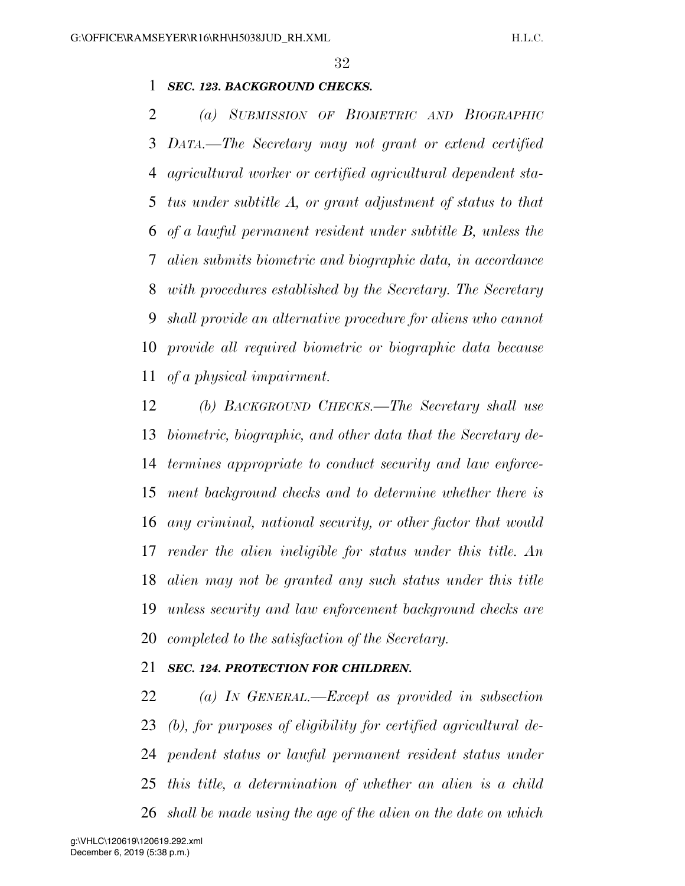# *SEC. 123. BACKGROUND CHECKS.*

 *(a) SUBMISSION OF BIOMETRIC AND BIOGRAPHIC DATA.—The Secretary may not grant or extend certified agricultural worker or certified agricultural dependent sta- tus under subtitle A, or grant adjustment of status to that of a lawful permanent resident under subtitle B, unless the alien submits biometric and biographic data, in accordance with procedures established by the Secretary. The Secretary shall provide an alternative procedure for aliens who cannot provide all required biometric or biographic data because of a physical impairment.* 

 *(b) BACKGROUND CHECKS.—The Secretary shall use biometric, biographic, and other data that the Secretary de- termines appropriate to conduct security and law enforce- ment background checks and to determine whether there is any criminal, national security, or other factor that would render the alien ineligible for status under this title. An alien may not be granted any such status under this title unless security and law enforcement background checks are completed to the satisfaction of the Secretary.* 

### *SEC. 124. PROTECTION FOR CHILDREN.*

 *(a) IN GENERAL.—Except as provided in subsection (b), for purposes of eligibility for certified agricultural de- pendent status or lawful permanent resident status under this title, a determination of whether an alien is a child shall be made using the age of the alien on the date on which*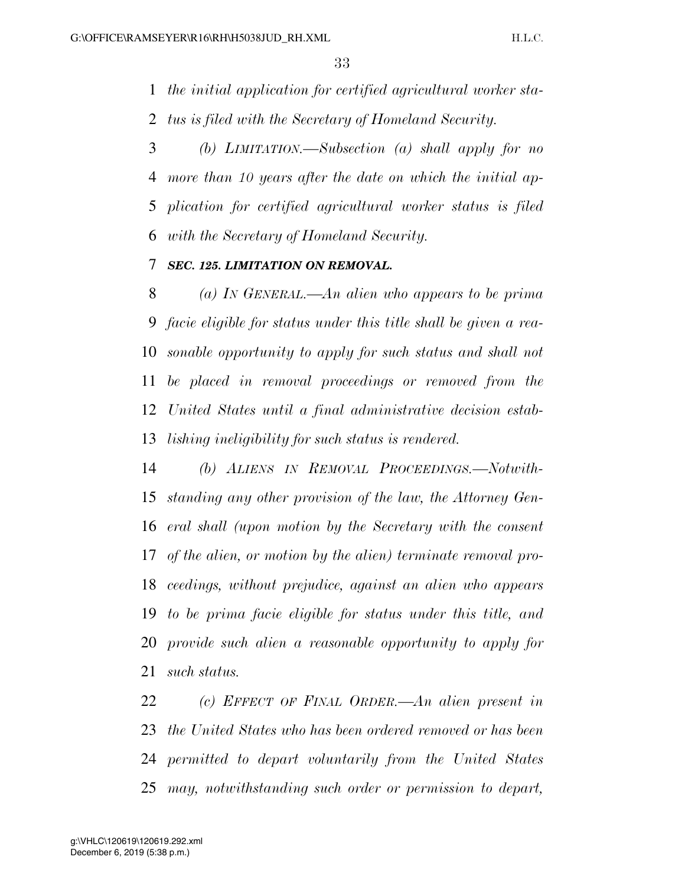*the initial application for certified agricultural worker sta-*

*tus is filed with the Secretary of Homeland Security.* 

 *(b) LIMITATION.—Subsection (a) shall apply for no more than 10 years after the date on which the initial ap- plication for certified agricultural worker status is filed with the Secretary of Homeland Security.* 

# *SEC. 125. LIMITATION ON REMOVAL.*

 *(a) IN GENERAL.—An alien who appears to be prima facie eligible for status under this title shall be given a rea- sonable opportunity to apply for such status and shall not be placed in removal proceedings or removed from the United States until a final administrative decision estab-lishing ineligibility for such status is rendered.* 

 *(b) ALIENS IN REMOVAL PROCEEDINGS.—Notwith- standing any other provision of the law, the Attorney Gen- eral shall (upon motion by the Secretary with the consent of the alien, or motion by the alien) terminate removal pro- ceedings, without prejudice, against an alien who appears to be prima facie eligible for status under this title, and provide such alien a reasonable opportunity to apply for such status.* 

 *(c) EFFECT OF FINAL ORDER.—An alien present in the United States who has been ordered removed or has been permitted to depart voluntarily from the United States may, notwithstanding such order or permission to depart,*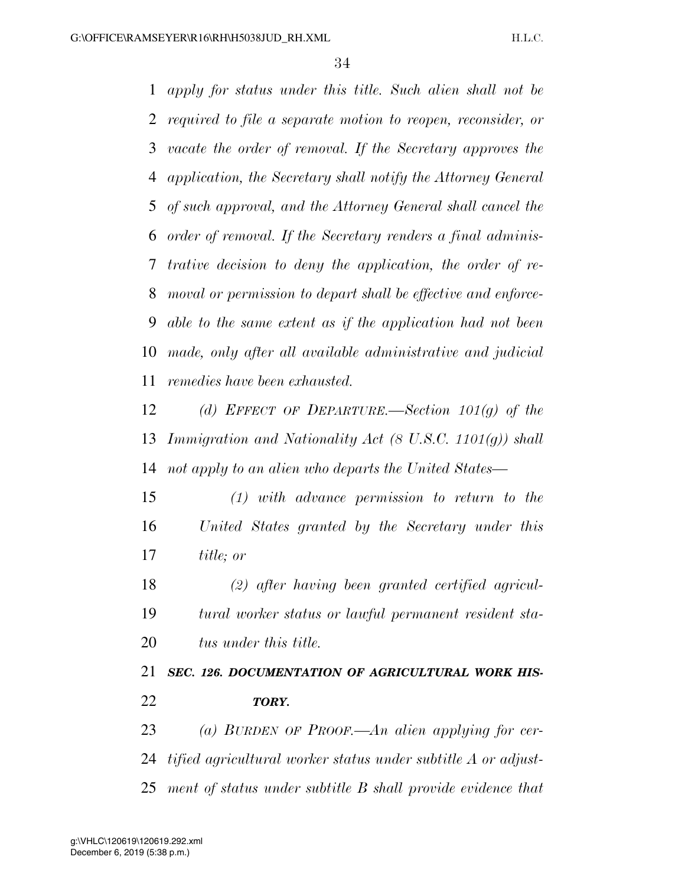*apply for status under this title. Such alien shall not be required to file a separate motion to reopen, reconsider, or vacate the order of removal. If the Secretary approves the application, the Secretary shall notify the Attorney General of such approval, and the Attorney General shall cancel the order of removal. If the Secretary renders a final adminis- trative decision to deny the application, the order of re- moval or permission to depart shall be effective and enforce- able to the same extent as if the application had not been made, only after all available administrative and judicial remedies have been exhausted.* 

 *(d) EFFECT OF DEPARTURE.—Section 101(g) of the Immigration and Nationality Act (8 U.S.C. 1101(g)) shall not apply to an alien who departs the United States—* 

 *(1) with advance permission to return to the United States granted by the Secretary under this title; or* 

 *(2) after having been granted certified agricul- tural worker status or lawful permanent resident sta-tus under this title.* 

 *SEC. 126. DOCUMENTATION OF AGRICULTURAL WORK HIS-TORY.* 

 *(a) BURDEN OF PROOF.—An alien applying for cer- tified agricultural worker status under subtitle A or adjust-ment of status under subtitle B shall provide evidence that*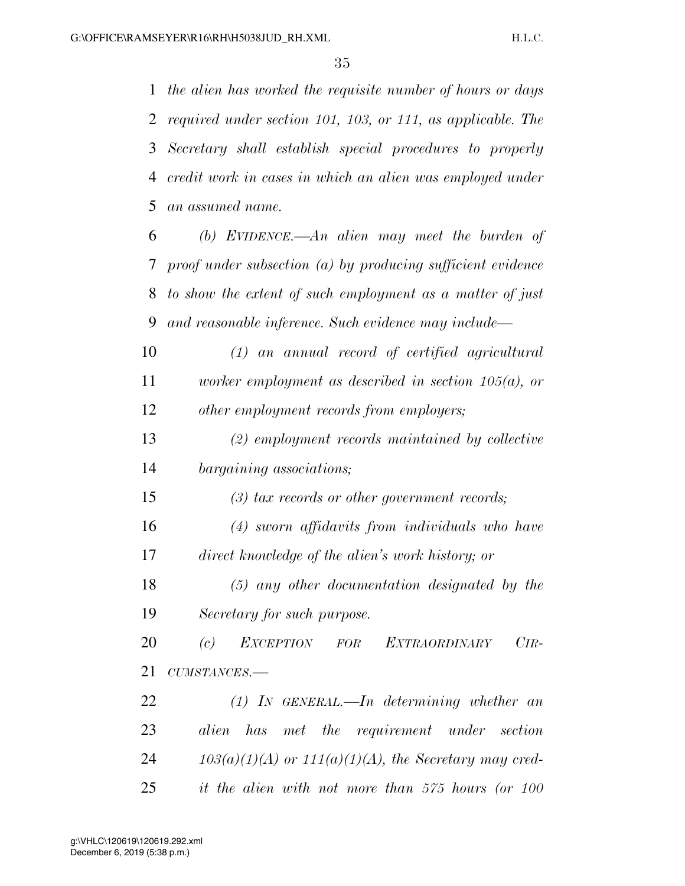*the alien has worked the requisite number of hours or days required under section 101, 103, or 111, as applicable. The Secretary shall establish special procedures to properly credit work in cases in which an alien was employed under an assumed name.* 

- *(b) EVIDENCE.—An alien may meet the burden of proof under subsection (a) by producing sufficient evidence to show the extent of such employment as a matter of just and reasonable inference. Such evidence may include—*
- *(1) an annual record of certified agricultural worker employment as described in section 105(a), or other employment records from employers;*
- *(2) employment records maintained by collective bargaining associations;*

*(3) tax records or other government records;* 

- *(4) sworn affidavits from individuals who have direct knowledge of the alien's work history; or*
- *(5) any other documentation designated by the Secretary for such purpose.*

 *(c) EXCEPTION FOR EXTRAORDINARY CIR-CUMSTANCES.—* 

 *(1) IN GENERAL.—In determining whether an alien has met the requirement under section 103(a)(1)(A) or 111(a)(1)(A), the Secretary may cred-it the alien with not more than 575 hours (or 100*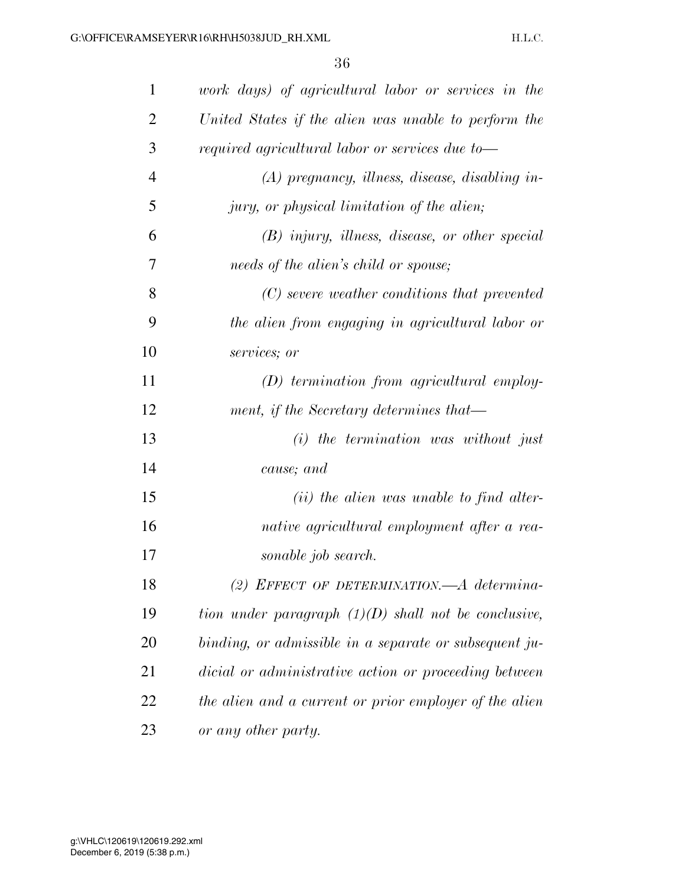| $\mathbf{1}$   | work days) of agricultural labor or services in the    |
|----------------|--------------------------------------------------------|
| $\overline{2}$ | United States if the alien was unable to perform the   |
| 3              | required agricultural labor or services due to-        |
| $\overline{4}$ | $(A)$ pregnancy, illness, disease, disabling in-       |
| 5              | jury, or physical limitation of the alien;             |
| 6              | $(B)$ injury, illness, disease, or other special       |
| 7              | needs of the alien's child or spouse;                  |
| 8              | $(C)$ severe weather conditions that prevented         |
| 9              | the alien from engaging in agricultural labor or       |
| 10             | services; or                                           |
| 11             | $(D)$ termination from agricultural employ-            |
| 12             | ment, if the Secretary determines that—                |
| 13             | $(i)$ the termination was without just                 |
| 14             | cause; and                                             |
| 15             | $(ii)$ the alien was unable to find alter-             |
| 16             | native agricultural employment after a rea-            |
| 17             | sonable job search.                                    |
| 18             | (2) EFFECT OF DETERMINATION.—A determina-              |
| 19             | tion under paragraph $(1)(D)$ shall not be conclusive, |
| 20             | binding, or admissible in a separate or subsequent ju- |
| 21             | dicial or administrative action or proceeding between  |
| 22             | the alien and a current or prior employer of the alien |
| 23             | or any other party.                                    |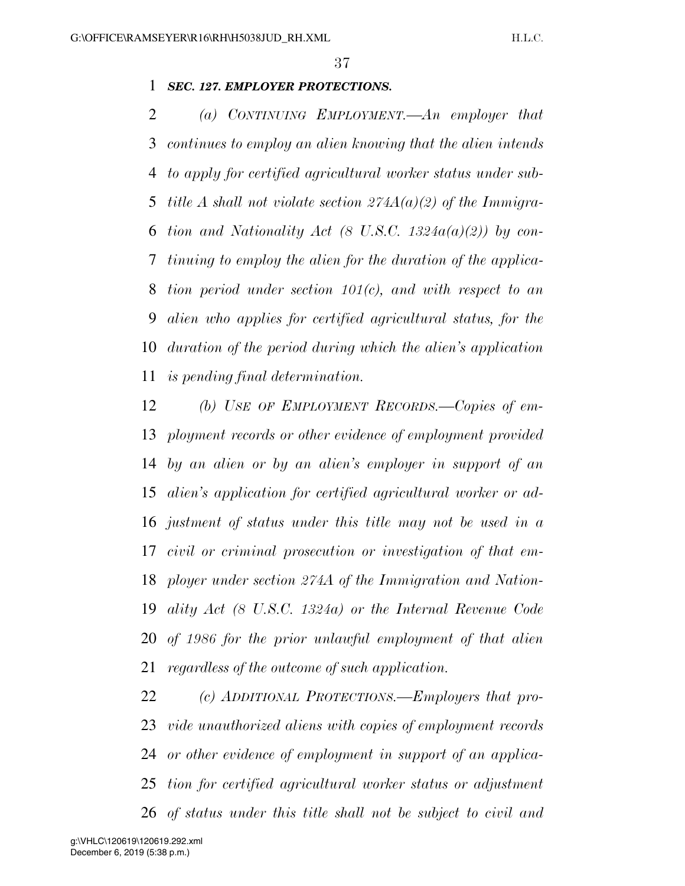## *SEC. 127. EMPLOYER PROTECTIONS.*

 *(a) CONTINUING EMPLOYMENT.—An employer that continues to employ an alien knowing that the alien intends to apply for certified agricultural worker status under sub- title A shall not violate section 274A(a)(2) of the Immigra- tion and Nationality Act (8 U.S.C. 1324a(a)(2)) by con- tinuing to employ the alien for the duration of the applica- tion period under section 101(c), and with respect to an alien who applies for certified agricultural status, for the duration of the period during which the alien's application is pending final determination.* 

 *(b) USE OF EMPLOYMENT RECORDS.—Copies of em- ployment records or other evidence of employment provided by an alien or by an alien's employer in support of an alien's application for certified agricultural worker or ad- justment of status under this title may not be used in a civil or criminal prosecution or investigation of that em- ployer under section 274A of the Immigration and Nation- ality Act (8 U.S.C. 1324a) or the Internal Revenue Code of 1986 for the prior unlawful employment of that alien regardless of the outcome of such application.* 

 *(c) ADDITIONAL PROTECTIONS.—Employers that pro- vide unauthorized aliens with copies of employment records or other evidence of employment in support of an applica- tion for certified agricultural worker status or adjustment of status under this title shall not be subject to civil and*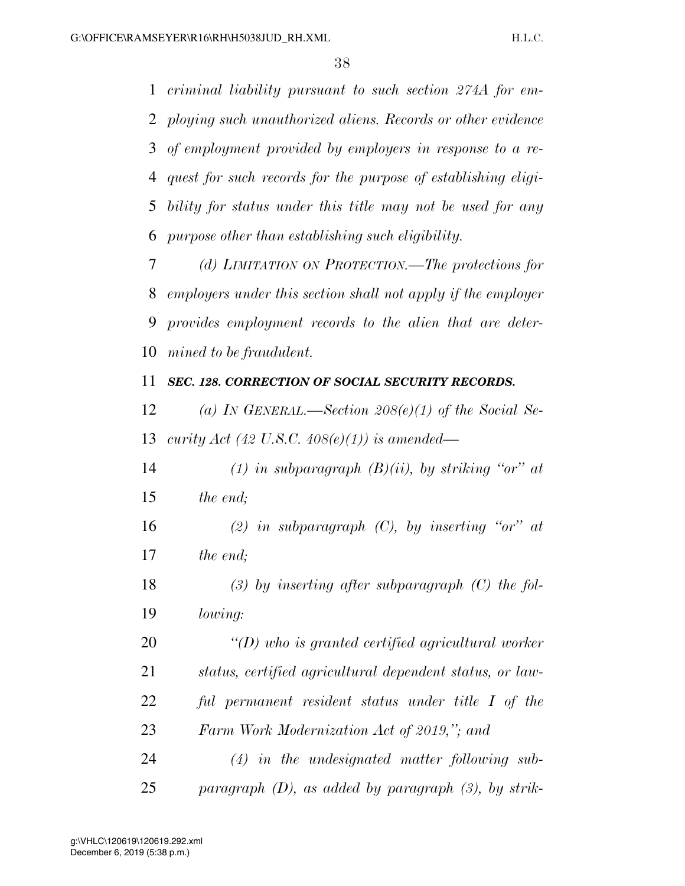*criminal liability pursuant to such section 274A for em- ploying such unauthorized aliens. Records or other evidence of employment provided by employers in response to a re- quest for such records for the purpose of establishing eligi- bility for status under this title may not be used for any purpose other than establishing such eligibility.* 

 *(d) LIMITATION ON PROTECTION.—The protections for employers under this section shall not apply if the employer provides employment records to the alien that are deter-mined to be fraudulent.* 

## *SEC. 128. CORRECTION OF SOCIAL SECURITY RECORDS.*

 *(a) IN GENERAL.—Section 208(e)(1) of the Social Se-curity Act (42 U.S.C. 408(e)(1)) is amended—* 

 *(1) in subparagraph (B)(ii), by striking ''or'' at the end;* 

 *(2) in subparagraph (C), by inserting ''or'' at the end;* 

 *(3) by inserting after subparagraph (C) the fol-lowing:* 

 *''(D) who is granted certified agricultural worker status, certified agricultural dependent status, or law- ful permanent resident status under title I of the Farm Work Modernization Act of 2019,''; and* 

 *(4) in the undesignated matter following sub-paragraph (D), as added by paragraph (3), by strik-*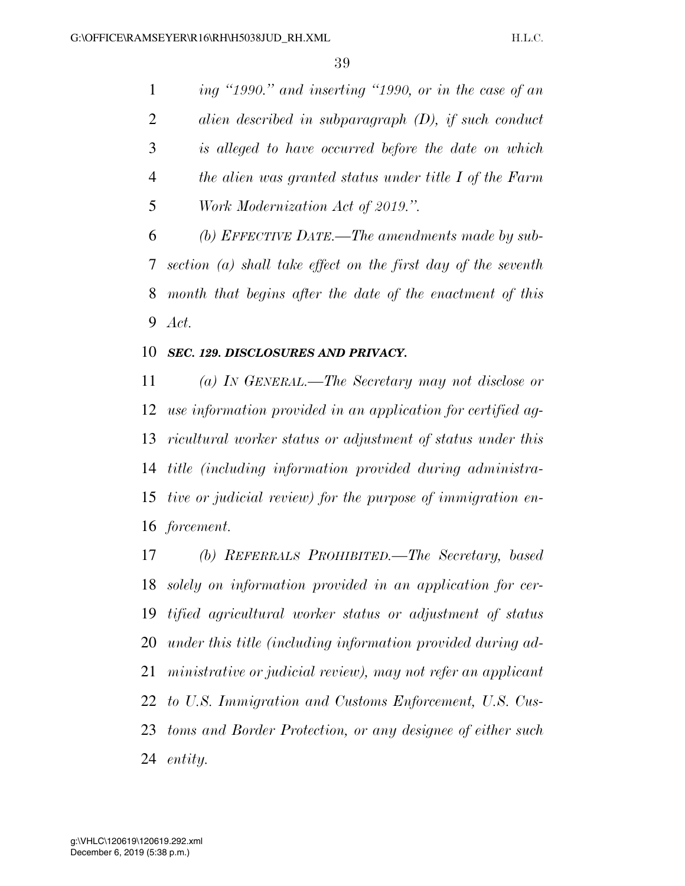*ing ''1990.'' and inserting ''1990, or in the case of an alien described in subparagraph (D), if such conduct is alleged to have occurred before the date on which the alien was granted status under title I of the Farm Work Modernization Act of 2019.''.* 

 *(b) EFFECTIVE DATE.—The amendments made by sub- section (a) shall take effect on the first day of the seventh month that begins after the date of the enactment of this Act.* 

### *SEC. 129. DISCLOSURES AND PRIVACY.*

 *(a) IN GENERAL.—The Secretary may not disclose or use information provided in an application for certified ag- ricultural worker status or adjustment of status under this title (including information provided during administra- tive or judicial review) for the purpose of immigration en-forcement.* 

 *(b) REFERRALS PROHIBITED.—The Secretary, based solely on information provided in an application for cer- tified agricultural worker status or adjustment of status under this title (including information provided during ad- ministrative or judicial review), may not refer an applicant to U.S. Immigration and Customs Enforcement, U.S. Cus- toms and Border Protection, or any designee of either such entity.*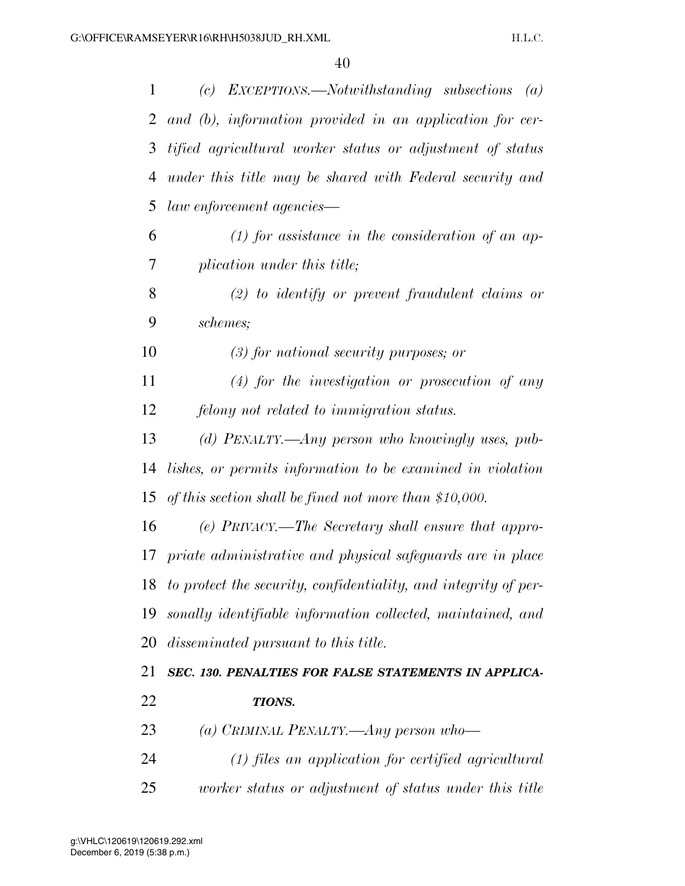| $\mathbf{1}$ | EXCEPTIONS.—Notwithstanding subsections<br>(c)<br>$\left( a\right)$ |
|--------------|---------------------------------------------------------------------|
| 2            | and (b), information provided in an application for cer-            |
| 3            | tified agricultural worker status or adjustment of status           |
| 4            | under this title may be shared with Federal security and            |
| 5            | law enforcement agencies—                                           |
| 6            | $(1)$ for assistance in the consideration of an ap-                 |
| 7            | plication under this title;                                         |
| 8            | $(2)$ to identify or prevent fraudulent claims or                   |
| 9            | schemes;                                                            |
| 10           | $(3)$ for national security purposes; or                            |
| 11           | $(4)$ for the investigation or prosecution of any                   |
| 12           | felony not related to immigration status.                           |
| 13           | (d) PENALTY.—Any person who knowingly uses, pub-                    |
| 14           | lishes, or permits information to be examined in violation          |
| 15           | of this section shall be fined not more than \$10,000.              |
| 16           | (e) $PRIVACY$ .—The Secretary shall ensure that appro-              |
| 17           | priate administrative and physical safeguards are in place          |
| 18           | to protect the security, confidentiality, and integrity of per-     |
| 19           | sonally identifiable information collected, maintained, and         |
| 20           | disseminated pursuant to this title.                                |
| 21           | SEC. 130. PENALTIES FOR FALSE STATEMENTS IN APPLICA-                |
| 22           | <b>TIONS.</b>                                                       |
| 23           | (a) CRIMINAL PENALTY.—Any person who—                               |
| 24           | $(1)$ files an application for certified agricultural               |
| 25           | worker status or adjustment of status under this title              |
|              |                                                                     |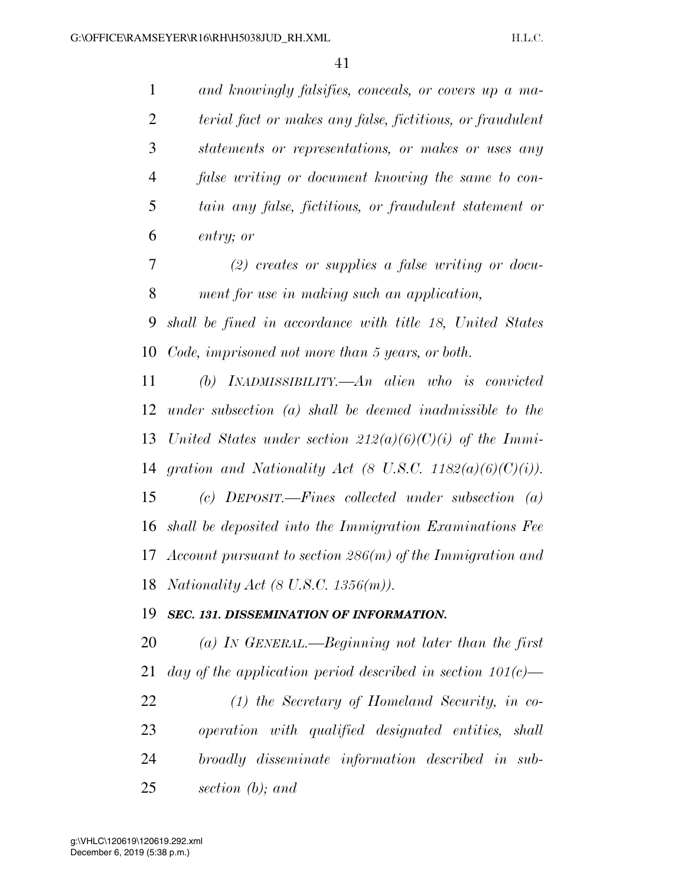| $\mathbf{1}$   | and knowingly falsifies, conceals, or covers up a ma-         |
|----------------|---------------------------------------------------------------|
| $\overline{2}$ | terial fact or makes any false, fictitious, or fraudulent     |
| 3              | statements or representations, or makes or uses any           |
| $\overline{4}$ | false writing or document knowing the same to con-            |
| 5              | tain any false, fictitious, or fraudulent statement or        |
| 6              | entry; or                                                     |
| 7              | $(2)$ creates or supplies a false writing or docu-            |
| 8              | ment for use in making such an application,                   |
| 9              | shall be fined in accordance with title 18, United States     |
| 10             | Code, imprisoned not more than 5 years, or both.              |
| 11             | (b) INADMISSIBILITY.— $An$ alien who is convicted             |
| 12             | under subsection $(a)$ shall be deemed inadmissible to the    |
| 13             | United States under section $212(a)(6)(C)(i)$ of the Immi-    |
| 14             | gration and Nationality Act (8 U.S.C. 1182(a)(6)(C)(i)).      |
| 15             | (c) DEPOSIT.—Fines collected under subsection $(a)$           |
| 16             | shall be deposited into the Immigration Examinations Fee      |
| 17             | Account pursuant to section $286(m)$ of the Immigration and   |
|                | 18 <i>Nationality Act</i> (8 U.S.C. 1356 $(m)$ ).             |
| 19             | SEC. 131. DISSEMINATION OF INFORMATION.                       |
| 20             | (a) IN GENERAL.—Beginning not later than the first            |
| 21             | day of the application period described in section $101(c)$ — |
| 22             | $(1)$ the Secretary of Homeland Security, in co-              |
| 23             | operation with qualified designated entities, shall           |
| 24             | broadly disseminate information described in sub-             |
| 25             | section $(b)$ ; and                                           |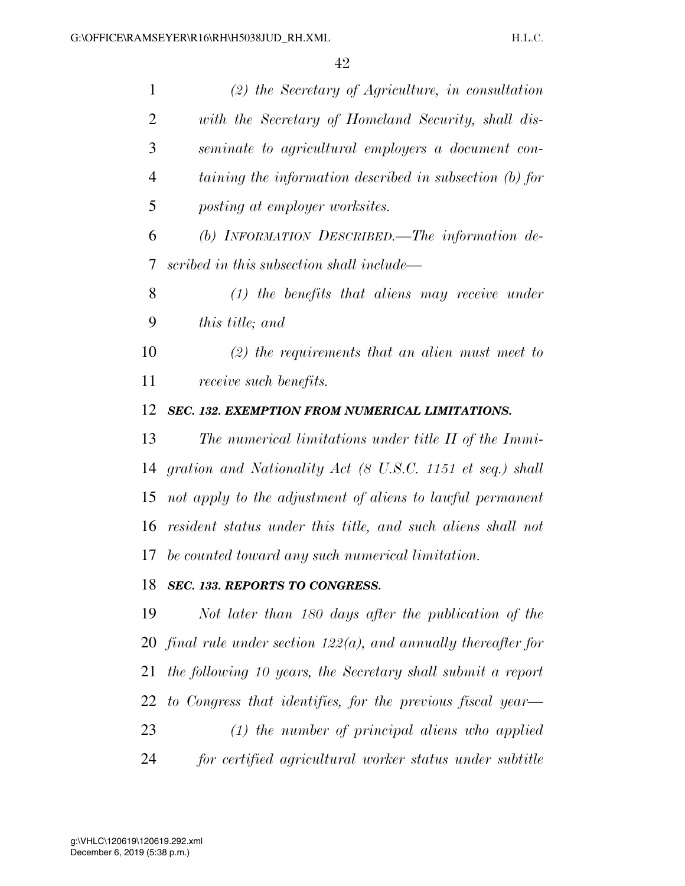| $\mathbf{1}$   | $(2)$ the Secretary of Agriculture, in consultation             |
|----------------|-----------------------------------------------------------------|
| $\overline{2}$ | with the Secretary of Homeland Security, shall dis-             |
| 3              | seminate to agricultural employers a document con-              |
| $\overline{4}$ | taining the information described in subsection (b) for         |
| 5              | posting at employer worksites.                                  |
| 6              | (b) INFORMATION DESCRIBED.—The information de-                  |
| 7              | scribed in this subsection shall include—                       |
| 8              | $(1)$ the benefits that aliens may receive under                |
| 9              | <i>this title; and</i>                                          |
| 10             | $(2)$ the requirements that an alien must meet to               |
| 11             | receive such benefits.                                          |
| 12             | SEC. 132. EXEMPTION FROM NUMERICAL LIMITATIONS.                 |
| 13             | The numerical limitations under title II of the Immi-           |
| 14             | gration and Nationality Act (8 U.S.C. 1151 et seq.) shall       |
| 15             | not apply to the adjustment of aliens to lawful permanent       |
| 16             | resident status under this title, and such aliens shall not     |
| 17             | be counted toward any such numerical limitation.                |
| 18             | SEC. 133. REPORTS TO CONGRESS.                                  |
| 19             | Not later than 180 days after the publication of the            |
| 20             | final rule under section $122(a)$ , and annually thereafter for |
| 21             | the following 10 years, the Secretary shall submit a report     |
| 22             | to Congress that identifies, for the previous fiscal year—      |
| 23             | $(1)$ the number of principal aliens who applied                |
| 24             | for certified agricultural worker status under subtitle         |
|                |                                                                 |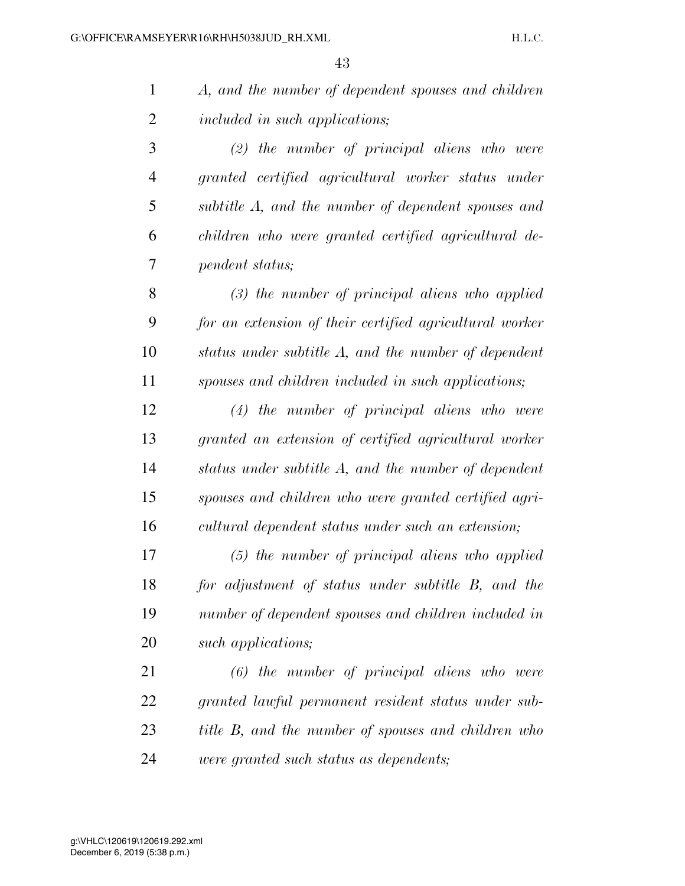| $\mathbf{1}$   | A, and the number of dependent spouses and children     |
|----------------|---------------------------------------------------------|
| $\overline{2}$ | included in such applications;                          |
| 3              | $(2)$ the number of principal aliens who were           |
| $\overline{4}$ | granted certified agricultural worker status under      |
| 5              | subtitle A, and the number of dependent spouses and     |
| 6              | children who were granted certified agricultural de-    |
| 7              | pendent status;                                         |
| 8              | $(3)$ the number of principal aliens who applied        |
| 9              | for an extension of their certified agricultural worker |
| 10             | status under subtitle A, and the number of dependent    |
| 11             | spouses and children included in such applications;     |
| 12             | $(4)$ the number of principal aliens who were           |
| 13             | granted an extension of certified agricultural worker   |
| 14             | status under subtitle A, and the number of dependent    |
| 15             | spouses and children who were granted certified agri-   |
| 16             | cultural dependent status under such an extension;      |
| 17             | $(5)$ the number of principal aliens who applied        |
| 18             | for adjustment of status under subtitle B, and the      |
| 19             | number of dependent spouses and children included in    |
| 20             | such applications;                                      |
| 21             | $(6)$ the number of principal aliens who were           |
| 22             | granted lawful permanent resident status under sub-     |
| 23             | title B, and the number of spouses and children who     |
| 24             | were granted such status as dependents;                 |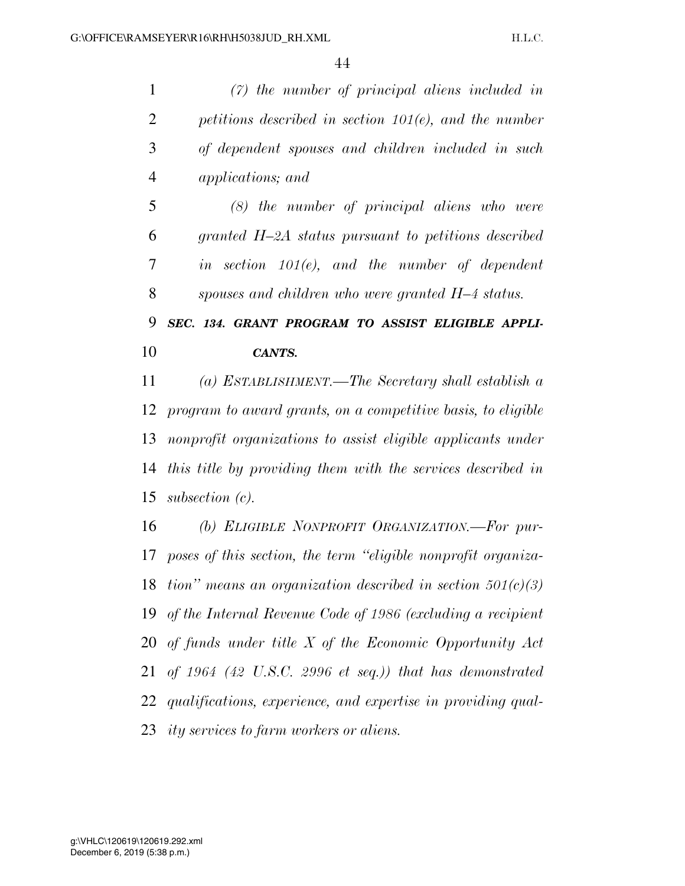*(7) the number of principal aliens included in petitions described in section 101(e), and the number of dependent spouses and children included in such applications; and* 

 *(8) the number of principal aliens who were granted H–2A status pursuant to petitions described in section 101(e), and the number of dependent spouses and children who were granted H–4 status.* 

 *SEC. 134. GRANT PROGRAM TO ASSIST ELIGIBLE APPLI-CANTS.* 

 *(a) ESTABLISHMENT.—The Secretary shall establish a program to award grants, on a competitive basis, to eligible nonprofit organizations to assist eligible applicants under this title by providing them with the services described in subsection (c).* 

 *(b) ELIGIBLE NONPROFIT ORGANIZATION.—For pur- poses of this section, the term ''eligible nonprofit organiza- tion'' means an organization described in section 501(c)(3) of the Internal Revenue Code of 1986 (excluding a recipient of funds under title X of the Economic Opportunity Act of 1964 (42 U.S.C. 2996 et seq.)) that has demonstrated qualifications, experience, and expertise in providing qual-ity services to farm workers or aliens.*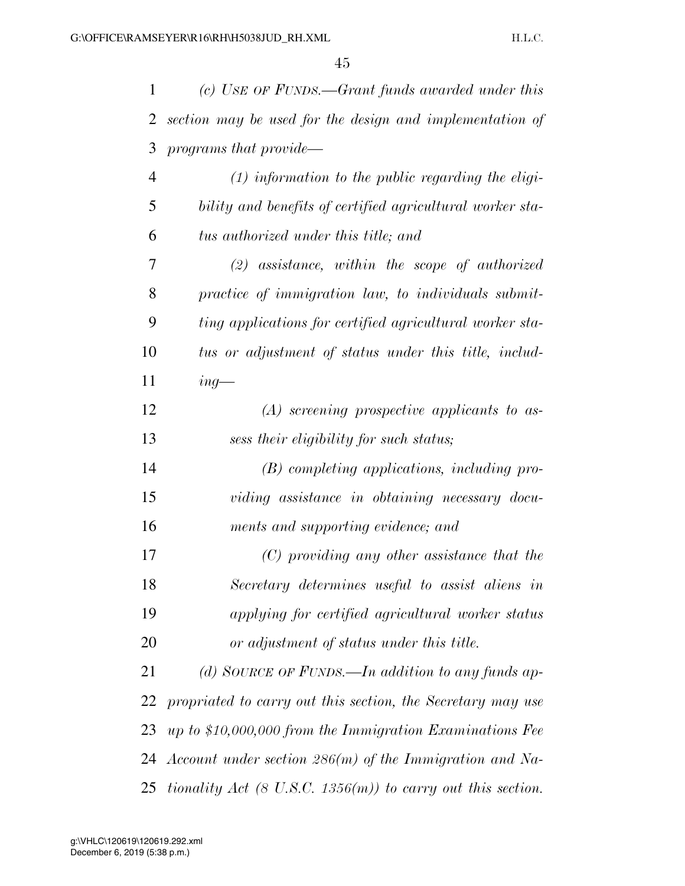| 1              | (c) USE OF FUNDS.—Grant funds awarded under this                       |  |
|----------------|------------------------------------------------------------------------|--|
| 2              | section may be used for the design and implementation of               |  |
| 3              | programs that provide—                                                 |  |
| $\overline{4}$ | $(1)$ information to the public regarding the eligi-                   |  |
| 5              | bility and benefits of certified agricultural worker sta-              |  |
| 6              | tus authorized under this title; and                                   |  |
| 7              | $(2)$ assistance, within the scope of authorized                       |  |
| 8              | practice of immigration law, to individuals submit-                    |  |
| 9              | ting applications for certified agricultural worker sta-               |  |
| 10             | tus or adjustment of status under this title, includ-                  |  |
| 11             | $ing$ —                                                                |  |
| 12             | $(A)$ screening prospective applicants to as-                          |  |
| 13             | sess their eligibility for such status;                                |  |
| 14             | $(B)$ completing applications, including pro-                          |  |
| 15             | viding assistance in obtaining necessary docu-                         |  |
| 16             | ments and supporting evidence; and                                     |  |
| 17             | $(C)$ providing any other assistance that the                          |  |
| 18             | Secretary determines useful to assist aliens in                        |  |
| 19             | applying for certified agricultural worker status                      |  |
| 20             | or adjustment of status under this title.                              |  |
| 21             | (d) SOURCE OF FUNDS.—In addition to any funds ap-                      |  |
| 22             | propriated to carry out this section, the Secretary may use            |  |
| 23             | up to \$10,000,000 from the Immigration Examinations Fee               |  |
| 24             | Account under section $286(m)$ of the Immigration and Na-              |  |
| 25             | tionality Act $(8 \text{ U.S.C. } 1356(m))$ to carry out this section. |  |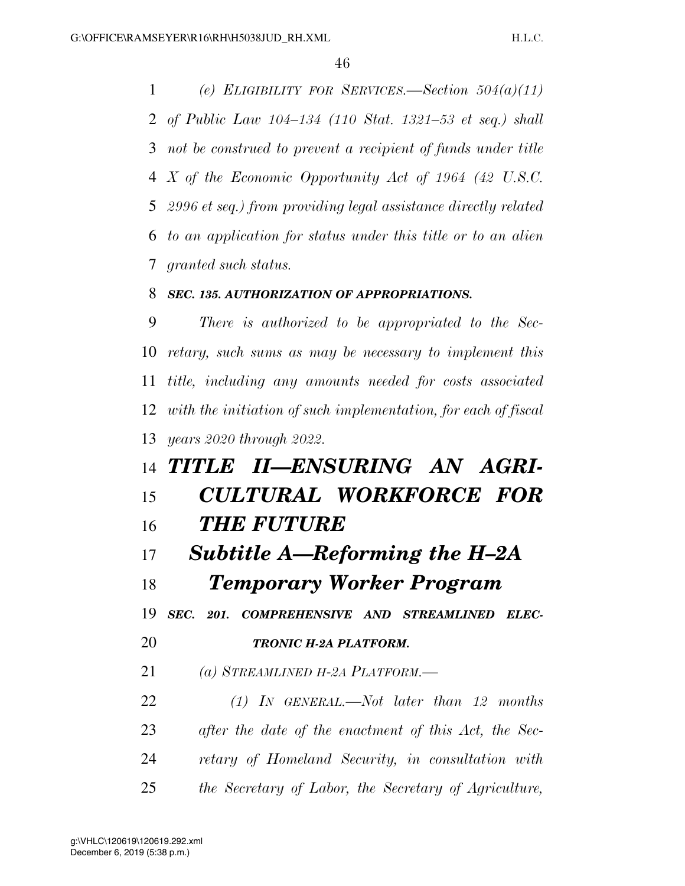*(e) ELIGIBILITY FOR SERVICES.—Section 504(a)(11) of Public Law 104–134 (110 Stat. 1321–53 et seq.) shall not be construed to prevent a recipient of funds under title X of the Economic Opportunity Act of 1964 (42 U.S.C. 2996 et seq.) from providing legal assistance directly related to an application for status under this title or to an alien granted such status.* 

#### *SEC. 135. AUTHORIZATION OF APPROPRIATIONS.*

 *There is authorized to be appropriated to the Sec- retary, such sums as may be necessary to implement this title, including any amounts needed for costs associated with the initiation of such implementation, for each of fiscal years 2020 through 2022.* 

# *TITLE II—ENSURING AN AGRI- CULTURAL WORKFORCE FOR THE FUTURE*

*Subtitle A—Reforming the H–2A* 

*Temporary Worker Program* 

*SEC. 201. COMPREHENSIVE AND STREAMLINED ELEC-*

## *TRONIC H-2A PLATFORM.*

*(a) STREAMLINED H-2A PLATFORM.—* 

 *(1) IN GENERAL.—Not later than 12 months after the date of the enactment of this Act, the Sec- retary of Homeland Security, in consultation with the Secretary of Labor, the Secretary of Agriculture,*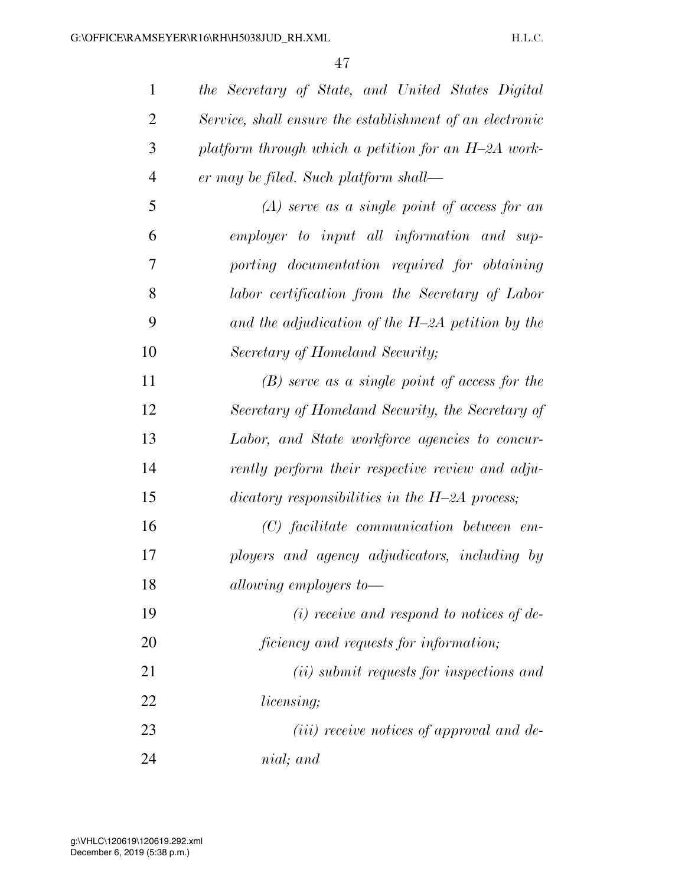| $\mathbf{1}$   | the Secretary of State, and United States Digital        |
|----------------|----------------------------------------------------------|
| $\overline{2}$ | Service, shall ensure the establishment of an electronic |
| 3              | platform through which a petition for an $H$ -2A work-   |
| $\overline{4}$ | er may be filed. Such platform shall—                    |
| 5              | $(A)$ serve as a single point of access for an           |
| 6              | employer to input all information and sup-               |
| 7              | porting documentation required for obtaining             |
| 8              | labor certification from the Secretary of Labor          |
| 9              | and the adjudication of the $H$ -2A petition by the      |
| 10             | Secretary of Homeland Security;                          |
| 11             | $(B)$ serve as a single point of access for the          |
| 12             | Secretary of Homeland Security, the Secretary of         |
| 13             | Labor, and State workforce agencies to concur-           |
| 14             | rently perform their respective review and adju-         |
| 15             | $dictionary$ responsibilities in the $H$ -2A process;    |
| 16             | $(C)$ facilitate communication between em-               |
| 17             | ployers and agency adjudicators, including by            |
| 18             | allowing employers to $-$                                |
| 19             | $(i)$ receive and respond to notices of de-              |
| 20             | ficiency and requests for information;                   |
| 21             | (ii) submit requests for inspections and                 |
| 22             | <i>licensing</i> ;                                       |
| 23             | ( <i>iii</i> ) receive notices of approval and de-       |
| 24             | nial; and                                                |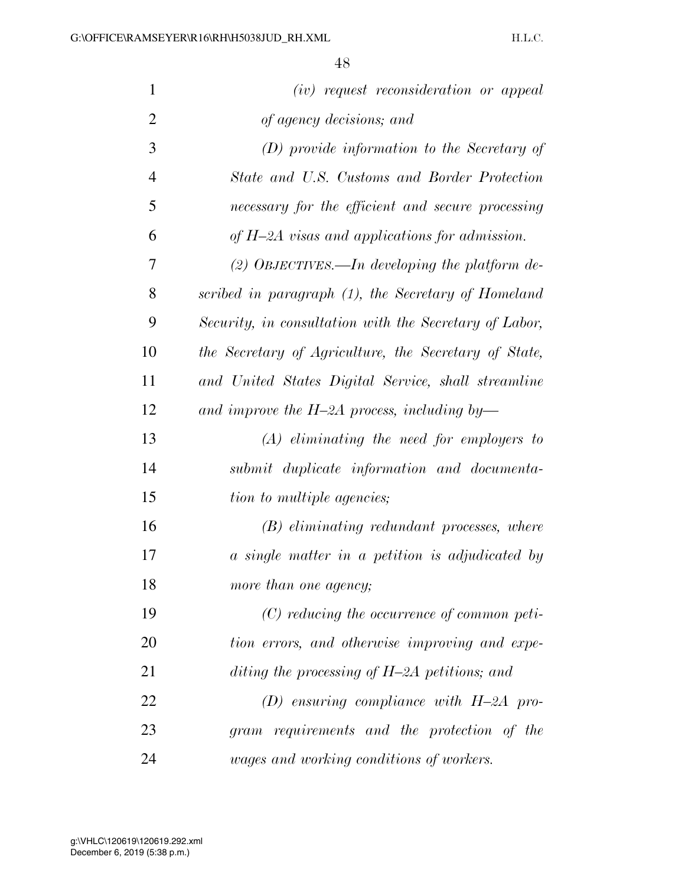| $\mathbf{1}$   | $(iv)$ request reconsideration or appeal               |
|----------------|--------------------------------------------------------|
| $\overline{2}$ | of agency decisions; and                               |
| 3              | (D) provide information to the Secretary of            |
| $\overline{4}$ | State and U.S. Customs and Border Protection           |
| 5              | necessary for the efficient and secure processing      |
| 6              | of $H$ -2A visas and applications for admission.       |
| 7              | (2) OBJECTIVES.—In developing the platform de-         |
| 8              | scribed in paragraph (1), the Secretary of Homeland    |
| 9              | Security, in consultation with the Secretary of Labor, |
| 10             | the Secretary of Agriculture, the Secretary of State,  |
| 11             | and United States Digital Service, shall streamline    |
| 12             | and improve the H-2A process, including by-            |
| 13             | $(A)$ eliminating the need for employers to            |
| 14             | submit duplicate information and documenta-            |
| 15             | tion to multiple agencies;                             |
| 16             | $(B)$ eliminating redundant processes, where           |
| 17             | a single matter in a petition is adjudicated by        |
| 18             | more than one agency;                                  |
| 19             | $(C)$ reducing the occurrence of common peti-          |
| 20             | tion errors, and otherwise improving and expe-         |
| 21             | diting the processing of $H$ -2A petitions; and        |
| 22             | $(D)$ ensuring compliance with $H$ -2A pro-            |
| 23             | gram requirements and the protection of the            |
| 24             | wages and working conditions of workers.               |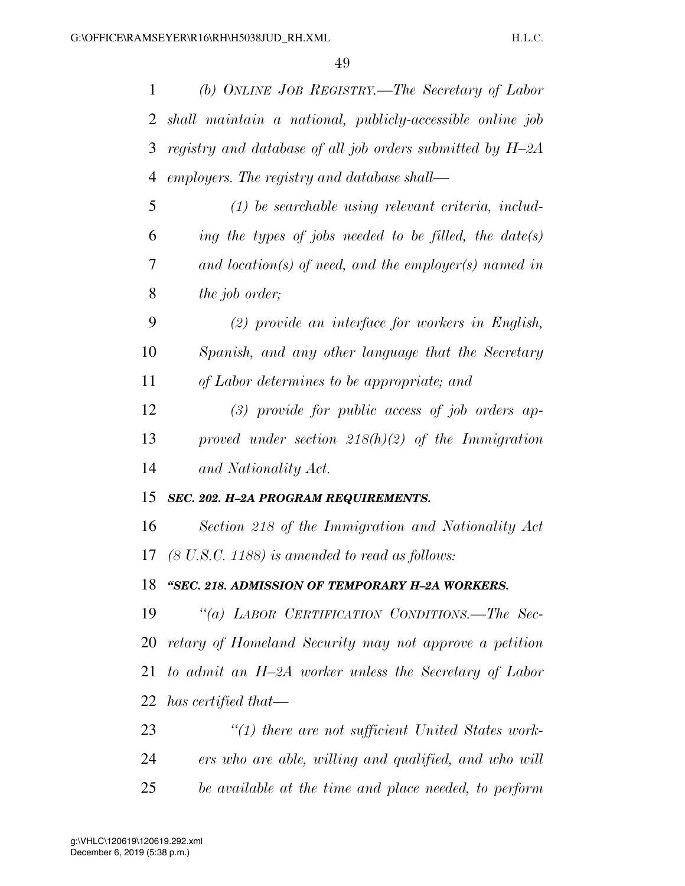*(b) ONLINE JOB REGISTRY.—The Secretary of Labor shall maintain a national, publicly-accessible online job registry and database of all job orders submitted by H–2A employers. The registry and database shall— (1) be searchable using relevant criteria, includ- ing the types of jobs needed to be filled, the date(s) and location(s) of need, and the employer(s) named in the job order; (2) provide an interface for workers in English, Spanish, and any other language that the Secretary of Labor determines to be appropriate; and (3) provide for public access of job orders ap- proved under section 218(h)(2) of the Immigration and Nationality Act. SEC. 202. H–2A PROGRAM REQUIREMENTS. Section 218 of the Immigration and Nationality Act (8 U.S.C. 1188) is amended to read as follows: ''SEC. 218. ADMISSION OF TEMPORARY H–2A WORKERS. ''(a) LABOR CERTIFICATION CONDITIONS.—The Sec- retary of Homeland Security may not approve a petition to admit an H–2A worker unless the Secretary of Labor has certified that— ''(1) there are not sufficient United States work- ers who are able, willing and qualified, and who will be available at the time and place needed, to perform*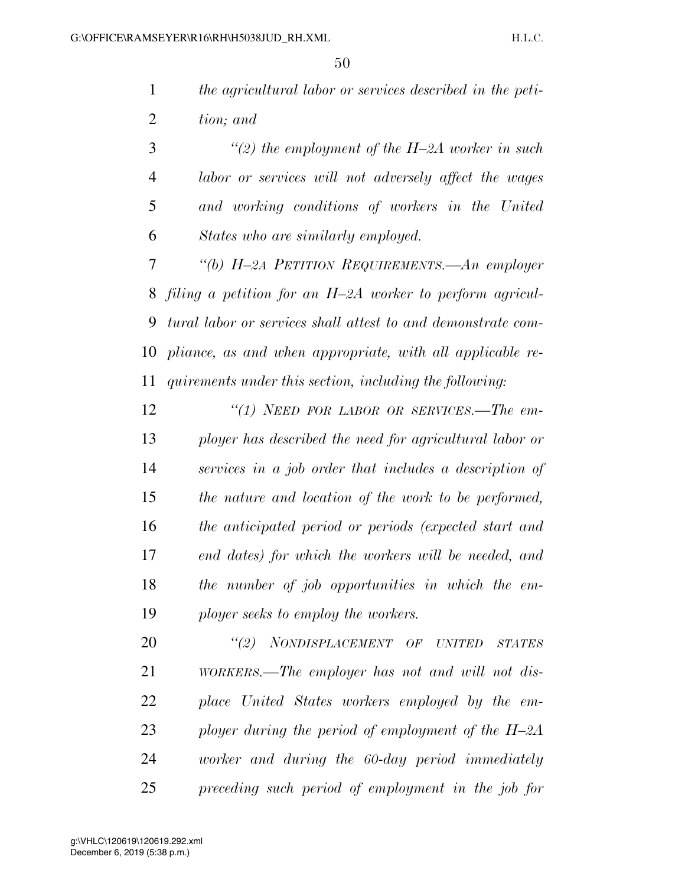|                | 50                                                           |
|----------------|--------------------------------------------------------------|
| $\mathbf{1}$   | the agricultural labor or services described in the peti-    |
| $\overline{2}$ | tion; and                                                    |
| 3              | "(2) the employment of the H-2A worker in such               |
| $\overline{4}$ | labor or services will not adversely affect the wages        |
| 5              | and working conditions of workers in the United              |
| 6              | States who are similarly employed.                           |
| 7              | "(b) H-2A PETITION REQUIREMENTS.—An employer                 |
| 8              | filing a petition for an H-2A worker to perform agricul-     |
| 9              | tural labor or services shall attest to and demonstrate com- |
| 10             | pliance, as and when appropriate, with all applicable re-    |
| 11             | quirements under this section, including the following:      |
| 12             | "(1) NEED FOR LABOR OR SERVICES.—The em-                     |
| 13             | ployer has described the need for agricultural labor or      |
| 14             | services in a job order that includes a description of       |
| 15             | the nature and location of the work to be performed,         |
| 16             | the anticipated period or periods (expected start and        |
| 17             | end dates) for which the workers will be needed, and         |
| 18             | the number of job opportunities in which the em-             |

*ployer seeks to employ the workers.* 

 *''(2) NONDISPLACEMENT OF UNITED STATES WORKERS.—The employer has not and will not dis- place United States workers employed by the em- ployer during the period of employment of the H–2A worker and during the 60-day period immediately preceding such period of employment in the job for*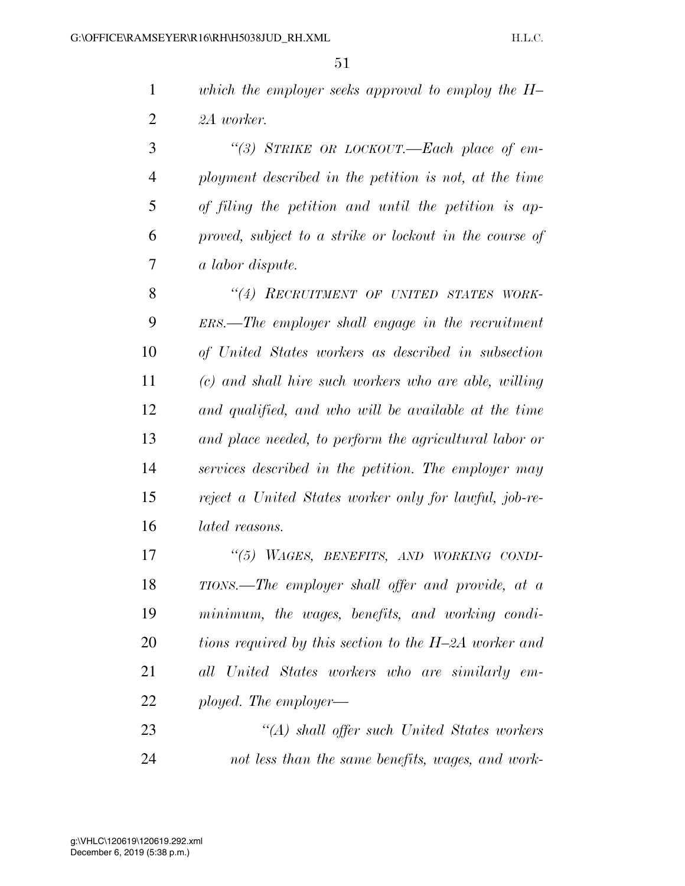*which the employer seeks approval to employ the H– 2A worker.* 

 *''(3) STRIKE OR LOCKOUT.—Each place of em- ployment described in the petition is not, at the time of filing the petition and until the petition is ap- proved, subject to a strike or lockout in the course of a labor dispute.* 

 *''(4) RECRUITMENT OF UNITED STATES WORK- ERS.—The employer shall engage in the recruitment of United States workers as described in subsection (c) and shall hire such workers who are able, willing and qualified, and who will be available at the time and place needed, to perform the agricultural labor or services described in the petition. The employer may reject a United States worker only for lawful, job-re-lated reasons.* 

 *''(5) WAGES, BENEFITS, AND WORKING CONDI- TIONS.—The employer shall offer and provide, at a minimum, the wages, benefits, and working condi- tions required by this section to the H–2A worker and all United States workers who are similarly em-ployed. The employer—* 

 *''(A) shall offer such United States workers not less than the same benefits, wages, and work-*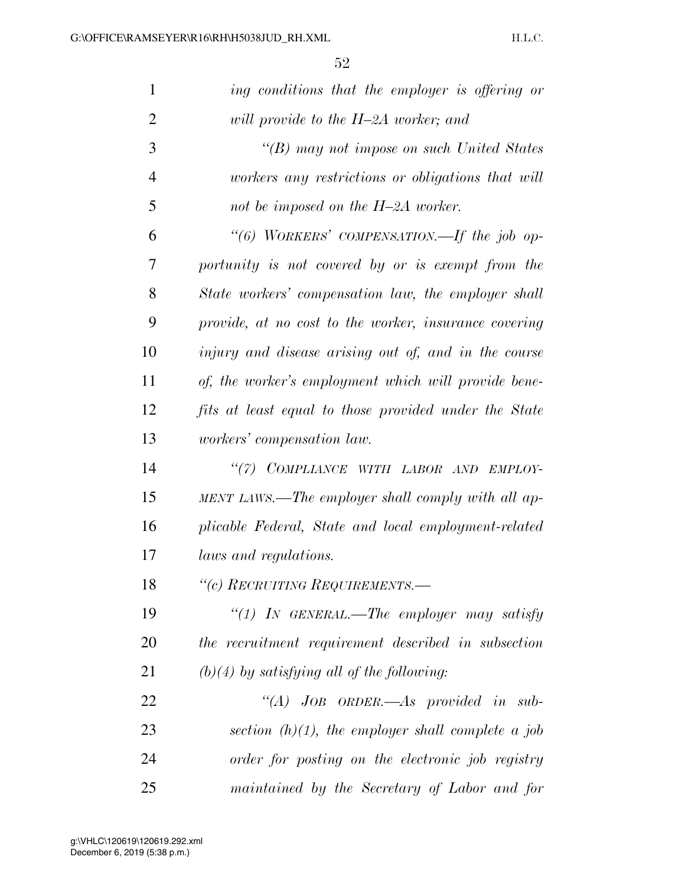| $\mathbf{1}$   | ing conditions that the employer is offering or       |
|----------------|-------------------------------------------------------|
| $\overline{2}$ | will provide to the H-2A worker; and                  |
| 3              | $\lq$ (B) may not impose on such United States        |
| $\overline{4}$ | workers any restrictions or obligations that will     |
| 5              | not be imposed on the H-2A worker.                    |
| 6              | "(6) WORKERS' COMPENSATION.—If the job op-            |
| 7              | portunity is not covered by or is exempt from the     |
| 8              | State workers' compensation law, the employer shall   |
| 9              | provide, at no cost to the worker, insurance covering |
| 10             | injury and disease arising out of, and in the course  |
| 11             | of, the worker's employment which will provide bene-  |
| 12             | fits at least equal to those provided under the State |
| 13             | <i>workers' compensation law.</i>                     |
| 14             | "(7) COMPLIANCE WITH LABOR AND EMPLOY-                |
| 15             | MENT LAWS.—The employer shall comply with all ap-     |
| 16             | plicable Federal, State and local employment-related  |
| 17             | laws and regulations.                                 |
| 18             | "(c) RECRUITING REQUIREMENTS.                         |
| 19             | "(1) IN GENERAL.—The employer may satisfy             |
| 20             | the recruitment requirement described in subsection   |
| 21             | $(b)(4)$ by satisfying all of the following:          |
| 22             | "(A) $JoB$ $ORDER. - As$ provided in sub-             |
| 23             | section $(h)(1)$ , the employer shall complete a job  |
| 24             | order for posting on the electronic job registry      |
| 25             | maintained by the Secretary of Labor and for          |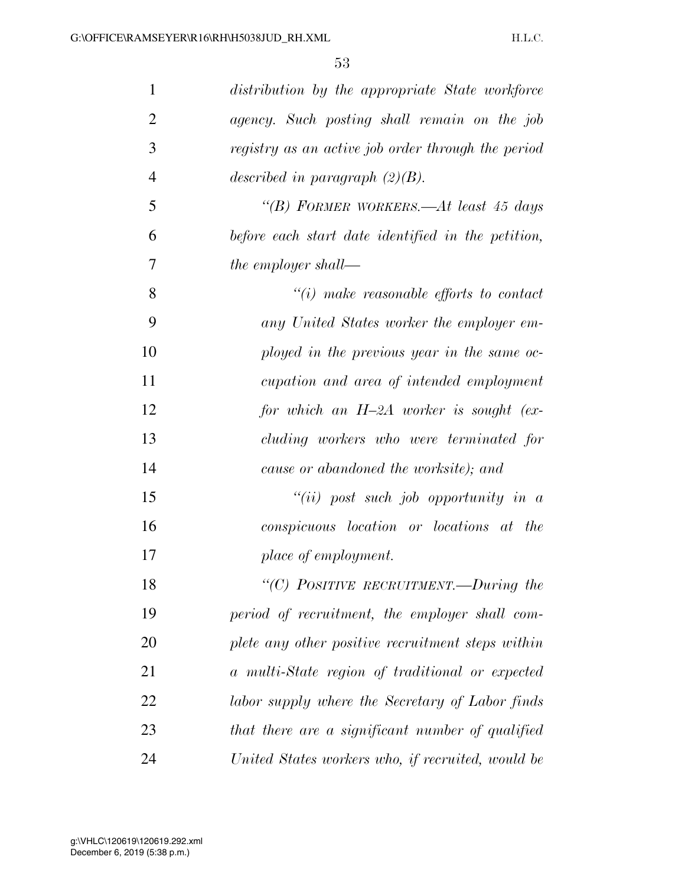| 1              | distribution by the appropriate State workforce    |
|----------------|----------------------------------------------------|
| $\overline{2}$ | agency. Such posting shall remain on the job       |
| 3              | registry as an active job order through the period |
| $\overline{4}$ | described in paragraph $(2)(B)$ .                  |
| 5              | "(B) FORMER WORKERS.—At least 45 days              |
| 6              | before each start date identified in the petition, |
| 7              | the employer shall—                                |
| 8              | $"(i)$ make reasonable efforts to contact          |
| 9              | any United States worker the employer em-          |
| 10             | ployed in the previous year in the same oc-        |
| 11             | cupation and area of intended employment           |
| 12             | for which an $H$ -2A worker is sought (ex-         |
| 13             | cluding workers who were terminated for            |
| 14             | cause or abandoned the worksite); and              |
| 15             | $``(ii)$ post such job opportunity in a            |
| 16             | conspicuous location or locations at the           |
| 17             | place of employment.                               |
| 18             | "(C) POSITIVE RECRUITMENT.—During the              |
| 19             | period of recruitment, the employer shall com-     |
| 20             | plete any other positive recruitment steps within  |
| 21             | a multi-State region of traditional or expected    |
| 22             | labor supply where the Secretary of Labor finds    |
| 23             | that there are a significant number of qualified   |
| 24             | United States workers who, if recruited, would be  |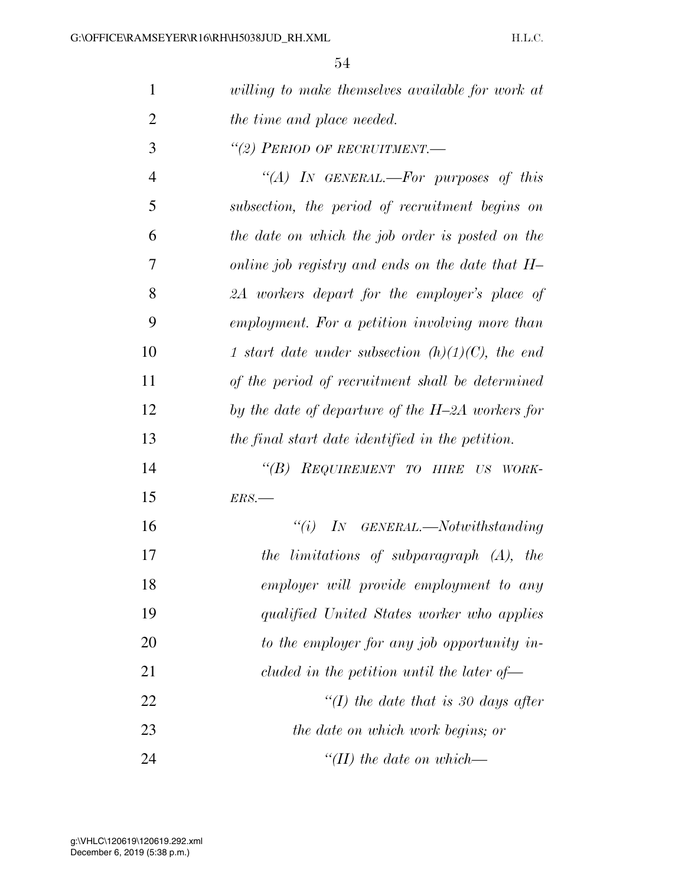| 1              | willing to make themselves available for work at                   |
|----------------|--------------------------------------------------------------------|
| $\overline{2}$ | the time and place needed.                                         |
| 3              | "(2) PERIOD OF RECRUITMENT.-                                       |
| $\overline{4}$ | "(A) IN GENERAL.—For purposes of this                              |
| 5              | subsection, the period of recruitment begins on                    |
| 6              | the date on which the job order is posted on the                   |
| 7              | online job registry and ends on the date that $H-$                 |
| 8              | 2A workers depart for the employer's place of                      |
| 9              | employment. For a petition involving more than                     |
| 10             | 1 start date under subsection $(h)(1)(C)$ , the end                |
| 11             | of the period of recruitment shall be determined                   |
| 12             | by the date of departure of the $H$ -2A workers for                |
| 13             | the final start date identified in the petition.                   |
| 14             | $\lq(B)$<br>REQUIREMENT TO HIRE US<br>WORK-                        |
| 15             | ERS.                                                               |
| 16             | $``(i)$ IN GENERAL.—Notwithstanding                                |
| 17             | the limitations of subparagraph (A), the                           |
| 18             | employer will provide employment to any                            |
| 19             | qualified United States worker who applies                         |
| 20             | to the employer for any job opportunity in-                        |
| 21             | cluded in the petition until the later of $\overline{\phantom{a}}$ |
| 22             | "(I) the date that is 30 days after                                |
| 23             | the date on which work begins; or                                  |
| 24             | "(II) the date on which—                                           |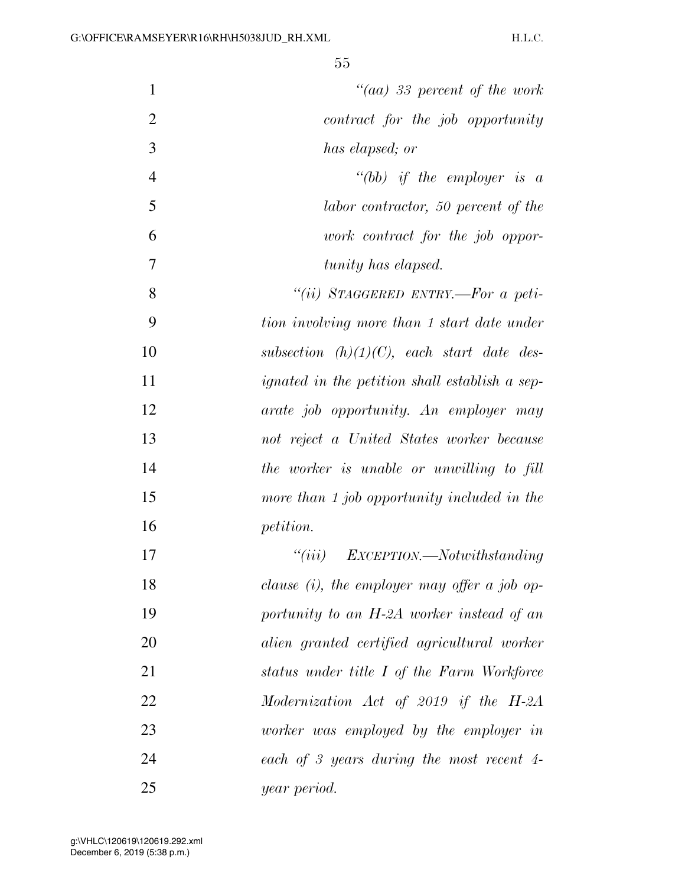| $\mathbf{1}$   | "(aa) 33 percent of the work                          |
|----------------|-------------------------------------------------------|
| $\overline{2}$ | contract for the job opportunity                      |
| 3              | has elapsed; or                                       |
| $\overline{4}$ | "(bb) if the employer is a                            |
| 5              | labor contractor, 50 percent of the                   |
| 6              | work contract for the job oppor-                      |
| 7              | tunity has elapsed.                                   |
| 8              | "(ii) STAGGERED ENTRY.—For a peti-                    |
| 9              | tion involving more than 1 start date under           |
| 10             | subsection $(h)(1)(C)$ , each start date des-         |
| 11             | <i>ignated in the petition shall establish a sep-</i> |
| 12             | arate job opportunity. An employer may                |
| 13             | not reject a United States worker because             |
| 14             | the worker is unable or unwilling to fill             |
| 15             | more than 1 job opportunity included in the           |
| 16             | <i>petition.</i>                                      |
| 17             | "(iii) $EXCEPTION.$ —Notwithstanding                  |
| 18             | clause (i), the employer may offer a job op-          |
| 19             | portunity to an H-2A worker instead of an             |
| 20             | alien granted certified agricultural worker           |
| 21             | status under title I of the Farm Workforce            |
| 22             | Modernization Act of 2019 if the H-2A                 |
| 23             | worker was employed by the employer in                |
| 24             | each of 3 years during the most recent 4-             |
| 25             | year period.                                          |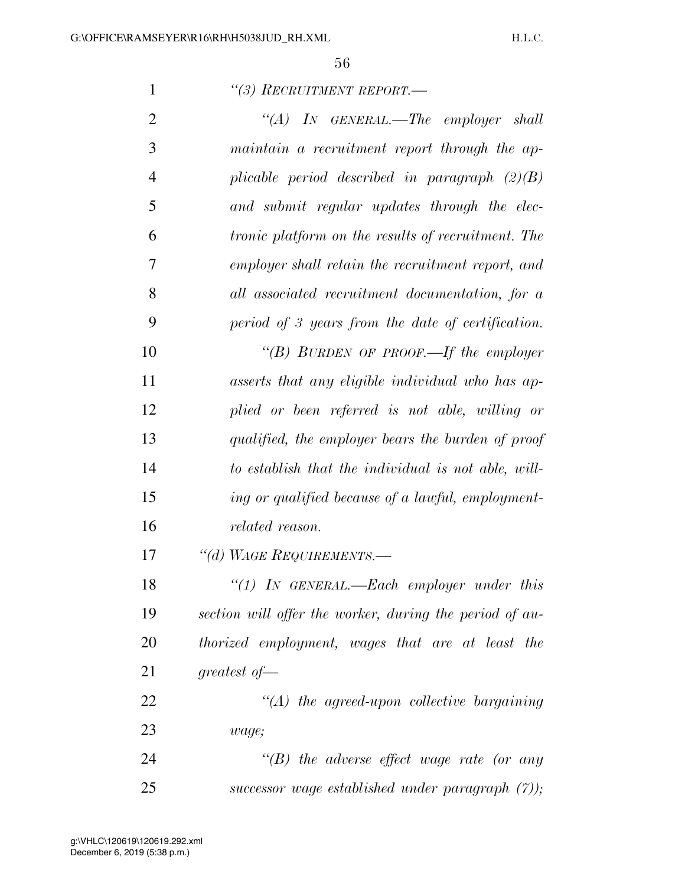| "(3) RECRUITMENT REPORT.— |  |
|---------------------------|--|
|---------------------------|--|

| $\overline{2}$ | "(A) IN GENERAL.—The employer shall                       |
|----------------|-----------------------------------------------------------|
| 3              | maintain a recruitment report through the ap-             |
| $\overline{4}$ | plicable period described in paragraph $(2)(B)$           |
| 5              | and submit regular updates through the elec-              |
| 6              | <i>tronic platform on the results of recruitment. The</i> |
| 7              | employer shall retain the recruitment report, and         |
| 8              | all associated recruitment documentation, for a           |
| 9              | period of 3 years from the date of certification.         |
| 10             | "(B) BURDEN OF PROOF.—If the employer                     |
| 11             | asserts that any eligible individual who has ap-          |
| 12             | plied or been referred is not able, willing or            |
| 13             | qualified, the employer bears the burden of proof         |
| 14             | to establish that the individual is not able, will-       |
| 15             | ing or qualified because of a lawful, employment-         |
| 16             | <i>related reason.</i>                                    |
| 17             | "(d) WAGE REQUIREMENTS.-                                  |
| 18             | "(1) IN GENERAL.—Each employer under this                 |
| 19             | section will offer the worker, during the period of au-   |
| 20             | thorized employment, wages that are at least the          |
| 21             | greatest of $-$                                           |
| 22             | $\lq (A)$ the agreed-upon collective bargaining           |
| 23             | wage;                                                     |
| $\bigcap$      |                                                           |

 *''(B) the adverse effect wage rate (or any successor wage established under paragraph (7));*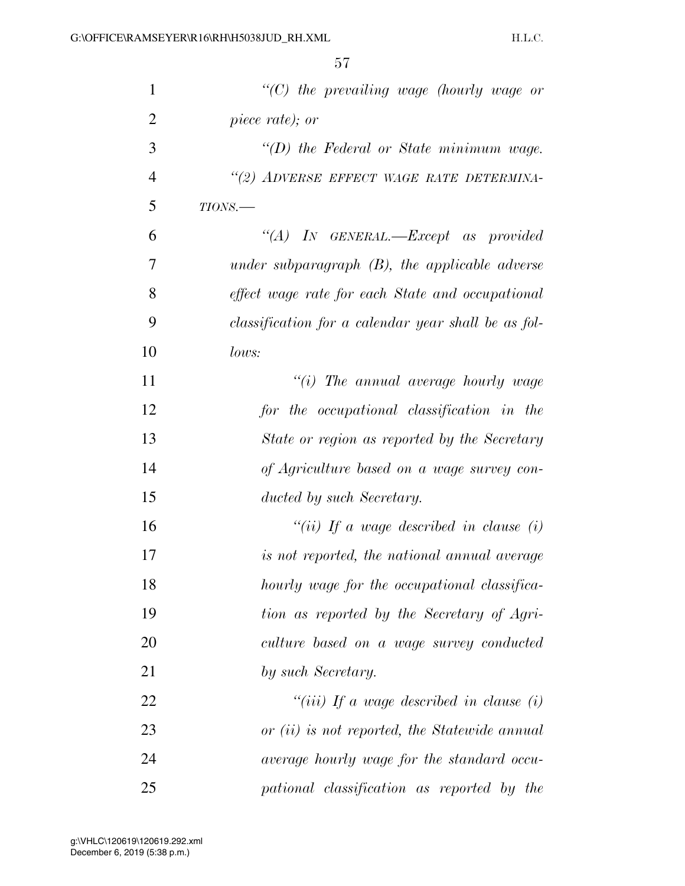| $\mathbf{1}$   | $"$ (C) the prevailing wage (hourly wage or         |
|----------------|-----------------------------------------------------|
| $\overline{2}$ | piece rate); or                                     |
| 3              | $\lq (D)$ the Federal or State minimum wage.        |
| $\overline{4}$ | "(2) ADVERSE EFFECT WAGE RATE DETERMINA-            |
| 5              | $TIONS$ .                                           |
| 6              | "(A) IN GENERAL.—Except as provided                 |
| 7              | under subparagraph $(B)$ , the applicable adverse   |
| 8              | effect wage rate for each State and occupational    |
| 9              | classification for a calendar year shall be as fol- |
| 10             | lows:                                               |
| 11             | $``(i)$ The annual average hourly wage              |
| 12             | for the occupational classification in the          |
| 13             | State or region as reported by the Secretary        |
| 14             | of Agriculture based on a wage survey con-          |
| 15             | ducted by such Secretary.                           |
| 16             | "(ii) If a wage described in clause (i)             |
| 17             | is not reported, the national annual average        |
| 18             | hourly wage for the occupational classifica-        |
| 19             | tion as reported by the Secretary of Agri-          |
| 20             | culture based on a wage survey conducted            |
| 21             | by such Secretary.                                  |
| 22             | $``(iii)$ If a wage described in clause (i)         |
| 23             | or (ii) is not reported, the Statewide annual       |
| 24             | average hourly wage for the standard occu-          |
| 25             | pational classification as reported by the          |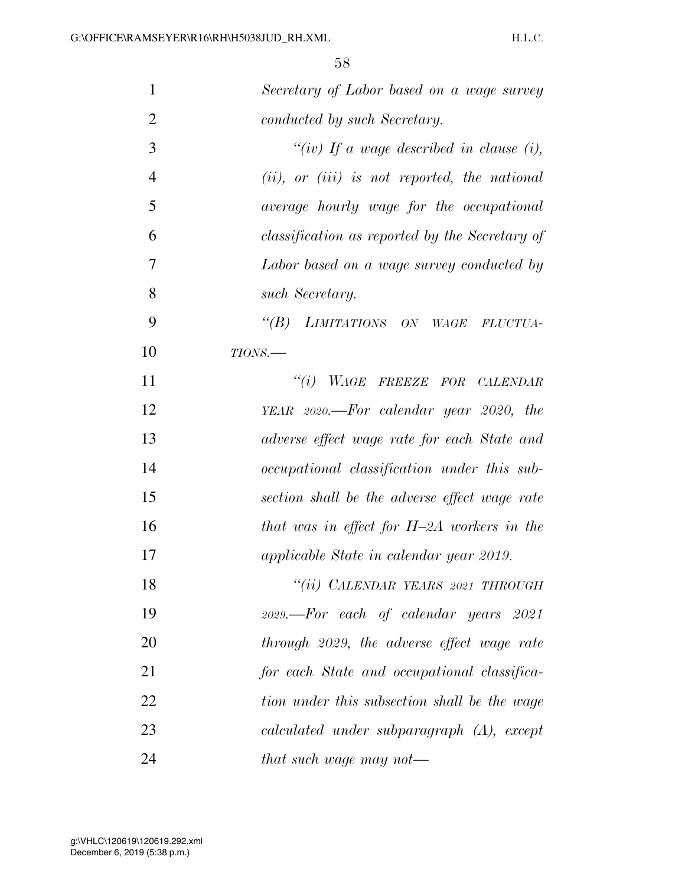| 1              | Secretary of Labor based on a wage survey           |
|----------------|-----------------------------------------------------|
| $\overline{2}$ | conducted by such Secretary.                        |
| 3              | "(iv) If a wage described in clause (i),            |
| $\overline{4}$ | $(ii)$ , or $(iii)$ is not reported, the national   |
| 5              | average hourly wage for the occupational            |
| 6              | classification as reported by the Secretary of      |
| 7              | Labor based on a wage survey conducted by           |
| 8              | such Secretary.                                     |
| 9              | "(B) LIMITATIONS ON WAGE FLUCTUA-                   |
| 10             | $TIONS$ .                                           |
| 11             | "(i) WAGE FREEZE FOR CALENDAR                       |
| 12             | YEAR 2020.—For calendar year 2020, the              |
| 13             | adverse effect wage rate for each State and         |
| 14             | occupational classification under this sub-         |
| 15             | section shall be the adverse effect wage rate       |
| 16             | that was in effect for $H$ -2A workers in the       |
| 17             | applicable State in calendar year 2019.             |
| 18             | "(ii) CALENDAR YEARS 2021 THROUGH                   |
| 19             | $2029. - For \ each \ of \ calendar \ years \ 2021$ |
| 20             | through 2029, the adverse effect wage rate          |
| 21             | for each State and occupational classifica-         |
| 22             | tion under this subsection shall be the wage        |
| 23             | calculated under subparagraph (A), except           |
| 24             | that such wage may not—                             |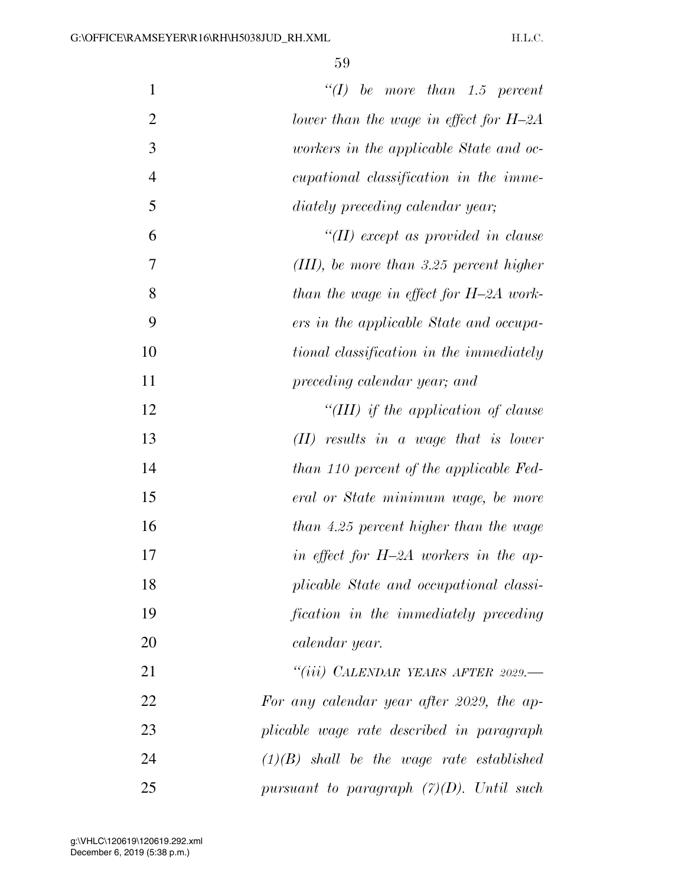| $\mathbf{1}$   | $\lq (I)$ be more than 1.5 percent             |
|----------------|------------------------------------------------|
| $\overline{2}$ | lower than the wage in effect for $H$ -2A      |
| 3              | <i>workers in the applicable State and oc-</i> |
| $\overline{4}$ | cupational classification in the imme-         |
| 5              | diately preceding calendar year;               |
| 6              | "(II) except as provided in clause             |
| 7              | $(III)$ , be more than 3.25 percent higher     |
| 8              | than the wage in effect for $H$ -2A work-      |
| 9              | ers in the applicable State and occupa-        |
| 10             | tional classification in the immediately       |
| 11             | preceding calendar year; and                   |
| 12             | "(III) if the application of clause            |
| 13             | $(II)$ results in a wage that is lower         |
| 14             | than 110 percent of the applicable Fed-        |
| 15             | eral or State minimum wage, be more            |
| 16             | than 4.25 percent higher than the wage         |
| 17             | in effect for $H$ -2A workers in the ap-       |
| 18             | plicable State and occupational classi-        |
| 19             | fication in the immediately preceding          |
| 20             | calendar year.                                 |
| 21             | "(iii) CALENDAR YEARS AFTER 2029.—             |
| 22             | For any calendar year after 2029, the ap-      |
| 23             | plicable wage rate described in paragraph      |
| 24             | $(1)(B)$ shall be the wage rate established    |
| 25             | pursuant to paragraph $(7)(D)$ . Until such    |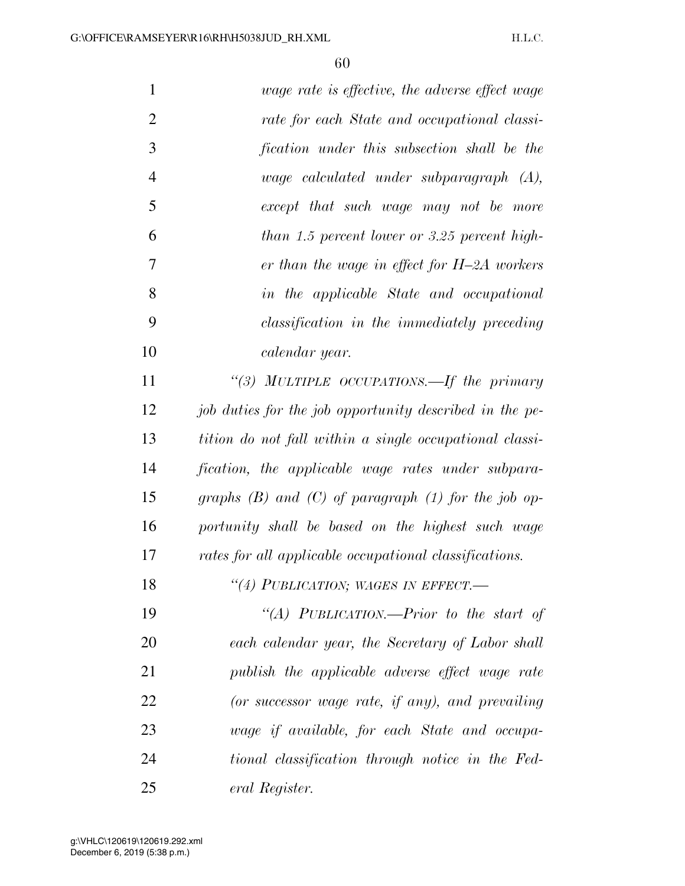| $\mathbf{1}$   | wage rate is effective, the adverse effect wage           |
|----------------|-----------------------------------------------------------|
| $\overline{2}$ | rate for each State and occupational classi-              |
| 3              | fication under this subsection shall be the               |
| $\overline{4}$ | wage calculated under subparagraph $(A)$ ,                |
| 5              | except that such wage may not be more                     |
| 6              | than 1.5 percent lower or 3.25 percent high-              |
| 7              | er than the wage in effect for $H$ -2A workers            |
| 8              | in the applicable State and occupational                  |
| 9              | classification in the immediately preceding               |
| 10             | calendar year.                                            |
| 11             | "(3) MULTIPLE OCCUPATIONS.—If the primary                 |
| 12             | job duties for the job opportunity described in the pe-   |
| 13             | tition do not fall within a single occupational classi-   |
| 14             | fication, the applicable wage rates under subpara-        |
| 15             | graphs $(B)$ and $(C)$ of paragraph $(1)$ for the job op- |
| 16             | portunity shall be based on the highest such wage         |
| 17             | rates for all applicable occupational classifications.    |
| 18             | "(4) PUBLICATION; WAGES IN EFFECT.-                       |
| 19             | "(A) PUBLICATION.—Prior to the start of                   |
| 20             | each calendar year, the Secretary of Labor shall          |
| 21             | publish the applicable adverse effect wage rate           |
| 22             | (or successor wage rate, if any), and prevailing          |
| 23             | wage if available, for each State and occupa-             |
| 24             | tional classification through notice in the Fed-          |
| 25             | eral Register.                                            |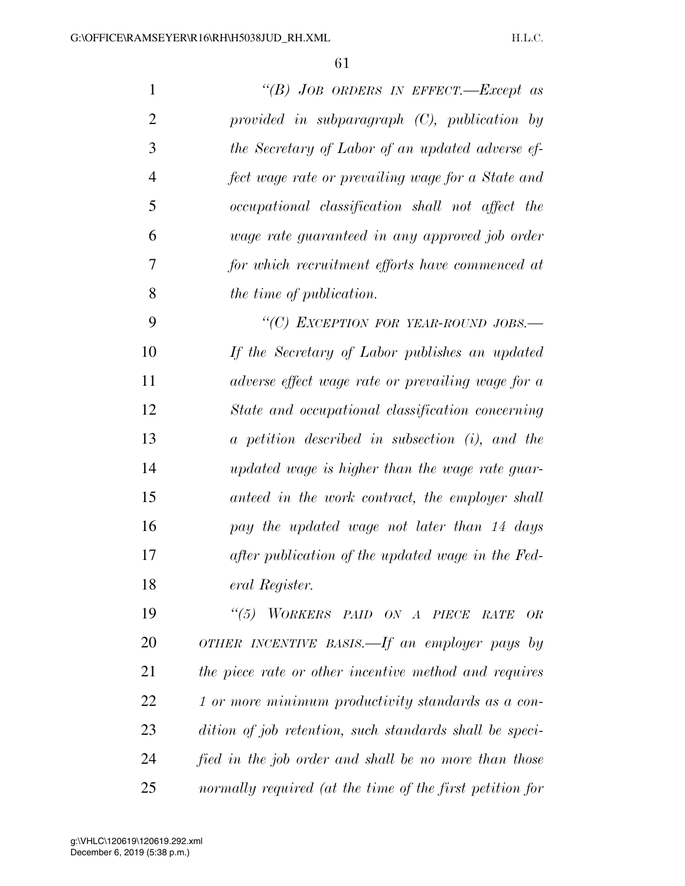| $\mathbf{1}$   | "(B) JOB ORDERS IN EFFECT.—Except as                  |
|----------------|-------------------------------------------------------|
| $\overline{2}$ | provided in subparagraph $(C)$ , publication by       |
| 3              | the Secretary of Labor of an updated adverse ef-      |
| $\overline{4}$ | fect wage rate or prevailing wage for a State and     |
| 5              | occupational classification shall not affect the      |
| 6              | wage rate guaranteed in any approved job order        |
| 7              | for which recruitment efforts have commenced at       |
| 8              | the time of publication.                              |
| 9              | "(C) EXCEPTION FOR YEAR-ROUND JOBS.-                  |
| 10             | If the Secretary of Labor publishes an updated        |
| 11             | adverse effect wage rate or prevailing wage for a     |
| 12             | State and occupational classification concerning      |
| 13             | a petition described in subsection (i), and the       |
| 14             | updated wage is higher than the wage rate guar-       |
| 15             | anteed in the work contract, the employer shall       |
| 16             | pay the updated wage not later than 14 days           |
| 17             | after publication of the updated wage in the Fed-     |
| 18             | eral Register.                                        |
| 19             | "(5) WORKERS PAID ON A PIECE RATE OR                  |
| 20             | OTHER INCENTIVE BASIS.—If an employer pays by         |
| $\mathbf{C}$ 1 | the views wete on other inequative mother and meaning |

 *the piece rate or other incentive method and requires 1 or more minimum productivity standards as a con- dition of job retention, such standards shall be speci- fied in the job order and shall be no more than those normally required (at the time of the first petition for*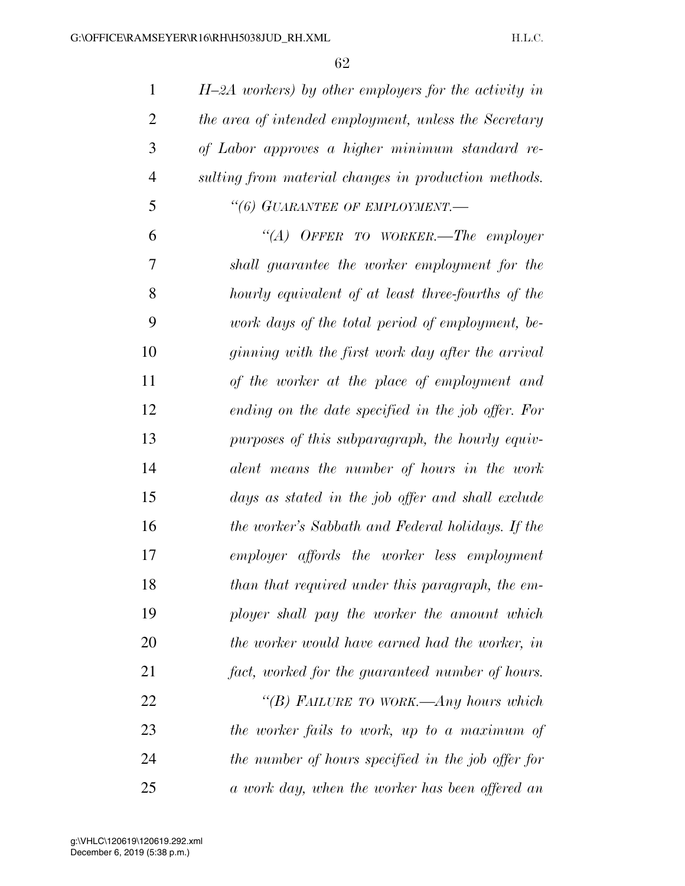| $\mathbf{1}$   | $H$ -2A workers) by other employers for the activity in |
|----------------|---------------------------------------------------------|
| $\overline{2}$ | the area of intended employment, unless the Secretary   |
| 3              | of Labor approves a higher minimum standard re-         |
| $\overline{4}$ | sulting from material changes in production methods.    |
| 5              | "(6) GUARANTEE OF EMPLOYMENT.-                          |
| 6              | "(A) OFFER TO WORKER.—The employer                      |
| 7              | shall guarantee the worker employment for the           |
| 8              | hourly equivalent of at least three-fourths of the      |
| 9              | work days of the total period of employment, be-        |
| 10             | ginning with the first work day after the arrival       |
| 11             | of the worker at the place of employment and            |
| 12             | ending on the date specified in the job offer. For      |
| 13             | purposes of this subparagraph, the hourly equiv-        |
| 14             | alent means the number of hours in the work             |
| 15             | days as stated in the job offer and shall exclude       |
| 16             | the worker's Sabbath and Federal holidays. If the       |
| 17             | employer affords the worker less employment             |
| 18             | than that required under this paragraph, the em-        |
| 19             | ployer shall pay the worker the amount which            |
| 20             | the worker would have earned had the worker, in         |
| 21             | fact, worked for the guaranteed number of hours.        |
| 22             | "(B) FAILURE TO WORK.—Any hours which                   |
| 23             | the worker fails to work, up to a maximum of            |
| 24             | the number of hours specified in the job offer for      |
|                |                                                         |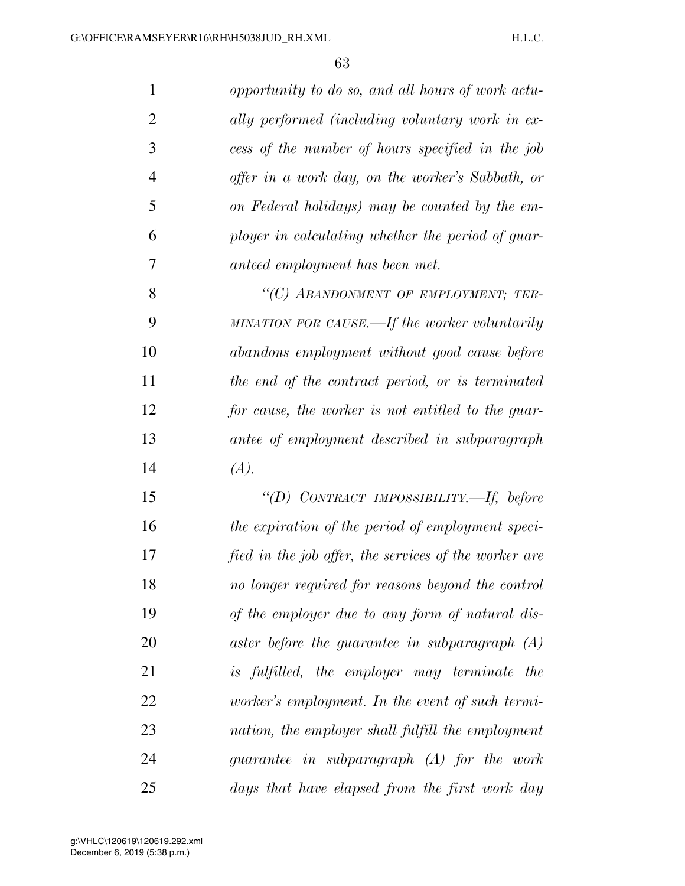| 1              | opportunity to do so, and all hours of work actu-       |
|----------------|---------------------------------------------------------|
| $\overline{2}$ | ally performed (including voluntary work in ex-         |
| 3              | cess of the number of hours specified in the job        |
| 4              | offer in a work day, on the worker's Sabbath, or        |
| 5              | on Federal holidays) may be counted by the em-          |
| 6              | ployer in calculating whether the period of guar-       |
| 7              | anteed employment has been met.                         |
| 8              | "(C) ABANDONMENT OF EMPLOYMENT; TER-                    |
| 9              | MINATION FOR CAUSE.—If the worker voluntarily           |
| 10             | abandons employment without good cause before           |
| 11             | the end of the contract period, or is terminated        |
| 12             | for cause, the worker is not entitled to the guar-      |
| 13             | antee of employment described in subparagraph           |
| 14             | (A).                                                    |
| 15             | "(D) CONTRACT IMPOSSIBILITY.—If, before                 |
| 16             | the expiration of the period of employment speci-       |
| 17             | fied in the job offer, the services of the worker are   |
| 18             | no longer required for reasons beyond the control       |
| 19             | of the employer due to any form of natural dis-         |
| 20             | aster before the guarantee in subparagraph (A)          |
| 21             | is fulfilled, the employer may terminate the            |
| 22             | <i>worker's employment. In the event of such termi-</i> |
| 23             | nation, the employer shall fulfill the employment       |
| 24             | guarantee in subparagraph $(A)$ for the work            |
| 25             | days that have elapsed from the first work day          |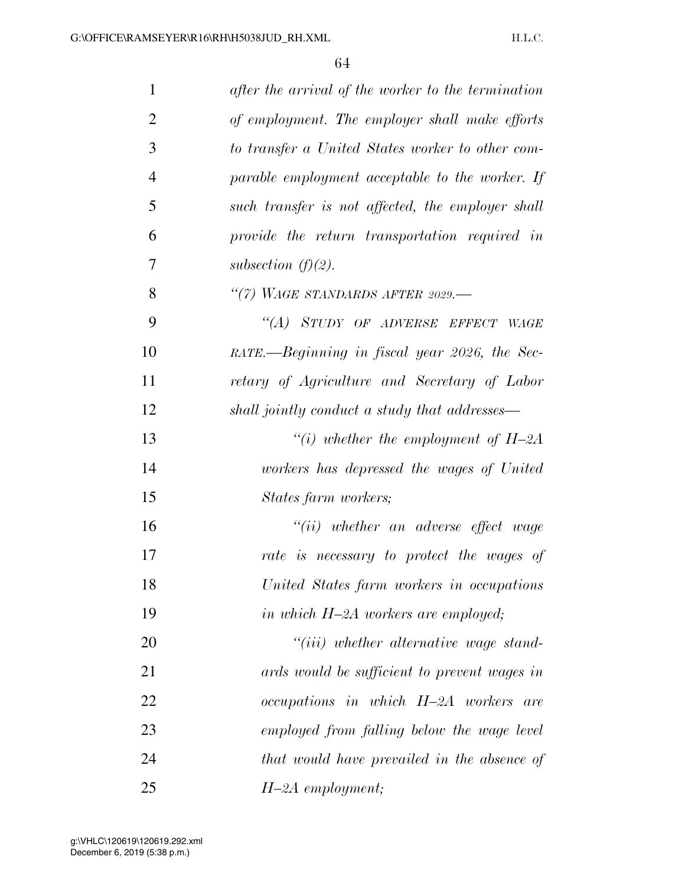| $\mathbf{1}$   | after the arrival of the worker to the termination                |
|----------------|-------------------------------------------------------------------|
| $\overline{2}$ | of employment. The employer shall make efforts                    |
| 3              | to transfer a United States worker to other com-                  |
| $\overline{4}$ | parable employment acceptable to the worker. If                   |
| 5              | such transfer is not affected, the employer shall                 |
| 6              | provide the return transportation required in                     |
| 7              | subsection $(f)(2)$ .                                             |
| 8              | "(7) WAGE STANDARDS AFTER $2029$ .                                |
| 9              | "(A) STUDY OF ADVERSE EFFECT WAGE                                 |
| 10             | $\textit{RATE}\text{---}$ Beginning in fiscal year 2026, the Sec- |
| 11             | retary of Agriculture and Secretary of Labor                      |
| 12             | shall jointly conduct a study that addresses—                     |
| 13             | "(i) whether the employment of $H$ -2A                            |
| 14             | workers has depressed the wages of United                         |
| 15             | States farm workers;                                              |
| 16             | $``(ii)$ whether an adverse effect wage                           |
| 17             | rate is necessary to protect the wages of                         |
| 18             | United States farm workers in occupations                         |
| 19             | in which H-2A workers are employed;                               |
| 20             | $``(iii)$ whether alternative wage stand-                         |
| 21             | ards would be sufficient to prevent wages in                      |
| 22             | occupations in which H-2A workers are                             |
| 23             | employed from falling below the wage level                        |
| 24             | that would have prevailed in the absence of                       |
| 25             | $H$ -2A employment;                                               |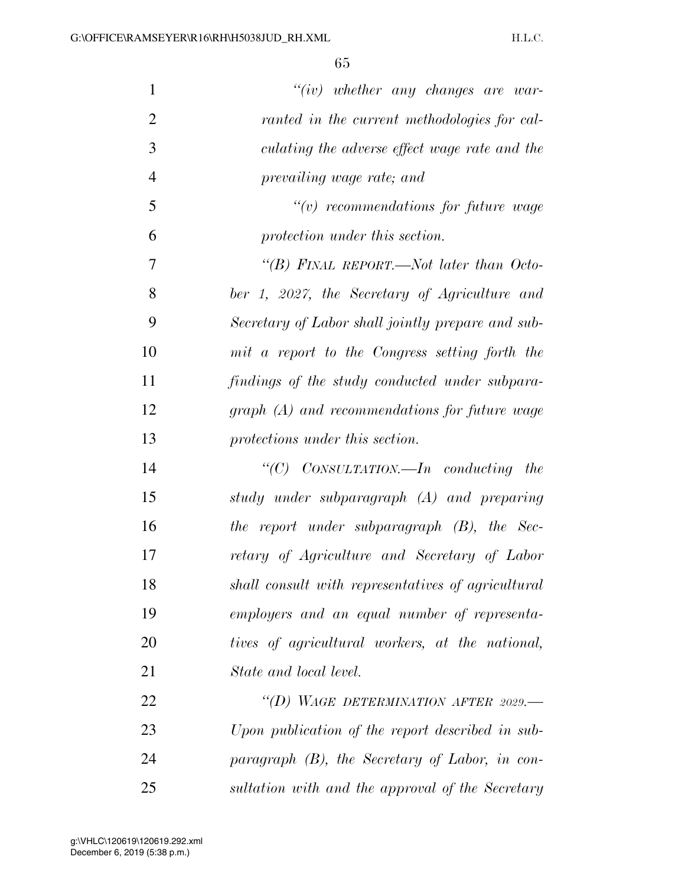| $\mathbf{1}$   | $``(iv)$ whether any changes are war-              |
|----------------|----------------------------------------------------|
| $\overline{2}$ | ranted in the current methodologies for cal-       |
| 3              | culating the adverse effect wage rate and the      |
| $\overline{4}$ | prevailing wage rate; and                          |
| 5              | $\tilde{f}(v)$ recommendations for future wage     |
| 6              | protection under this section.                     |
| 7              | "(B) FINAL REPORT.—Not later than Octo-            |
| 8              | ber 1, 2027, the Secretary of Agriculture and      |
| 9              | Secretary of Labor shall jointly prepare and sub-  |
| 10             | mit a report to the Congress setting forth the     |
| 11             | findings of the study conducted under subpara-     |
| 12             | $graph(A)$ and recommendations for future wage     |
| 13             | protections under this section.                    |
| 14             | " $(C)$ CONSULTATION.—In conducting the            |
| 15             | study under subparagraph (A) and preparing         |
| 16             | the report under subparagraph $(B)$ , the Sec-     |
| 17             | retary of Agriculture and Secretary of Labor       |
| 18             | shall consult with representatives of agricultural |
| 19             | employers and an equal number of representa-       |
| 20             | tives of agricultural workers, at the national,    |
| 21             | State and local level.                             |
| 22             | "(D) WAGE DETERMINATION AFTER $2029$ .             |
| 23             | Upon publication of the report described in sub-   |
| 24             | paragraph (B), the Secretary of Labor, in con-     |
| 25             | sultation with and the approval of the Secretary   |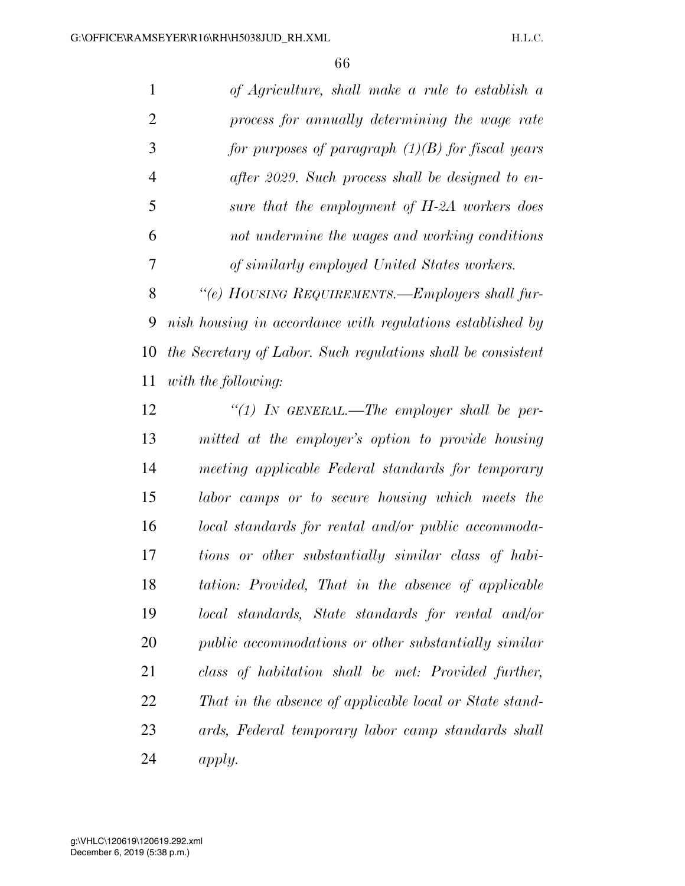|   | of Agriculture, shall make a rule to establish $\alpha$ |
|---|---------------------------------------------------------|
| 2 | process for annually determining the wage rate          |
| 3 | for purposes of paragraph $(1)(B)$ for fiscal years     |
| 4 | after 2029. Such process shall be designed to en-       |
| 5 | sure that the employment of $H$ -2A workers does        |
| 6 | not undermine the wages and working conditions          |
|   | of similarly employed United States workers.            |
|   |                                                         |

 *''(e) HOUSING REQUIREMENTS.—Employers shall fur- nish housing in accordance with regulations established by the Secretary of Labor. Such regulations shall be consistent with the following:* 

 *''(1) IN GENERAL.—The employer shall be per- mitted at the employer's option to provide housing meeting applicable Federal standards for temporary labor camps or to secure housing which meets the local standards for rental and/or public accommoda- tions or other substantially similar class of habi- tation: Provided, That in the absence of applicable local standards, State standards for rental and/or public accommodations or other substantially similar class of habitation shall be met: Provided further, That in the absence of applicable local or State stand- ards, Federal temporary labor camp standards shall apply.*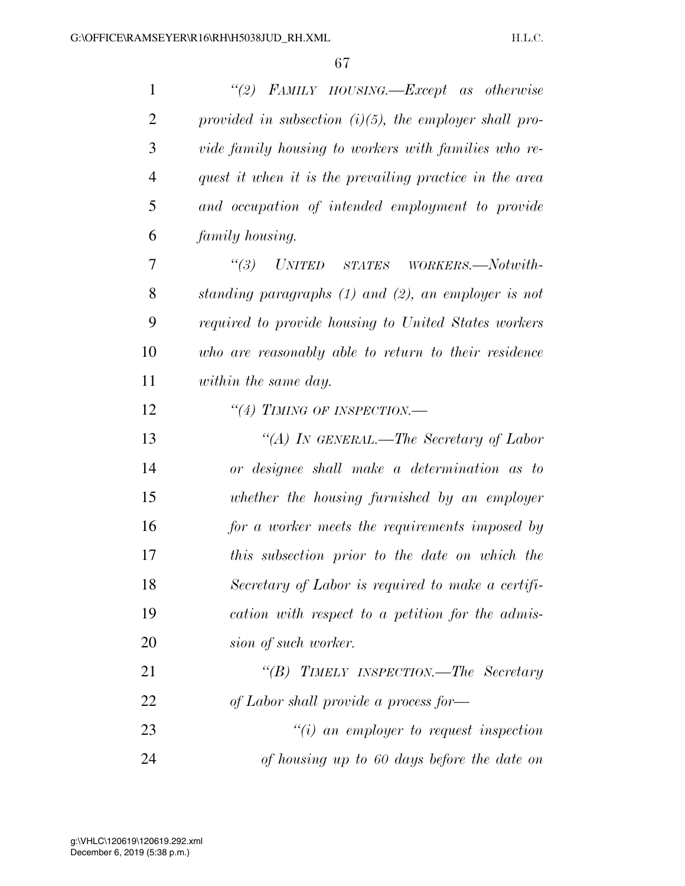| $\mathbf{1}$   | "(2) FAMILY HOUSING.—Except as otherwise                  |
|----------------|-----------------------------------------------------------|
| $\overline{2}$ | provided in subsection $(i)(5)$ , the employer shall pro- |
| 3              | vide family housing to workers with families who re-      |
| $\overline{4}$ | quest it when it is the prevailing practice in the area   |
| 5              | and occupation of intended employment to provide          |
| 6              | family housing.                                           |
| 7              | $\lq(3)$ UNITED<br>STATES<br><i>WORKERS.—Notwith-</i>     |
| 8              | standing paragraphs $(1)$ and $(2)$ , an employer is not  |
| 9              | required to provide housing to United States workers      |
| 10             | who are reasonably able to return to their residence      |
| 11             | within the same day.                                      |
| 12             | "(4) TIMING OF INSPECTION.—                               |
| 13             | "(A) IN GENERAL.—The Secretary of Labor                   |
| 14             | or designee shall make a determination as to              |
| 15             | whether the housing furnished by an employer              |
| 16             | for a worker meets the requirements imposed by            |
| 17             | this subsection prior to the date on which the            |
| 18             | Secretary of Labor is required to make a certifi-         |
| 19             | cation with respect to a petition for the admis-          |
| 20             | sion of such worker.                                      |
| 21             | "(B) TIMELY INSPECTION.—The Secretary                     |
| 22             | of Labor shall provide a process for-                     |
| 23             | $"(i)$ an employer to request inspection                  |
| 24             | of housing up to 60 days before the date on               |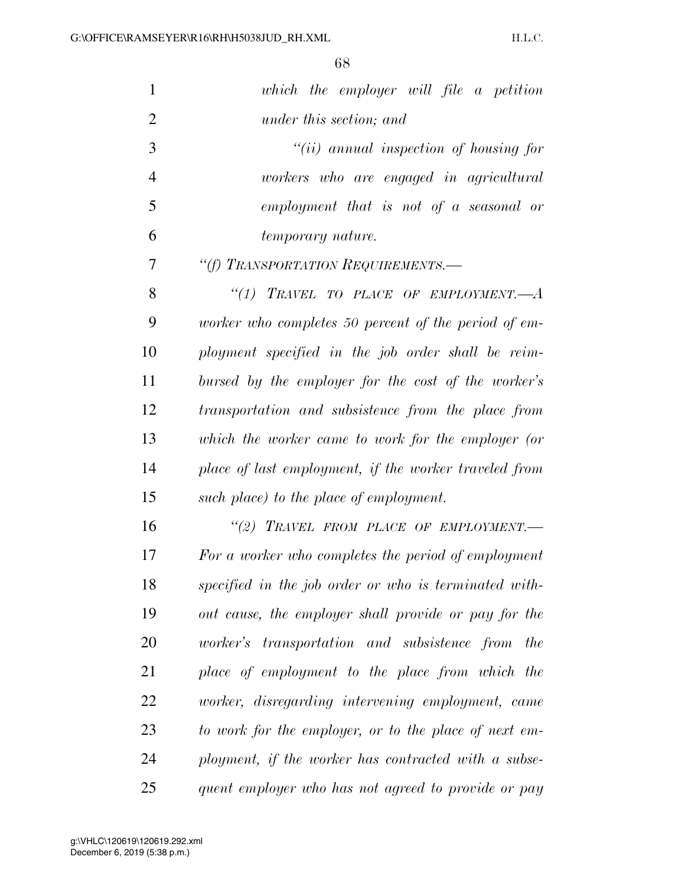| $\mathbf{1}$   | which the employer will file a petition               |
|----------------|-------------------------------------------------------|
| $\overline{2}$ | under this section; and                               |
| 3              | "(ii) annual inspection of housing for                |
| $\overline{4}$ | workers who are engaged in agricultural               |
| 5              | employment that is not of a seasonal or               |
| 6              | <i>temporary nature.</i>                              |
| 7              | "(f) TRANSPORTATION REQUIREMENTS.-                    |
| 8              | "(1) TRAVEL TO PLACE OF EMPLOYMENT. $-A$              |
| 9              | worker who completes 50 percent of the period of em-  |
| 10             | ployment specified in the job order shall be reim-    |
| 11             | bursed by the employer for the cost of the worker's   |
| 12             | transportation and subsistence from the place from    |
| 13             | which the worker came to work for the employer (or    |
| 14             | place of last employment, if the worker traveled from |
| 15             | such place) to the place of employment.               |
| 16             | "(2) TRAVEL FROM PLACE OF EMPLOYMENT.-                |
| 17             | For a worker who completes the period of employment   |
| 18             | specified in the job order or who is terminated with- |
| 19             | out cause, the employer shall provide or pay for the  |
| 20             | worker's transportation and subsistence from<br>the   |
| 21             | place of employment to the place from which the       |
| 22             | worker, disregarding intervening employment, came     |
| 23             | to work for the employer, or to the place of next em- |
| 24             | ployment, if the worker has contracted with a subse-  |
| 25             | quent employer who has not agreed to provide or pay   |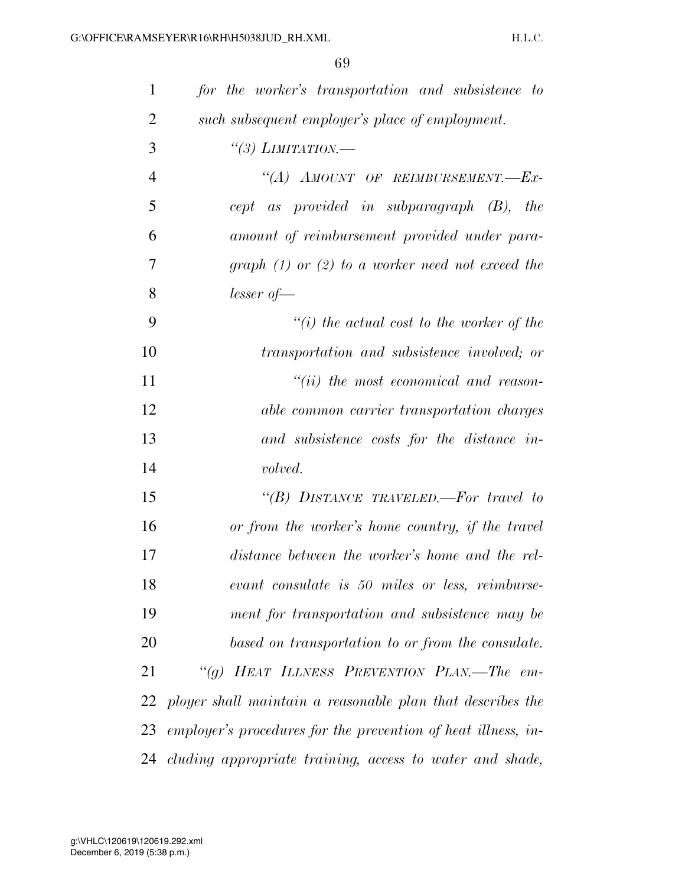| $\mathbf{1}$   | for the worker's transportation and subsistence to            |
|----------------|---------------------------------------------------------------|
| $\overline{2}$ | such subsequent employer's place of employment.               |
| 3              | "(3) LIMITATION.-                                             |
| $\overline{4}$ | "(A) AMOUNT OF REIMBURSEMENT.- $Ex-$                          |
| 5              | cept as provided in subparagraph $(B)$ , the                  |
| 6              | amount of reimbursement provided under para-                  |
| 7              | graph $(1)$ or $(2)$ to a worker need not exceed the          |
| 8              | $lesser of -$                                                 |
| 9              | $\lq\lq(i)$ the actual cost to the worker of the              |
| 10             | transportation and subsistence involved; or                   |
| 11             | $``(ii)$ the most economical and reason-                      |
| 12             | able common carrier transportation charges                    |
| 13             | and subsistence costs for the distance in-                    |
| 14             | volved.                                                       |
| 15             | "(B) DISTANCE TRAVELED.—For travel to                         |
| 16             | or from the worker's home country, if the travel              |
| 17             | distance between the worker's home and the rel-               |
| 18             | evant consulate is 50 miles or less, reimburse-               |
| 19             | ment for transportation and subsistence may be                |
| 20             | based on transportation to or from the consulate.             |
| 21             | "(g) HEAT ILLNESS PREVENTION PLAN.—The em-                    |
| 22             | ployer shall maintain a reasonable plan that describes the    |
| 23             | employer's procedures for the prevention of heat illness, in- |
|                | 24 cluding appropriate training, access to water and shade,   |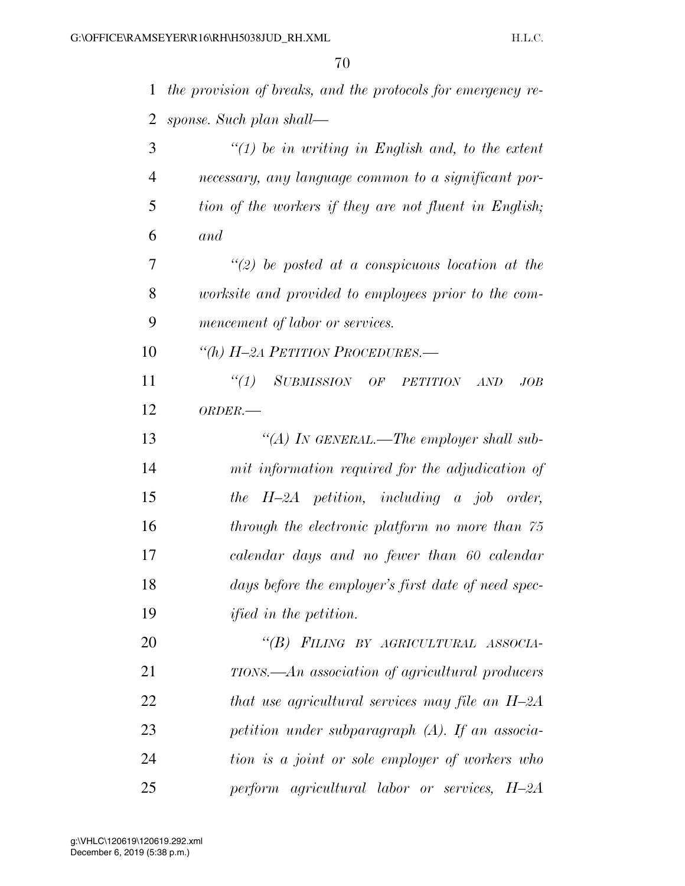| $\mathbf{1}$   | the provision of breaks, and the protocols for emergency re- |
|----------------|--------------------------------------------------------------|
| 2              | sponse. Such plan shall—                                     |
| 3              | $\lq(1)$ be in writing in English and, to the extent         |
| $\overline{4}$ | necessary, any language common to a significant por-         |
| 5              | tion of the workers if they are not fluent in English;       |
| 6              | and                                                          |
| 7              | $\lq(2)$ be posted at a conspicuous location at the          |
| 8              | worksite and provided to employees prior to the com-         |
| 9              | mencement of labor or services.                              |
| 10             | "(h) H-2A PETITION PROCEDURES.-                              |
| 11             | "(1) SUBMISSION OF PETITION AND<br>JOB                       |
| 12             | $ORDER. -$                                                   |
| 13             | "(A) IN GENERAL.—The employer shall sub-                     |
| 14             | mit information required for the adjudication of             |
| 15             | the $H$ -2A petition, including a job order,                 |
| 16             | through the electronic platform no more than 75              |
| 17             | calendar days and no fewer than 60 calendar                  |
| 18             | days before the employer's first date of need spec-          |
| 19             | <i>ified in the petition.</i>                                |
| 20             | "(B) FILING BY AGRICULTURAL ASSOCIA-                         |
| 21             | TIONS.—An association of agricultural producers              |
| 22             | that use agricultural services may file an $H$ -2A           |
| 23             | petition under subparagraph $(A)$ . If an associa-           |
| 24             | tion is a joint or sole employer of workers who              |
| 25             | perform agricultural labor or services, H-2A                 |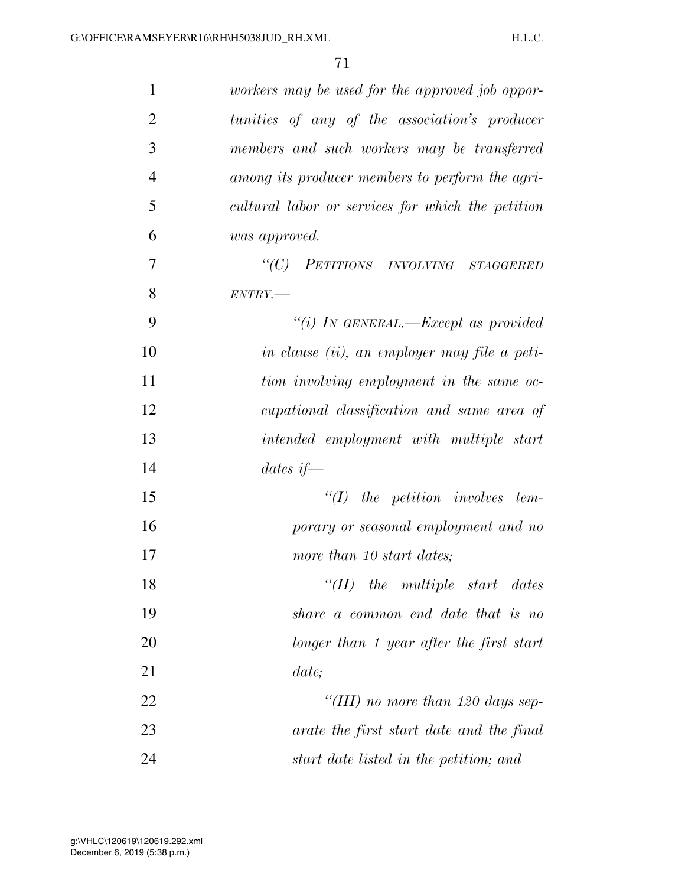| $\mathbf{1}$   | workers may be used for the approved job oppor-   |
|----------------|---------------------------------------------------|
| $\overline{2}$ | tunities of any of the association's producer     |
| 3              | members and such workers may be transferred       |
| $\overline{4}$ | among its producer members to perform the agri-   |
| 5              | cultural labor or services for which the petition |
| 6              | was approved.                                     |
| 7              | "(C) PETITIONS INVOLVING STAGGERED                |
| 8              | $ENTRY$ .                                         |
| 9              | "(i) IN GENERAL.—Except as provided               |
| 10             | in clause (ii), an employer may file a peti-      |
| 11             | tion involving employment in the same oc-         |
| 12             | cupational classification and same area of        |
| 13             | intended employment with multiple start           |
| 14             | dates if $-$                                      |
| 15             | $``(I)$ the petition involves tem-                |
| 16             | porary or seasonal employment and no              |
| 17             | more than 10 start dates;                         |
| 18             | $``(II)$ the multiple start<br>$date$ s           |
| 19             | share a common end date that is no                |
| 20             | longer than 1 year after the first start          |
| 21             | date;                                             |
| 22             | "(III) no more than 120 days sep-                 |
| 23             | arate the first start date and the final          |
| 24             | start date listed in the petition; and            |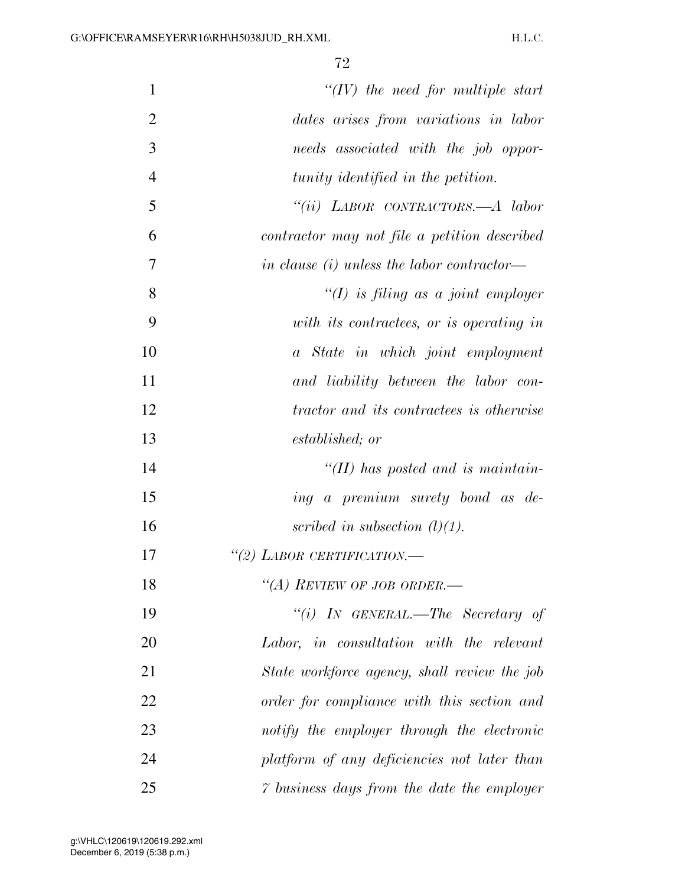| $\mathbf{1}$   | $``(IV)$ the need for multiple start            |
|----------------|-------------------------------------------------|
| $\overline{2}$ | dates arises from variations in labor           |
| 3              | needs associated with the job oppor-            |
| $\overline{4}$ | tunity identified in the petition.              |
| 5              | "(ii) LABOR CONTRACTORS.—A labor                |
| 6              | contractor may not file a petition described    |
| 7              | in clause $(i)$ unless the labor contractor—    |
| 8              | "(I) is filing as a joint employer              |
| 9              | with its contractees, or is operating in        |
| 10             | a State in which joint employment               |
| 11             | and liability between the labor con-            |
| 12             | <i>tractor and its contractees is otherwise</i> |
| 13             | established; or                                 |
| 14             | $H(H)$ has posted and is maintain-              |
| 15             | ing a premium surety bond as de-                |
| 16             | scribed in subsection $(l)(1)$ .                |
| 17             | "(2) LABOR CERTIFICATION.-                      |
| 18             | "(A) REVIEW OF JOB ORDER.-                      |
| 19             | "(i) IN GENERAL.—The Secretary of               |
| 20             | Labor, in consultation with the relevant        |
| 21             | State workforce agency, shall review the job    |
| 22             | order for compliance with this section and      |
| 23             | notify the employer through the electronic      |
| 24             | platform of any deficiencies not later than     |
| 25             | 7 business days from the date the employer      |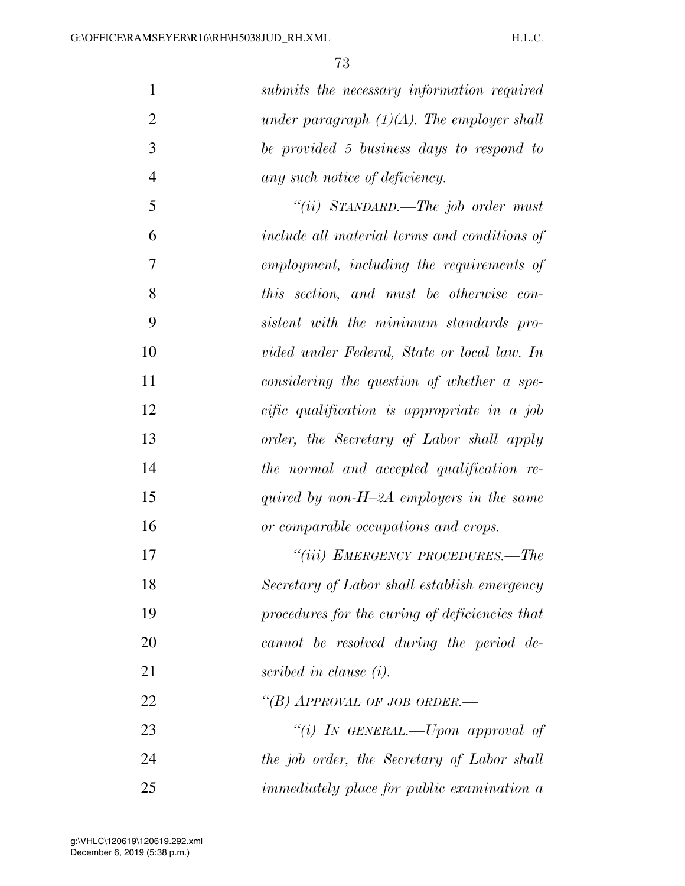| $\mathbf{1}$   | submits the necessary information required        |
|----------------|---------------------------------------------------|
| $\overline{2}$ | under paragraph $(1)(A)$ . The employer shall     |
| 3              | be provided 5 business days to respond to         |
| $\overline{4}$ | any such notice of deficiency.                    |
| 5              | "(ii) $STANDARD$ —The job order must              |
| 6              | include all material terms and conditions of      |
| 7              | employment, including the requirements of         |
| 8              | this section, and must be otherwise con-          |
| 9              | sistent with the minimum standards pro-           |
| 10             | vided under Federal, State or local law. In       |
| 11             | considering the question of whether a spe-        |
| 12             | cific qualification is appropriate in a job       |
| 13             | order, the Secretary of Labor shall apply         |
| 14             | the normal and accepted qualification re-         |
| 15             | quired by non- $H$ -2A employers in the same      |
| 16             | or comparable occupations and crops.              |
| 17             | "(iii) EMERGENCY PROCEDURES.—The                  |
| 18             | Secretary of Labor shall establish emergency      |
| 19             | procedures for the curing of deficiencies that    |
| 20             | cannot be resolved during the period de-          |
| 21             | scribed in clause (i).                            |
| 22             | "(B) APPROVAL OF JOB ORDER.-                      |
| 23             | "(i) IN GENERAL.—Upon approval of                 |
| 24             | the job order, the Secretary of Labor shall       |
| 25             | <i>immediately place for public examination a</i> |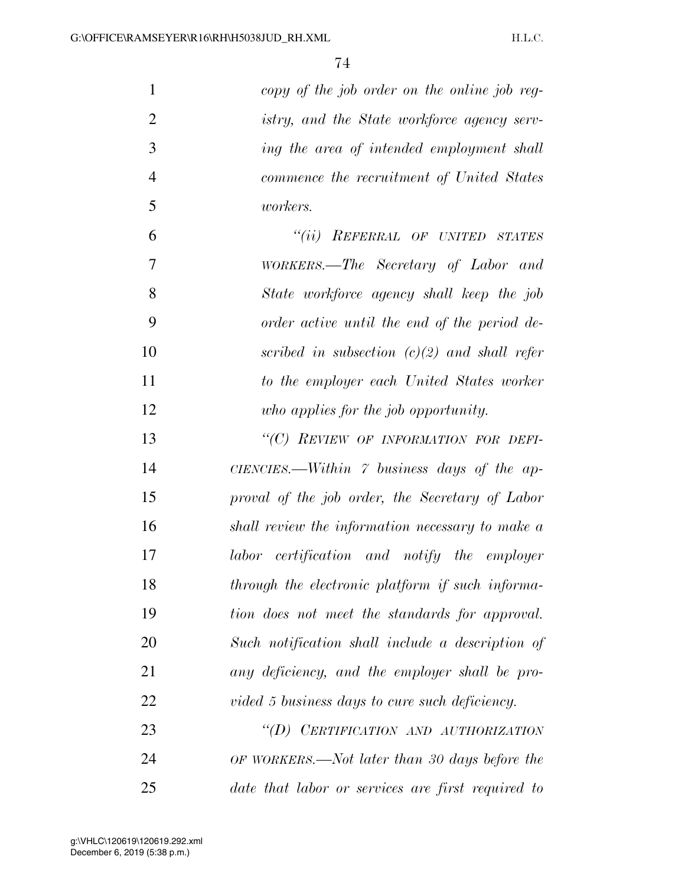| $\mathbf{1}$   | copy of the job order on the online job reg-       |
|----------------|----------------------------------------------------|
| $\overline{2}$ | istry, and the State workforce agency serv-        |
| 3              | ing the area of intended employment shall          |
| $\overline{4}$ | commence the recruitment of United States          |
| 5              | <i>workers.</i>                                    |
| 6              | "(ii) REFERRAL OF UNITED STATES                    |
| 7              | WORKERS.—The Secretary of Labor and                |
| 8              | State workforce agency shall keep the job          |
| 9              | order active until the end of the period de-       |
| 10             | scribed in subsection $(c)(2)$ and shall refer     |
| 11             | to the employer each United States worker          |
| 12             | who applies for the job opportunity.               |
| 13             | "(C) REVIEW OF INFORMATION FOR DEFI-               |
| 14             | CIENCIES.—Within $\gamma$ business days of the ap- |
| 15             | proval of the job order, the Secretary of Labor    |
| 16             | shall review the information necessary to make a   |
| 17             | labor certification and notify the employer        |
| 18             | through the electronic platform if such informa-   |
| 19             | tion does not meet the standards for approval.     |
| 20             | Such notification shall include a description of   |
| 21             | any deficiency, and the employer shall be pro-     |
| 22             | vided 5 business days to cure such deficiency.     |
| 23             | "(D) CERTIFICATION AND AUTHORIZATION               |
| 24             | OF WORKERS.—Not later than 30 days before the      |
| 25             | date that labor or services are first required to  |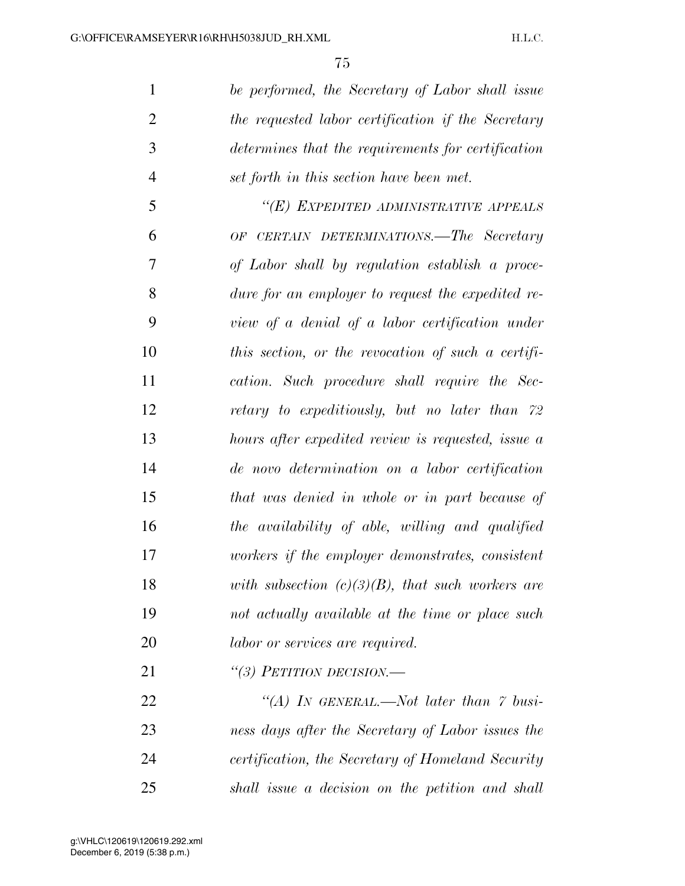*be performed, the Secretary of Labor shall issue the requested labor certification if the Secretary determines that the requirements for certification set forth in this section have been met.* 

 *''(E) EXPEDITED ADMINISTRATIVE APPEALS OF CERTAIN DETERMINATIONS.—The Secretary of Labor shall by regulation establish a proce- dure for an employer to request the expedited re- view of a denial of a labor certification under this section, or the revocation of such a certifi- cation. Such procedure shall require the Sec- retary to expeditiously, but no later than 72 hours after expedited review is requested, issue a de novo determination on a labor certification that was denied in whole or in part because of the availability of able, willing and qualified workers if the employer demonstrates, consistent with subsection (c)(3)(B), that such workers are not actually available at the time or place such labor or services are required.* 

*''(3) PETITION DECISION.—* 

 *''(A) IN GENERAL.—Not later than 7 busi- ness days after the Secretary of Labor issues the certification, the Secretary of Homeland Security shall issue a decision on the petition and shall*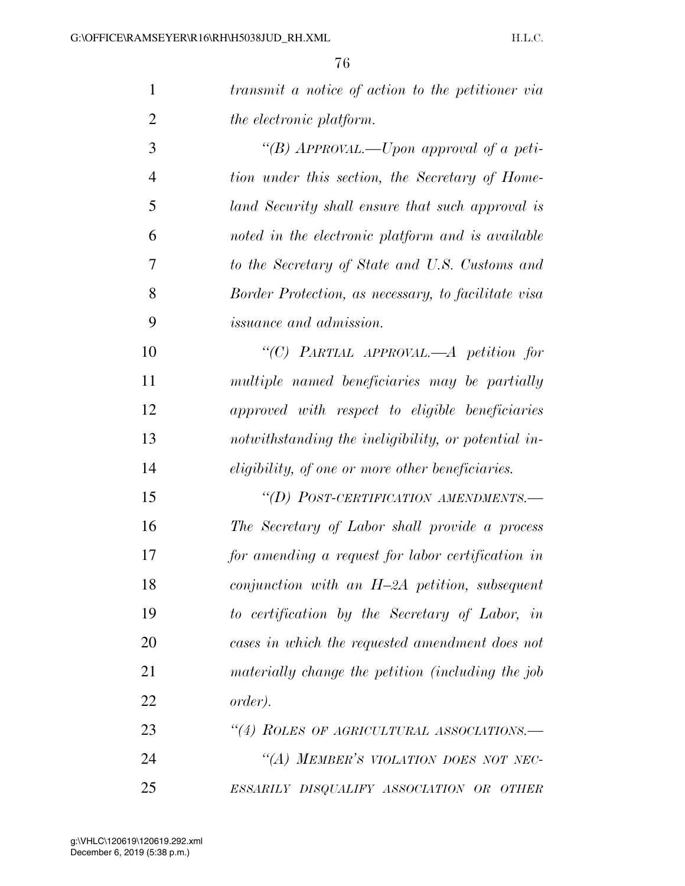| 1              | transmit a notice of action to the petitioner via       |
|----------------|---------------------------------------------------------|
| $\overline{2}$ | the electronic platform.                                |
| 3              | "(B) APPROVAL.—Upon approval of a peti-                 |
| $\overline{4}$ | tion under this section, the Secretary of Home-         |
| 5              | land Security shall ensure that such approval is        |
| 6              | noted in the electronic platform and is available       |
| 7              | to the Secretary of State and U.S. Customs and          |
| 8              | Border Protection, as necessary, to facilitate visa     |
| 9              | <i>issuance and admission.</i>                          |
| 10             | "(C) PARTIAL APPROVAL.—A petition for                   |
| 11             | multiple named beneficiaries may be partially           |
| 12             | approved with respect to eligible beneficiaries         |
| 13             | notwithstanding the ineligibility, or potential in-     |
| 14             | <i>eligibility, of one or more other beneficiaries.</i> |
| 15             | "(D) POST-CERTIFICATION AMENDMENTS.-                    |
| 16             | The Secretary of Labor shall provide a process          |
| 17             | for amending a request for labor certification in       |
| 18             | conjunction with an $H$ -2A petition, subsequent        |
| 19             | to certification by the Secretary of Labor, in          |
| 20             | cases in which the requested amendment does not         |
| 21             | materially change the petition (including the job       |
| 22             | order).                                                 |
| 23             | "(4) ROLES OF AGRICULTURAL ASSOCIATIONS.-               |
| 24             | "(A) MEMBER'S VIOLATION DOES NOT NEC-                   |
| 25             | ESSARILY DISQUALIFY ASSOCIATION OR OTHER                |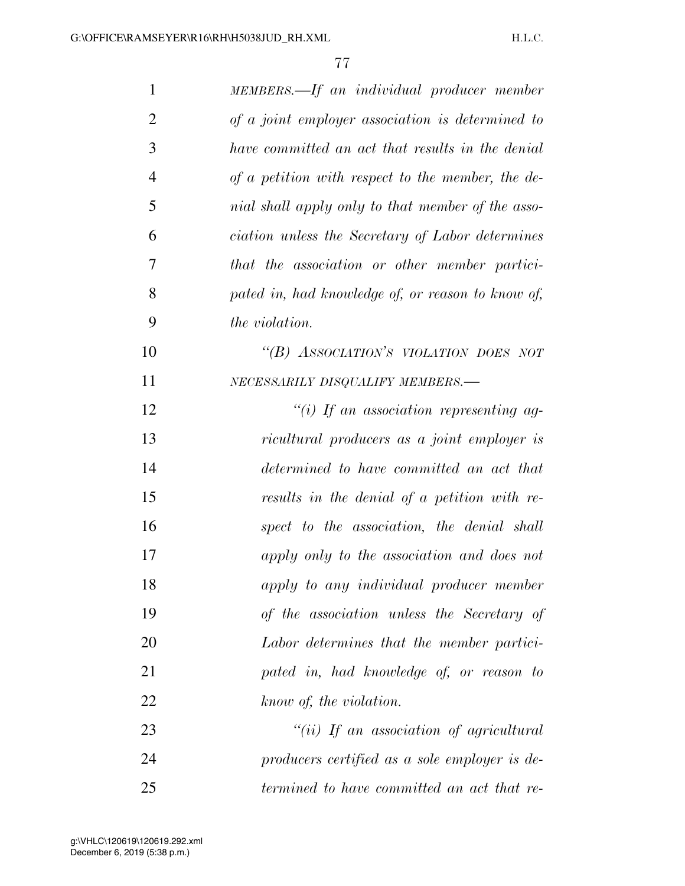| $\mathbf{1}$   | MEMBERS.—If an individual producer member         |
|----------------|---------------------------------------------------|
| $\overline{2}$ | of a joint employer association is determined to  |
| 3              | have committed an act that results in the denial  |
| $\overline{4}$ | of a petition with respect to the member, the de- |
| 5              | nial shall apply only to that member of the asso- |
| 6              | ciation unless the Secretary of Labor determines  |
| 7              | that the association or other member partici-     |
| 8              | pated in, had knowledge of, or reason to know of, |
| 9              | <i>the violation.</i>                             |
| 10             | "(B) ASSOCIATION'S VIOLATION DOES NOT             |
| 11             | NECESSARILY DISQUALIFY MEMBERS.-                  |
| 12             | "(i) If an association representing ag-           |
| 13             | ricultural producers as a joint employer is       |
| 14             | determined to have committed an act that          |
| 15             | results in the denial of a petition with re-      |
| 16             | spect to the association, the denial shall        |
| 17             | apply only to the association and does not        |
| 18             | apply to any individual producer member           |
| 19             | of the association unless the Secretary of        |
| 20             | Labor determines that the member partici-         |
| 21             | pated in, had knowledge of, or reason to          |
| 22             | know of, the violation.                           |
| 23             | "(ii) If an association of agricultural           |
| 24             | producers certified as a sole employer is de-     |
| 25             | termined to have committed an act that re-        |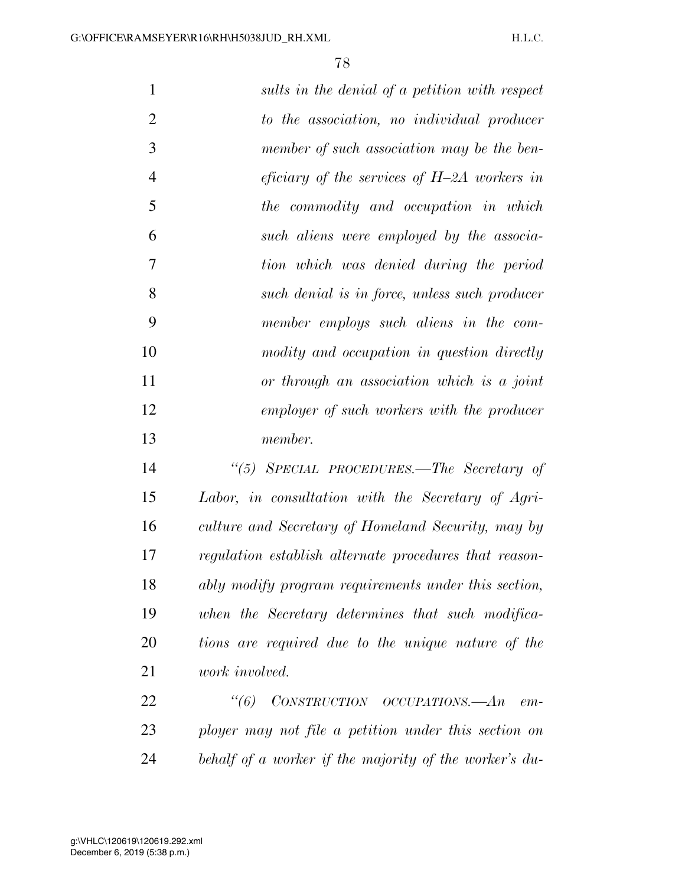| $\mathbf{1}$   | sults in the denial of a petition with respect     |
|----------------|----------------------------------------------------|
| $\sqrt{2}$     | to the association, no individual producer         |
| 3              | member of such association may be the ben-         |
| $\overline{4}$ | <i>eficiary of the services of H-2A workers in</i> |
| 5              | the commodity and occupation in which              |
| 6              | such aliens were employed by the associa-          |
| 7              | tion which was denied during the period            |
| 8              | such denial is in force, unless such producer      |
| 9              | member employs such aliens in the com-             |
| 10             | modity and occupation in question directly         |
| 11             | or through an association which is a joint         |
| 12             | employer of such workers with the producer         |
| 13             | member.                                            |
| 14             | "(5) SPECIAL PROCEDURES.—The Secretary of          |
| 15             | Labor, in consultation with the Secretary of Agri- |
| 16             | orthrop and Constant of Homeland Coquity may by    |

 *culture and Secretary of Homeland Security, may by regulation establish alternate procedures that reason- ably modify program requirements under this section, when the Secretary determines that such modifica- tions are required due to the unique nature of the work involved.* 

 *''(6) CONSTRUCTION OCCUPATIONS.—An em- ployer may not file a petition under this section on behalf of a worker if the majority of the worker's du-*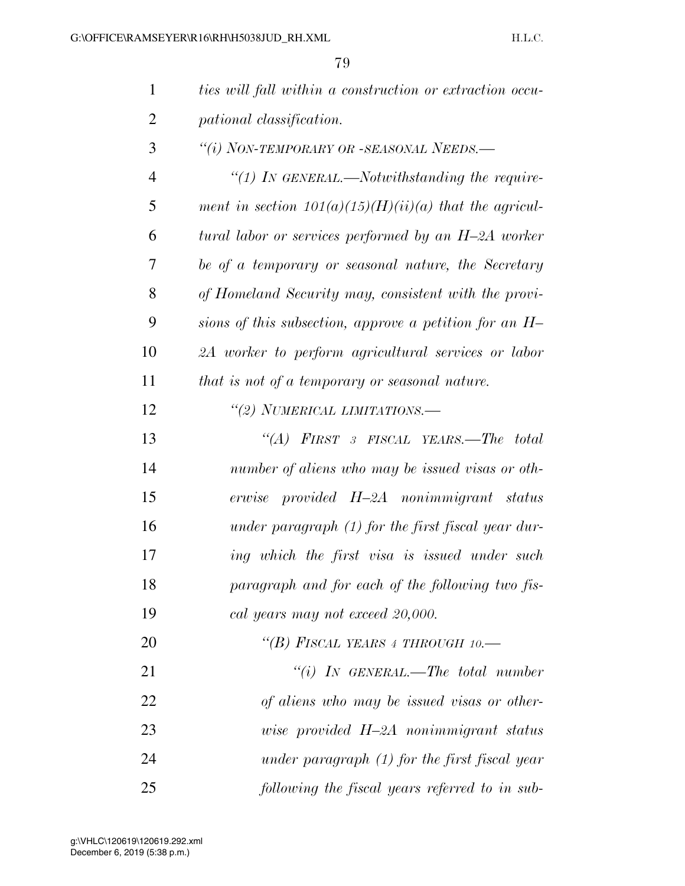| $\mathbf{1}$   | ties will fall within a construction or extraction occu- |
|----------------|----------------------------------------------------------|
| $\overline{2}$ | pational classification.                                 |
| 3              | "(i) NON-TEMPORARY OR -SEASONAL NEEDS.-                  |
| $\overline{4}$ | "(1) In GENERAL.—Notwithstanding the require-            |
| 5              | ment in section $101(a)(15)(H)(ii)(a)$ that the agricul- |
| 6              | tural labor or services performed by an $H$ -2A worker   |
| 7              | be of a temporary or seasonal nature, the Secretary      |
| 8              | of Homeland Security may, consistent with the provi-     |
| 9              | sions of this subsection, approve a petition for an $H-$ |
| 10             | 2A worker to perform agricultural services or labor      |
| 11             | that is not of a temporary or seasonal nature.           |
| 12             | "(2) NUMERICAL LIMITATIONS.-                             |
| 13             | "(A) FIRST 3 FISCAL YEARS.—The total                     |
| 14             | number of aliens who may be issued visas or oth-         |
| 15             | erwise provided H-2A nonimmigrant status                 |
| 16             | under paragraph $(1)$ for the first fiscal year dur-     |
| 17             | ing which the first visa is issued under such            |
| 18             | paragraph and for each of the following two fis-         |
| 19             | cal years may not exceed 20,000.                         |
| 20             | "(B) FISCAL YEARS 4 THROUGH 10.—                         |
| 21             | "(i) IN GENERAL.—The total number                        |
| 22             | of aliens who may be issued visas or other-              |
| 23             | wise provided H-2A nonimmigrant status                   |
| 24             | under paragraph $(1)$ for the first fiscal year          |
| 25             | following the fiscal years referred to in sub-           |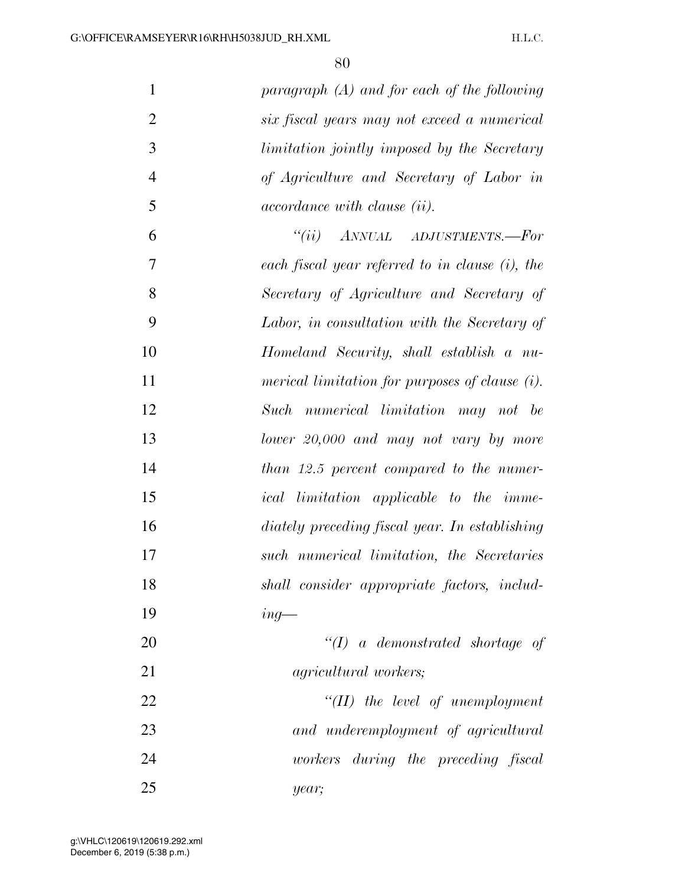| $\mathbf{1}$   | paragraph $(A)$ and for each of the following      |
|----------------|----------------------------------------------------|
| $\overline{2}$ | six fiscal years may not exceed a numerical        |
| 3              | <i>limitation jointly imposed by the Secretary</i> |
| $\overline{4}$ | of Agriculture and Secretary of Labor in           |
| 5              | accordance with clause (ii).                       |
| 6              | ``(ii)<br>ANNUAL ADJUSTMENTS.-For                  |
| 7              | each fiscal year referred to in clause $(i)$ , the |
| 8              | Secretary of Agriculture and Secretary of          |
| 9              | Labor, in consultation with the Secretary of       |
| 10             | Homeland Security, shall establish a nu-           |
| 11             | merical limitation for purposes of clause (i).     |
| 12             | Such numerical limitation may not be               |
| 13             | lower 20,000 and may not vary by more              |
| 14             | than 12.5 percent compared to the numer-           |
| 15             | <i>ical</i> limitation applicable to the imme-     |
| 16             | diately preceding fiscal year. In establishing     |
| 17             | such numerical limitation, the Secretaries         |
| 18             | shall consider appropriate factors, includ-        |
| 19             | $ing-$                                             |
| 20             | $\lq (I)$ a demonstrated shortage of               |
| 21             | <i>agricultural workers;</i>                       |
| 22             | $``(II)$ the level of unemployment                 |
| 23             | and underemployment of agricultural                |
| 24             | workers during the preceding fiscal                |
| 25             | year;                                              |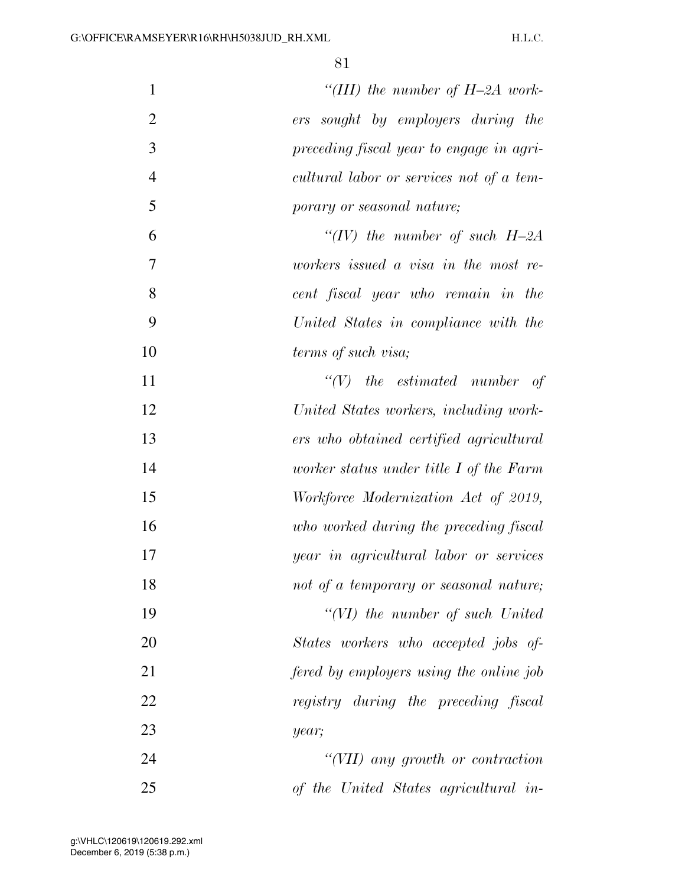| "(III) the number of $H$ -2A work-       | $\mathbf{1}$   |
|------------------------------------------|----------------|
| sought by employers during the<br>ers    | $\overline{2}$ |
| preceding fiscal year to engage in agri- | 3              |
| cultural labor or services not of a tem- | $\overline{4}$ |
| porary or seasonal nature;               | 5              |
| "(IV) the number of such $H$ -2A         | 6              |
| workers issued a visa in the most re-    | 7              |
| cent fiscal year who remain in the       | 8              |
| United States in compliance with the     | 9              |
| <i>terms of such visa</i> ;              | 10             |
| $\lq\lq V$ the estimated number<br>of    | 11             |
| United States workers, including work-   | 12             |
| ers who obtained certified agricultural  | 13             |
| worker status under title I of the Farm  | 14             |
| Workforce Modernization Act of 2019,     | 15             |
| who worked during the preceding fiscal   | 16             |
| year in agricultural labor or services   | 17             |
| not of a temporary or seasonal nature;   | 18             |
| "(VI) the number of such United          | 19             |
| States workers who accepted jobs of-     | 20             |
| fered by employers using the online job  | 21             |
| registry during the preceding fiscal     | 22             |
| year;                                    | 23             |
| "(VII) any growth or contraction         | 24             |
| of the United States agricultural in-    | 25             |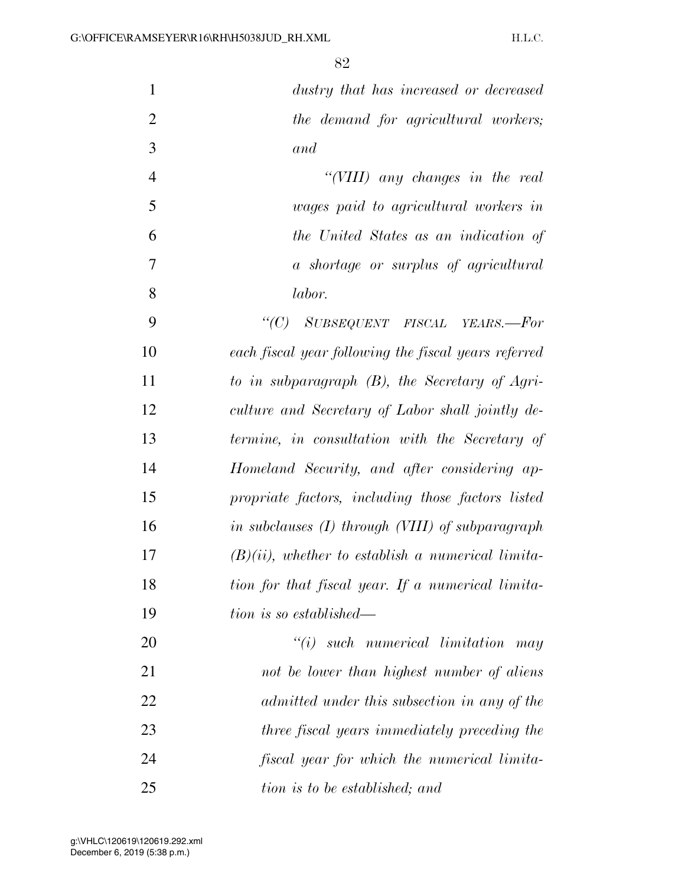| $\mathbf{1}$   | dustry that has increased or decreased               |
|----------------|------------------------------------------------------|
| $\overline{2}$ | the demand for agricultural workers;                 |
| 3              | and                                                  |
| $\overline{4}$ | "(VIII) any changes in the real                      |
| 5              | wages paid to agricultural workers in                |
| 6              | the United States as an indication of                |
| 7              | a shortage or surplus of agricultural                |
| 8              | labor.                                               |
| 9              | "(C) SUBSEQUENT FISCAL YEARS.-For                    |
| 10             | each fiscal year following the fiscal years referred |
| 11             | to in subparagraph $(B)$ , the Secretary of Agri-    |
| 12             | culture and Secretary of Labor shall jointly de-     |
| 13             | termine, in consultation with the Secretary of       |
| 14             | Homeland Security, and after considering ap-         |
| 15             | propriate factors, including those factors listed    |
| 16             | in subclauses $(I)$ through $(VIII)$ of subparagraph |
| 17             | $(B)(ii)$ , whether to establish a numerical limita- |
| 18             | tion for that fiscal year. If a numerical limita-    |
| 19             | tion is so established—                              |
| 20             | $\tilde{f}(i)$ such numerical limitation may         |
| 21             | not be lower than highest number of aliens           |
| 22             | admitted under this subsection in any of the         |
| 23             | three fiscal years immediately preceding the         |
| 24             | fiscal year for which the numerical limita-          |
| 25             | tion is to be established; and                       |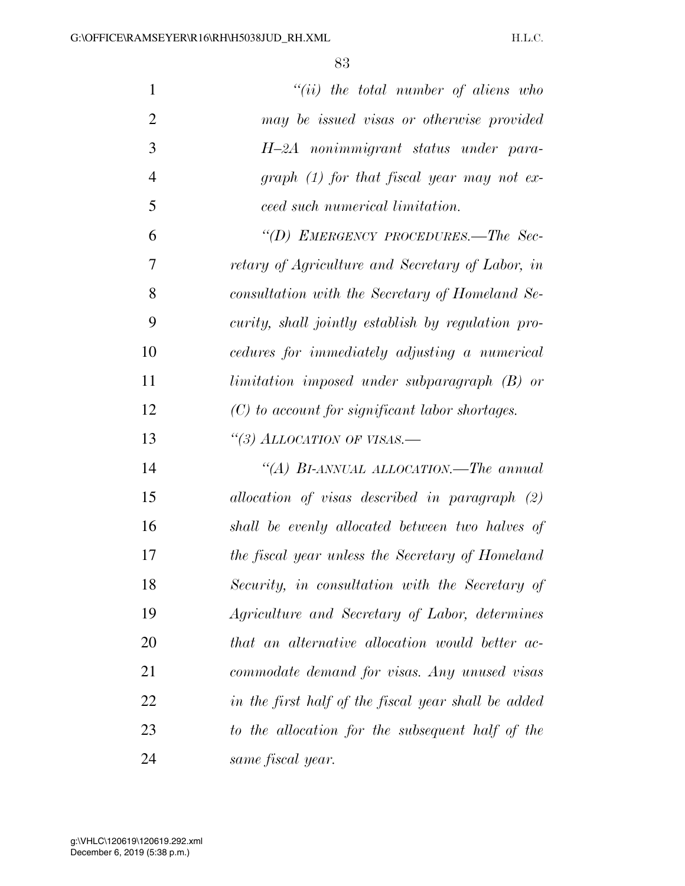| $\mathbf{1}$   | $``(ii)$ the total number of aliens who             |
|----------------|-----------------------------------------------------|
| $\overline{2}$ | may be issued visas or otherwise provided           |
| 3              | H-2A nonimmigrant status under para-                |
| $\overline{4}$ | graph $(1)$ for that fiscal year may not ex-        |
| 5              | ceed such numerical limitation.                     |
| 6              | "(D) EMERGENCY PROCEDURES.—The Sec-                 |
| 7              | retary of Agriculture and Secretary of Labor, in    |
| 8              | consultation with the Secretary of Homeland Se-     |
| 9              | curity, shall jointly establish by regulation pro-  |
| 10             | cedures for immediately adjusting a numerical       |
| 11             | $limitation$ imposed under subparagraph $(B)$ or    |
| 12             | $(C)$ to account for significant labor shortages.   |
| 13             | "(3) ALLOCATION OF VISAS.-                          |
| 14             | "(A) BI-ANNUAL ALLOCATION.—The annual               |
| 15             | allocation of visas described in paragraph $(2)$    |
| 16             | shall be evenly allocated between two halves of     |
| 17             | the fiscal year unless the Secretary of Homeland    |
| 18             | Security, in consultation with the Secretary of     |
| 19             | Agriculture and Secretary of Labor, determines      |
| 20             | that an alternative allocation would better ac-     |
| 21             | commodate demand for visas. Any unused visas        |
| 22             | in the first half of the fiscal year shall be added |
| 23             | to the allocation for the subsequent half of the    |
| 24             | same fiscal year.                                   |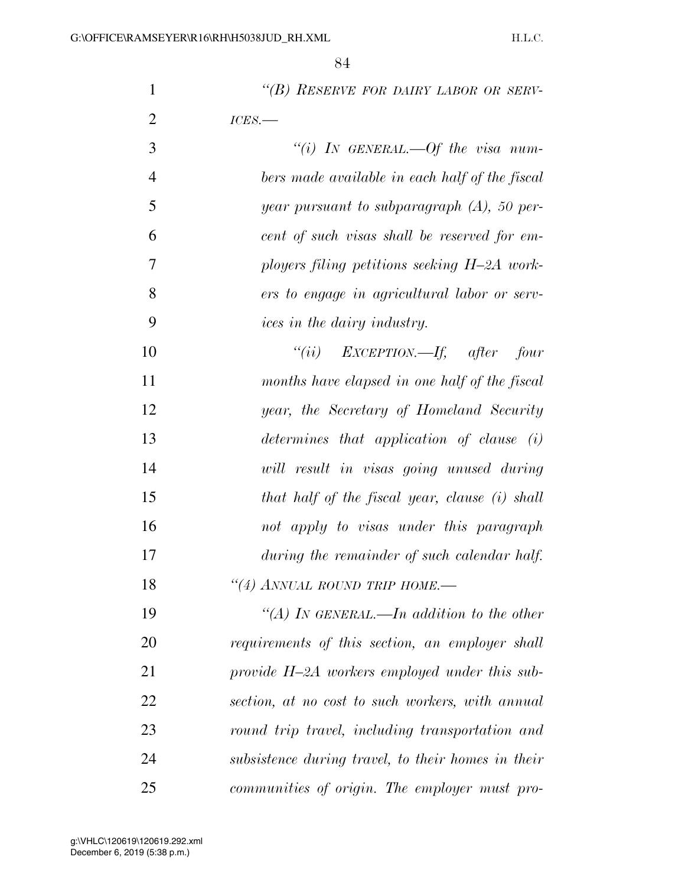| $\mathbf{1}$   | "(B) RESERVE FOR DAIRY LABOR OR SERV-              |
|----------------|----------------------------------------------------|
| $\overline{2}$ | ICES.                                              |
| 3              | "(i) IN GENERAL.—Of the visa num-                  |
| $\overline{4}$ | bers made available in each half of the fiscal     |
| 5              | year pursuant to subparagraph $(A)$ , 50 per-      |
| 6              | cent of such visas shall be reserved for em-       |
| 7              | ployers filing petitions seeking H-2A work-        |
| 8              | ers to engage in agricultural labor or serv-       |
| 9              | ices in the dairy industry.                        |
| 10             | "(ii) $EXCEPTION$ —If, after four                  |
| 11             | months have elapsed in one half of the fiscal      |
| 12             | year, the Secretary of Homeland Security           |
| 13             | determines that application of clause (i)          |
| 14             | will result in visas going unused during           |
| 15             | that half of the fiscal year, clause (i) shall     |
| 16             | not apply to visas under this paragraph            |
| 17             | during the remainder of such calendar half.        |
| 18             | "(4) ANNUAL ROUND TRIP HOME.-                      |
| 19             | "(A) In GENERAL.—In addition to the other          |
| 20             | requirements of this section, an employer shall    |
| 21             | provide $H$ -2A workers employed under this sub-   |
| 22             | section, at no cost to such workers, with annual   |
| 23             | round trip travel, including transportation and    |
| 24             | subsistence during travel, to their homes in their |
| 25             | communities of origin. The employer must pro-      |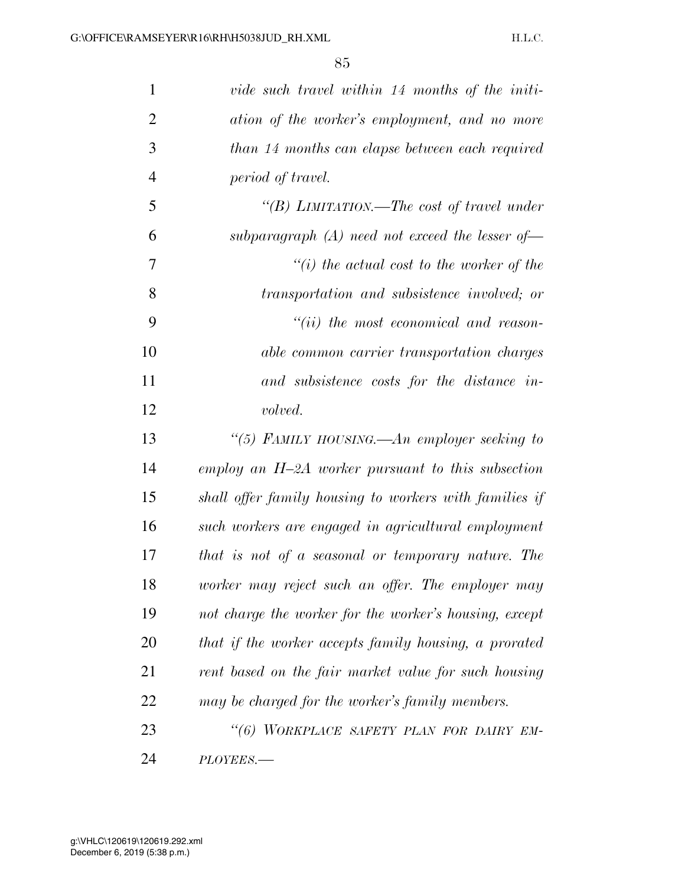| 1              | vide such travel within 14 months of the initi-        |
|----------------|--------------------------------------------------------|
| $\overline{2}$ | ation of the worker's employment, and no more          |
| 3              | than 14 months can elapse between each required        |
| $\overline{4}$ | period of travel.                                      |
| 5              | "(B) LIMITATION.—The cost of travel under              |
| 6              | subparagraph $(A)$ need not exceed the lesser of-      |
| 7              | $``(i)$ the actual cost to the worker of the           |
| 8              | transportation and subsistence involved; or            |
| 9              | $``(ii)$ the most economical and reason-               |
| 10             | able common carrier transportation charges             |
| 11             | and subsistence costs for the distance in-             |
| 12             | volved.                                                |
| 13             | "(5) FAMILY HOUSING.—An employer seeking to            |
| 14             | employ an $H$ -2A worker pursuant to this subsection   |
| 15             | shall offer family housing to workers with families if |
| 16             | such workers are engaged in agricultural employment    |
| 17             | that is not of a seasonal or temporary nature. The     |
| 18             | worker may reject such an offer. The employer may      |
| 19             | not charge the worker for the worker's housing, except |
| 20             | that if the worker accepts family housing, a prorated  |
| 21             | rent based on the fair market value for such housing   |
| 22             | may be charged for the worker's family members.        |
| 23             | "(6) WORKPLACE SAFETY PLAN FOR DAIRY EM-               |
| 24             | PLOYEES.-                                              |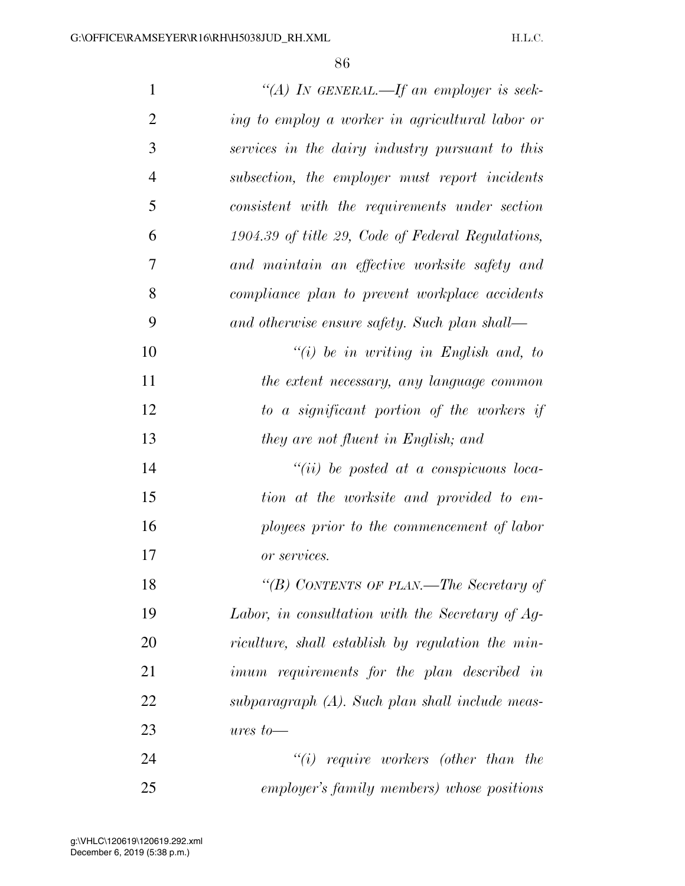| $\mathbf{1}$   | "(A) IN GENERAL.—If an employer is seek-           |
|----------------|----------------------------------------------------|
| $\overline{2}$ | ing to employ a worker in agricultural labor or    |
| 3              | services in the dairy industry pursuant to this    |
| $\overline{4}$ | subsection, the employer must report incidents     |
| 5              | consistent with the requirements under section     |
| 6              | 1904.39 of title 29, Code of Federal Regulations,  |
| 7              | and maintain an effective worksite safety and      |
| 8              | compliance plan to prevent workplace accidents     |
| 9              | and otherwise ensure safety. Such plan shall—      |
| 10             | $\lq\lq(i)$ be in writing in English and, to       |
| 11             | the extent necessary, any language common          |
| 12             | to a significant portion of the workers if         |
| 13             | they are not fluent in English; and                |
| 14             | $``(ii)$ be posted at a conspicuous loca-          |
| 15             | tion at the worksite and provided to em-           |
| 16             | ployees prior to the commencement of labor         |
| 17             | or services.                                       |
| 18             | "(B) CONTENTS OF PLAN.—The Secretary of            |
| 19             | Labor, in consultation with the Secretary of Ag-   |
| 20             | riculture, shall establish by regulation the min-  |
| 21             | imum requirements for the plan described in        |
| 22             | subparagraph $(A)$ . Such plan shall include meas- |
| 23             | $ures\ to$ —                                       |
| 24             | $"(i)$ require workers (other than the             |
| 25             | employer's family members) whose positions         |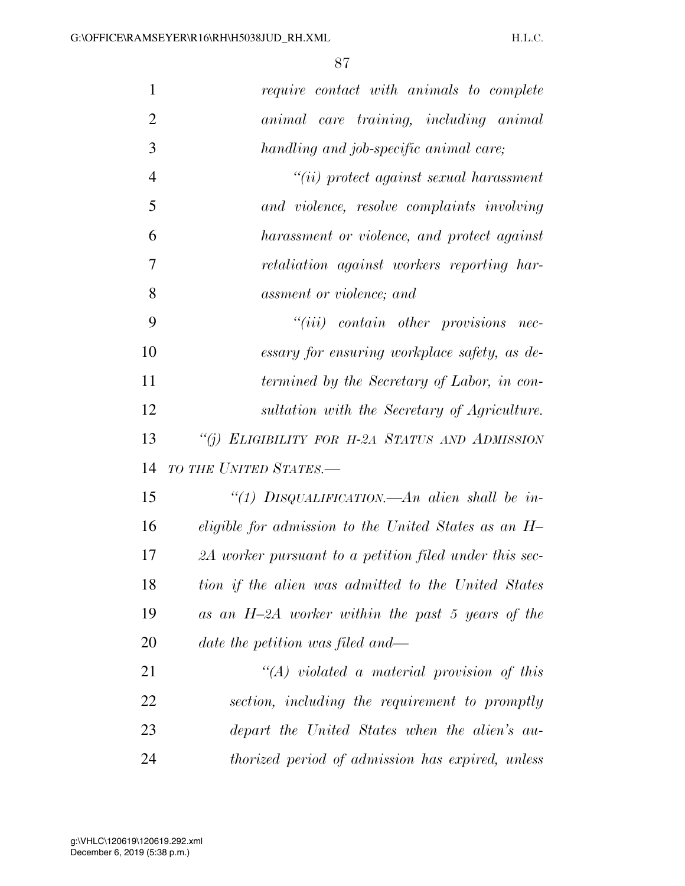| $\mathbf{1}$   | require contact with animals to complete               |
|----------------|--------------------------------------------------------|
| $\overline{2}$ | animal care training, including animal                 |
| 3              | handling and job-specific animal care;                 |
| $\overline{4}$ | $``(ii)$ protect against sexual harassment             |
| 5              | and violence, resolve complaints involving             |
| 6              | harassment or violence, and protect against            |
| 7              | retaliation against workers reporting har-             |
| 8              | assment or violence; and                               |
| 9              | $``(iii)$ contain other provisions nec-                |
| 10             | essary for ensuring workplace safety, as de-           |
| 11             | termined by the Secretary of Labor, in con-            |
| 12             | sultation with the Secretary of Agriculture.           |
| 13             | "(i) ELIGIBILITY FOR H-2A STATUS AND ADMISSION         |
| 14             | TO THE UNITED STATES.-                                 |
| 15             | "(1) DISQUALIFICATION.—An alien shall be in-           |
| 16             | eligible for admission to the United States as an H-   |
| 17             | 2A worker pursuant to a petition filed under this sec- |
| 18             | tion if the alien was admitted to the United States    |
| 19             | as an $H$ -2A worker within the past 5 years of the    |
| 20             | date the petition was filed and—                       |
| 21             | $\lq (A)$ violated a material provision of this        |
| 22             | section, including the requirement to promptly         |
|                |                                                        |
| 23             | depart the United States when the alien's au-          |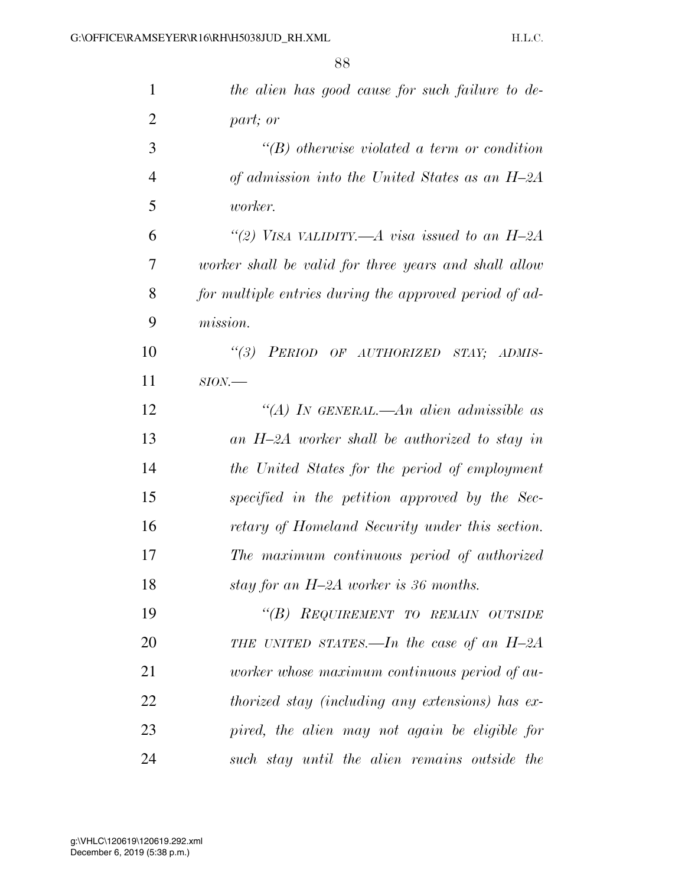| $\mathbf{1}$   | the alien has good cause for such failure to de-       |
|----------------|--------------------------------------------------------|
| $\overline{2}$ | part; or                                               |
| 3              | $\lq\lq B$ otherwise violated a term or condition      |
| $\overline{4}$ | of admission into the United States as an $H$ -2A      |
| 5              | <i>worker.</i>                                         |
| 6              | "(2) VISA VALIDITY.—A visa issued to an $H$ -2A        |
| 7              | worker shall be valid for three years and shall allow  |
| 8              | for multiple entries during the approved period of ad- |
| 9              | mission.                                               |
| 10             | (3)<br>PERIOD OF AUTHORIZED STAY; ADMIS-               |
| 11             | $SION$ —                                               |
| 12             | "(A) In GENERAL.—An alien admissible as                |
| 13             | an $H$ -2A worker shall be authorized to stay in       |
| 14             | the United States for the period of employment         |
| 15             | specified in the petition approved by the Sec-         |
| 16             | retary of Homeland Security under this section.        |
| 17             | The maximum continuous period of authorized            |
| 18             | stay for an $H$ -2A worker is 36 months.               |
| 19             | "(B) REQUIREMENT TO REMAIN OUTSIDE                     |
| 20             | THE UNITED STATES.—In the case of an $H$ -2A           |
| 21             | worker whose maximum continuous period of au-          |
| 22             | thorized stay (including any extensions) has ex-       |
| 23             | pired, the alien may not again be eligible for         |
| 24             | such stay until the alien remains outside the          |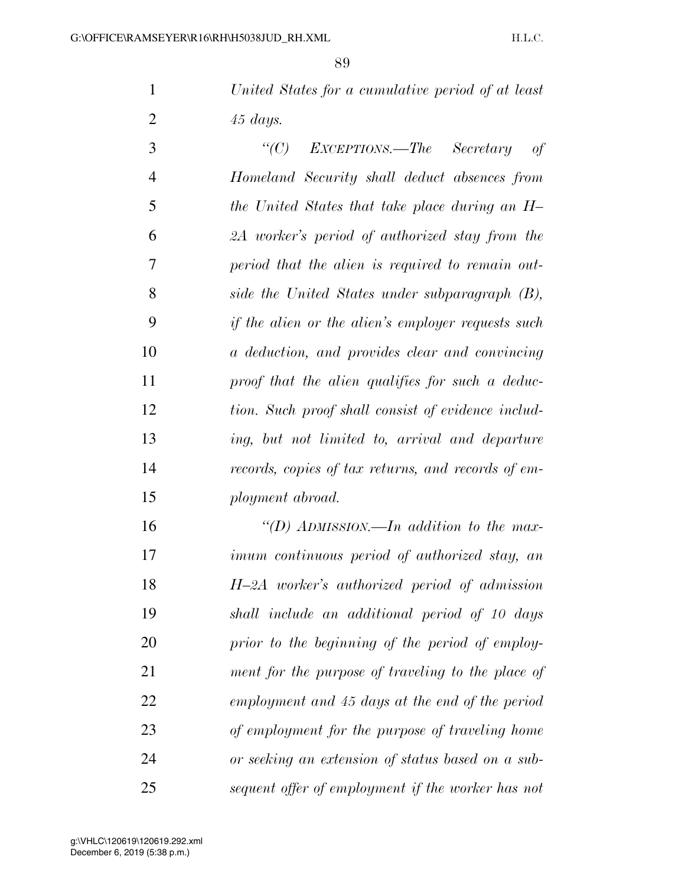*United States for a cumulative period of at least 45 days.* 

 *''(C) EXCEPTIONS.—The Secretary of Homeland Security shall deduct absences from the United States that take place during an H– 2A worker's period of authorized stay from the period that the alien is required to remain out- side the United States under subparagraph (B), if the alien or the alien's employer requests such a deduction, and provides clear and convincing proof that the alien qualifies for such a deduc- tion. Such proof shall consist of evidence includ- ing, but not limited to, arrival and departure records, copies of tax returns, and records of em-ployment abroad.* 

 *''(D) ADMISSION.—In addition to the max- imum continuous period of authorized stay, an H–2A worker's authorized period of admission shall include an additional period of 10 days prior to the beginning of the period of employ- ment for the purpose of traveling to the place of employment and 45 days at the end of the period of employment for the purpose of traveling home or seeking an extension of status based on a sub-sequent offer of employment if the worker has not*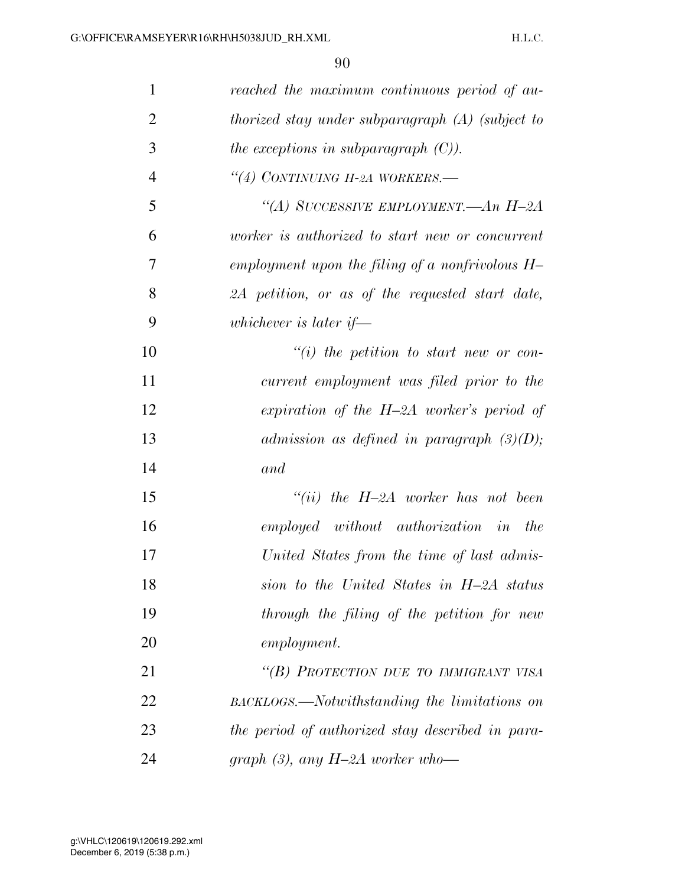| $\mathbf{1}$   | reached the maximum continuous period of au-       |
|----------------|----------------------------------------------------|
| $\overline{2}$ | thorized stay under subparagraph $(A)$ (subject to |
| 3              | the exceptions in subparagraph $(C)$ ).            |
| $\overline{4}$ | "(4) CONTINUING H-2A WORKERS.-                     |
| 5              | "(A) SUCCESSIVE EMPLOYMENT.—An H-2A                |
| 6              | worker is authorized to start new or concurrent    |
| 7              | employment upon the filing of a nonfrivolous $H-$  |
| 8              | 2A petition, or as of the requested start date,    |
| 9              | whichever is later if-                             |
| 10             | $``(i)$ the petition to start new or con-          |
| 11             | current employment was filed prior to the          |
| 12             | expiration of the $H$ -2A worker's period of       |
| 13             | admission as defined in paragraph $(3)(D)$ ;       |
| 14             | and                                                |
| 15             | "(ii) the $H$ -2A worker has not been              |
| 16             | employed without authorization in the              |
| 17             | United States from the time of last admis-         |
| 18             | sion to the United States in H-2A status           |
| 19             | through the filing of the petition for new         |
| 20             | employment.                                        |
| 21             | "(B) PROTECTION DUE TO IMMIGRANT VISA              |
| 22             | BACKLOGS.—Notwithstanding the limitations on       |
| 23             | the period of authorized stay described in para-   |
| 24             | graph $(3)$ , any H-2A worker who-                 |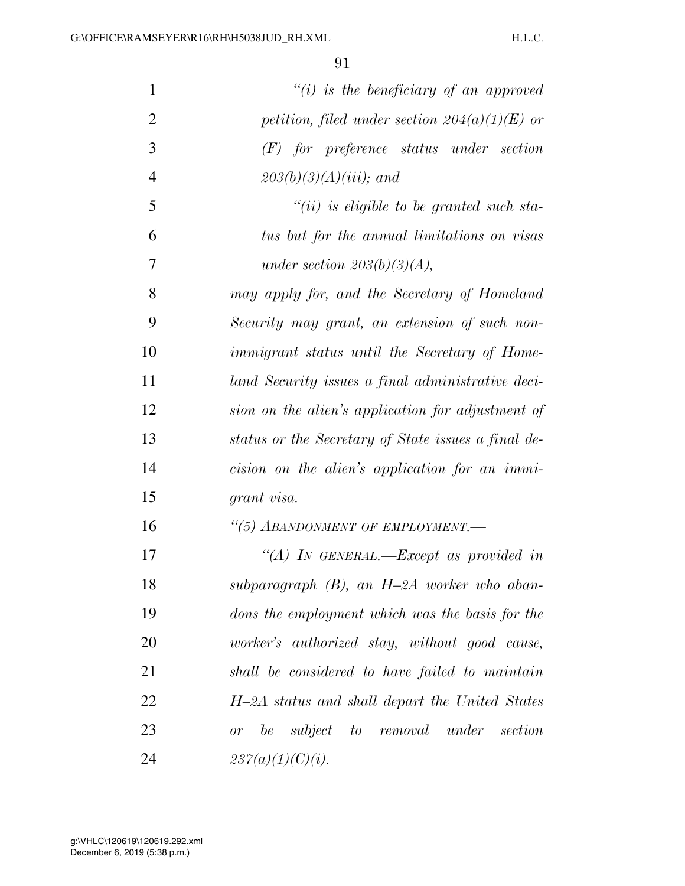| $\mathbf{1}$   | $``(i)$ is the beneficiary of an approved           |
|----------------|-----------------------------------------------------|
| $\overline{2}$ | petition, filed under section $204(a)(1)(E)$ or     |
| 3              | $(F)$ for preference status under section           |
| $\overline{4}$ | $(203(b)(3)(A)(iii);$ and                           |
| 5              | $``(ii)$ is eligible to be granted such sta-        |
| 6              | tus but for the annual limitations on visas         |
| 7              | under section $203(b)(3)(A)$ ,                      |
| 8              | may apply for, and the Secretary of Homeland        |
| 9              | Security may grant, an extension of such non-       |
| 10             | immigrant status until the Secretary of Home-       |
| 11             | land Security issues a final administrative deci-   |
| 12             | sion on the alien's application for adjustment of   |
| 13             | status or the Secretary of State issues a final de- |
| 14             | cision on the alien's application for an immi-      |
| 15             | grant visa.                                         |
| 16             | "(5) ABANDONMENT OF EMPLOYMENT.-                    |
| 17             | "(A) IN GENERAL.—Except as provided in              |
| 18             | subparagraph $(B)$ , an $H$ -2A worker who aban-    |
| 19             | dons the employment which was the basis for the     |
| 20             | worker's authorized stay, without good cause,       |
| 21             | shall be considered to have failed to maintain      |
| 22             | H-2A status and shall depart the United States      |
| 23             | subject<br>be<br>to removal under<br>section<br>or  |
| 24             | 237(a)(1)(C)(i).                                    |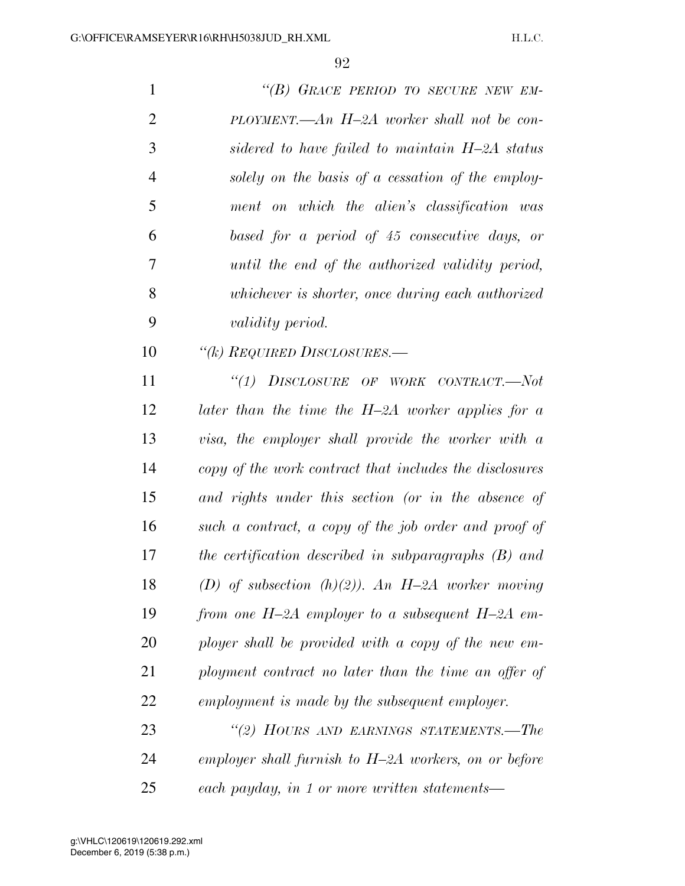| 1              | "(B) GRACE PERIOD TO SECURE NEW EM-                                                      |
|----------------|------------------------------------------------------------------------------------------|
| $\overline{2}$ | $PLOYMENT.$ $\longrightarrow$ $A_n$ $H$ $\longrightarrow$ $A_n$ worker shall not be con- |
| 3              | sidered to have failed to maintain H-2A status                                           |
| 4              | solely on the basis of a cessation of the employ-                                        |
| 5              | ment on which the alien's classification was                                             |
| 6              | based for a period of 45 consecutive days, or                                            |
| 7              | until the end of the authorized validity period,                                         |
| 8              | whichever is shorter, once during each authorized                                        |
| 9              | <i>validity period.</i>                                                                  |
| 10             | "(k) REQUIRED DISCLOSURES.—                                                              |
| 11             | "(1) DISCLOSURE OF WORK CONTRACT.—Not                                                    |
| 12             | later than the time the $H$ -2A worker applies for a                                     |
| 13             | visa, the employer shall provide the worker with a                                       |
| 14             | copy of the work contract that includes the disclosures                                  |
|                |                                                                                          |

| 14 | copy of the work contract that includes the disclosures |
|----|---------------------------------------------------------|
| 15 | and rights under this section (or in the absence of     |
| 16 | such a contract, a copy of the job order and proof of   |
| 17 | the certification described in subparagraphs (B) and    |
| 18 | (D) of subsection (h)(2)). An H-2A worker moving        |
| 19 | from one $H$ -2A employer to a subsequent $H$ -2A em-   |
| 20 | ployer shall be provided with a copy of the new em-     |
| 21 | ployment contract no later than the time an offer of    |
| 22 | employment is made by the subsequent employer.          |
| 23 | "(2) HOURS AND EARNINGS STATEMENTS.—The                 |

 *employer shall furnish to H–2A workers, on or before each payday, in 1 or more written statements—*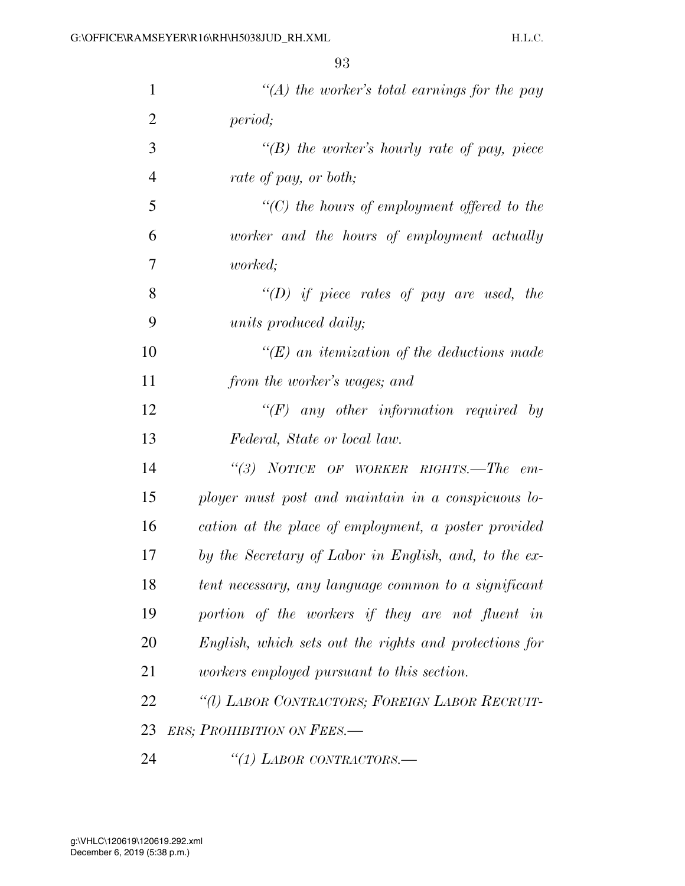| $\mathbf{1}$   | "(A) the worker's total earnings for the pay           |
|----------------|--------------------------------------------------------|
| $\overline{2}$ | period;                                                |
| 3              | "(B) the worker's hourly rate of pay, piece            |
| $\overline{4}$ | rate of pay, or both;                                  |
| 5              | $\lq\lq C$ the hours of employment offered to the      |
| 6              | worker and the hours of employment actually            |
| 7              | <i>worked</i> ;                                        |
| 8              | "(D) if piece rates of pay are used, the               |
| 9              | <i>units produced daily;</i>                           |
| 10             | $\lq\lq(E)$ an itemization of the deductions made      |
| 11             | from the worker's wages; and                           |
| 12             | $H(F)$ any other information required by               |
| 13             | Federal, State or local law.                           |
| 14             | "(3) NOTICE OF WORKER RIGHTS.—The em-                  |
| 15             | ployer must post and maintain in a conspicuous lo-     |
| 16             | cation at the place of employment, a poster provided   |
| 17             | by the Secretary of Labor in English, and, to the ex-  |
| 18             | tent necessary, any language common to a significant   |
| 19             | portion of the workers if they are not fluent in       |
| 20             | English, which sets out the rights and protections for |
| 21             | <i>workers</i> employed pursuant to this section.      |
| 22             | "(1) LABOR CONTRACTORS; FOREIGN LABOR RECRUIT-         |
| 23             | <b>ERS; PROHIBITION ON FEES.</b>                       |
| 24             | "(1) LABOR CONTRACTORS.—                               |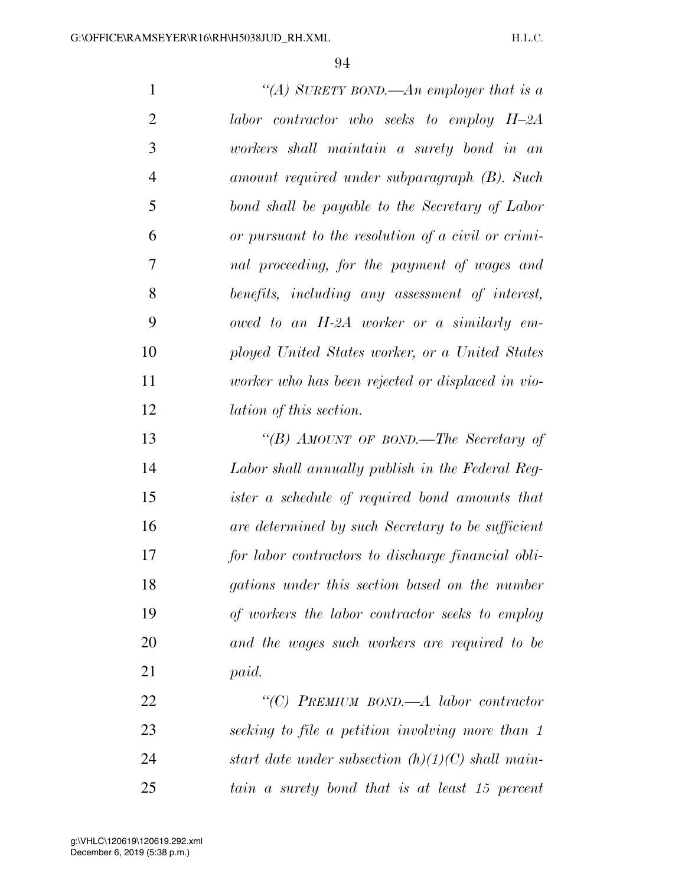| $\mathbf{1}$   | "(A) SURETY BOND.—An employer that is a            |
|----------------|----------------------------------------------------|
| $\overline{2}$ | labor contractor who seeks to employ $H$ -2A       |
| 3              | workers shall maintain a surety bond in an         |
| $\overline{4}$ | amount required under subparagraph (B). Such       |
| 5              | bond shall be payable to the Secretary of Labor    |
| 6              | or pursuant to the resolution of a civil or crimi- |
| 7              | nal proceeding, for the payment of wages and       |
| 8              | benefits, including any assessment of interest,    |
| 9              | owed to an H-2A worker or a similarly em-          |
| 10             | ployed United States worker, or a United States    |
| 11             | worker who has been rejected or displaced in vio-  |
| 12             | lation of this section.                            |
| 13             | "(B) AMOUNT OF BOND.—The Secretary of              |
| 14             | Labor shall annually publish in the Federal Reg-   |
| 15             | ister a schedule of required bond amounts that     |
| 16             | are determined by such Secretary to be sufficient  |
| 17             | for labor contractors to discharge financial obli- |
| 18             | gations under this section based on the number     |
| 19             | of workers the labor contractor seeks to employ    |
| 20             | and the wages such workers are required to be      |
| 21             | paid.                                              |
| 22             | "(C) PREMIUM BOND.—A labor contractor              |
| 23             | seeking to file a petition involving more than 1   |
|                |                                                    |

 *start date under subsection (h)(1)(C) shall main-tain a surety bond that is at least 15 percent*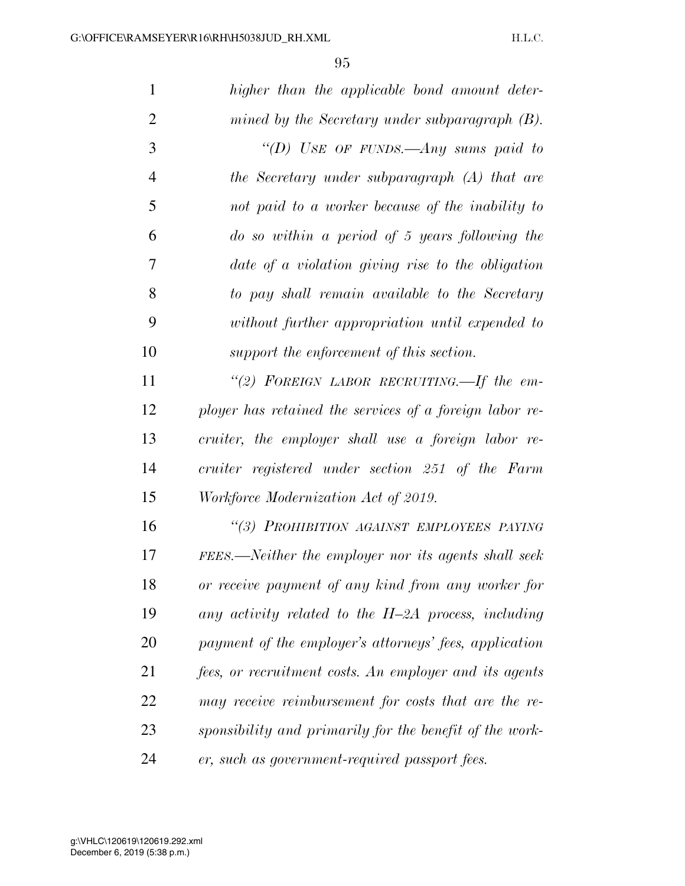| 1              | higher than the applicable bond amount deter-           |
|----------------|---------------------------------------------------------|
| $\overline{2}$ | mined by the Secretary under subparagraph $(B)$ .       |
| 3              | "(D) USE OF FUNDS. $\longrightarrow$ Any sums paid to   |
| $\overline{4}$ | the Secretary under subparagraph (A) that are           |
| 5              | not paid to a worker because of the inability to        |
| 6              | $\omega$ as within a period of 5 years following the    |
| 7              | date of a violation giving rise to the obligation       |
| 8              | to pay shall remain available to the Secretary          |
| 9              | without further appropriation until expended to         |
| 10             | support the enforcement of this section.                |
| 11             | "(2) FOREIGN LABOR RECRUITING. If the em-               |
| 12             | ployer has retained the services of a foreign labor re- |
| 13             | cruiter, the employer shall use a foreign labor re-     |
| 14             | cruiter registered under section 251 of the Farm        |
| 15             | Workforce Modernization Act of 2019.                    |
| 16             | "(3) PROHIBITION AGAINST EMPLOYEES PAYING               |
| 17             | FEES.—Neither the employer nor its agents shall seek    |
| 18             | or receive payment of any kind from any worker for      |
| 19             | any activity related to the $H$ -2A process, including  |
| 20             | payment of the employer's attorneys' fees, application  |
| 21             | fees, or recruitment costs. An employer and its agents  |
| 22             | may receive reimbursement for costs that are the re-    |
| 23             | sponsibility and primarily for the benefit of the work- |
| 24             | er, such as government-required passport fees.          |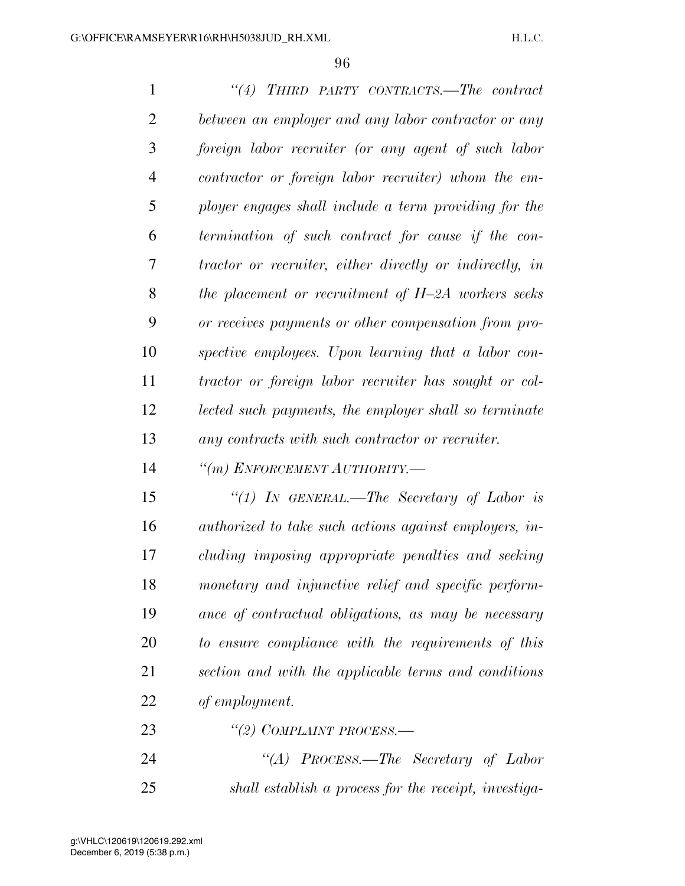*''(4) THIRD PARTY CONTRACTS.—The contract between an employer and any labor contractor or any foreign labor recruiter (or any agent of such labor contractor or foreign labor recruiter) whom the em- ployer engages shall include a term providing for the termination of such contract for cause if the con- tractor or recruiter, either directly or indirectly, in the placement or recruitment of H–2A workers seeks or receives payments or other compensation from pro- spective employees. Upon learning that a labor con- tractor or foreign labor recruiter has sought or col- lected such payments, the employer shall so terminate any contracts with such contractor or recruiter.* 

*''(m) ENFORCEMENT AUTHORITY.—* 

 *''(1) IN GENERAL.—The Secretary of Labor is authorized to take such actions against employers, in- cluding imposing appropriate penalties and seeking monetary and injunctive relief and specific perform- ance of contractual obligations, as may be necessary to ensure compliance with the requirements of this section and with the applicable terms and conditions of employment.* 

*''(2) COMPLAINT PROCESS.—* 

 *''(A) PROCESS.—The Secretary of Labor shall establish a process for the receipt, investiga-*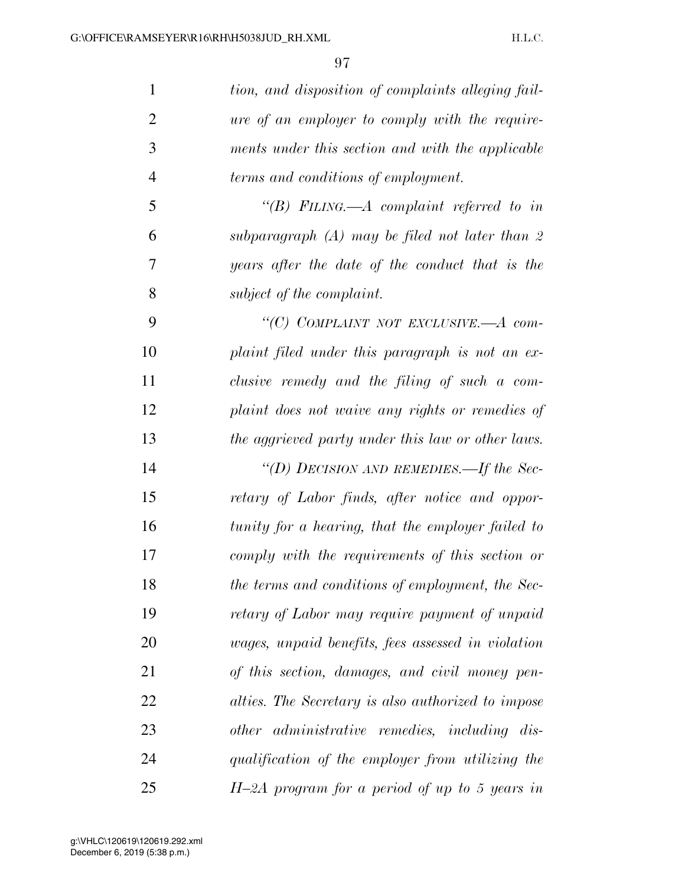| $\mathbf{1}$   | tion, and disposition of complaints alleging fail-    |
|----------------|-------------------------------------------------------|
| $\overline{2}$ | <i>ure of an employer to comply with the require-</i> |
| 3              | ments under this section and with the applicable      |
| $\overline{4}$ | terms and conditions of employment.                   |
| 5              | "(B) FILING.—A complaint referred to in               |
| 6              | subparagraph $(A)$ may be filed not later than 2      |
| 7              | years after the date of the conduct that is the       |
| 8              | subject of the complaint.                             |
| 9              | "(C) COMPLAINT NOT EXCLUSIVE.- A com-                 |
| 10             | plaint filed under this paragraph is not an ex-       |
| 11             | clusive remedy and the filing of such a com-          |
| 12             | plaint does not waive any rights or remedies of       |
| 13             | the aggrieved party under this law or other laws.     |
| 14             | "(D) DECISION AND REMEDIES.—If the Sec-               |
| 15             | retary of Labor finds, after notice and oppor-        |
| 16             | tunity for a hearing, that the employer failed to     |
| 17             | comply with the requirements of this section or       |
| 18             | the terms and conditions of employment, the Sec-      |
| 19             | retary of Labor may require payment of unpaid         |
| 20             | wages, unpaid benefits, fees assessed in violation    |
| 21             | of this section, damages, and civil money pen-        |
| 22             | alties. The Secretary is also authorized to impose    |
| 23             | other administrative remedies, including dis-         |
| 24             | qualification of the employer from utilizing the      |
| 25             | $H$ -2A program for a period of up to 5 years in      |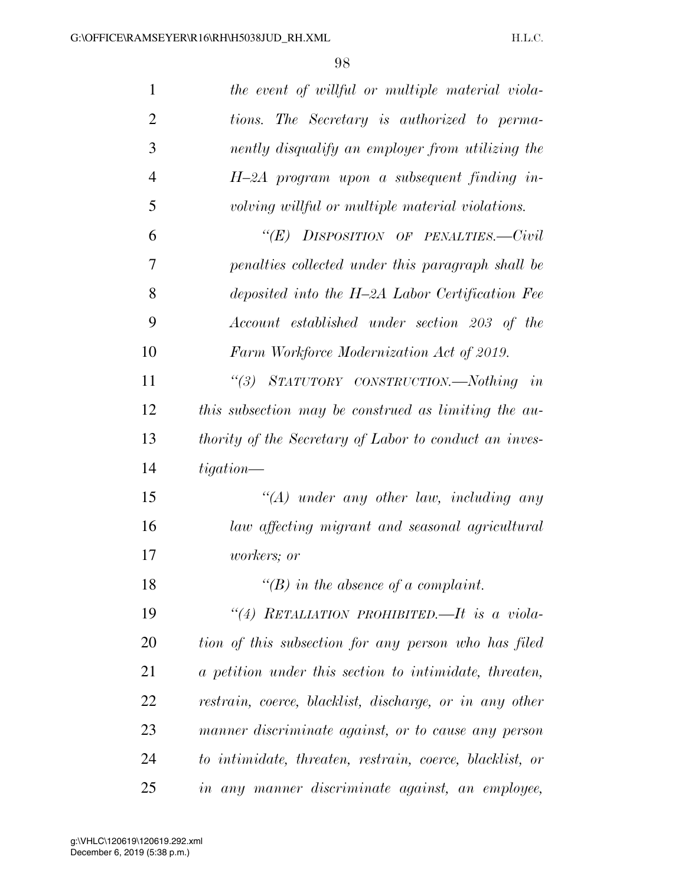| $\mathbf{1}$   | the event of willful or multiple material viola-         |
|----------------|----------------------------------------------------------|
| $\overline{2}$ | tions. The Secretary is authorized to perma-             |
| 3              | nently disqualify an employer from utilizing the         |
| $\overline{4}$ | $H$ -2A program upon a subsequent finding in-            |
| 5              | volving willful or multiple material violations.         |
| 6              | " $(E)$ DISPOSITION OF PENALTIES.— $Civil$               |
| 7              | penalties collected under this paragraph shall be        |
| 8              | deposited into the H-2A Labor Certification Fee          |
| 9              | Account established under section 203 of the             |
| 10             | Farm Workforce Modernization Act of 2019.                |
| 11             | "(3) STATUTORY CONSTRUCTION.—Nothing in                  |
| 12             | this subsection may be construed as limiting the au-     |
| 13             | thority of the Secretary of Labor to conduct an inves-   |
| 14             | tigation—                                                |
| 15             | $\lq (A)$ under any other law, including any             |
| 16             | law affecting migrant and seasonal agricultural          |
| 17             | <i>workers</i> ; or                                      |
| 18             | "(B) in the absence of a complaint.                      |
| 19             | "(4) RETALIATION PROHIBITED.—It is a viola-              |
| 20             | tion of this subsection for any person who has filed     |
| 21             | a petition under this section to intimidate, threaten,   |
| 22             | restrain, coerce, blacklist, discharge, or in any other  |
| 23             | manner discriminate against, or to cause any person      |
| 24             | to intimidate, threaten, restrain, coerce, blacklist, or |
| 25             | in any manner discriminate against, an employee,         |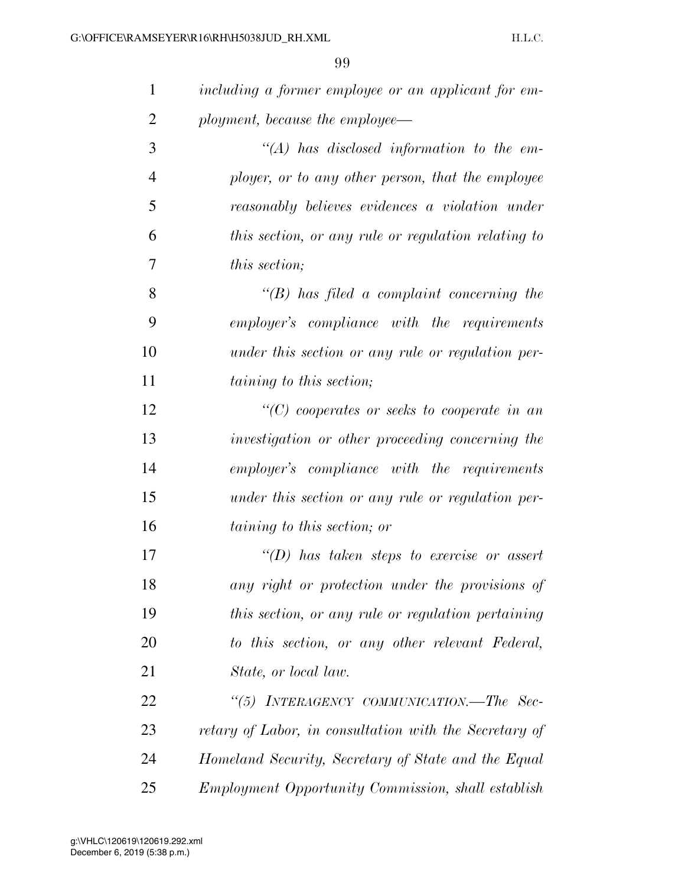| 1              | including a former employee or an applicant for em-       |
|----------------|-----------------------------------------------------------|
| $\overline{2}$ | ployment, because the employee—                           |
| 3              | $\lq (A)$ has disclosed information to the em-            |
| $\overline{4}$ | ployer, or to any other person, that the employee         |
| 5              | reasonably believes evidences a violation under           |
| 6              | this section, or any rule or regulation relating to       |
| 7              | <i>this section;</i>                                      |
| 8              | $\lq\lq(B)$ has filed a complaint concerning the          |
| 9              | employer's compliance with the requirements               |
| 10             | under this section or any rule or regulation per-         |
| 11             | <i>taining to this section;</i>                           |
| 12             | $\lq\lq C$ cooperates or seeks to cooperate in an         |
| 13             | investigation or other proceeding concerning the          |
| 14             | employer's compliance with the requirements               |
| 15             | under this section or any rule or regulation per-         |
| 16             | <i>taining to this section; or</i>                        |
| 17             | $\lq\lq(D)$ has taken steps to exercise or assert         |
| 18             | any right or protection under the provisions of           |
| 19             | this section, or any rule or regulation pertaining        |
| 20             | to this section, or any other relevant Federal,           |
| 21             | State, or local law.                                      |
| 22             | "(5) INTERAGENCY COMMUNICATION.—The Sec-                  |
| 23             | retary of Labor, in consultation with the Secretary of    |
| 24             | Homeland Security, Secretary of State and the Equal       |
| 25             | <i>Employment Opportunity Commission, shall establish</i> |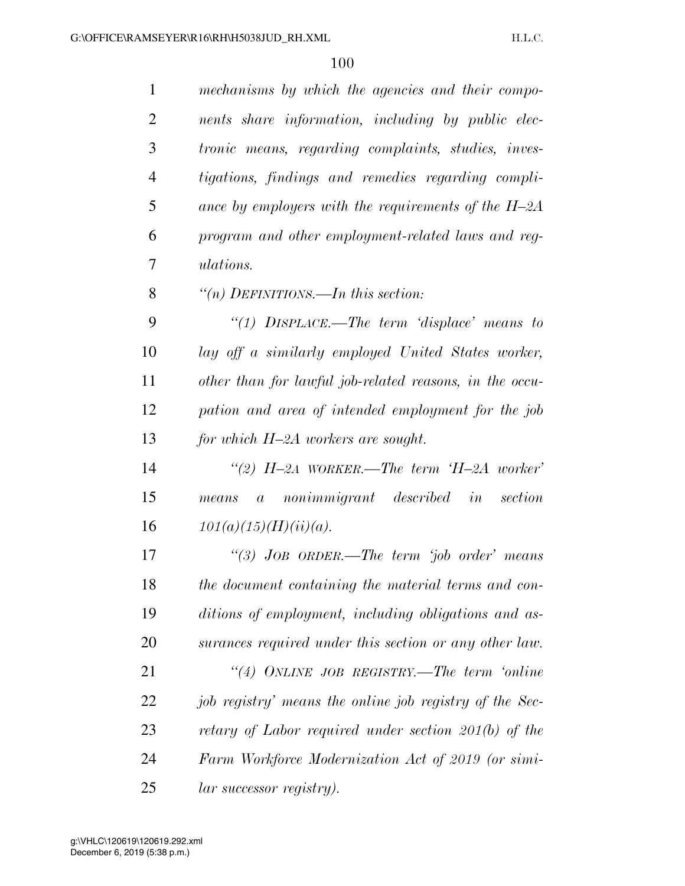| $\mathbf{1}$   | mechanisms by which the agencies and their compo-                 |
|----------------|-------------------------------------------------------------------|
| $\overline{2}$ | nents share information, including by public elec-                |
| 3              | <i>tronic means, regarding complaints, studies, inves-</i>        |
| 4              | tigations, findings and remedies regarding compli-                |
| 5              | ance by employers with the requirements of the $H$ -2A            |
| 6              | program and other employment-related laws and reg-                |
| 7              | <i>ulations.</i>                                                  |
| 8              | "(n) DEFINITIONS.—In this section:                                |
| 9              | "(1) $DISPLACE.$ The term 'displace' means to                     |
| 10             | lay off a similarly employed United States worker,                |
| 11             | other than for lawful job-related reasons, in the occu-           |
| 12             | pation and area of intended employment for the job                |
| 13             | for which $H$ -2A workers are sought.                             |
| 14             | "(2) $H$ -2A WORKER.—The term $H$ -2A worker'                     |
| 15             | nonimmigrant described in<br>section<br>$\boldsymbol{a}$<br>means |
| 16             | 101(a)(15)(H)(ii)(a).                                             |
| 17             | "(3) $JOB$ $ORDER.$ The term 'job order' means                    |
| 18             | the document containing the material terms and con-               |
| 19             | ditions of employment, including obligations and as-              |
| 20             | surances required under this section or any other law.            |
| 21             | "(4) ONLINE JOB REGISTRY.—The term 'online                        |
| 22             | job registry' means the online job registry of the Sec-           |
| 23             | retary of Labor required under section $201(b)$ of the            |
| 24             | Farm Workforce Modernization Act of 2019 (or simi-                |
| 25             | <i>lar successor registry).</i>                                   |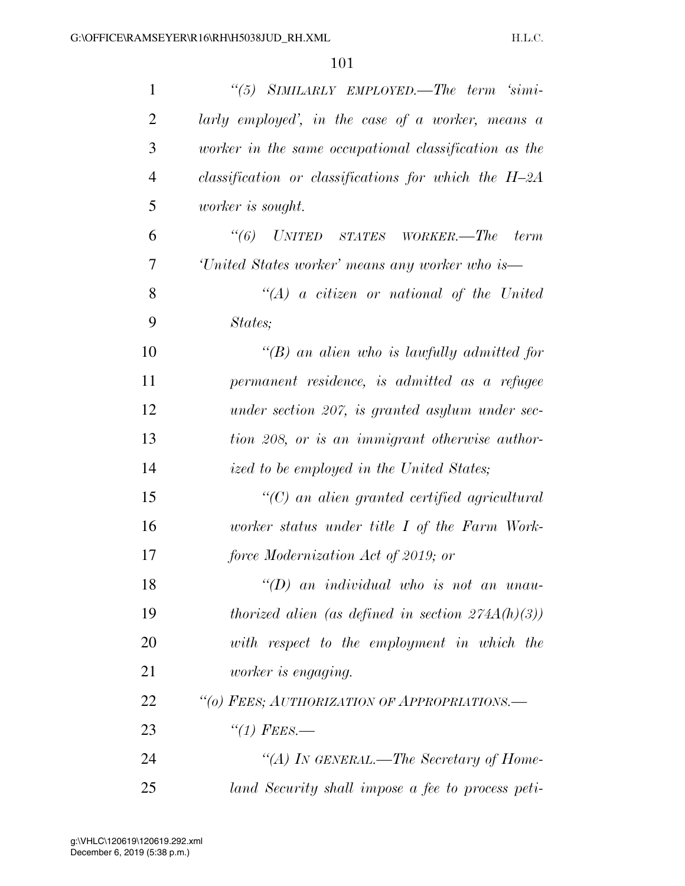| $\mathbf{1}$   | "(5) SIMILARLY EMPLOYED.—The term 'simi-                                                                  |
|----------------|-----------------------------------------------------------------------------------------------------------|
| $\overline{2}$ | $larly \, \, employed', \, \, in \, \, the \, \, case \, \, of \, \, a \, \, worker, \, \, means \, \, a$ |
| 3              | worker in the same occupational classification as the                                                     |
| $\overline{4}$ | classification or classifications for which the $H$ -2A                                                   |
| 5              | <i>worker</i> is sought.                                                                                  |
| 6              | "(6) UNITED STATES WORKER.—The term                                                                       |
| 7              | 'United States worker' means any worker who is—                                                           |
| 8              | $\lq\lq (A)$ a citizen or national of the United                                                          |
| 9              | States;                                                                                                   |
| 10             | $\lq\lq(B)$ an alien who is lawfully admitted for                                                         |
| 11             | permanent residence, is admitted as a refugee                                                             |
| 12             | under section 207, is granted asylum under sec-                                                           |
| 13             | tion 208, or is an immigrant otherwise author-                                                            |
| 14             | ized to be employed in the United States;                                                                 |
| 15             | $\lq\lq C$ an alien granted certified agricultural                                                        |
| 16             | worker status under title I of the Farm Work-                                                             |
| 17             | force Modernization Act of 2019; or                                                                       |
| 18             | $\lq\lq D$ an individual who is not an unau-                                                              |
| 19             | thorized alien (as defined in section $274A(h)(3)$ )                                                      |
| 20             | with respect to the employment in which the                                                               |
| 21             | <i>worker</i> is engaging.                                                                                |
| 22             | "(o) FEES; AUTHORIZATION OF APPROPRIATIONS.-                                                              |
| 23             | $\lq(1)$ FEES.                                                                                            |
| 24             | "(A) In GENERAL.—The Secretary of Home-                                                                   |
| 25             | land Security shall impose a fee to process peti-                                                         |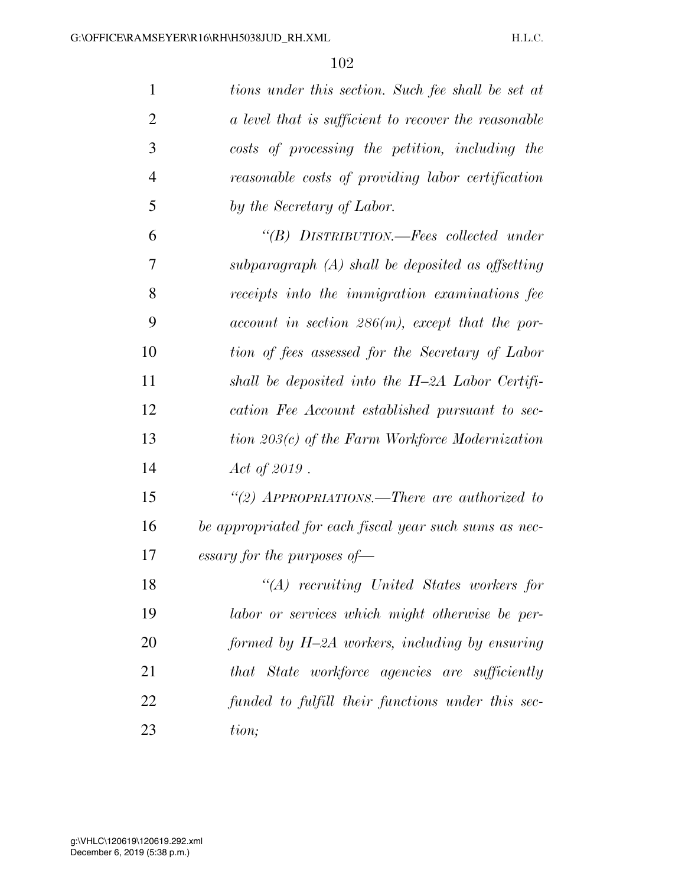| $\mathbf{1}$   | tions under this section. Such fee shall be set at                                                               |
|----------------|------------------------------------------------------------------------------------------------------------------|
| $\overline{2}$ | a level that is sufficient to recover the reasonable                                                             |
| 3              | costs of processing the petition, including the                                                                  |
| $\overline{4}$ | reasonable costs of providing labor certification                                                                |
| 5              | by the Secretary of Labor.                                                                                       |
| 6              | "(B) DISTRIBUTION.—Fees collected under                                                                          |
| 7              | subparagraph $(A)$ shall be deposited as offsetting                                                              |
| 8              | receipts into the immigration examinations fee                                                                   |
| 9              | $account \text{ } in \text{ } section \text{ } 286(m), \text{ } except \text{ } that \text{ } the \text{ } por-$ |
| 10             | tion of fees assessed for the Secretary of Labor                                                                 |
| 11             | shall be deposited into the $H$ -2A Labor Certifi-                                                               |
| 12             | cation Fee Account established pursuant to sec-                                                                  |
| 13             | tion $203(c)$ of the Farm Workforce Modernization                                                                |
| 14             | Act of $2019$ .                                                                                                  |
| 15             | "(2) APPROPRIATIONS.—There are authorized to                                                                     |
| 16             | be appropriated for each fiscal year such sums as nec-                                                           |
| 17             | $\emph{essary for the purposes of}\text{---}$                                                                    |
| 18             | $\lq\lq (A)$ recruiting United States workers for                                                                |
| 19             | labor or services which might otherwise be per-                                                                  |
| 20             | formed by $H$ -2A workers, including by ensuring                                                                 |
| 21             | that State workforce agencies are sufficiently                                                                   |
| 22             | funded to fulfill their functions under this sec-                                                                |
| 23             | tion;                                                                                                            |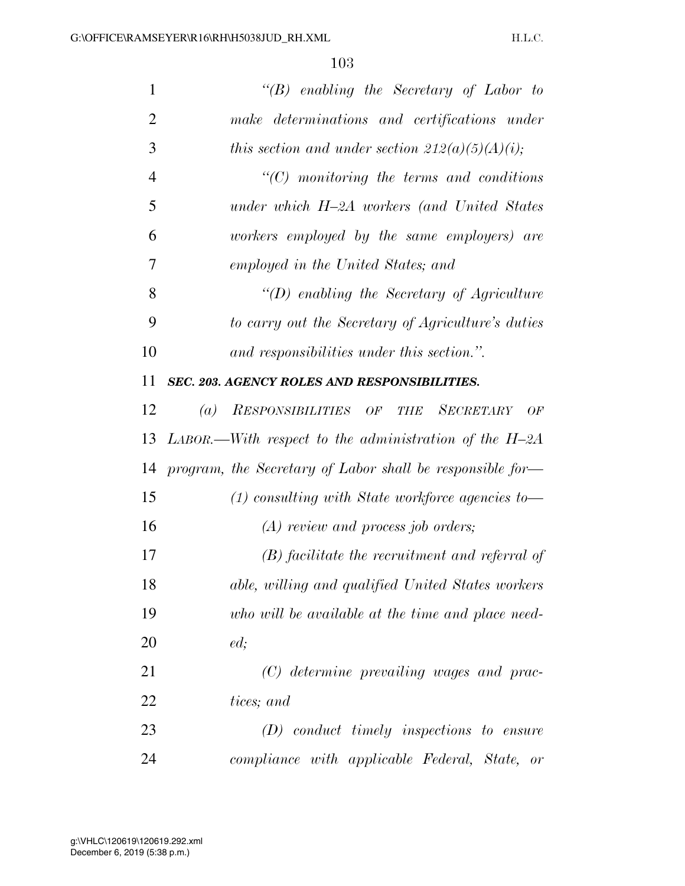| $\mathbf{1}$   | " $(B)$ enabling the Secretary of Labor to                      |
|----------------|-----------------------------------------------------------------|
| $\overline{2}$ | make determinations and certifications under                    |
| 3              | this section and under section $212(a)(5)(A)(i)$ ;              |
| $\overline{4}$ | $"$ (C) monitoring the terms and conditions                     |
| 5              | under which H-2A workers (and United States                     |
| 6              | workers employed by the same employers) are                     |
| 7              | employed in the United States; and                              |
| 8              | "(D) enabling the Secretary of Agriculture"                     |
| 9              | to carry out the Secretary of Agriculture's duties              |
| 10             | and responsibilities under this section.".                      |
| 11             | SEC. 203. AGENCY ROLES AND RESPONSIBILITIES.                    |
| 12             | SECRETARY<br>$\left( a\right)$<br>RESPONSIBILITIES OF THE<br>OF |
| 13             | $LABOR$ —With respect to the administration of the H-2A         |
| 14             | program, the Secretary of Labor shall be responsible for-       |
| 15             | $(1)$ consulting with State workforce agencies to —             |
| 16             | $(A)$ review and process job orders;                            |
| 17             | $(B)$ facilitate the recruitment and referral of                |
| 18             | able, willing and qualified United States workers               |
| 19             | who will be available at the time and place need-               |
| 20             | ed;                                                             |
| 21             | (C) determine prevailing wages and prac-                        |
| 22             | tices; and                                                      |
| 23             | $(D)$ conduct timely inspections to ensure                      |
| 24             | compliance with applicable Federal, State, or                   |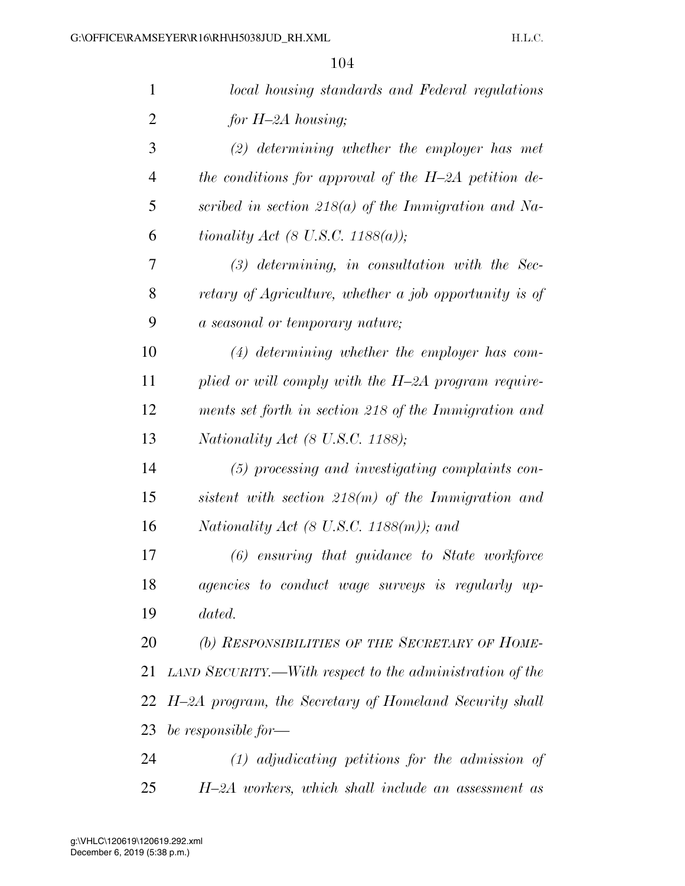| $\mathbf{1}$   | local housing standards and Federal regulations          |
|----------------|----------------------------------------------------------|
| $\overline{2}$ | for $H$ -2A housing;                                     |
| 3              | $(2)$ determining whether the employer has met           |
| $\overline{4}$ | the conditions for approval of the $H$ -2A petition de-  |
| 5              | scribed in section $218(a)$ of the Immigration and Na-   |
| 6              | tionality Act $(8 \text{ U.S.C. } 1188(a));$             |
| 7              | $(3)$ determining, in consultation with the Sec-         |
| 8              | retary of Agriculture, whether a job opportunity is of   |
| 9              | a seasonal or temporary nature;                          |
| 10             | $(4)$ determining whether the employer has com-          |
| 11             | plied or will comply with the $H$ -2A program require-   |
| 12             | ments set forth in section 218 of the Immigration and    |
| 13             | Nationality Act (8 U.S.C. 1188);                         |
| 14             | $(5)$ processing and investigating complaints con-       |
| 15             | sistent with section $218(m)$ of the Immigration and     |
| 16             | Nationality Act $(8 \text{ U.S.C. } 1188(m))$ ; and      |
| 17             | (6) ensuring that guidance to State workforce            |
| 18             | agencies to conduct wage surveys is regularly up-        |
| 19             | dated.                                                   |
| 20             | (b) RESPONSIBILITIES OF THE SECRETARY OF HOME-           |
| 21             | LAND SECURITY.—With respect to the administration of the |
| 22             | H-2A program, the Secretary of Homeland Security shall   |
| 23             | be responsible for—                                      |
| 24             | $(1)$ adjudicating petitions for the admission of        |
| 25             | H-2A workers, which shall include an assessment as       |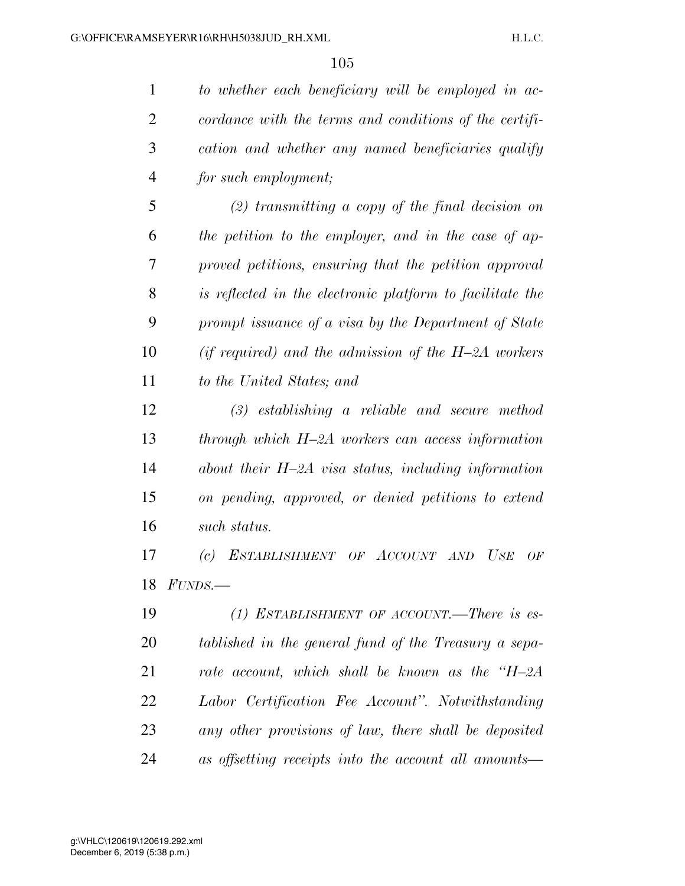*to whether each beneficiary will be employed in ac- cordance with the terms and conditions of the certifi- cation and whether any named beneficiaries qualify for such employment;* 

 *(2) transmitting a copy of the final decision on the petition to the employer, and in the case of ap- proved petitions, ensuring that the petition approval is reflected in the electronic platform to facilitate the prompt issuance of a visa by the Department of State (if required) and the admission of the H–2A workers to the United States; and* 

 *(3) establishing a reliable and secure method through which H–2A workers can access information about their H–2A visa status, including information on pending, approved, or denied petitions to extend such status.* 

 *(c) ESTABLISHMENT OF ACCOUNT AND USE OF FUNDS.—* 

 *(1) ESTABLISHMENT OF ACCOUNT.—There is es- tablished in the general fund of the Treasury a sepa- rate account, which shall be known as the ''H–2A Labor Certification Fee Account''. Notwithstanding any other provisions of law, there shall be deposited as offsetting receipts into the account all amounts—*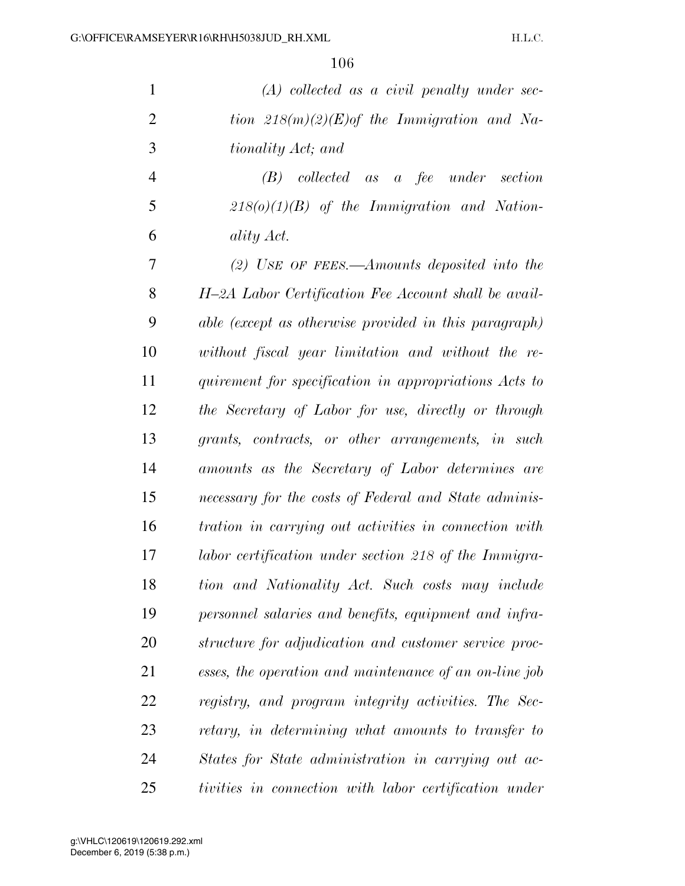| $\mathbf{1}$   | $(A)$ collected as a civil penalty under sec-          |
|----------------|--------------------------------------------------------|
| $\overline{2}$ | tion $218(m)(2)(E)$ of the Immigration and Na-         |
| 3              | tionality Act; and                                     |
| $\overline{4}$ | collected as a fee under section<br>(B)                |
| 5              | $218(0)(1)(B)$ of the Immigration and Nation-          |
| 6              | ality Act.                                             |
| 7              | $(2)$ USE OF FEES.—Amounts deposited into the          |
| 8              | H-2A Labor Certification Fee Account shall be avail-   |
| 9              | able (except as otherwise provided in this paragraph)  |
| 10             | without fiscal year limitation and without the re-     |
| 11             | quirement for specification in appropriations Acts to  |
| 12             | the Secretary of Labor for use, directly or through    |
| 13             | grants, contracts, or other arrangements, in such      |
| 14             | amounts as the Secretary of Labor determines are       |
| 15             | necessary for the costs of Federal and State adminis-  |
| 16             | tration in carrying out activities in connection with  |
| 17             | labor certification under section 218 of the Immigra-  |
| 18             | tion and Nationality Act. Such costs may include       |
| 19             | personnel salaries and benefits, equipment and infra-  |
| 20             | structure for adjudication and customer service proc-  |
| 21             | esses, the operation and maintenance of an on-line job |
| 22             | registry, and program integrity activities. The Sec-   |
| 23             | retary, in determining what amounts to transfer to     |
| 24             | States for State administration in carrying out ac-    |
| 25             | tivities in connection with labor certification under  |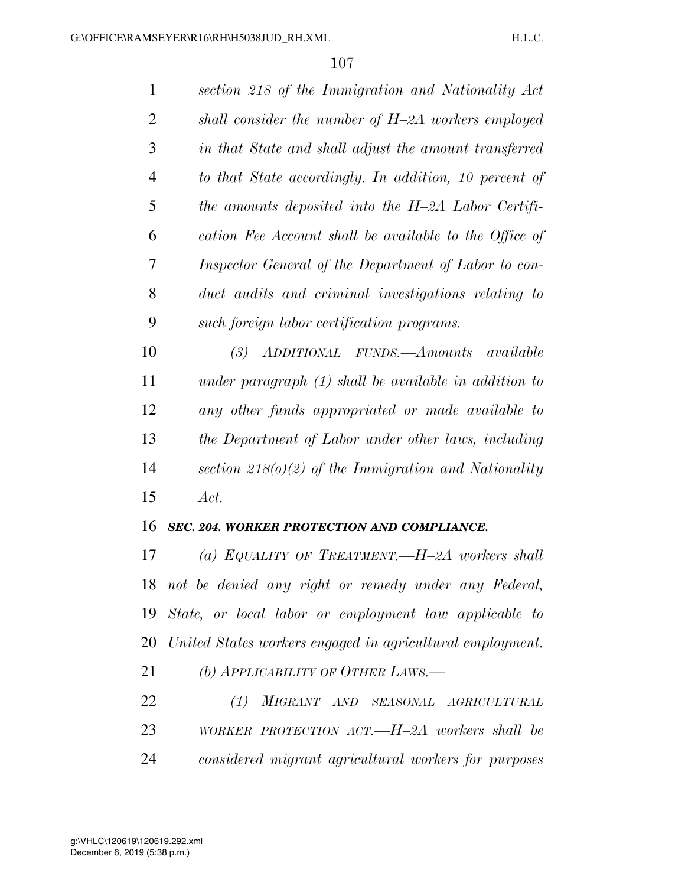| 1              | section 218 of the Immigration and Nationality Act     |
|----------------|--------------------------------------------------------|
| 2              | shall consider the number of $H$ -2A workers employed  |
| 3              | in that State and shall adjust the amount transferred  |
| $\overline{4}$ | to that State accordingly. In addition, 10 percent of  |
| 5              | the amounts deposited into the H-2A Labor Certifi-     |
| 6              | cation Fee Account shall be available to the Office of |
| 7              | Inspector General of the Department of Labor to con-   |
| 8              | duct audits and criminal investigations relating to    |
| 9              | such foreign labor certification programs.             |

 *(3) ADDITIONAL FUNDS.—Amounts available under paragraph (1) shall be available in addition to any other funds appropriated or made available to the Department of Labor under other laws, including section 218(o)(2) of the Immigration and Nationality Act.* 

## *SEC. 204. WORKER PROTECTION AND COMPLIANCE.*

 *(a) EQUALITY OF TREATMENT.—H–2A workers shall not be denied any right or remedy under any Federal, State, or local labor or employment law applicable to United States workers engaged in agricultural employment.* 

*(b) APPLICABILITY OF OTHER LAWS.—* 

 *(1) MIGRANT AND SEASONAL AGRICULTURAL WORKER PROTECTION ACT.—H–2A workers shall be considered migrant agricultural workers for purposes*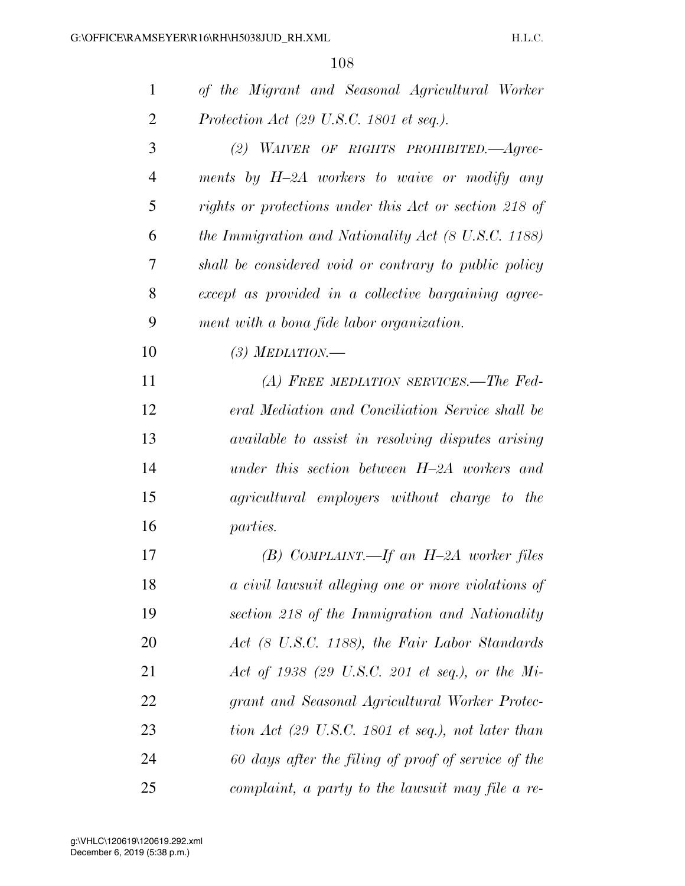| $\mathbf{1}$   | of the Migrant and Seasonal Agricultural Worker                      |
|----------------|----------------------------------------------------------------------|
| $\overline{2}$ | Protection Act $(29 \text{ U.S.C. } 1801 \text{ et seq.}).$          |
| 3              | (2) WAIVER OF RIGHTS PROHIBITED. $\longrightarrow$ Agree-            |
| $\overline{4}$ | ments by H-2A workers to waive or modify any                         |
| 5              | rights or protections under this Act or section 218 of               |
| 6              | the Immigration and Nationality Act (8 U.S.C. 1188)                  |
| 7              | shall be considered void or contrary to public policy                |
| 8              | except as provided in a collective bargaining agree-                 |
| 9              | ment with a bona fide labor organization.                            |
| 10             | (3) MEDIATION.—                                                      |
| 11             | (A) FREE MEDIATION SERVICES.—The Fed-                                |
| 12             | eral Mediation and Conciliation Service shall be                     |
| 13             | <i>available to assist in resolving disputes arising</i>             |
| 14             | under this section between H-2A workers and                          |
| 15             | agricultural employers without charge to the                         |
| 16             | parties.                                                             |
| 17             | $(B)$ COMPLAINT.—If an H-2A worker files                             |
| 18             | a civil lawsuit alleging one or more violations of                   |
| 19             | section 218 of the Immigration and Nationality                       |
| 20             | Act (8 U.S.C. 1188), the Fair Labor Standards                        |
| 21             | Act of 1938 (29 U.S.C. 201 et seq.), or the Mi-                      |
| 22             | grant and Seasonal Agricultural Worker Protec-                       |
| 23             | tion Act $(29 \text{ U.S.C. } 1801 \text{ et seq.}),$ not later than |
| 24             | 60 days after the filing of proof of service of the                  |
| 25             | complaint, a party to the lawsuit may file a re-                     |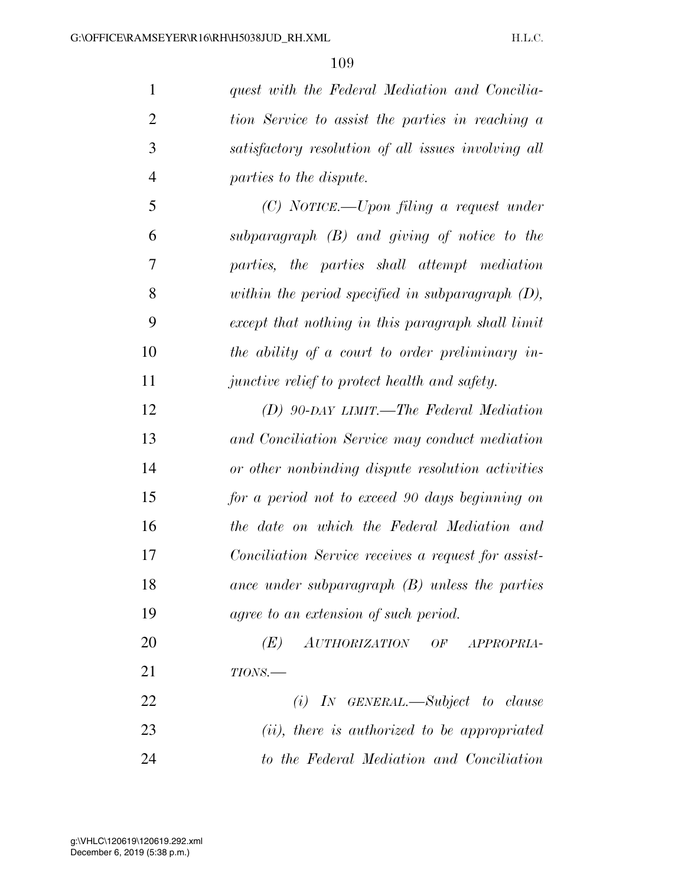| 1              | quest with the Federal Mediation and Concilia-      |
|----------------|-----------------------------------------------------|
| $\overline{2}$ | tion Service to assist the parties in reaching a    |
| 3              | satisfactory resolution of all issues involving all |
| $\overline{4}$ | parties to the dispute.                             |
| 5              | $(C)$ NOTICE.—Upon filing a request under           |
| 6              | $subparagnph$ $(B)$ and giving of notice to the     |
| 7              | parties, the parties shall attempt mediation        |
| 8              | within the period specified in subparagraph $(D)$ , |
| 9              | except that nothing in this paragraph shall limit   |
| 10             | the ability of a court to order preliminary in-     |
| 11             | junctive relief to protect health and safety.       |
| 12             | (D) 90-DAY LIMIT.—The Federal Mediation             |
| 13             | and Conciliation Service may conduct mediation      |
| 14             | or other nonbinding dispute resolution activities   |
| 15             | for a period not to exceed 90 days beginning on     |
| 16             | the date on which the Federal Mediation and         |
| 17             | Conciliation Service receives a request for assist- |
| 18             | ance under subparagraph $(B)$ unless the parties    |
| 19             | agree to an extension of such period.               |
| 20             | (E)<br>AUTHORIZATION OF APPROPRIA-                  |
| 21             | $TIONS$ .                                           |
| 22             | $(i)$ IN GENERAL.—Subject to clause                 |
| 23             | (ii), there is authorized to be appropriated        |
| 24             | to the Federal Mediation and Conciliation           |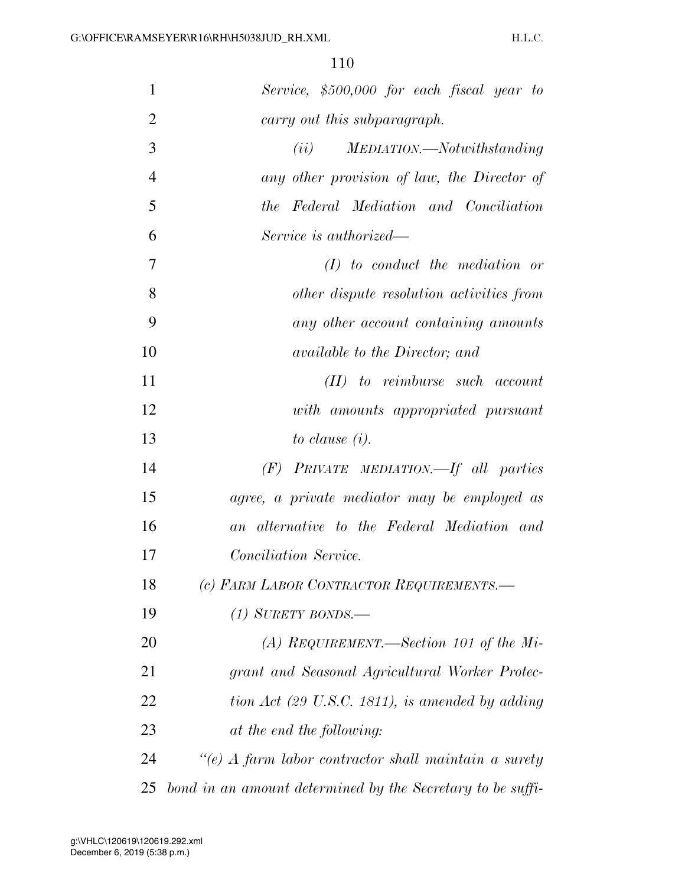| $\mathbf{1}$   | Service, \$500,000 for each fiscal year to                   |
|----------------|--------------------------------------------------------------|
| $\overline{2}$ | carry out this subparagraph.                                 |
| 3              | MEDIATION.—Notwithstanding<br>(ii)                           |
| $\overline{4}$ | any other provision of law, the Director of                  |
| 5              | the Federal Mediation and Conciliation                       |
| 6              | Service is authorized—                                       |
| $\overline{7}$ | $(I)$ to conduct the mediation or                            |
| 8              | other dispute resolution activities from                     |
| 9              | any other account containing amounts                         |
| 10             | <i>available to the Director; and</i>                        |
| 11             | $(II)$ to reimburse such account                             |
| 12             | with amounts appropriated pursuant                           |
| 13             | to clause $(i)$ .                                            |
| 14             | $(F)$ PRIVATE MEDIATION.—If all parties                      |
| 15             | agree, a private mediator may be employed as                 |
| 16             | an alternative to the Federal Mediation and                  |
| 17             | Conciliation Service.                                        |
| 18             | (c) FARM LABOR CONTRACTOR REQUIREMENTS.-                     |
| 19             | $(1)$ SURETY BONDS.-                                         |
| 20             | (A) REQUIREMENT.—Section 101 of the Mi-                      |
| 21             | grant and Seasonal Agricultural Worker Protec-               |
| 22             | tion Act $(29 \text{ U.S.C. } 1811)$ , is amended by adding  |
| 23             | at the end the following:                                    |
| 24             | "(e) $\Lambda$ farm labor contractor shall maintain a surety |
| 25             | bond in an amount determined by the Secretary to be suffi-   |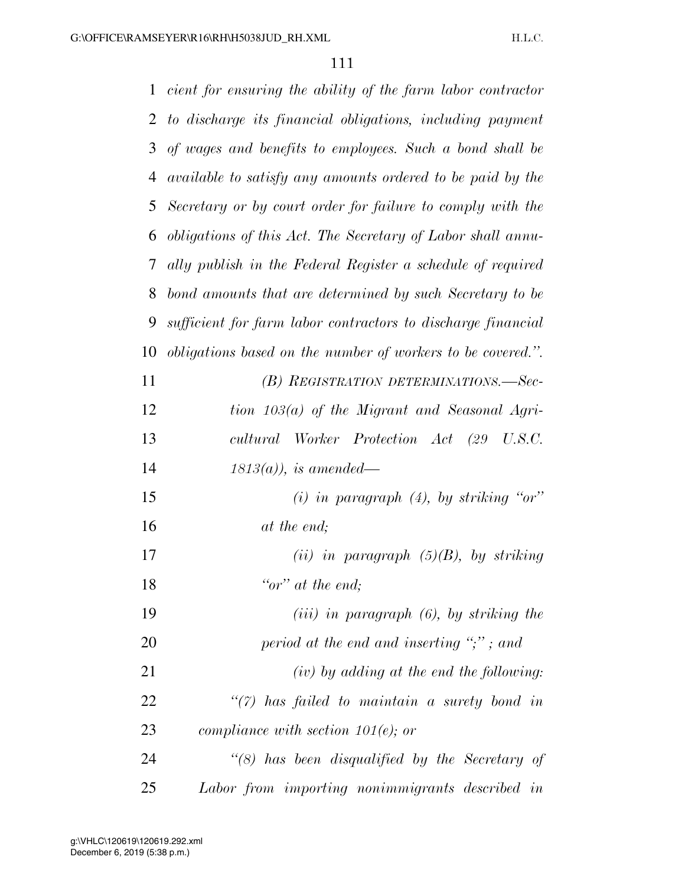| $\mathbf{1}$ | cient for ensuring the ability of the farm labor contractor  |  |
|--------------|--------------------------------------------------------------|--|
| 2            | to discharge its financial obligations, including payment    |  |
| 3            | of wages and benefits to employees. Such a bond shall be     |  |
| 4            | available to satisfy any amounts ordered to be paid by the   |  |
| 5            | Secretary or by court order for failure to comply with the   |  |
| 6            | obligations of this Act. The Secretary of Labor shall annu-  |  |
| 7            | ally publish in the Federal Register a schedule of required  |  |
| 8            | bond amounts that are determined by such Secretary to be     |  |
| 9            | sufficient for farm labor contractors to discharge financial |  |
| 10           | obligations based on the number of workers to be covered.".  |  |
| 11           | (B) REGISTRATION DETERMINATIONS.-Sec-                        |  |
| 12           | tion 103(a) of the Migrant and Seasonal Agri-                |  |
| 13           | Worker Protection Act (29 U.S.C.<br>cultural                 |  |
| 14           | $1813(a)$ , is amended—                                      |  |
| 15           | (i) in paragraph $(4)$ , by striking "or"                    |  |
| 16           | at the end;                                                  |  |
| 17           | (ii) in paragraph $(5)(B)$ , by striking                     |  |
| 18           | "or" at the end;                                             |  |
| 19           | $(iii)$ in paragraph $(6)$ , by striking the                 |  |
| 20           | period at the end and inserting ";"; and                     |  |
| 21           | $(iv)$ by adding at the end the following:                   |  |
| 22           | $\lq(7)$ has failed to maintain a surety bond in             |  |
| 23           | compliance with section $101(e)$ ; or                        |  |
| 24           | $\lq(8)$ has been disqualified by the Secretary of           |  |
| 25           | Labor from importing nonimmigrants described in              |  |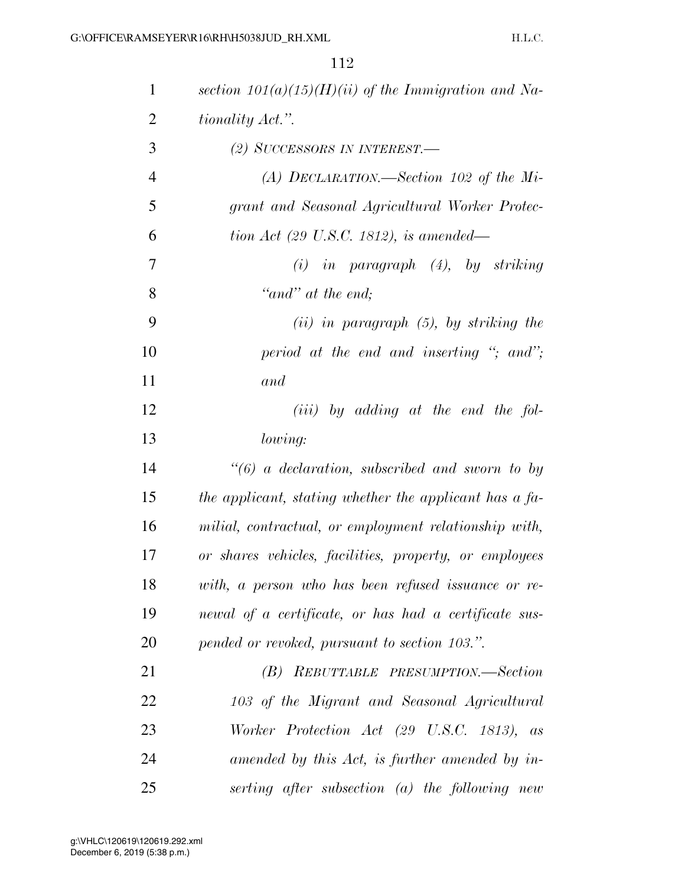| $\mathbf{1}$   | section $101(a)(15)(H)(ii)$ of the Immigration and Na- |
|----------------|--------------------------------------------------------|
| $\overline{2}$ | <i>tionality Act.</i> ".                               |
| 3              | (2) SUCCESSORS IN INTEREST.                            |
| $\overline{4}$ | (A) DECLARATION.—Section 102 of the Mi-                |
| 5              | grant and Seasonal Agricultural Worker Protec-         |
| 6              | tion Act (29 U.S.C. 1812), is amended—                 |
| 7              | $(i)$ in paragraph $(4)$ , by striking                 |
| 8              | "and" at the end;                                      |
| 9              | $(ii)$ in paragraph $(5)$ , by striking the            |
| 10             | period at the end and inserting "; and";               |
| 11             | and                                                    |
| 12             | $(iii)$ by adding at the end the fol-                  |
| 13             | lowing:                                                |
| 14             | $\lq(6)$ a declaration, subscribed and sworn to by     |
| 15             | the applicant, stating whether the applicant has a fa- |
| 16             | milial, contractual, or employment relationship with,  |
| 17             | or shares vehicles, facilities, property, or employees |
| 18             | with, a person who has been refused issuance or re-    |
| 19             | newal of a certificate, or has had a certificate sus-  |
| 20             | pended or revoked, pursuant to section 103.".          |
| 21             | (B) REBUTTABLE PRESUMPTION.—Section                    |
| 22             | 103 of the Migrant and Seasonal Agricultural           |
| 23             | Worker Protection Act (29 U.S.C. 1813), as             |
| 24             | amended by this Act, is further amended by in-         |
| 25             | serting after subsection $(a)$ the following new       |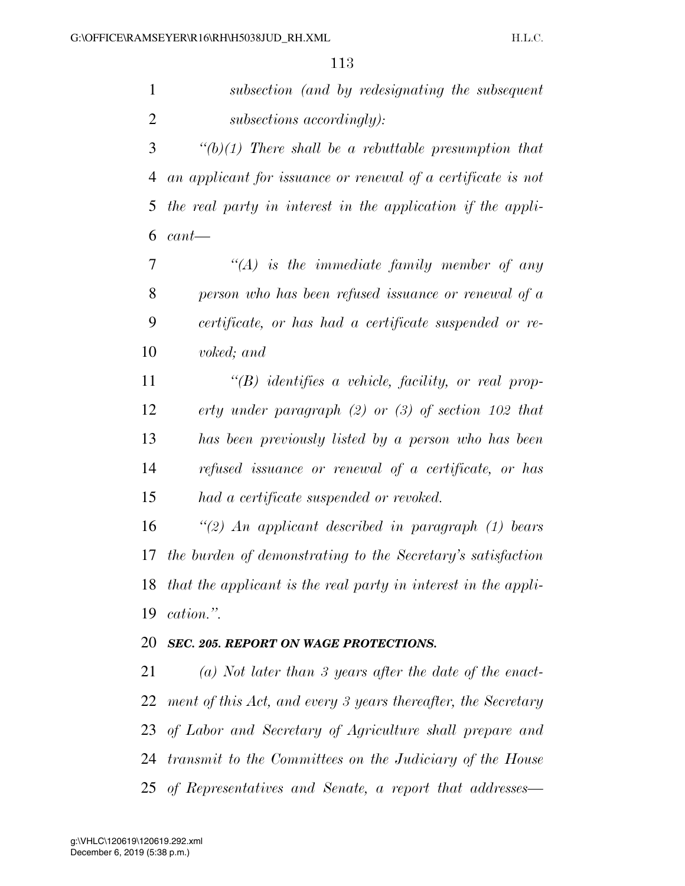*subsection (and by redesignating the subsequent subsections accordingly):* 

 *''(b)(1) There shall be a rebuttable presumption that an applicant for issuance or renewal of a certificate is not the real party in interest in the application if the appli-cant—* 

 *''(A) is the immediate family member of any person who has been refused issuance or renewal of a certificate, or has had a certificate suspended or re-voked; and* 

 *''(B) identifies a vehicle, facility, or real prop- erty under paragraph (2) or (3) of section 102 that has been previously listed by a person who has been refused issuance or renewal of a certificate, or has had a certificate suspended or revoked.* 

 *''(2) An applicant described in paragraph (1) bears the burden of demonstrating to the Secretary's satisfaction that the applicant is the real party in interest in the appli-cation.''.* 

#### *SEC. 205. REPORT ON WAGE PROTECTIONS.*

 *(a) Not later than 3 years after the date of the enact- ment of this Act, and every 3 years thereafter, the Secretary of Labor and Secretary of Agriculture shall prepare and transmit to the Committees on the Judiciary of the House of Representatives and Senate, a report that addresses—*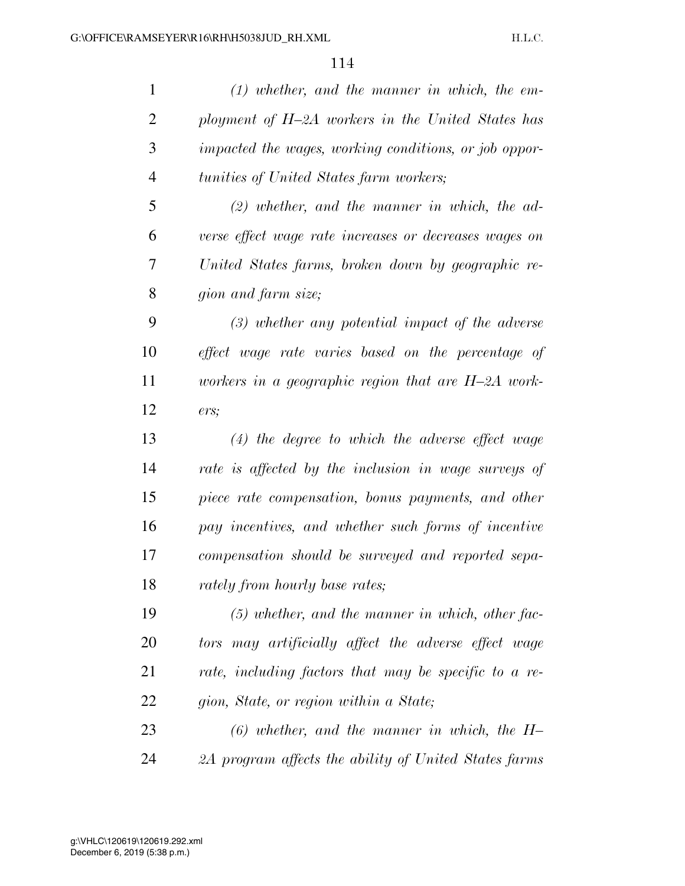| $\mathbf{1}$   | $(1)$ whether, and the manner in which, the em-        |
|----------------|--------------------------------------------------------|
| $\overline{2}$ | ployment of H-2A workers in the United States has      |
| 3              | impacted the wages, working conditions, or job oppor-  |
| $\overline{4}$ | tunities of United States farm workers;                |
| 5              | $(2)$ whether, and the manner in which, the ad-        |
| 6              | verse effect wage rate increases or decreases wages on |
| 7              | United States farms, broken down by geographic re-     |
| 8              | gion and farm size;                                    |
| 9              | $(3)$ whether any potential impact of the adverse      |
| 10             | effect wage rate varies based on the percentage of     |
| 11             | workers in a geographic region that are $H$ -2A work-  |
| 12             | ers;                                                   |
| 13             | $(4)$ the degree to which the adverse effect wage      |
| 14             | rate is affected by the inclusion in wage surveys of   |
| 15             | piece rate compensation, bonus payments, and other     |
| 16             | pay incentives, and whether such forms of incentive    |
| 17             | compensation should be surveyed and reported sepa-     |
| 18             | rately from hourly base rates;                         |
| 19             | $(5)$ whether, and the manner in which, other fac-     |
| 20             | tors may artificially affect the adverse effect wage   |
| 21             | rate, including factors that may be specific to a re-  |
| 22             | gion, State, or region within a State;                 |
| 23             | $(6)$ whether, and the manner in which, the H-         |
| 24             | 2A program affects the ability of United States farms  |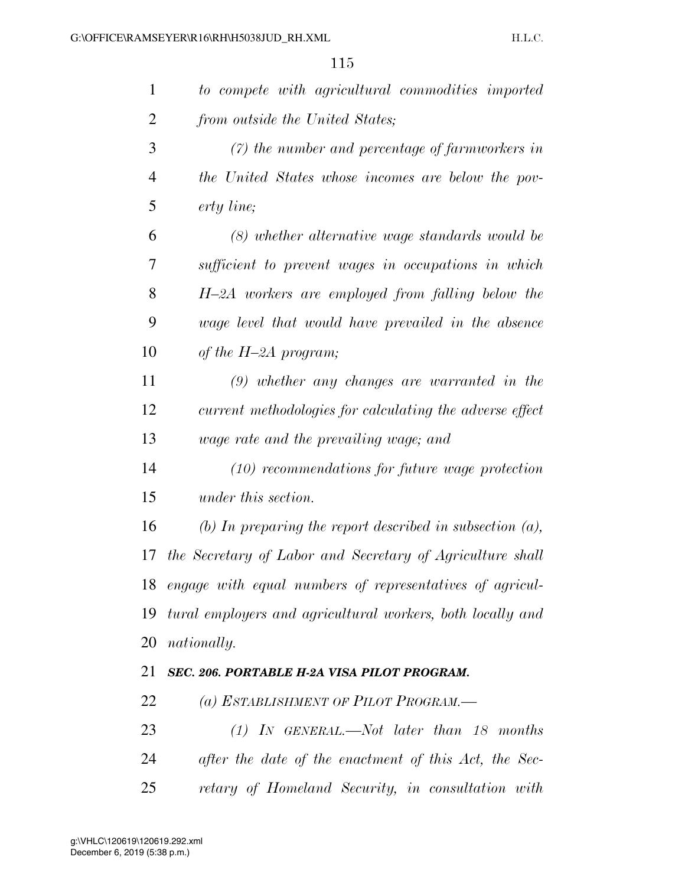| $\mathbf{1}$   | to compete with agricultural commodities imported           |  |
|----------------|-------------------------------------------------------------|--|
| $\overline{2}$ | from outside the United States;                             |  |
| 3              | $(7)$ the number and percentage of farmworkers in           |  |
| $\overline{4}$ | the United States whose incomes are below the pov-          |  |
| 5              | erty line;                                                  |  |
| 6              | $(8)$ whether alternative wage standards would be           |  |
| 7              | sufficient to prevent wages in occupations in which         |  |
| 8              | H-2A workers are employed from falling below the            |  |
| 9              | wage level that would have prevailed in the absence         |  |
| 10             | of the $H$ -2A program;                                     |  |
| 11             | $(9)$ whether any changes are warranted in the              |  |
| 12             | current methodologies for calculating the adverse effect    |  |
| 13             | wage rate and the prevailing wage; and                      |  |
| 14             | $(10)$ recommendations for future wage protection           |  |
| 15             | under this section.                                         |  |
| 16             | (b) In preparing the report described in subsection $(a)$ , |  |
| 17             | the Secretary of Labor and Secretary of Agriculture shall   |  |
| 18             | engage with equal numbers of representatives of agricul-    |  |
| 19             | tural employers and agricultural workers, both locally and  |  |
| 20             | nationally.                                                 |  |
| 21             | SEC. 206. PORTABLE H-2A VISA PILOT PROGRAM.                 |  |
| 22             | (a) ESTABLISHMENT OF PILOT PROGRAM.—                        |  |
| 23             | $(1)$ IN GENERAL.—Not later than 18 months                  |  |
| 24             | after the date of the enactment of this Act, the Sec-       |  |
| 25             | retary of Homeland Security, in consultation with           |  |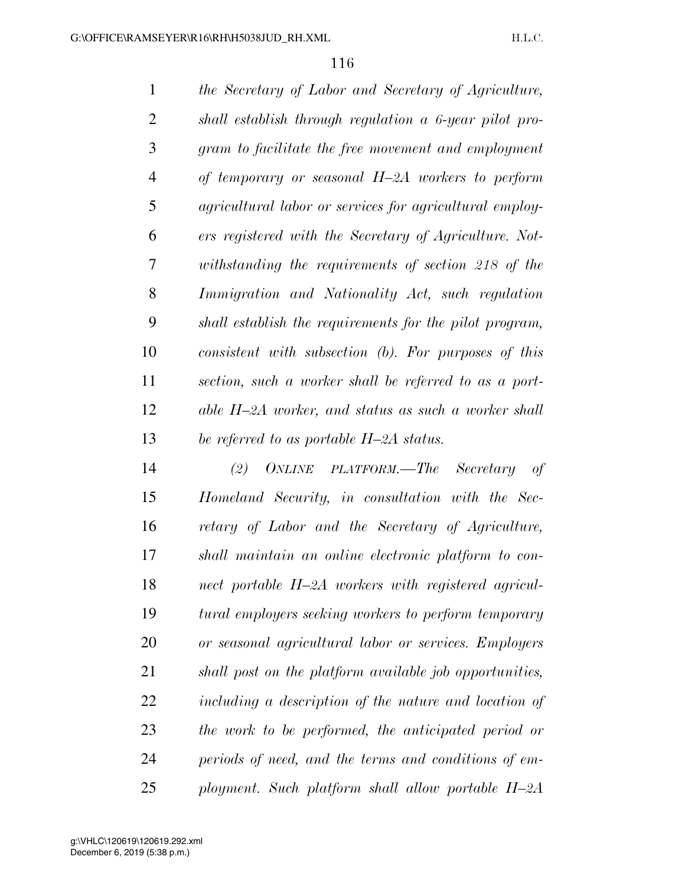*the Secretary of Labor and Secretary of Agriculture, shall establish through regulation a 6-year pilot pro- gram to facilitate the free movement and employment of temporary or seasonal H–2A workers to perform agricultural labor or services for agricultural employ- ers registered with the Secretary of Agriculture. Not- withstanding the requirements of section 218 of the Immigration and Nationality Act, such regulation shall establish the requirements for the pilot program, consistent with subsection (b). For purposes of this section, such a worker shall be referred to as a port- able H–2A worker, and status as such a worker shall be referred to as portable H–2A status.* 

 *(2) ONLINE PLATFORM.—The Secretary of Homeland Security, in consultation with the Sec- retary of Labor and the Secretary of Agriculture, shall maintain an online electronic platform to con- nect portable H–2A workers with registered agricul- tural employers seeking workers to perform temporary or seasonal agricultural labor or services. Employers shall post on the platform available job opportunities, including a description of the nature and location of the work to be performed, the anticipated period or periods of need, and the terms and conditions of em-ployment. Such platform shall allow portable H–2A*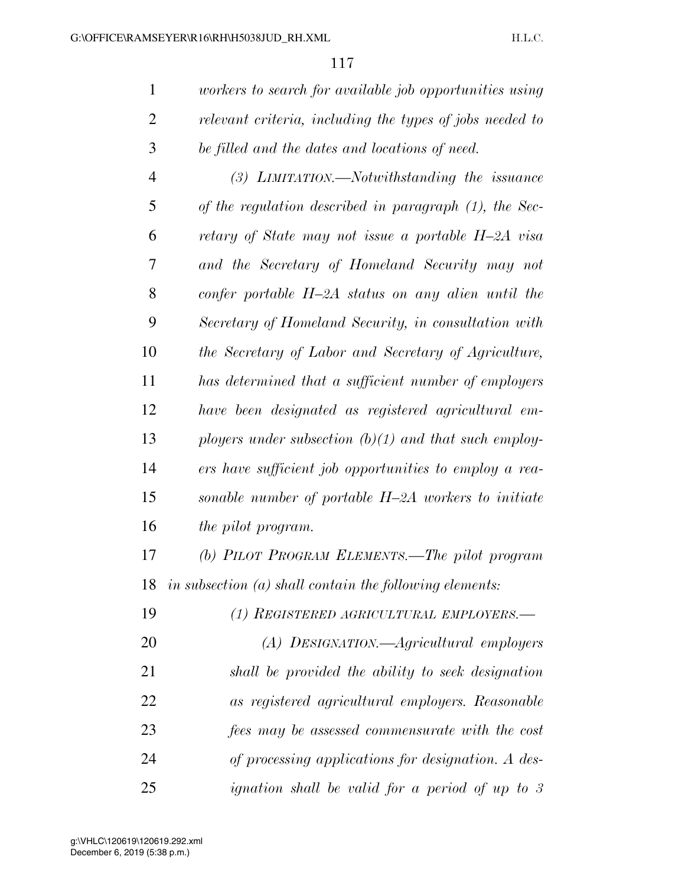|   | workers to search for available job opportunities using  |
|---|----------------------------------------------------------|
| 2 | relevant criteria, including the types of jobs needed to |
| 3 | be filled and the dates and locations of need.           |
|   | $(3)$ LIMITATION.—Notwithstanding the issuance           |

 *of the regulation described in paragraph (1), the Sec- retary of State may not issue a portable H–2A visa and the Secretary of Homeland Security may not confer portable H–2A status on any alien until the Secretary of Homeland Security, in consultation with the Secretary of Labor and Secretary of Agriculture, has determined that a sufficient number of employers have been designated as registered agricultural em- ployers under subsection (b)(1) and that such employ- ers have sufficient job opportunities to employ a rea- sonable number of portable H–2A workers to initiate the pilot program.* 

 *(b) PILOT PROGRAM ELEMENTS.—The pilot program in subsection (a) shall contain the following elements:* 

| 19        | (1) REGISTERED AGRICULTURAL EMPLOYERS.-                |
|-----------|--------------------------------------------------------|
| <b>20</b> | (A) DESIGNATION.—Agricultural employers                |
| 21        | shall be provided the ability to seek designation      |
| 22        | as registered agricultural employers. Reasonable       |
| 23        | fees may be assessed commensurate with the cost        |
| 24        | of processing applications for designation. A des-     |
| 25        | <i>ignation shall be valid for a period of up to 3</i> |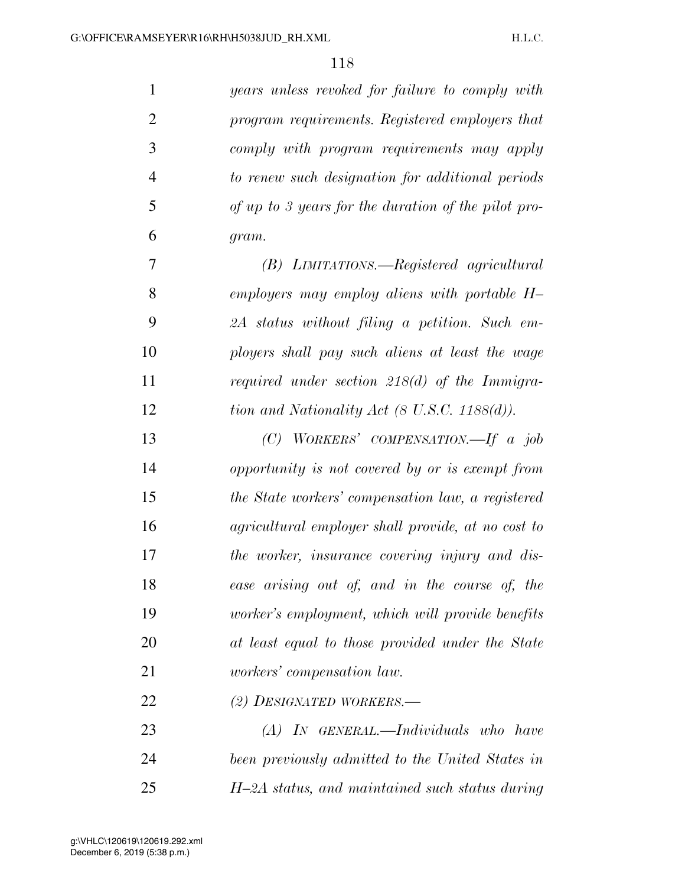| $\mathbf{1}$   | years unless revoked for failure to comply with         |
|----------------|---------------------------------------------------------|
| $\overline{2}$ | program requirements. Registered employers that         |
| 3              | comply with program requirements may apply              |
| $\overline{4}$ | to renew such designation for additional periods        |
| 5              | of up to 3 years for the duration of the pilot pro-     |
| 6              | gram.                                                   |
| 7              | (B) LIMITATIONS.—Registered agricultural                |
| 8              | employers may employ aliens with portable $H-$          |
| 9              | 2A status without filing a petition. Such em-           |
| 10             | ployers shall pay such aliens at least the wage         |
| 11             | required under section $218(d)$ of the Immigra-         |
| 12             | tion and Nationality Act $(8 \text{ U.S.C. } 1188(d)).$ |
| 13             | (C) WORKERS' COMPENSATION.—If a job                     |
| 14             | opportunity is not covered by or is exempt from         |
| 15             | the State workers' compensation law, a registered       |
| 16             | agricultural employer shall provide, at no cost to      |
| 17             | the worker, insurance covering injury and dis-          |
| 18             | ease arising out of, and in the course of, the          |
| 19             | worker's employment, which will provide benefits        |
| 20             | at least equal to those provided under the State        |
| 21             | <i>workers'</i> compensation law.                       |
| 22             | (2) DESIGNATED WORKERS.-                                |
| 23             | $(A)$ IN GENERAL.—Individuals who have                  |
| 24             | been previously admitted to the United States in        |
| 25             | H-2A status, and maintained such status during          |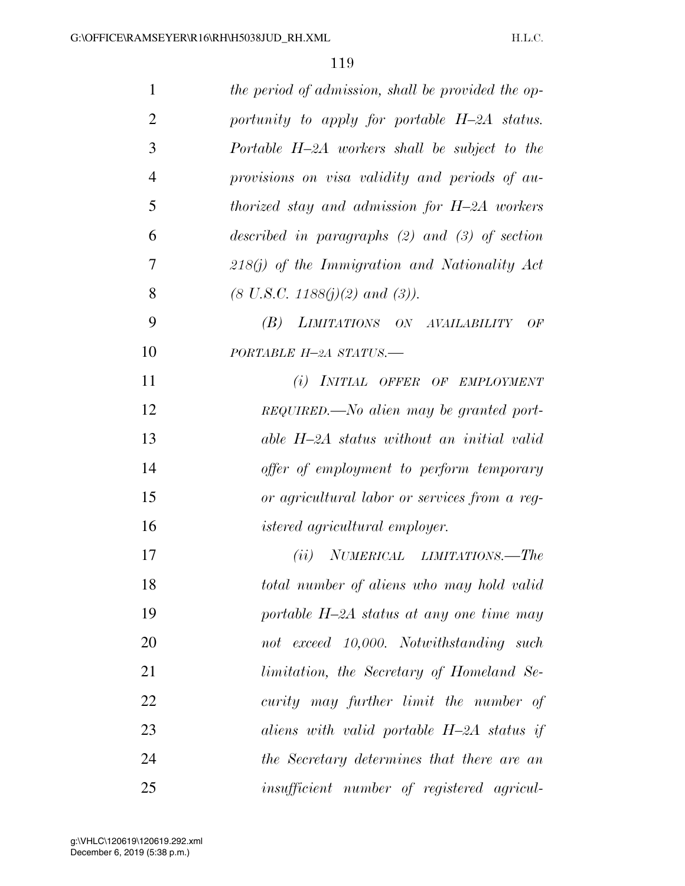| $\mathbf{1}$   | the period of admission, shall be provided the op-  |
|----------------|-----------------------------------------------------|
| $\overline{2}$ | portunity to apply for portable H-2A status.        |
| 3              | Portable $H$ -2A workers shall be subject to the    |
| $\overline{4}$ | provisions on visa validity and periods of au-      |
| 5              | <i>thorized stay and admission for H-2A workers</i> |
| 6              | described in paragraphs $(2)$ and $(3)$ of section  |
| 7              | $218(j)$ of the Immigration and Nationality Act     |
| 8              | $(8 \text{ U.S.C. } 1188(j)(2) \text{ and } (3)).$  |
| 9              | (B)<br>LIMITATIONS ON AVAILABILITY<br>OF            |
| 10             | PORTABLE H-2A STATUS.-                              |
| 11             | (i) INITIAL OFFER OF EMPLOYMENT                     |
| 12             | $REQUIRED.$ No alien may be granted port-           |
| 13             | able H-2A status without an initial valid           |
| 14             | offer of employment to perform temporary            |
| 15             | or agricultural labor or services from a reg-       |
| 16             | <i>istered agricultural employer.</i>               |
| 17             | (ii)<br>NUMERICAL LIMITATIONS.—The                  |
| 18             | total number of aliens who may hold valid           |
| 19             | portable H-2A status at any one time may            |
| 20             | not exceed 10,000. Notwithstanding such             |
| 21             | limitation, the Secretary of Homeland Se-           |
| 22             | curity may further limit the number of              |
| 23             | aliens with valid portable H-2A status if           |
| 24             | the Secretary determines that there are an          |
| 25             | insufficient number of registered agricul-          |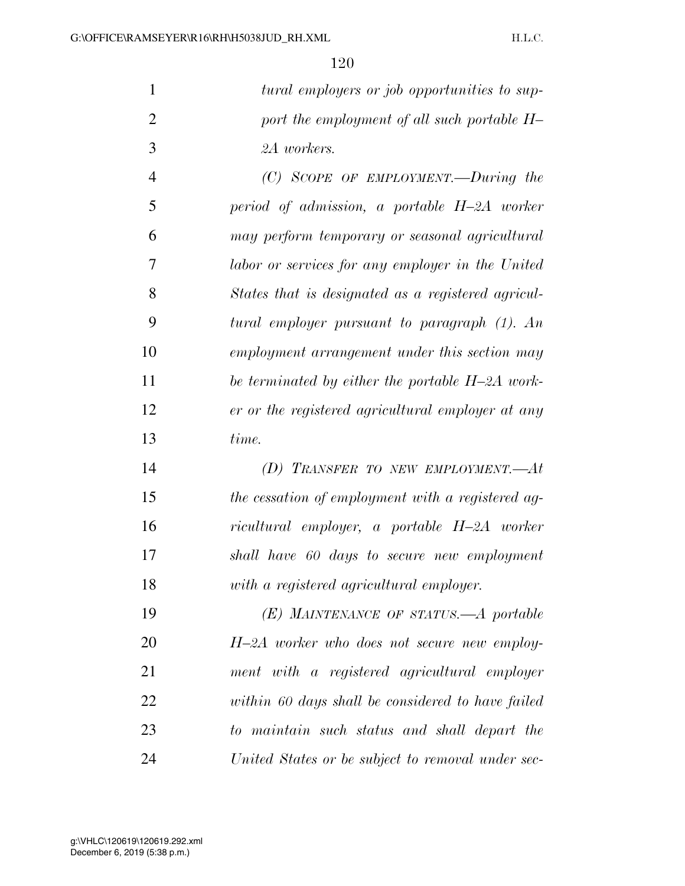| tural employers or job opportunities to sup- |
|----------------------------------------------|
| port the employment of all such portable H-  |
| 2A workers.                                  |

 *(C) SCOPE OF EMPLOYMENT.—During the period of admission, a portable H–2A worker may perform temporary or seasonal agricultural labor or services for any employer in the United States that is designated as a registered agricul- tural employer pursuant to paragraph (1). An employment arrangement under this section may be terminated by either the portable H–2A work- er or the registered agricultural employer at any time.* 

 *(D) TRANSFER TO NEW EMPLOYMENT.—At the cessation of employment with a registered ag- ricultural employer, a portable H–2A worker shall have 60 days to secure new employment with a registered agricultural employer.* 

 *(E) MAINTENANCE OF STATUS.—A portable H–2A worker who does not secure new employ- ment with a registered agricultural employer within 60 days shall be considered to have failed to maintain such status and shall depart the United States or be subject to removal under sec-*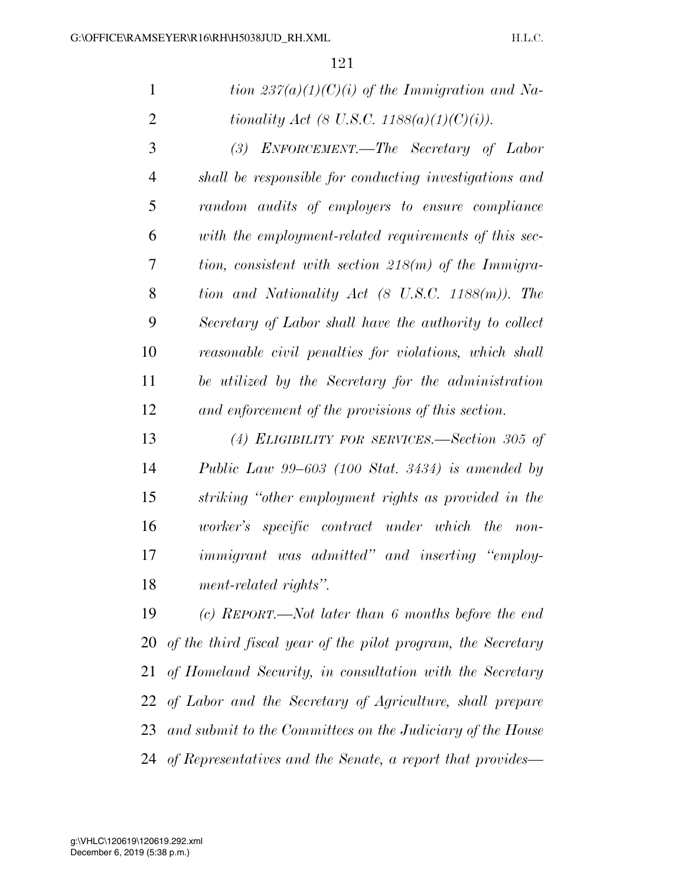| tion $237(a)(1)(C)(i)$ of the Immigration and Na- |
|---------------------------------------------------|
| <i>tionality Act</i> (8 U.S.C. 1188(a)(1)(C)(i)). |

 *(3) ENFORCEMENT.—The Secretary of Labor shall be responsible for conducting investigations and random audits of employers to ensure compliance with the employment-related requirements of this sec- tion, consistent with section 218(m) of the Immigra- tion and Nationality Act (8 U.S.C. 1188(m)). The Secretary of Labor shall have the authority to collect reasonable civil penalties for violations, which shall be utilized by the Secretary for the administration and enforcement of the provisions of this section.* 

 *(4) ELIGIBILITY FOR SERVICES.—Section 305 of Public Law 99–603 (100 Stat. 3434) is amended by striking ''other employment rights as provided in the worker's specific contract under which the non- immigrant was admitted'' and inserting ''employ-ment-related rights''.* 

 *(c) REPORT.—Not later than 6 months before the end of the third fiscal year of the pilot program, the Secretary of Homeland Security, in consultation with the Secretary of Labor and the Secretary of Agriculture, shall prepare and submit to the Committees on the Judiciary of the House of Representatives and the Senate, a report that provides—*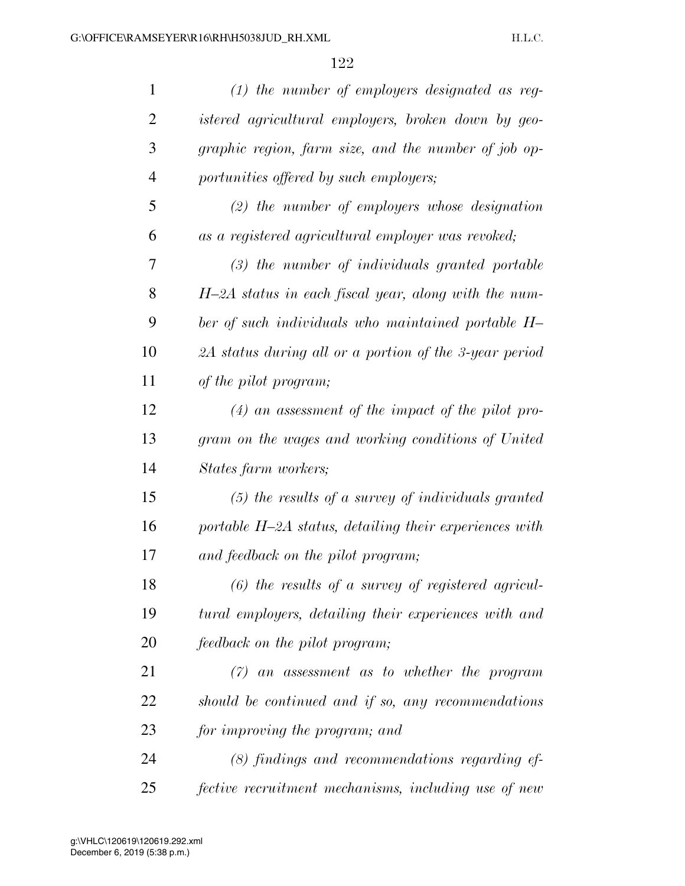| $\mathbf{1}$   | $(1)$ the number of employers designated as reg-          |
|----------------|-----------------------------------------------------------|
| 2              | istered agricultural employers, broken down by geo-       |
| 3              | graphic region, farm size, and the number of job op-      |
| $\overline{4}$ | portunities offered by such employers;                    |
| 5              | $(2)$ the number of employers whose designation           |
| 6              | as a registered agricultural employer was revoked;        |
| 7              | $(3)$ the number of individuals granted portable          |
| 8              | $H$ -2A status in each fiscal year, along with the num-   |
| 9              | ber of such individuals who maintained portable H-        |
| 10             | 2A status during all or a portion of the 3-year period    |
| 11             | of the pilot program;                                     |
| 12             | $(4)$ an assessment of the impact of the pilot pro-       |
| 13             | gram on the wages and working conditions of United        |
| 14             | States farm workers;                                      |
| 15             | $(5)$ the results of a survey of individuals granted      |
| 16             | portable $H$ -2A status, detailing their experiences with |
| 17             | and feedback on the pilot program;                        |
| 18             | $(6)$ the results of a survey of registered agricul-      |
| 19             | tural employers, detailing their experiences with and     |
| 20             | feedback on the pilot program;                            |
| 21             | $(7)$ an assessment as to whether the program             |
| 22             | should be continued and if so, any recommendations        |
| 23             | for improving the program; and                            |
| 24             | $(8)$ findings and recommendations regarding ef-          |
| 25             | fective recruitment mechanisms, including use of new      |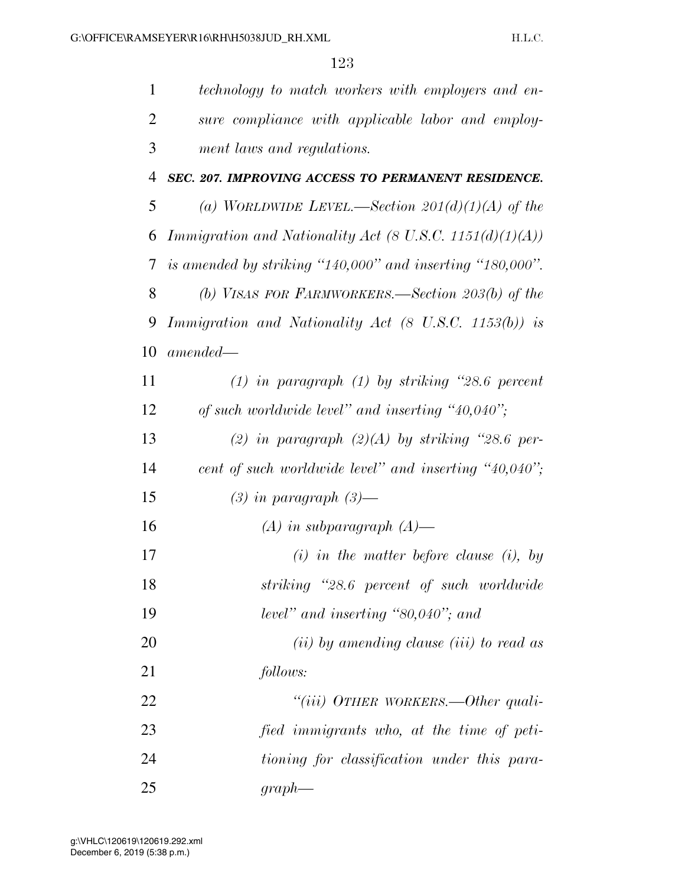| $\mathbf{1}$   | technology to match workers with employers and en-           |
|----------------|--------------------------------------------------------------|
| $\overline{2}$ | sure compliance with applicable labor and employ-            |
| 3              | ment laws and regulations.                                   |
| 4              | SEC. 207. IMPROVING ACCESS TO PERMANENT RESIDENCE.           |
| 5              | (a) WORLDWIDE LEVEL.—Section $201(d)(1)(A)$ of the           |
| 6              | Immigration and Nationality Act (8 U.S.C. 1151(d)(1)(A))     |
| 7              | is amended by striking "140,000" and inserting "180,000".    |
| 8              | (b) VISAS FOR FARMWORKERS.—Section $203(b)$ of the           |
| 9              | <i>Immigration and Nationality Act (8 U.S.C. 1153(b)) is</i> |
| 10             | $amended -$                                                  |
| 11             | $(1)$ in paragraph $(1)$ by striking "28.6 percent           |
| 12             | of such worldwide level" and inserting "40,040";             |
| 13             | (2) in paragraph $(2)(A)$ by striking "28.6 per-             |
| 14             | cent of such worldwide level" and inserting "40,040";        |
| 15             | $(3)$ in paragraph $(3)$ —                                   |
| 16             | $(A)$ in subparagraph $(A)$ —                                |
| 17             | $(i)$ in the matter before clause $(i)$ , by                 |
| 18             | striking "28.6 percent of such worldwide                     |
| 19             | level" and inserting "80,040"; and                           |
| 20             | $(ii)$ by amending clause $(iii)$ to read as                 |
| 21             | follows:                                                     |
| 22             | "(iii) OTHER WORKERS.—Other quali-                           |
| 23             | fied immigrants who, at the time of peti-                    |
| 24             | tioning for classification under this para-                  |
| 25             | $graph$ —                                                    |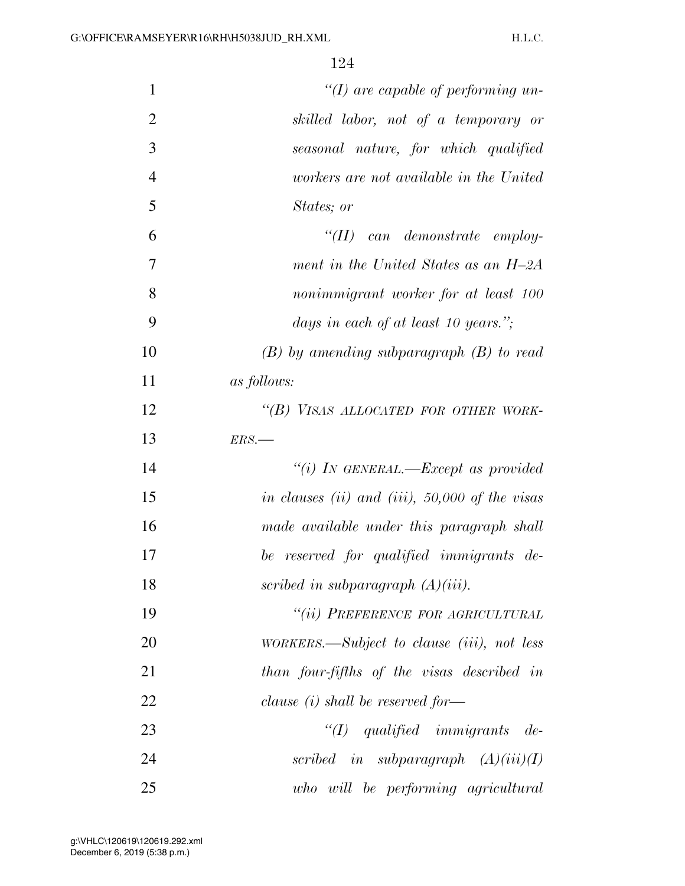| $\mathbf{1}$   | "(I) are capable of performing un-                  |
|----------------|-----------------------------------------------------|
| $\overline{2}$ | skilled labor, not of a temporary or                |
| 3              | seasonal nature, for which qualified                |
| $\overline{4}$ | workers are not available in the United             |
| 5              | States; or                                          |
| 6              | $\lq(T)$<br>can demonstrate employ-                 |
| 7              | ment in the United States as an H-2A                |
| 8              | nonimmigrant worker for at least 100                |
| 9              | days in each of at least 10 years.";                |
| 10             | $(B)$ by amending subparagraph $(B)$ to read        |
| 11             | as follows:                                         |
| 12             | "(B) VISAS ALLOCATED FOR OTHER WORK-                |
| 13             | ERS.                                                |
| 14             | "(i) IN GENERAL.—Except as provided                 |
| 15             | in clauses $(ii)$ and $(iii)$ , 50,000 of the visas |
| 16             | made available under this paragraph shall           |
| 17             | be reserved for qualified immigrants de-            |
| 18             | scribed in subparagraph $(A)(iii)$ .                |
| 19             | "(ii) PREFERENCE FOR AGRICULTURAL                   |
| 20             | WORKERS.—Subject to clause (iii), not less          |
| 21             | than four-fifths of the visas described in          |
| 22             | clause $(i)$ shall be reserved for-                 |
| 23             | $``(I)$ qualified immigrants de-                    |
| 24             | scribed in subparagraph $(A)(iii)(I)$               |
| 25             | who will be performing agricultural                 |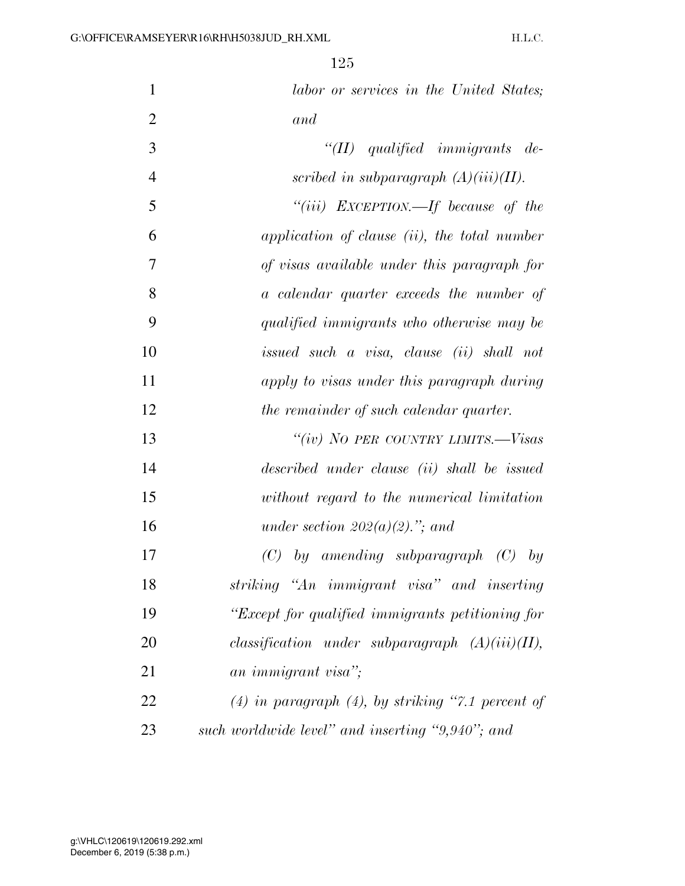| $\mathbf{1}$   | labor or services in the United States;                |
|----------------|--------------------------------------------------------|
| $\overline{2}$ | and                                                    |
| 3              | " $(II)$ qualified immigrants de-                      |
| $\overline{4}$ | scribed in subparagraph $(A)(iii)(II)$ .               |
| 5              | "(iii) $EXCEPTION$ —If because of the                  |
| 6              | application of clause (ii), the total number           |
| 7              | of visas available under this paragraph for            |
| 8              | a calendar quarter exceeds the number of               |
| 9              | qualified immigrants who otherwise may be              |
| 10             | issued such a visa, clause (ii) shall not              |
| 11             | apply to visas under this paragraph during             |
| 12             | the remainder of such calendar quarter.                |
| 13             | "(iv) NO PER COUNTRY LIMITS.—Visas                     |
| 14             | described under clause (ii) shall be issued            |
| 15             | without regard to the numerical limitation             |
| 16             | under section $202(a)(2)$ ,"; and                      |
| 17             | $(C)$ by amending subparagraph $(C)$ by                |
| 18             | striking "An immigrant visa" and inserting             |
| 19             | "Except for qualified immigrants petitioning for       |
| 20             | $classification$ under subparagraph $(A)(iii)(II)$ ,   |
| 21             | an immigrant visa";                                    |
| 22             | $(4)$ in paragraph $(4)$ , by striking "7.1 percent of |
| 23             | such worldwide level" and inserting "9,940"; and       |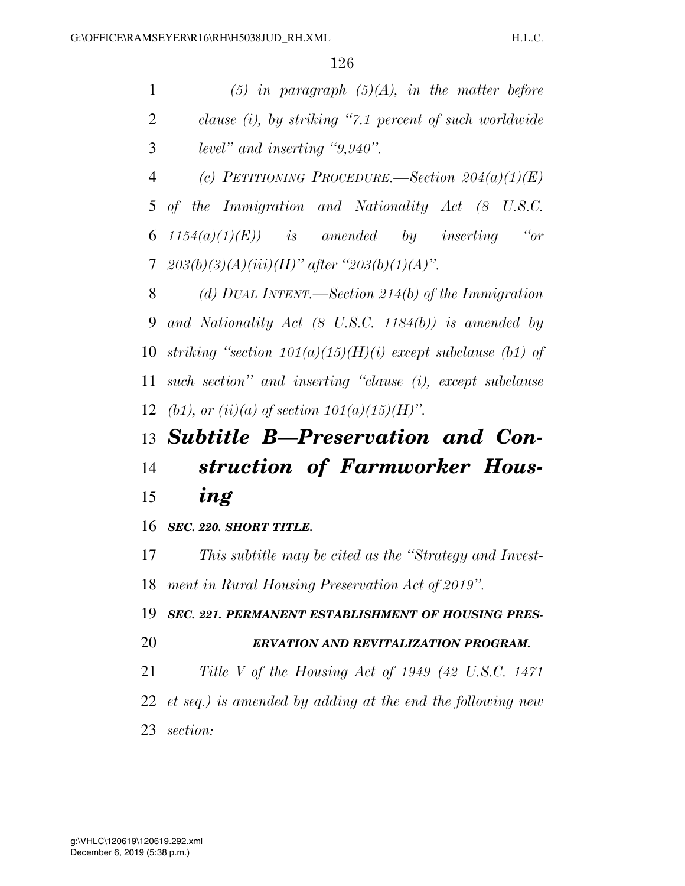*(5) in paragraph (5)(A), in the matter before clause (i), by striking ''7.1 percent of such worldwide level'' and inserting ''9,940''.* 

 *(c) PETITIONING PROCEDURE.—Section 204(a)(1)(E) of the Immigration and Nationality Act (8 U.S.C. 1154(a)(1)(E)) is amended by inserting ''or 203(b)(3)(A)(iii)(II)'' after ''203(b)(1)(A)''.* 

 *(d) DUAL INTENT.—Section 214(b) of the Immigration and Nationality Act (8 U.S.C. 1184(b)) is amended by striking ''section 101(a)(15)(H)(i) except subclause (b1) of such section'' and inserting ''clause (i), except subclause (b1), or (ii)(a) of section*  $101(a)(15)(H)$ *".* 

## *Subtitle B—Preservation and Con- struction of Farmworker Hous-ing*

*SEC. 220. SHORT TITLE.* 

 *This subtitle may be cited as the ''Strategy and Invest-ment in Rural Housing Preservation Act of 2019''.* 

*SEC. 221. PERMANENT ESTABLISHMENT OF HOUSING PRES-*

*ERVATION AND REVITALIZATION PROGRAM.* 

*Title V of the Housing Act of 1949 (42 U.S.C. 1471* 

- *et seq.) is amended by adding at the end the following new*
- *section:*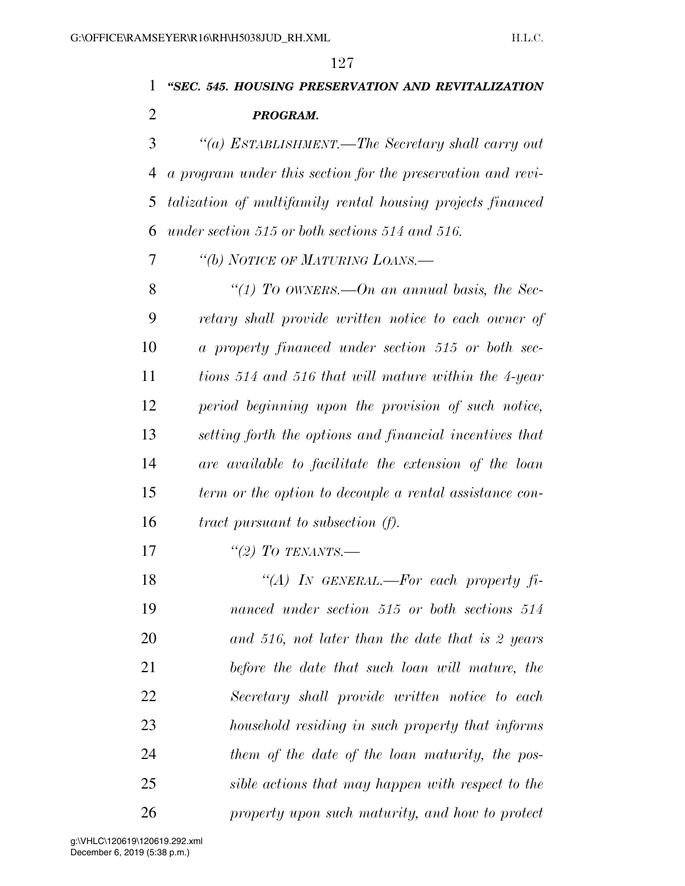# *''SEC. 545. HOUSING PRESERVATION AND REVITALIZATION PROGRAM. ''(a) ESTABLISHMENT.—The Secretary shall carry out a program under this section for the preservation and revi- talization of multifamily rental housing projects financed under section 515 or both sections 514 and 516. ''(b) NOTICE OF MATURING LOANS.— ''(1) TO OWNERS.—On an annual basis, the Sec- retary shall provide written notice to each owner of a property financed under section 515 or both sec- tions 514 and 516 that will mature within the 4-year period beginning upon the provision of such notice, setting forth the options and financial incentives that are available to facilitate the extension of the loan term or the option to decouple a rental assistance con- tract pursuant to subsection (f). ''(2) TO TENANTS.— ''(A) IN GENERAL.—For each property fi- nanced under section 515 or both sections 514 and 516, not later than the date that is 2 years before the date that such loan will mature, the Secretary shall provide written notice to each household residing in such property that informs them of the date of the loan maturity, the pos-sible actions that may happen with respect to the*

*property upon such maturity, and how to protect* 

December 6, 2019 (5:38 p.m.)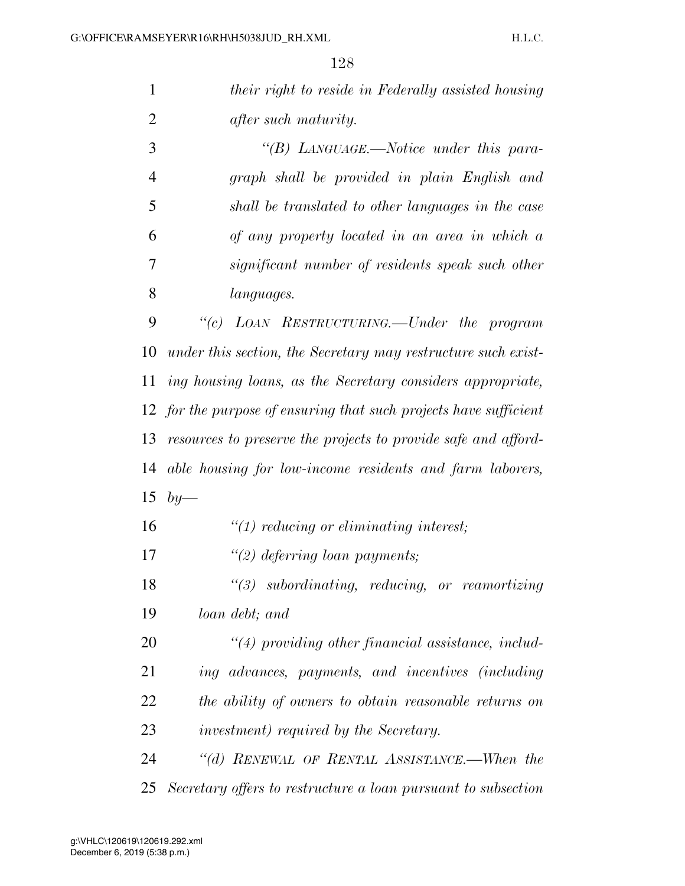| $\mathbf{1}$   | their right to reside in Federally assisted housing               |
|----------------|-------------------------------------------------------------------|
| $\overline{2}$ | <i>after such maturity.</i>                                       |
| 3              | "(B) LANGUAGE.—Notice under this para-                            |
| $\overline{4}$ | graph shall be provided in plain English and                      |
| 5              | shall be translated to other languages in the case                |
| 6              | of any property located in an area in which a                     |
| 7              | significant number of residents speak such other                  |
| 8              | languages.                                                        |
| 9              | LOAN RESTRUCTURING.—Under the program<br>``(c)                    |
| 10             | under this section, the Secretary may restructure such exist-     |
| 11             | ing housing loans, as the Secretary considers appropriate,        |
|                | 12 for the purpose of ensuring that such projects have sufficient |
| 13             | resources to preserve the projects to provide safe and afford-    |
| 14             | able housing for low-income residents and farm laborers,          |
| 15             | $by-$                                                             |
| 16             | $\lq(1)$ reducing or eliminating interest;                        |
| 17             | $\lq(2)$ deferring loan payments;                                 |
| 18             | $\lq(3)$ subordinating, reducing, or reamortizing                 |
| 19             | loan debt; and                                                    |
| 20             | $\lq(4)$ providing other financial assistance, includ-            |
| 21             | ing advances, payments, and incentives (including                 |
| 22             | the ability of owners to obtain reasonable returns on             |
| 23             | <i>investment</i> ) required by the Secretary.                    |
| 24             | "(d) RENEWAL OF RENTAL ASSISTANCE.—When the                       |
| 25             | Secretary offers to restructure a loan pursuant to subsection     |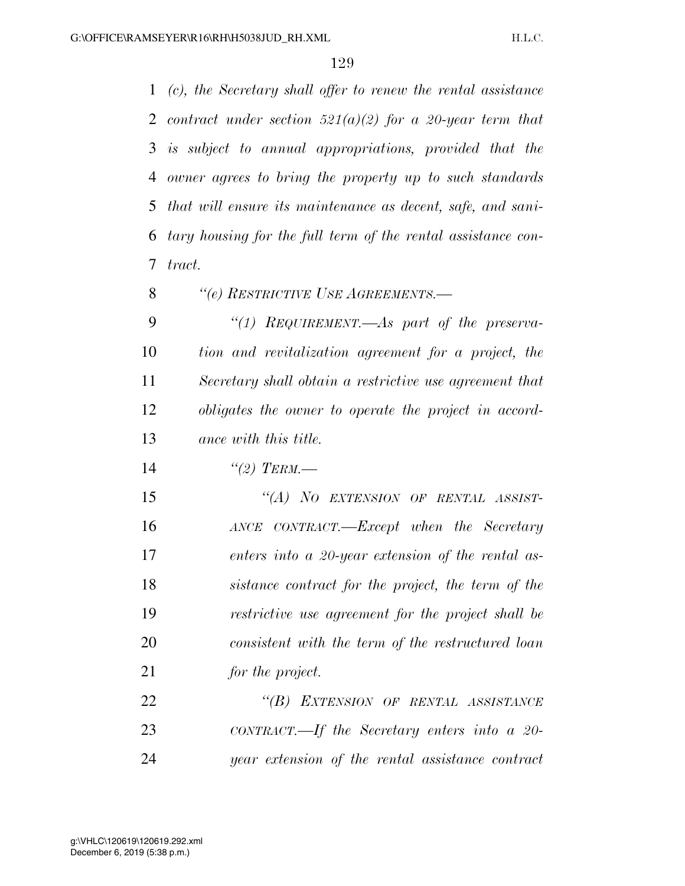*(c), the Secretary shall offer to renew the rental assistance contract under section 521(a)(2) for a 20-year term that is subject to annual appropriations, provided that the owner agrees to bring the property up to such standards that will ensure its maintenance as decent, safe, and sani- tary housing for the full term of the rental assistance con-tract.* 

*''(e) RESTRICTIVE USE AGREEMENTS.—* 

 *''(1) REQUIREMENT.—As part of the preserva- tion and revitalization agreement for a project, the Secretary shall obtain a restrictive use agreement that obligates the owner to operate the project in accord-ance with this title.* 

*''(2) TERM.—* 

 *''(A) NO EXTENSION OF RENTAL ASSIST- ANCE CONTRACT.—Except when the Secretary enters into a 20-year extension of the rental as- sistance contract for the project, the term of the restrictive use agreement for the project shall be consistent with the term of the restructured loan for the project.* 

 *''(B) EXTENSION OF RENTAL ASSISTANCE CONTRACT.—If the Secretary enters into a 20- year extension of the rental assistance contract* 

December 6, 2019 (5:38 p.m.) g:\VHLC\120619\120619.292.xml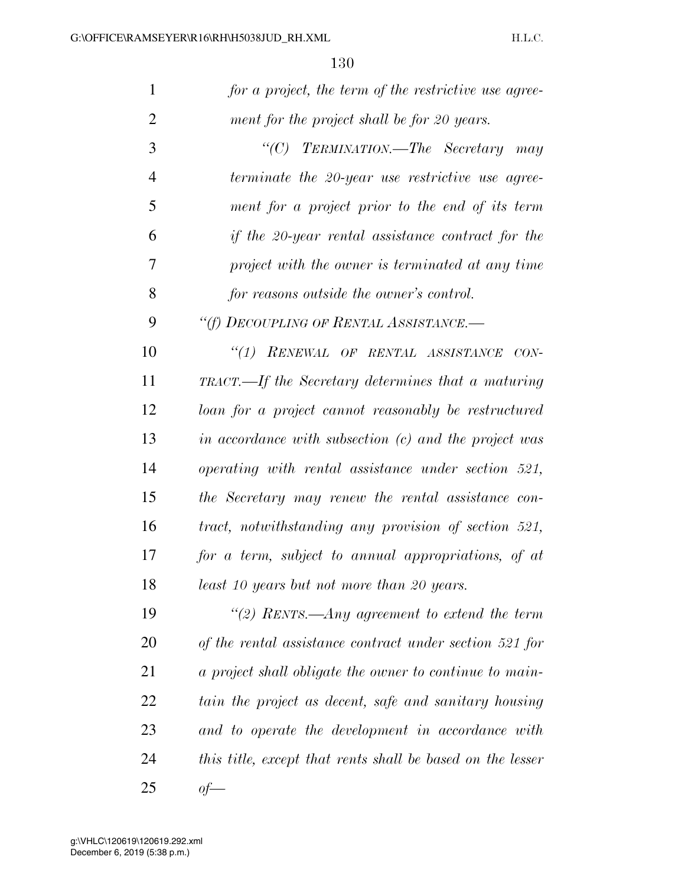| $\mathbf{1}$   | for a project, the term of the restrictive use agree-      |
|----------------|------------------------------------------------------------|
| $\overline{2}$ | ment for the project shall be for 20 years.                |
| 3              | "(C) TERMINATION.—The Secretary may                        |
| $\overline{4}$ | terminate the 20-year use restrictive use agree-           |
| 5              | ment for a project prior to the end of its term            |
| 6              | if the 20-year rental assistance contract for the          |
| 7              | project with the owner is terminated at any time           |
| 8              | for reasons outside the owner's control.                   |
| 9              | "(f) DECOUPLING OF RENTAL ASSISTANCE.-                     |
| 10             | "(1) RENEWAL OF RENTAL ASSISTANCE CON-                     |
| 11             | <b>TRACT.—If the Secretary determines that a maturing</b>  |
| 12             | loan for a project cannot reasonably be restructured       |
| 13             | in accordance with subsection (c) and the project was      |
| 14             | operating with rental assistance under section 521,        |
| 15             | the Secretary may renew the rental assistance con-         |
| 16             | tract, notwithstanding any provision of section 521,       |
| 17             | for a term, subject to annual appropriations, of at        |
| 18             | least 10 years but not more than 20 years.                 |
| 19             | "(2) RENTS.—Any agreement to extend the term               |
| 20             | of the rental assistance contract under section 521 for    |
| 21             | a project shall obligate the owner to continue to main-    |
| 22             | tain the project as decent, safe and sanitary housing      |
| 23             | and to operate the development in accordance with          |
| 24             | this title, except that rents shall be based on the lesser |
| 25             | $of-$                                                      |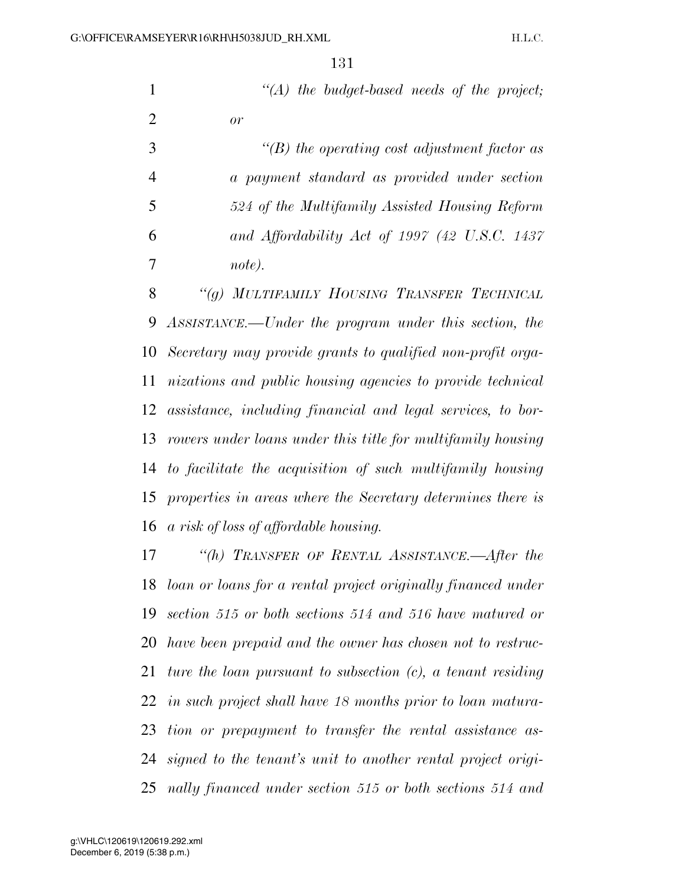|               |            | "(A) the budget-based needs of the project;         |
|---------------|------------|-----------------------------------------------------|
|               | $\alpha r$ |                                                     |
| $\mathcal{R}$ |            | $\lq\lq(B)$ the operating cost adjustment factor as |
|               |            |                                                     |

 *a payment standard as provided under section 524 of the Multifamily Assisted Housing Reform and Affordability Act of 1997 (42 U.S.C. 1437 note).* 

 *''(g) MULTIFAMILY HOUSING TRANSFER TECHNICAL ASSISTANCE.—Under the program under this section, the Secretary may provide grants to qualified non-profit orga- nizations and public housing agencies to provide technical assistance, including financial and legal services, to bor- rowers under loans under this title for multifamily housing to facilitate the acquisition of such multifamily housing properties in areas where the Secretary determines there is a risk of loss of affordable housing.* 

 *''(h) TRANSFER OF RENTAL ASSISTANCE.—After the loan or loans for a rental project originally financed under section 515 or both sections 514 and 516 have matured or have been prepaid and the owner has chosen not to restruc- ture the loan pursuant to subsection (c), a tenant residing in such project shall have 18 months prior to loan matura- tion or prepayment to transfer the rental assistance as- signed to the tenant's unit to another rental project origi-nally financed under section 515 or both sections 514 and*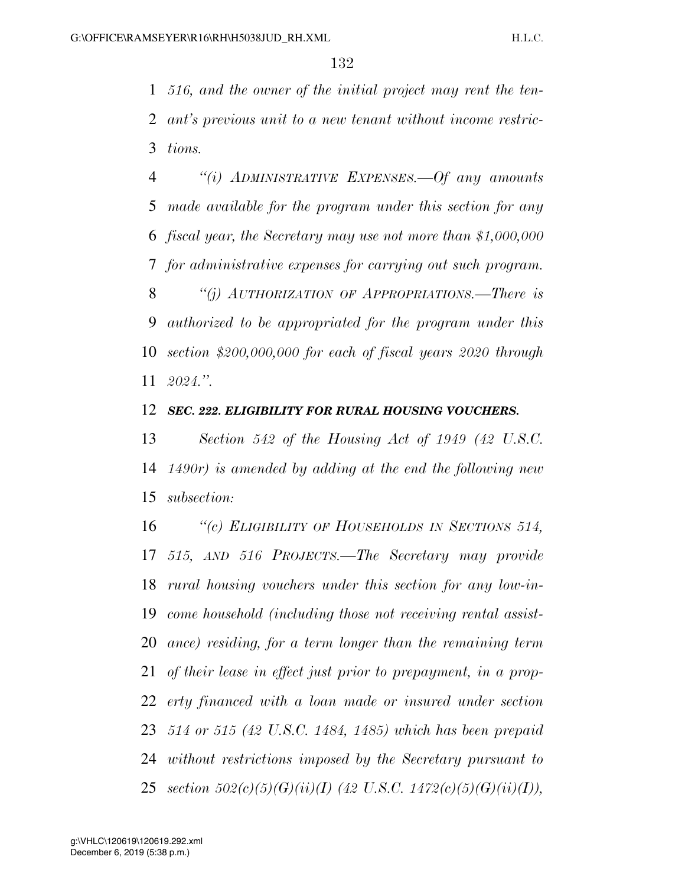*516, and the owner of the initial project may rent the ten- ant's previous unit to a new tenant without income restric-tions.* 

 *''(i) ADMINISTRATIVE EXPENSES.—Of any amounts made available for the program under this section for any fiscal year, the Secretary may use not more than \$1,000,000 for administrative expenses for carrying out such program. ''(j) AUTHORIZATION OF APPROPRIATIONS.—There is authorized to be appropriated for the program under this section \$200,000,000 for each of fiscal years 2020 through 2024.''.* 

#### *SEC. 222. ELIGIBILITY FOR RURAL HOUSING VOUCHERS.*

 *Section 542 of the Housing Act of 1949 (42 U.S.C. 1490r) is amended by adding at the end the following new subsection:* 

 *''(c) ELIGIBILITY OF HOUSEHOLDS IN SECTIONS 514, 515, AND 516 PROJECTS.—The Secretary may provide rural housing vouchers under this section for any low-in- come household (including those not receiving rental assist- ance) residing, for a term longer than the remaining term of their lease in effect just prior to prepayment, in a prop- erty financed with a loan made or insured under section 514 or 515 (42 U.S.C. 1484, 1485) which has been prepaid without restrictions imposed by the Secretary pursuant to section 502(c)(5)(G)(ii)(I) (42 U.S.C. 1472(c)(5)(G)(ii)(I)),*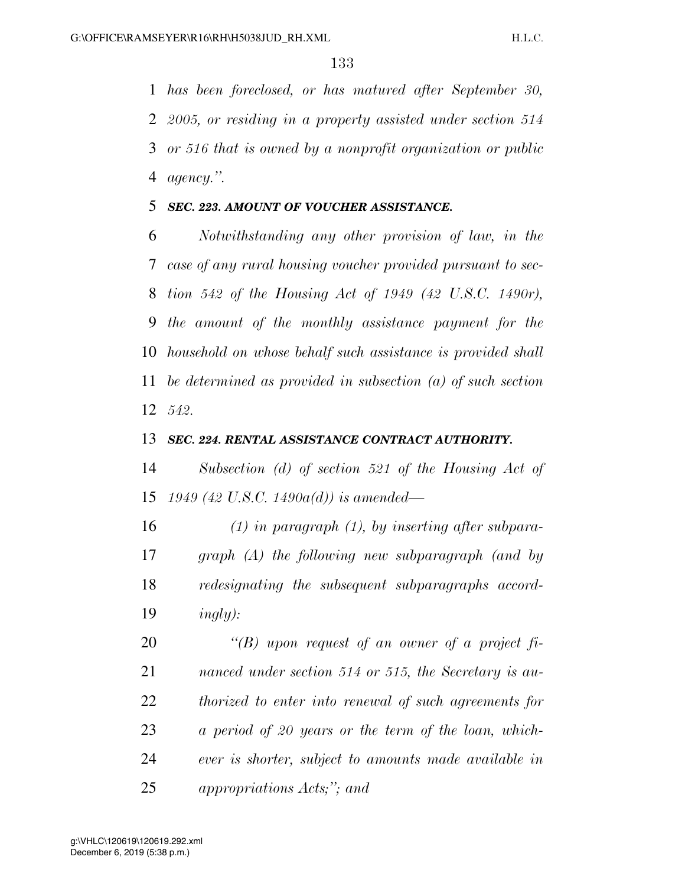*has been foreclosed, or has matured after September 30, 2005, or residing in a property assisted under section 514 or 516 that is owned by a nonprofit organization or public agency.''.* 

#### *SEC. 223. AMOUNT OF VOUCHER ASSISTANCE.*

 *Notwithstanding any other provision of law, in the case of any rural housing voucher provided pursuant to sec- tion 542 of the Housing Act of 1949 (42 U.S.C. 1490r), the amount of the monthly assistance payment for the household on whose behalf such assistance is provided shall be determined as provided in subsection (a) of such section 542.* 

#### *SEC. 224. RENTAL ASSISTANCE CONTRACT AUTHORITY.*

 *Subsection (d) of section 521 of the Housing Act of 1949 (42 U.S.C. 1490a(d)) is amended—* 

 *(1) in paragraph (1), by inserting after subpara- graph (A) the following new subparagraph (and by redesignating the subsequent subparagraphs accord-ingly):* 

 *''(B) upon request of an owner of a project fi- nanced under section 514 or 515, the Secretary is au- thorized to enter into renewal of such agreements for a period of 20 years or the term of the loan, which- ever is shorter, subject to amounts made available in appropriations Acts;''; and*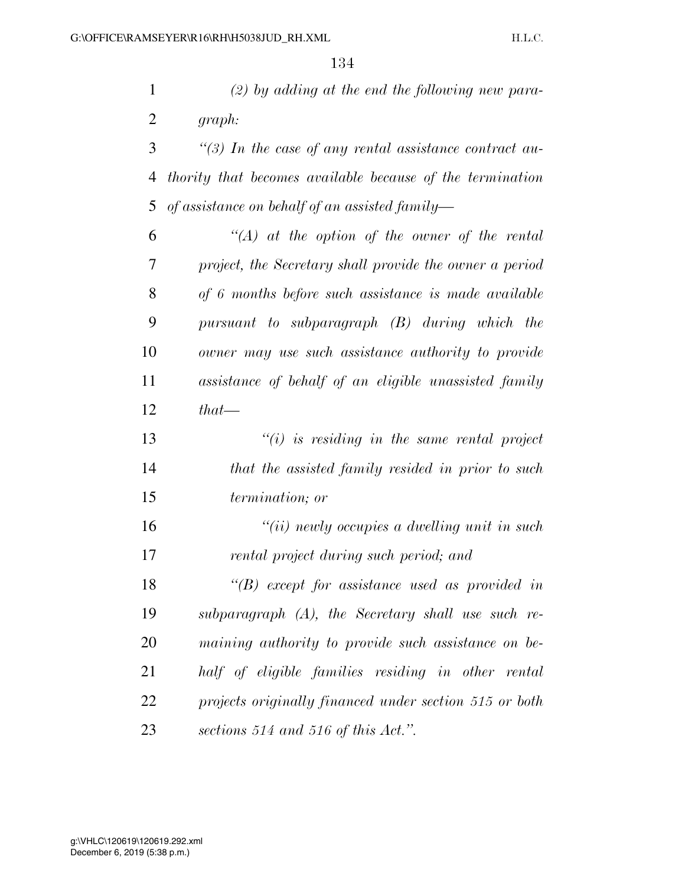*(2) by adding at the end the following new para-graph:* 

 *''(3) In the case of any rental assistance contract au- thority that becomes available because of the termination of assistance on behalf of an assisted family—* 

 *''(A) at the option of the owner of the rental project, the Secretary shall provide the owner a period of 6 months before such assistance is made available pursuant to subparagraph (B) during which the owner may use such assistance authority to provide assistance of behalf of an eligible unassisted family that—* 

 *''(i) is residing in the same rental project that the assisted family resided in prior to such termination; or* 

 *''(ii) newly occupies a dwelling unit in such rental project during such period; and* 

 *''(B) except for assistance used as provided in subparagraph (A), the Secretary shall use such re- maining authority to provide such assistance on be- half of eligible families residing in other rental projects originally financed under section 515 or both sections 514 and 516 of this Act.''.*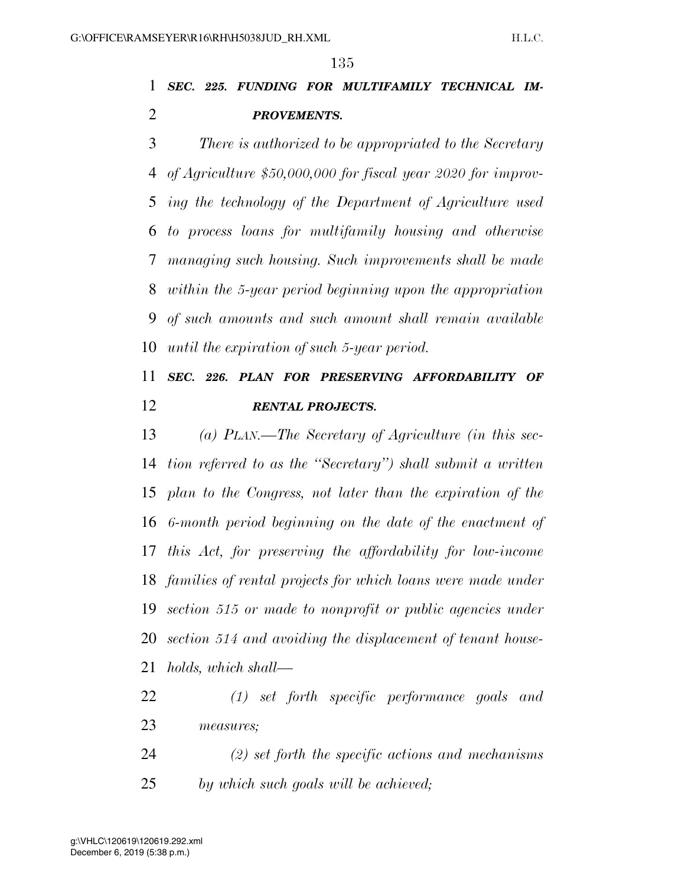### *SEC. 225. FUNDING FOR MULTIFAMILY TECHNICAL IM-PROVEMENTS.*

 *There is authorized to be appropriated to the Secretary of Agriculture \$50,000,000 for fiscal year 2020 for improv- ing the technology of the Department of Agriculture used to process loans for multifamily housing and otherwise managing such housing. Such improvements shall be made within the 5-year period beginning upon the appropriation of such amounts and such amount shall remain available until the expiration of such 5-year period.* 

## *SEC. 226. PLAN FOR PRESERVING AFFORDABILITY OF RENTAL PROJECTS.*

 *(a) PLAN.—The Secretary of Agriculture (in this sec- tion referred to as the ''Secretary'') shall submit a written plan to the Congress, not later than the expiration of the 6-month period beginning on the date of the enactment of this Act, for preserving the affordability for low-income families of rental projects for which loans were made under section 515 or made to nonprofit or public agencies under section 514 and avoiding the displacement of tenant house-holds, which shall—* 

- *(1) set forth specific performance goals and measures;*
- *(2) set forth the specific actions and mechanisms by which such goals will be achieved;*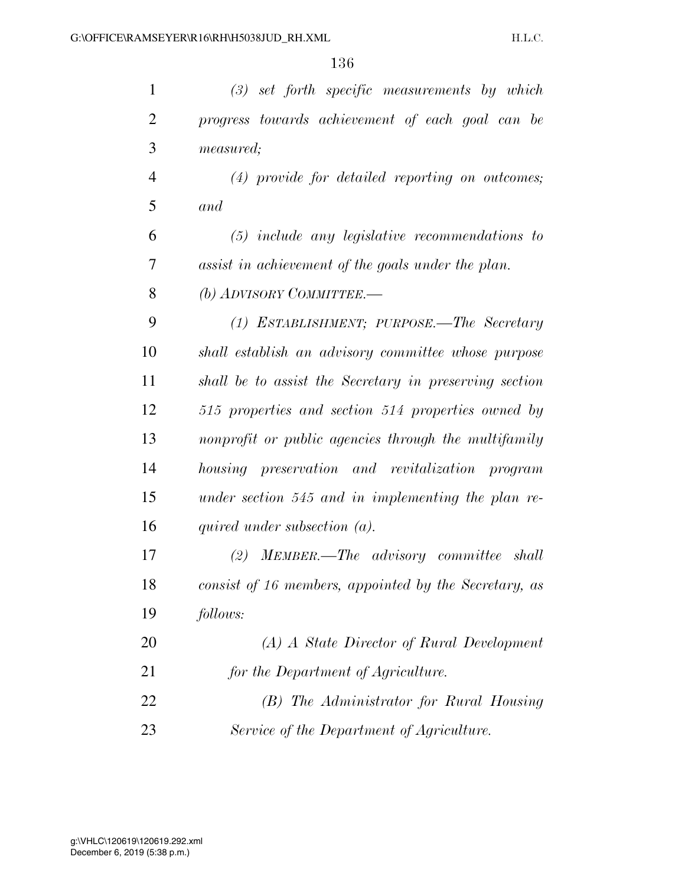| $\mathbf{1}$   | $(3)$ set forth specific measurements by which         |
|----------------|--------------------------------------------------------|
| $\overline{2}$ | progress towards achievement of each goal can be       |
| 3              | <i>measured</i> ;                                      |
| $\overline{4}$ | (4) provide for detailed reporting on outcomes;        |
| 5              | and                                                    |
| 6              | $(5)$ include any legislative recommendations to       |
| 7              | assist in achievement of the goals under the plan.     |
| 8              | (b) ADVISORY COMMITTEE.—                               |
| 9              | (1) ESTABLISHMENT; PURPOSE.—The Secretary              |
| 10             | shall establish an advisory committee whose purpose    |
| 11             | shall be to assist the Secretary in preserving section |
| 12             | 515 properties and section 514 properties owned by     |
| 13             | nonprofit or public agencies through the multifamily   |
| 14             | housing preservation and revitalization program        |
| 15             | under section 545 and in implementing the plan re-     |
| 16             | quired under subsection $(a)$ .                        |
| 17             | MEMBER.—The advisory committee shall<br>(2)            |
| 18             | consist of 16 members, appointed by the Secretary, as  |
| 19             | follows:                                               |
| 20             | (A) A State Director of Rural Development              |
| 21             | for the Department of Agriculture.                     |
| 22             | (B) The Administrator for Rural Housing                |
| 23             | Service of the Department of Agriculture.              |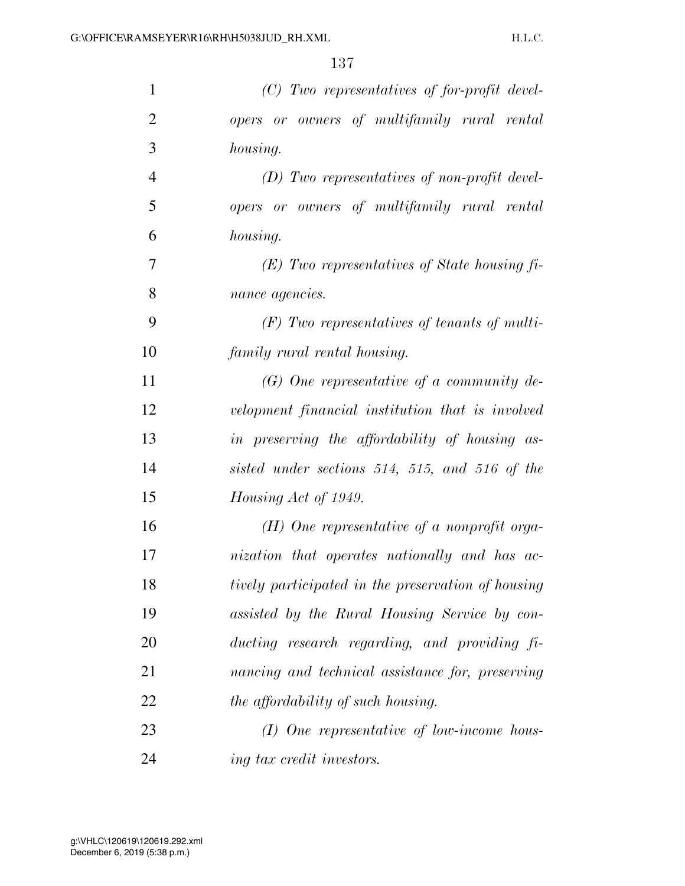| $\mathbf{1}$   | $(C)$ Two representatives of for-profit devel-     |
|----------------|----------------------------------------------------|
| $\overline{2}$ | opers or owners of multifamily rural rental        |
| 3              | <i>housing.</i>                                    |
| $\overline{4}$ | $(D)$ Two representatives of non-profit devel-     |
| 5              | opers or owners of multifamily rural rental        |
| 6              | housing.                                           |
| 7              | $(E)$ Two representatives of State housing fi-     |
| 8              | nance agencies.                                    |
| 9              | $(F)$ Two representatives of tenants of multi-     |
| 10             | family rural rental housing.                       |
| 11             | $(G)$ One representative of a community de-        |
| 12             | velopment financial institution that is involved   |
| 13             | in preserving the affordability of housing as-     |
| 14             | sisted under sections 514, 515, and 516 of the     |
| 15             | Housing Act of 1949.                               |
| 16             | $(H)$ One representative of a nonprofit orga-      |
| 17             | nization that operates nationally and has ac-      |
| 18             | tively participated in the preservation of housing |
| 19             | assisted by the Rural Housing Service by con-      |
| 20             | ducting research regarding, and providing fi-      |
| 21             | nancing and technical assistance for, preserving   |
| 22             | the affordability of such housing.                 |
| 23             | $(I)$ One representative of low-income hous-       |
| 24             | ing tax credit investors.                          |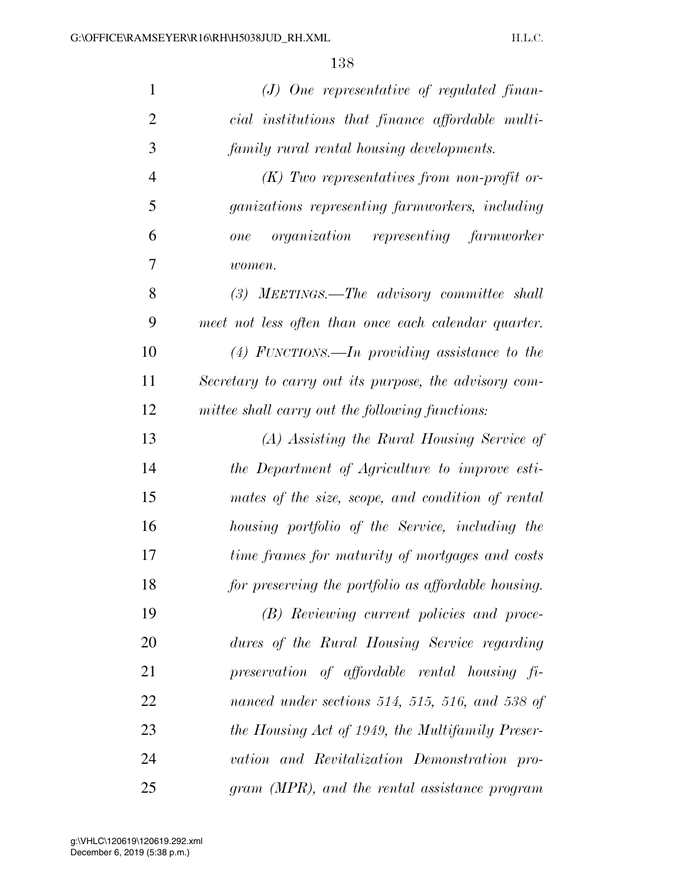| $\mathbf{1}$   | $(J)$ One representative of regulated finan-              |
|----------------|-----------------------------------------------------------|
| $\overline{2}$ | cial institutions that finance affordable multi-          |
| 3              | family rural rental housing developments.                 |
| $\overline{4}$ | $(K)$ Two representatives from non-profit or-             |
| 5              | <i>ganizations representing farmworkers, including</i>    |
| 6              | <i>organization</i> representing farmworker<br><i>one</i> |
| 7              | women.                                                    |
| 8              | (3) MEETINGS.—The advisory committee shall                |
| 9              | meet not less often than once each calendar quarter.      |
| 10             | $(4)$ FUNCTIONS.—In providing assistance to the           |
| 11             | Secretary to carry out its purpose, the advisory com-     |
| 12             | mittee shall carry out the following functions:           |
| 13             | (A) Assisting the Rural Housing Service of                |
| 14             | the Department of Agriculture to improve esti-            |
| 15             | mates of the size, scope, and condition of rental         |
| 16             | housing portfolio of the Service, including the           |
| 17             | time frames for maturity of mortgages and costs           |
| 18             | for preserving the portfolio as affordable housing.       |
| 19             | (B) Reviewing current policies and proce-                 |
| 20             | dures of the Rural Housing Service regarding              |
| 21             | preservation of affordable rental housing fi-             |
| 22             | nanced under sections 514, 515, 516, and 538 of           |
| 23             | the Housing Act of 1949, the Multifamily Preser-          |
| 24             | vation and Revitalization Demonstration pro-              |
| 25             | gram (MPR), and the rental assistance program             |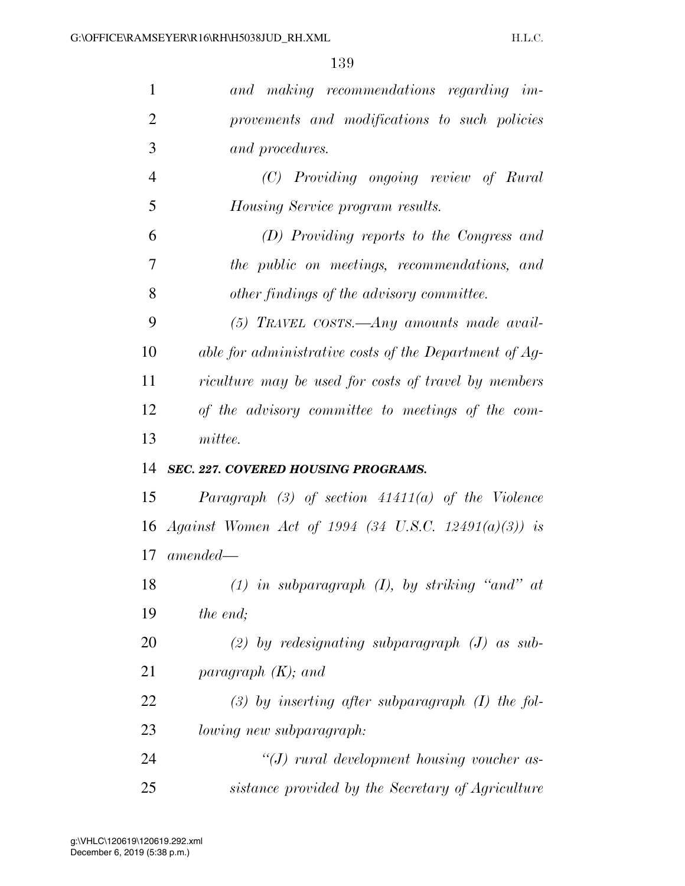| and making recommendations regarding im-                |
|---------------------------------------------------------|
| provements and modifications to such policies           |
| and procedures.                                         |
| (C) Providing ongoing review of Rural                   |
| Housing Service program results.                        |
| (D) Providing reports to the Congress and               |
| the public on meetings, recommendations, and            |
| other findings of the advisory committee.               |
| $(5)$ TRAVEL COSTS.—Any amounts made avail-             |
| able for administrative costs of the Department of Ag-  |
| riculture may be used for costs of travel by members    |
|                                                         |
| of the advisory committee to meetings of the com-       |
| mittee.                                                 |
| <b>SEC. 227. COVERED HOUSING PROGRAMS.</b>              |
| Paragraph $(3)$ of section $41411(a)$ of the Violence   |
| 16 Against Women Act of 1994 (34 U.S.C. 12491(a)(3)) is |
| 17<br>$amended-$                                        |
| $(1)$ in subparagraph $(I)$ , by striking "and" at      |
| the end;                                                |
| (2) by redesignating subparagraph $(J)$ as sub-         |
| paragraph $(K)$ ; and                                   |
| $(3)$ by inserting after subparagraph $(I)$ the fol-    |
| lowing new subparagraph:                                |
| $\lq (J)$ rural development housing voucher as-         |
|                                                         |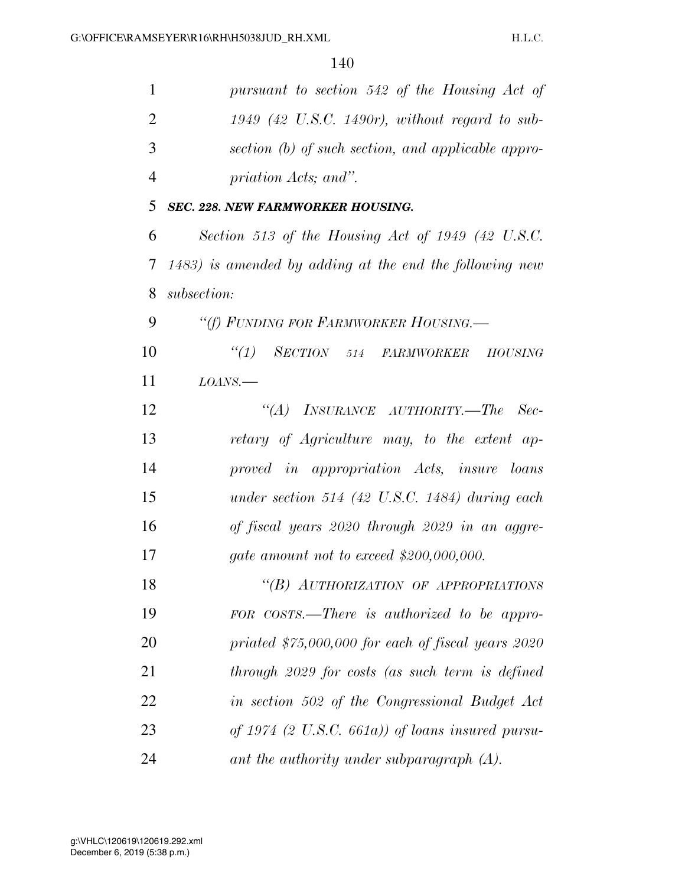| 1              | pursuant to section 542 of the Housing Act of                |
|----------------|--------------------------------------------------------------|
| $\overline{2}$ | $1949$ (42 U.S.C. 1490r), without regard to sub-             |
| 3              | section (b) of such section, and applicable appro-           |
| $\overline{4}$ | priation Acts; and".                                         |
| 5              | <b>SEC. 228. NEW FARMWORKER HOUSING.</b>                     |
| 6              | Section 513 of the Housing Act of 1949 $(42 \text{ U.S.C.})$ |
| 7              | $(1483)$ is amended by adding at the end the following new   |
| 8              | subsection:                                                  |
| 9              | "(f) FUNDING FOR FARMWORKER HOUSING.—                        |
| 10             | $``(1)$ SECTION 514<br>FARMWORKER HOUSING                    |
| 11             | LOANS.                                                       |
| 12             | INSURANCE AUTHORITY.—The Sec-<br>$\lq(A)$                    |
| 13             | retary of Agriculture may, to the extent ap-                 |
| 14             | proved in appropriation Acts, insure loans                   |
| 15             | under section 514 (42 U.S.C. 1484) during each               |
| 16             | of fiscal years 2020 through 2029 in an aggre-               |
| 17             | <i>gate amount not to exceed \$200,000,000.</i>              |
| 18             | "(B) AUTHORIZATION OF APPROPRIATIONS                         |
| 19             | FOR COSTS.—There is authorized to be appro-                  |
| 20             | priated $$75,000,000$ for each of fiscal years $2020$        |
| 21             | through 2029 for costs (as such term is defined              |
| 22             | in section 502 of the Congressional Budget Act               |
| 23             | of 1974 $(2 \text{ U.S.C. } 661a)$ of loans insured pursu-   |
| 24             | ant the authority under subparagraph $(A)$ .                 |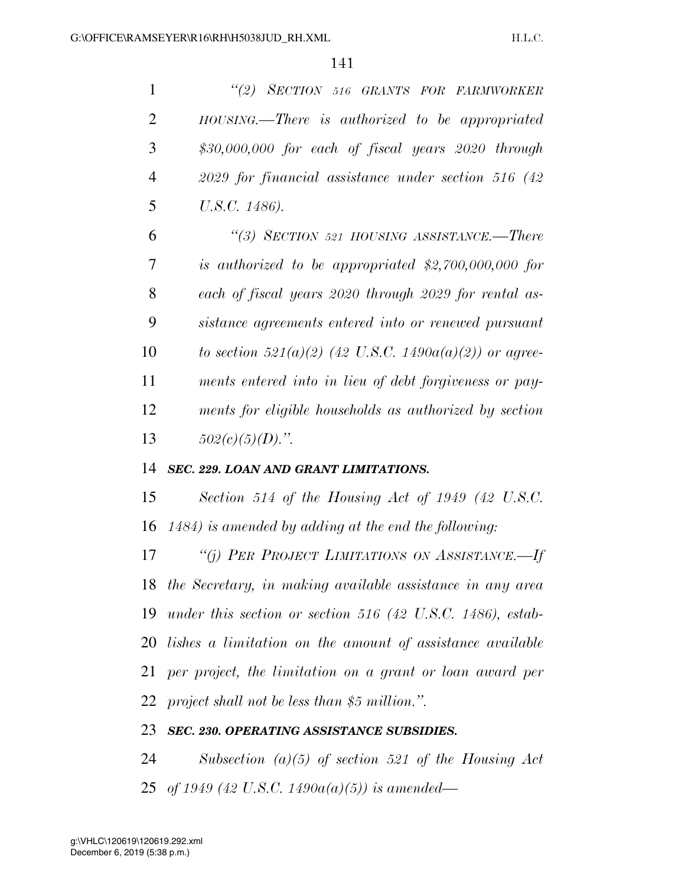| $\mathbf{1}$   | "(2) SECTION 516 GRANTS FOR FARMWORKER                       |
|----------------|--------------------------------------------------------------|
| $\overline{2}$ | HOUSING.—There is authorized to be appropriated              |
| 3              | $$30,000,000$ for each of fiscal years $2020$ through        |
| $\overline{4}$ | $2029$ for financial assistance under section 516 (42)       |
| 5              | U.S.C. 1486).                                                |
| 6              | "(3) SECTION 521 HOUSING ASSISTANCE.—There                   |
| 7              | is authorized to be appropriated $$2,700,000,000$ for        |
| 8              | each of fiscal years 2020 through 2029 for rental as-        |
| 9              | sistance agreements entered into or renewed pursuant         |
| 10             | to section 521(a)(2) (42 U.S.C. 1490a(a)(2)) or agree-       |
| 11             | ments entered into in lieu of debt forgiveness or pay-       |
| 12             | ments for eligible households as authorized by section       |
| 13             | $502(c)(5)(D)$ .".                                           |
| 14             | SEC. 229. LOAN AND GRANT LIMITATIONS.                        |
| 15             | Section 514 of the Housing Act of 1949 (42 U.S.C.            |
| 16             | $1484$ ) is amended by adding at the end the following:      |
| 17             | "(j) PER PROJECT LIMITATIONS ON ASSISTANCE.-If               |
|                | 18 the Secretary, in making available assistance in any area |
| 19             | under this section or section 516 (42 U.S.C. 1486), estab-   |
| 20             | lishes a limitation on the amount of assistance available    |
| 21             | per project, the limitation on a grant or loan award per     |
|                | 22 project shall not be less than \$5 million.".             |

### *SEC. 230. OPERATING ASSISTANCE SUBSIDIES.*

 *Subsection (a)(5) of section 521 of the Housing Act of 1949 (42 U.S.C. 1490a(a)(5)) is amended—*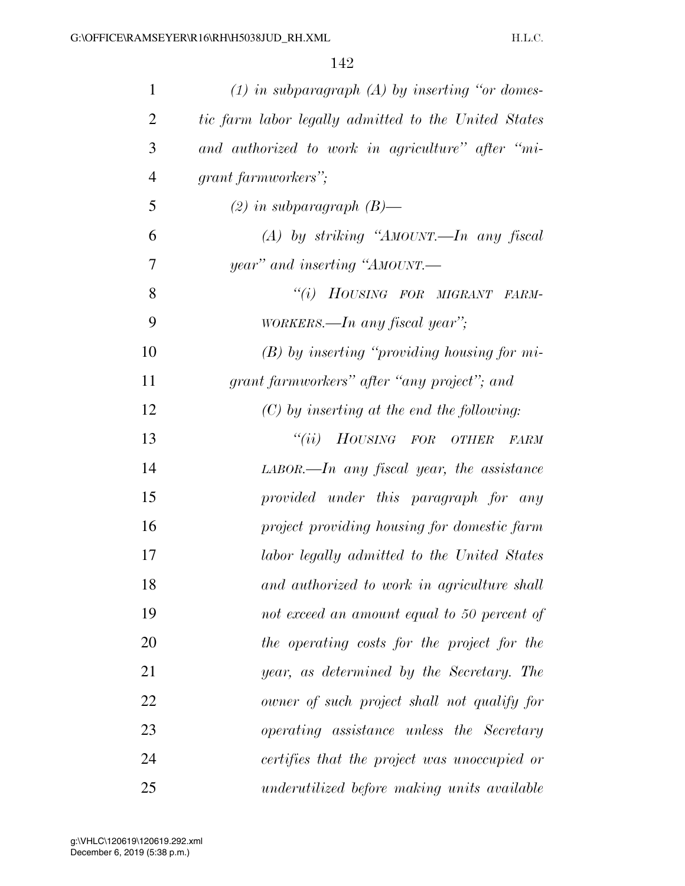| $\mathbf{1}$   | $(1)$ in subparagraph $(A)$ by inserting "or domes-  |
|----------------|------------------------------------------------------|
| $\overline{2}$ | tic farm labor legally admitted to the United States |
| 3              | and authorized to work in agriculture" after "mi-    |
| $\overline{4}$ | grant farmworkers";                                  |
| 5              | $(2)$ in subparagraph $(B)$ —                        |
| 6              | $(A)$ by striking "AMOUNT.—In any fiscal             |
| 7              | year" and inserting "AMOUNT.—                        |
| 8              | "(i) HOUSING FOR MIGRANT FARM-                       |
| 9              | $WORKERS.$ —In any fiscal year";                     |
| 10             | $(B)$ by inserting "providing housing for mi-        |
| 11             | grant farmworkers" after "any project"; and          |
| 12             | $(C)$ by inserting at the end the following:         |
| 13             | "(ii) HOUSING FOR OTHER<br><b>FARM</b>               |
| 14             | $LABOR$ —In any fiscal year, the assistance          |
| 15             | provided under this paragraph for any                |
| 16             | project providing housing for domestic farm          |
| 17             | labor legally admitted to the United States          |
| 18             | and authorized to work in agriculture shall          |
| 19             | not exceed an amount equal to 50 percent of          |
| 20             | the operating costs for the project for the          |
| 21             | year, as determined by the Secretary. The            |
| 22             | owner of such project shall not qualify for          |
| 23             | <i>operating assistance unless the Secretary</i>     |
| 24             | certifies that the project was unoccupied or         |
| 25             | underutilized before making units available          |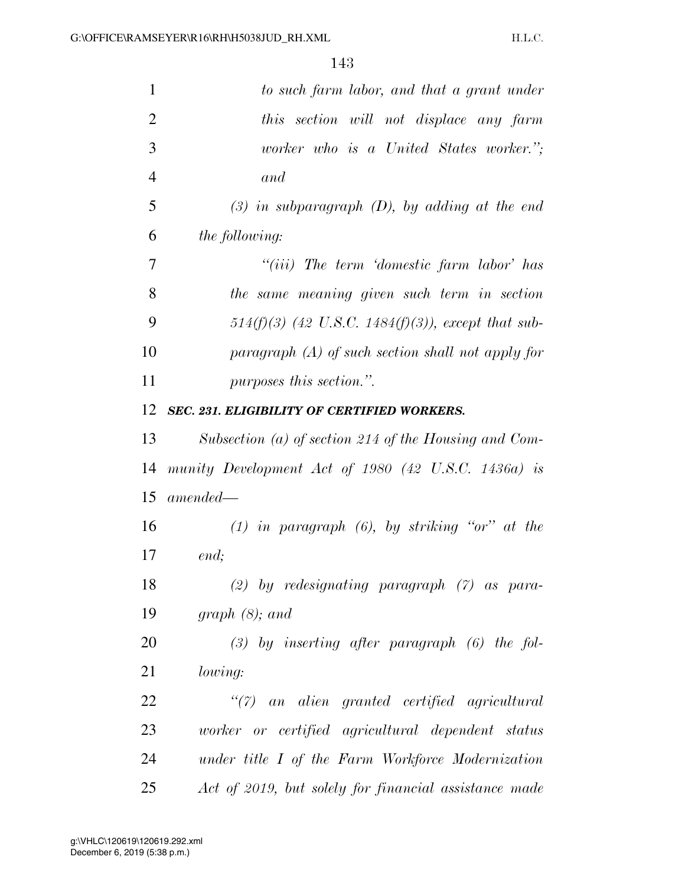| $\mathbf{1}$   | to such farm labor, and that a grant under            |
|----------------|-------------------------------------------------------|
| $\overline{2}$ | this section will not displace any farm               |
| 3              | worker who is a United States worker.";               |
| $\overline{4}$ | and                                                   |
| 5              | $(3)$ in subparagraph $(D)$ , by adding at the end    |
| 6              | <i>the following:</i>                                 |
| 7              | "(iii) The term 'domestic farm labor' has             |
| 8              | the same meaning given such term in section           |
| 9              | 514(f)(3) (42 U.S.C. 1484(f)(3)), except that sub-    |
| 10             | paragraph $(A)$ of such section shall not apply for   |
| 11             | purposes this section.".                              |
| 12             | <b>SEC. 231. ELIGIBILITY OF CERTIFIED WORKERS.</b>    |
| 13             | Subsection (a) of section 214 of the Housing and Com- |
| 14             | munity Development Act of $1980$ (42 U.S.C. 1436a) is |
| 15             | $amended-$                                            |
| 16             | $(1)$ in paragraph $(6)$ , by striking "or" at the    |
| 17             | end;                                                  |
| 18             | $(2)$ by redesignating paragraph $(7)$ as para-       |
| 19             | graph $(8)$ ; and                                     |
| 20             | $(3)$ by inserting after paragraph $(6)$ the fol-     |
| 21             | <i>lowing:</i>                                        |
| 22             | "(7) an alien granted certified agricultural          |
| 23             | worker or certified agricultural dependent status     |
| 24             | under title I of the Farm Workforce Modernization     |
| 25             | Act of 2019, but solely for financial assistance made |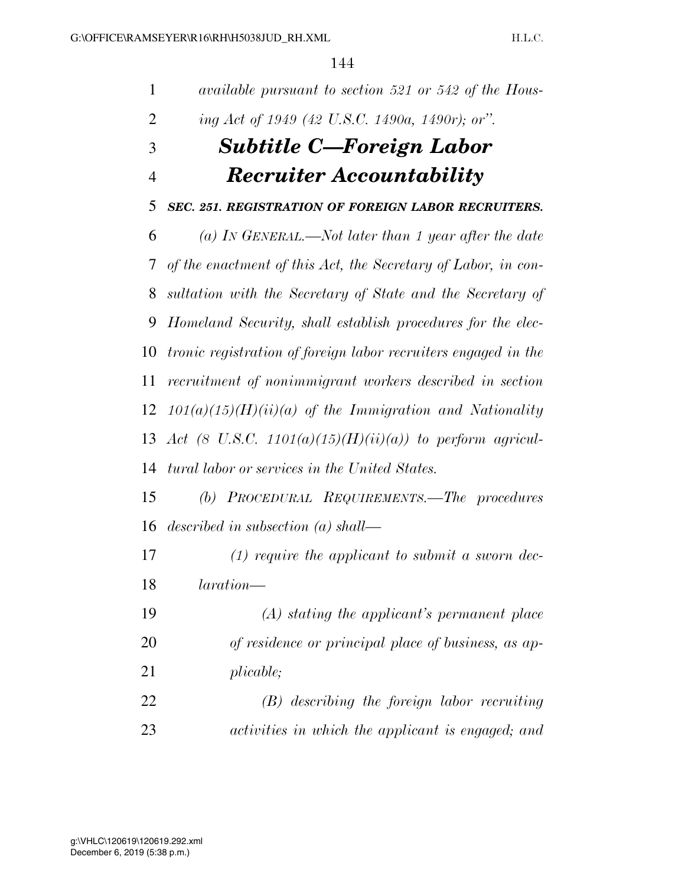| $\mathbf{1}$   | <i>available pursuant to section 521 or 542 of the Hous-</i>          |
|----------------|-----------------------------------------------------------------------|
| $\overline{2}$ | ing Act of 1949 (42 U.S.C. 1490a, 1490r); or".                        |
| 3              | <b>Subtitle C—Foreign Labor</b>                                       |
| $\overline{4}$ | <b>Recruiter Accountability</b>                                       |
| 5              | SEC. 251. REGISTRATION OF FOREIGN LABOR RECRUITERS.                   |
| 6              | (a) IN GENERAL.—Not later than 1 year after the date                  |
| 7              | of the enactment of this Act, the Secretary of Labor, in con-         |
| 8              | sultation with the Secretary of State and the Secretary of            |
| 9              | Homeland Security, shall establish procedures for the elec-           |
| 10             | <i>tronic registration of foreign labor recruiters engaged in the</i> |
| 11             | recruitment of nonimmigrant workers described in section              |
| 12             | $101(a)(15)(H)(ii)(a)$ of the Immigration and Nationality             |
|                | 13 Act (8 U.S.C. 1101(a)(15)(H)(ii)(a)) to perform agricul-           |
| 14             | tural labor or services in the United States.                         |
| 15             | (b) PROCEDURAL REQUIREMENTS.—The procedures                           |
| 16             | described in subsection $(a)$ shall—                                  |
| 17             | $(1)$ require the applicant to submit a sworn dec-                    |
| 18             | $laration-$                                                           |
| 19             | $(A)$ stating the applicant's permanent place                         |
| 20             | of residence or principal place of business, as ap-                   |
| 21             | plicable;                                                             |
| 22             | $(B)$ describing the foreign labor recruiting                         |
| 23             | activities in which the applicant is engaged; and                     |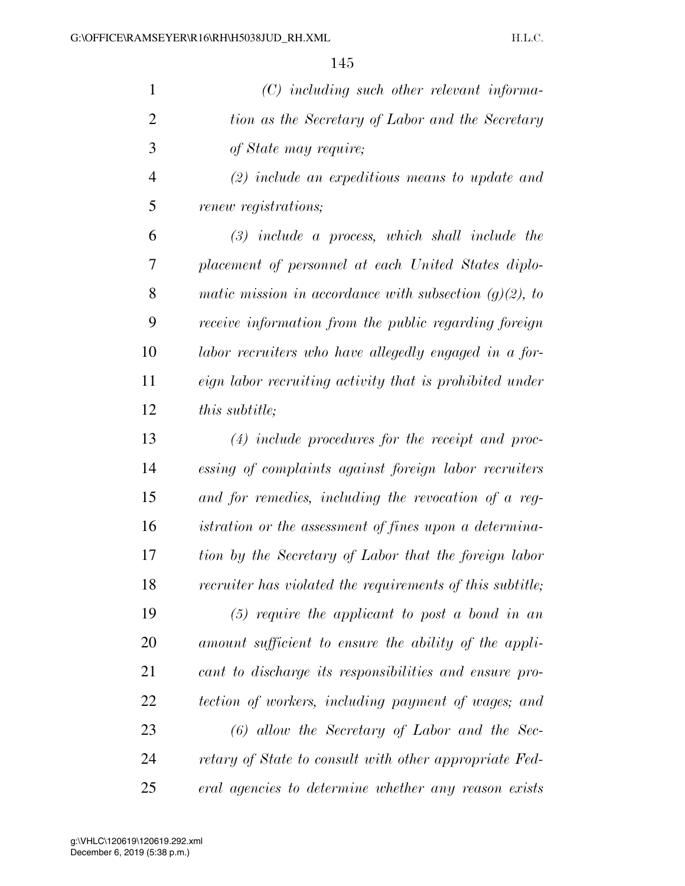| $\mathbf{1}$   | $(C)$ including such other relevant informa-              |
|----------------|-----------------------------------------------------------|
| $\overline{2}$ | tion as the Secretary of Labor and the Secretary          |
| 3              | of State may require;                                     |
| $\overline{4}$ | $(2)$ include an expeditious means to update and          |
| 5              | <i>renew registrations;</i>                               |
| 6              | $(3)$ include a process, which shall include the          |
| 7              | placement of personnel at each United States diplo-       |
| 8              | matic mission in accordance with subsection $(g)(2)$ , to |
| 9              | receive information from the public regarding foreign     |
| 10             | labor recruiters who have allegedly engaged in a for-     |
| 11             | eign labor recruiting activity that is prohibited under   |
| 12             | <i>this subtitle;</i>                                     |
| 13             | $(4)$ include procedures for the receipt and proc-        |
| 14             | essing of complaints against foreign labor recruiters     |
| 15             | and for remedies, including the revocation of a reg-      |
| 16             | istration or the assessment of fines upon a determina-    |
| 17             | tion by the Secretary of Labor that the foreign labor     |
| 18             | recruiter has violated the requirements of this subtitle; |
| 19             | $(5)$ require the applicant to post a bond in an          |
| 20             | amount sufficient to ensure the ability of the appli-     |
| 21             | cant to discharge its responsibilities and ensure pro-    |
| 22             | tection of workers, including payment of wages; and       |
| 23             | $(6)$ allow the Secretary of Labor and the Sec-           |
| 24             | retary of State to consult with other appropriate Fed-    |
| 25             | eral agencies to determine whether any reason exists      |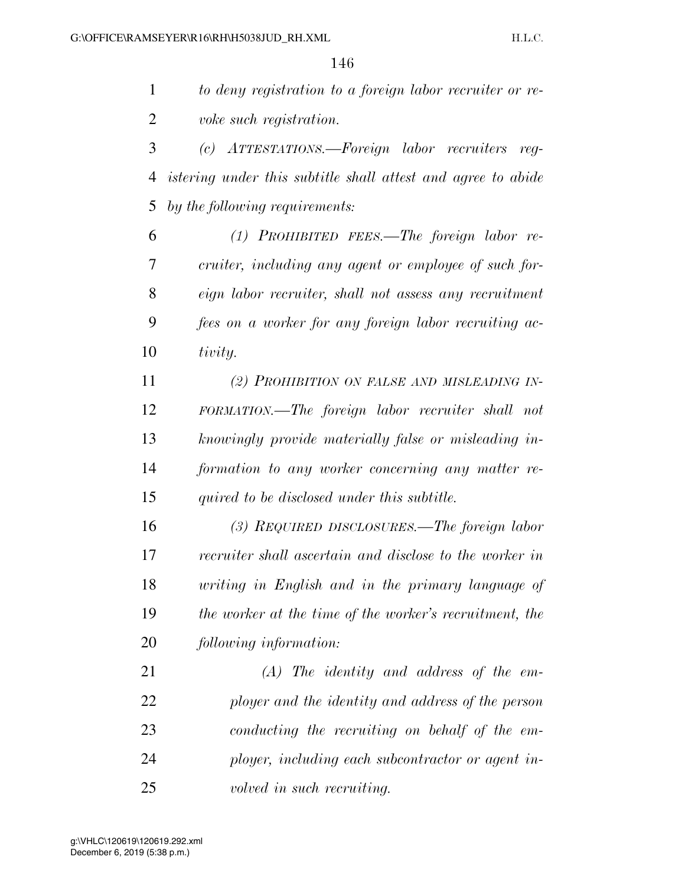*to deny registration to a foreign labor recruiter or re-voke such registration.* 

 *(c) ATTESTATIONS.—Foreign labor recruiters reg- istering under this subtitle shall attest and agree to abide by the following requirements:* 

 *(1) PROHIBITED FEES.—The foreign labor re- cruiter, including any agent or employee of such for- eign labor recruiter, shall not assess any recruitment fees on a worker for any foreign labor recruiting ac-tivity.* 

 *(2) PROHIBITION ON FALSE AND MISLEADING IN- FORMATION.—The foreign labor recruiter shall not knowingly provide materially false or misleading in- formation to any worker concerning any matter re-quired to be disclosed under this subtitle.* 

 *(3) REQUIRED DISCLOSURES.—The foreign labor recruiter shall ascertain and disclose to the worker in writing in English and in the primary language of the worker at the time of the worker's recruitment, the following information:* 

 *(A) The identity and address of the em- ployer and the identity and address of the person conducting the recruiting on behalf of the em- ployer, including each subcontractor or agent in-volved in such recruiting.* 

December 6, 2019 (5:38 p.m.) g:\VHLC\120619\120619.292.xml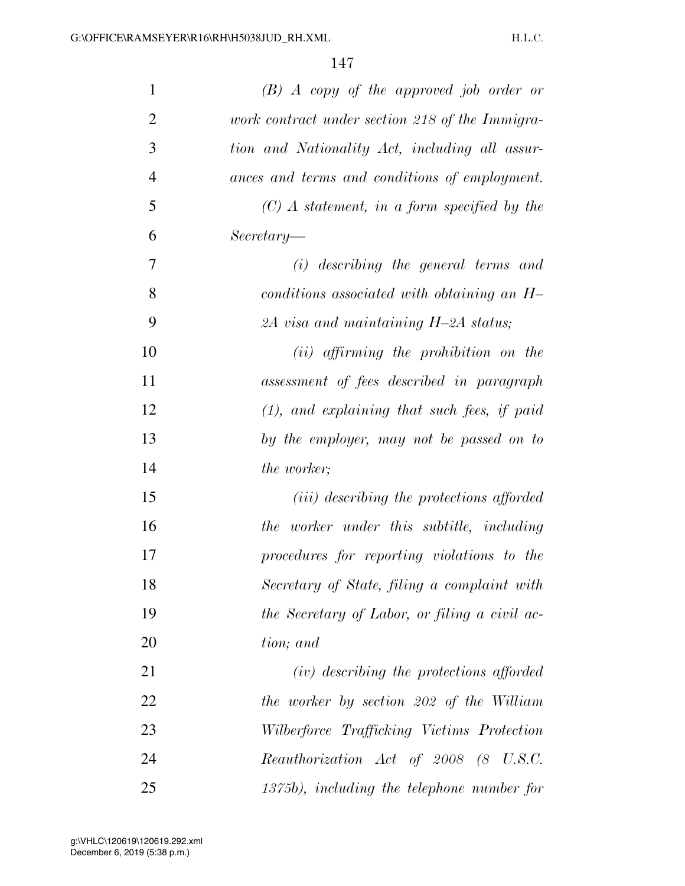| $\mathbf{1}$   | $(B)$ A copy of the approved job order or          |
|----------------|----------------------------------------------------|
| $\overline{2}$ | work contract under section 218 of the Immigra-    |
| 3              | tion and Nationality Act, including all assur-     |
| $\overline{4}$ | ances and terms and conditions of employment.      |
| 5              | $(C)$ A statement, in a form specified by the      |
| 6              | $Secretary-$                                       |
| 7              | $(i)$ describing the general terms and             |
| 8              | conditions associated with obtaining an $H-$       |
| 9              | 2A visa and maintaining $H$ -2A status;            |
| 10             | $(ii)$ affirming the prohibition on the            |
| 11             | assessment of fees described in paragraph          |
| 12             | $(1)$ , and explaining that such fees, if paid     |
| 13             | by the employer, may not be passed on to           |
| 14             | the worker;                                        |
| 15             | ( <i>iii</i> ) describing the protections afforded |
| 16             | the worker under this subtitle, including          |
| 17             | procedures for reporting violations to the         |
| 18             | Secretary of State, filing a complaint with        |
| 19             | the Secretary of Labor, or filing a civil ac-      |
| 20             | tion; and                                          |
| 21             | (iv) describing the protections afforded           |
| 22             | the worker by section 202 of the William           |
| 23             | Wilberforce Trafficking Victims Protection         |
| 24             | Reauthorization Act of 2008 (8 U.S.C.              |
| 25             | 1375b), including the telephone number for         |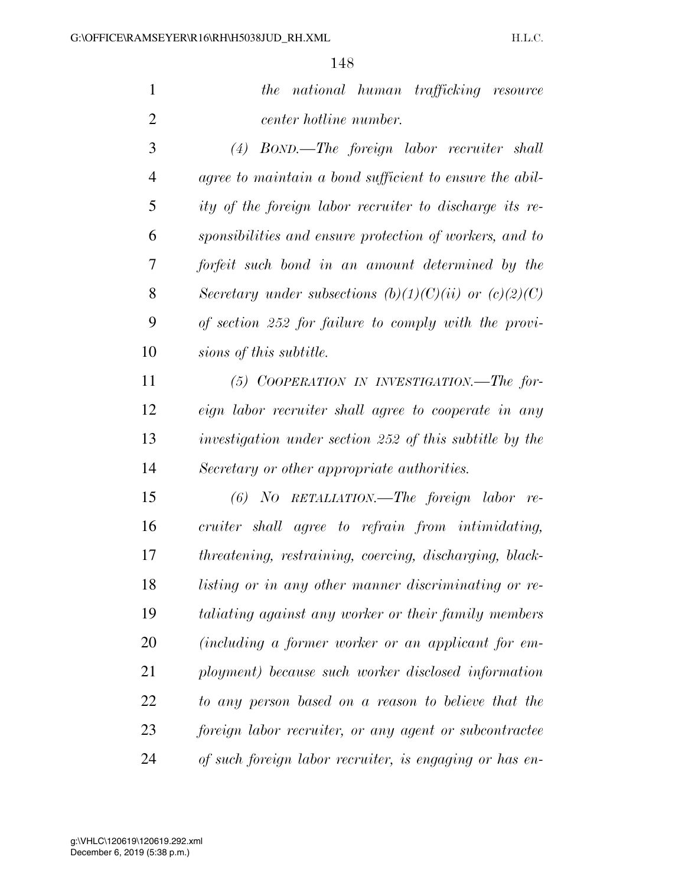|                | the national human trafficking resource                 |
|----------------|---------------------------------------------------------|
| 2              | center hotline number.                                  |
| 3              | $(4)$ BOND.—The foreign labor recruiter shall           |
| $\overline{4}$ | agree to maintain a bond sufficient to ensure the abil- |
| 5              | ity of the foreign labor recruiter to discharge its re- |

 *sponsibilities and ensure protection of workers, and to forfeit such bond in an amount determined by the Secretary under subsections (b)(1)(C)(ii) or (c)(2)(C) of section 252 for failure to comply with the provi-sions of this subtitle.* 

 *(5) COOPERATION IN INVESTIGATION.—The for- eign labor recruiter shall agree to cooperate in any investigation under section 252 of this subtitle by the Secretary or other appropriate authorities.* 

 *(6) NO RETALIATION.—The foreign labor re- cruiter shall agree to refrain from intimidating, threatening, restraining, coercing, discharging, black- listing or in any other manner discriminating or re- taliating against any worker or their family members (including a former worker or an applicant for em- ployment) because such worker disclosed information to any person based on a reason to believe that the foreign labor recruiter, or any agent or subcontractee of such foreign labor recruiter, is engaging or has en-*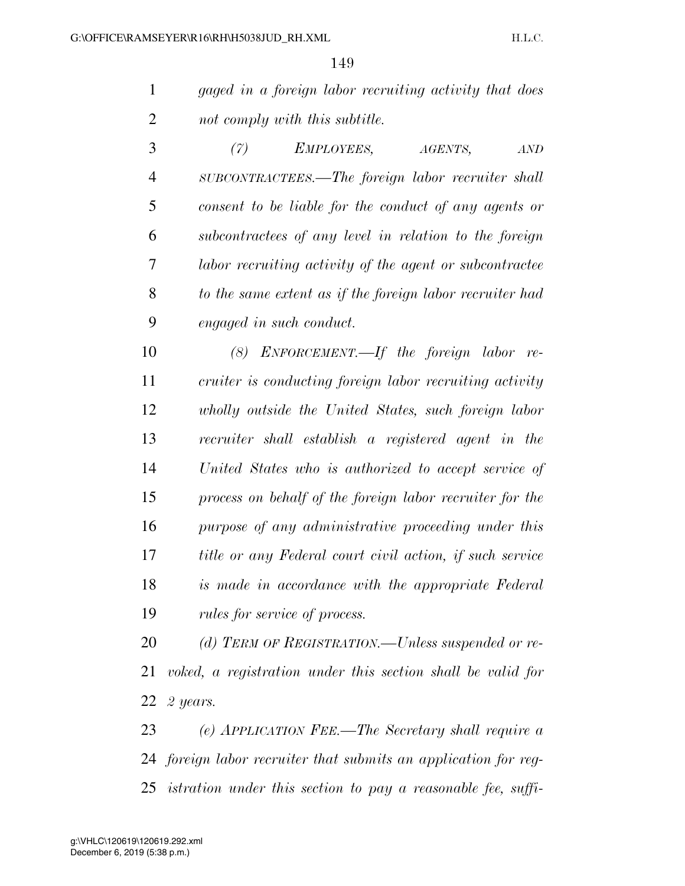|   | gaged in a foreign labor recruiting activity that does |
|---|--------------------------------------------------------|
| 2 | not comply with this subtitle.                         |

 *(7) EMPLOYEES, AGENTS, AND SUBCONTRACTEES.—The foreign labor recruiter shall consent to be liable for the conduct of any agents or subcontractees of any level in relation to the foreign labor recruiting activity of the agent or subcontractee to the same extent as if the foreign labor recruiter had engaged in such conduct.* 

 *(8) ENFORCEMENT.—If the foreign labor re- cruiter is conducting foreign labor recruiting activity wholly outside the United States, such foreign labor recruiter shall establish a registered agent in the United States who is authorized to accept service of process on behalf of the foreign labor recruiter for the purpose of any administrative proceeding under this title or any Federal court civil action, if such service is made in accordance with the appropriate Federal rules for service of process.* 

 *(d) TERM OF REGISTRATION.—Unless suspended or re- voked, a registration under this section shall be valid for 2 years.* 

 *(e) APPLICATION FEE.—The Secretary shall require a foreign labor recruiter that submits an application for reg-istration under this section to pay a reasonable fee, suffi-*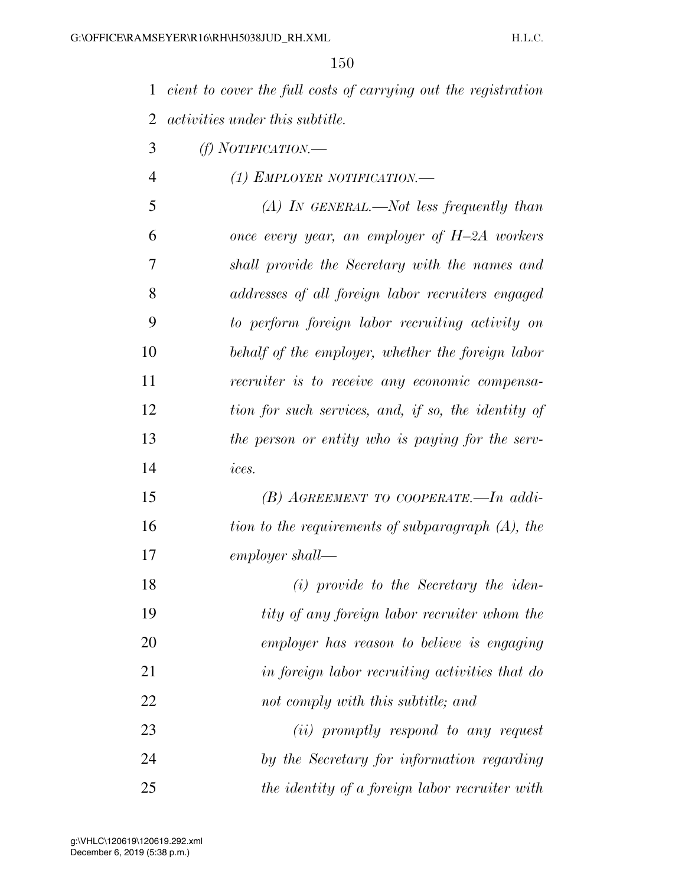*cient to cover the full costs of carrying out the registration activities under this subtitle.* 

- *(f) NOTIFICATION.—*
- *(1) EMPLOYER NOTIFICATION.—*

 *(A) IN GENERAL.—Not less frequently than once every year, an employer of H–2A workers shall provide the Secretary with the names and addresses of all foreign labor recruiters engaged to perform foreign labor recruiting activity on behalf of the employer, whether the foreign labor recruiter is to receive any economic compensa- tion for such services, and, if so, the identity of the person or entity who is paying for the serv-ices.* 

 *(B) AGREEMENT TO COOPERATE.—In addi- tion to the requirements of subparagraph (A), the employer shall—* 

 *(i) provide to the Secretary the iden- tity of any foreign labor recruiter whom the employer has reason to believe is engaging in foreign labor recruiting activities that do not comply with this subtitle; and (ii) promptly respond to any request* 

 *by the Secretary for information regarding the identity of a foreign labor recruiter with*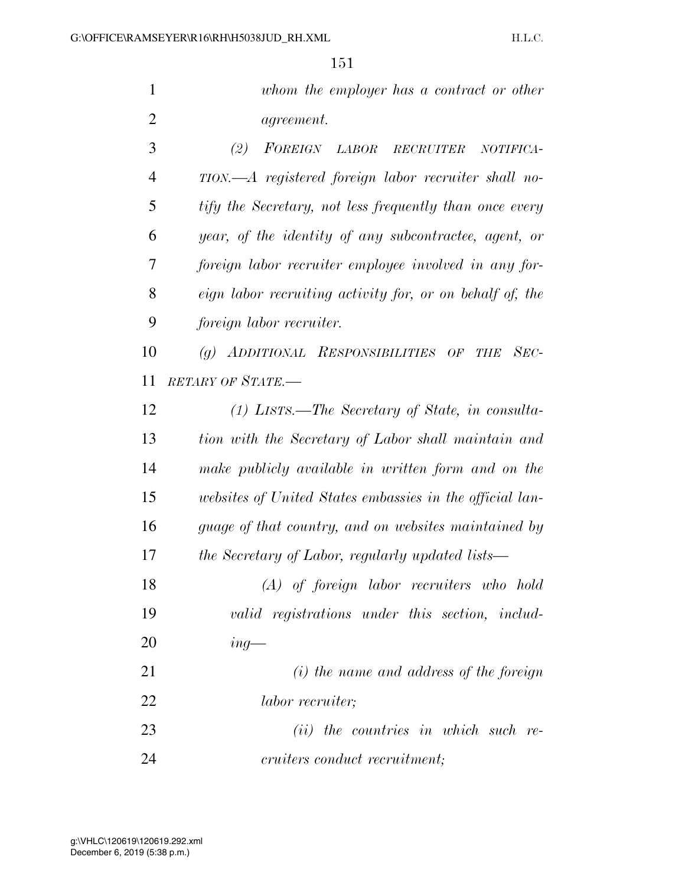|                | whom the employer has a contract or other               |
|----------------|---------------------------------------------------------|
| 2              | <i>agreement.</i>                                       |
| 3              | FOREIGN LABOR RECRUITER NOTIFICA-<br>(2)                |
| $\overline{4}$ | TION.—A registered foreign labor recruiter shall no-    |
| 5              | tify the Secretary, not less frequently than once every |

 *year, of the identity of any subcontractee, agent, or foreign labor recruiter employee involved in any for- eign labor recruiting activity for, or on behalf of, the foreign labor recruiter.* 

 *(g) ADDITIONAL RESPONSIBILITIES OF THE SEC-RETARY OF STATE.—* 

 *(1) LISTS.—The Secretary of State, in consulta- tion with the Secretary of Labor shall maintain and make publicly available in written form and on the websites of United States embassies in the official lan- guage of that country, and on websites maintained by the Secretary of Labor, regularly updated lists—* 

 *(A) of foreign labor recruiters who hold valid registrations under this section, includ-ing—* 

 *(i) the name and address of the foreign labor recruiter;* 

 *(ii) the countries in which such re-cruiters conduct recruitment;*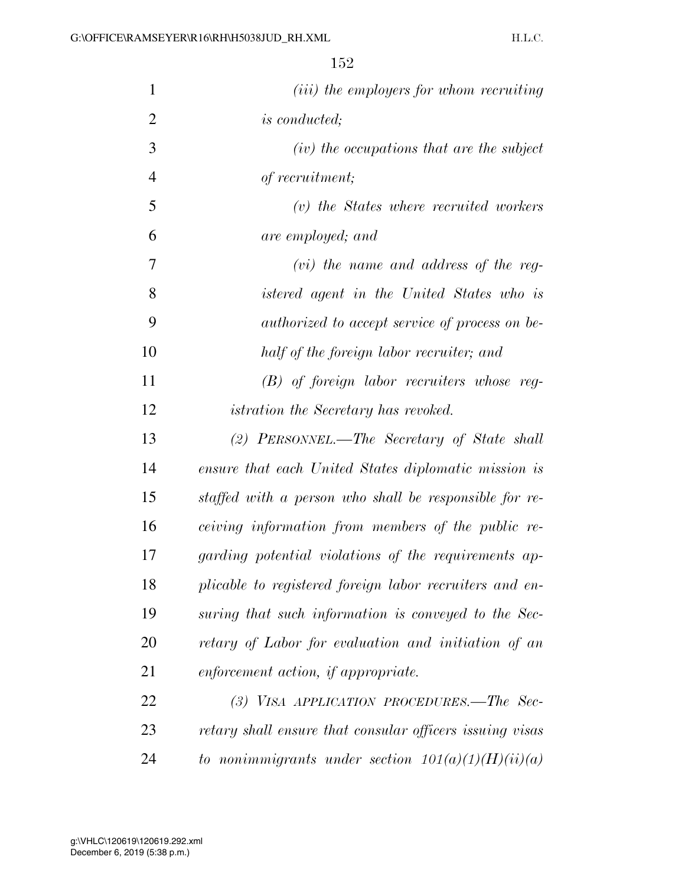| $\mathbf{1}$   | ( <i>iii</i> ) the employers for whom recruiting          |
|----------------|-----------------------------------------------------------|
| $\overline{2}$ | <i>is conducted</i> ;                                     |
| 3              | $(iv)$ the occupations that are the subject               |
| $\overline{4}$ | of recruitment;                                           |
| 5              | $(v)$ the States where recruited workers                  |
| 6              | are employed; and                                         |
| 7              | $(vi)$ the name and address of the reg-                   |
| 8              | istered agent in the United States who is                 |
| 9              | <i>authorized to accept service of process on be-</i>     |
| 10             | half of the foreign labor recruiter; and                  |
| 11             | $(B)$ of foreign labor recruiters whose reg-              |
| 12             | <i>istration the Secretary has revoked.</i>               |
| 13             | (2) PERSONNEL.—The Secretary of State shall               |
| 14             | ensure that each United States diplomatic mission is      |
| 15             | staffed with a person who shall be responsible for re-    |
| 16             | <i>ceiving information from members of the public re-</i> |
| 17             | garding potential violations of the requirements ap-      |
| 18             | plicable to registered foreign labor recruiters and en-   |
| 19             | suring that such information is conveyed to the Sec-      |
| 20             | retary of Labor for evaluation and initiation of an       |
| 21             | enforcement action, if appropriate.                       |
| 22             | (3) VISA APPLICATION PROCEDURES.—The Sec-                 |
| 23             | retary shall ensure that consular officers issuing visas  |
| 24             | to nonimmigrants under section $101(a)(1)(H)(ii)(a)$      |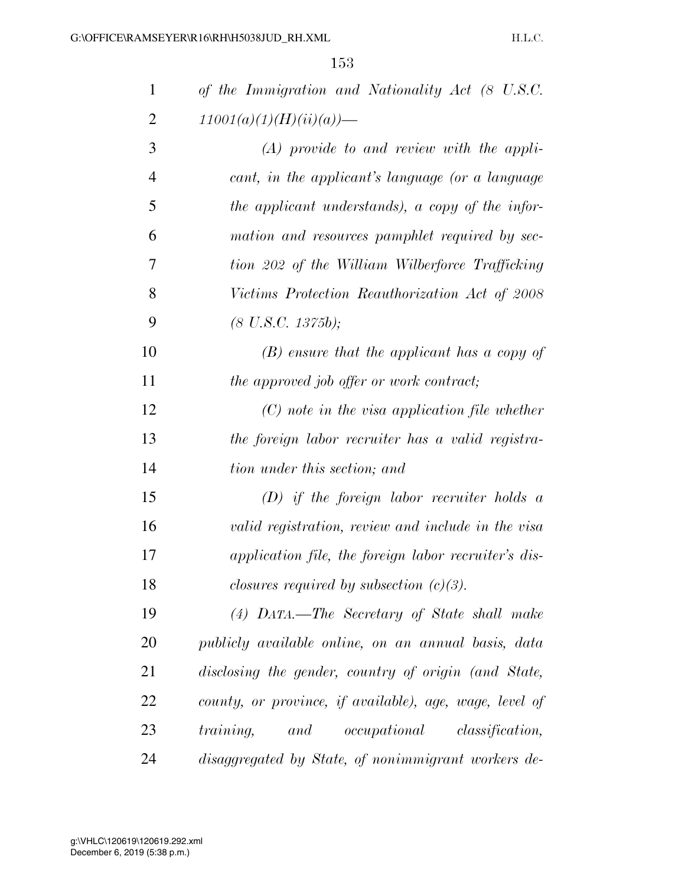| 1              | of the Immigration and Nationality Act (8 U.S.C.        |
|----------------|---------------------------------------------------------|
| $\overline{2}$ | $11001(a)(1)(H)(ii)(a)$ —                               |
| 3              | $(A)$ provide to and review with the appli-             |
| $\overline{4}$ | cant, in the applicant's language (or a language        |
| 5              | the applicant understands), a copy of the infor-        |
| 6              | mation and resources pamphlet required by sec-          |
| 7              | tion 202 of the William Wilberforce Trafficking         |
| 8              | Victims Protection Reauthorization Act of 2008          |
| 9              | $(8 \text{ U.S. C. } 1375b);$                           |
| 10             | $(B)$ ensure that the applicant has a copy of           |
| 11             | the approved job offer or work contract;                |
| 12             | $(C)$ note in the visa application file whether         |
| 13             | the foreign labor recruiter has a valid registra-       |
| 14             | tion under this section; and                            |
| 15             | $(D)$ if the foreign labor recruiter holds a            |
| 16             | valid registration, review and include in the visa      |
| 17             | application file, the foreign labor recruiter's dis-    |
| 18             | closures required by subsection $(c)(3)$ .              |
| 19             | (4) DATA.—The Secretary of State shall make             |
| 20             | publicly available online, on an annual basis, data     |
| 21             | disclosing the gender, country of origin (and State,    |
| 22             | county, or province, if available), age, wage, level of |
| 23             | training, and occupational classification,              |
| 24             | disaggregated by State, of nonimmigrant workers de-     |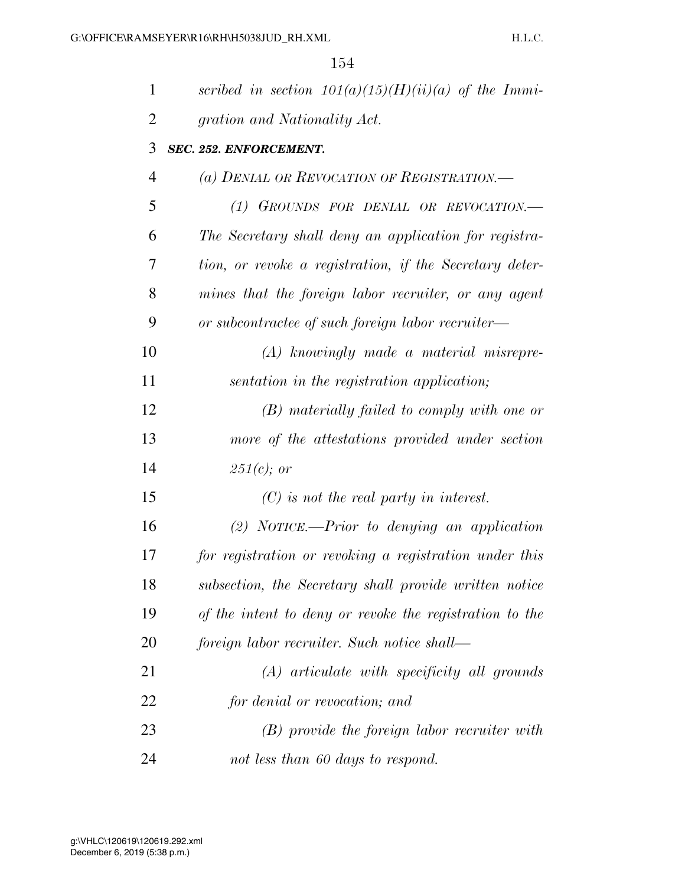| $\mathbf{1}$   | scribed in section $101(a)(15)(H)(ii)(a)$ of the Immi-  |
|----------------|---------------------------------------------------------|
| $\overline{2}$ | gration and Nationality Act.                            |
| 3              | SEC. 252. ENFORCEMENT.                                  |
| 4              | (a) DENIAL OR REVOCATION OF REGISTRATION.               |
| 5              | (1) GROUNDS FOR DENIAL OR REVOCATION.                   |
| 6              | The Secretary shall deny an application for registra-   |
| 7              | tion, or revoke a registration, if the Secretary deter- |
| 8              | mines that the foreign labor recruiter, or any agent    |
| 9              | or subcontractee of such foreign labor recruiter—       |
| 10             | $(A)$ knowingly made a material misrepre-               |
| 11             | sentation in the registration application;              |
| 12             | (B) materially failed to comply with one or             |
| 13             | more of the attestations provided under section         |
| 14             | $251(c)$ ; or                                           |
| 15             | $(C)$ is not the real party in interest.                |
| 16             | (2) NOTICE.—Prior to denying an application             |
| 17             | for registration or revoking a registration under this  |
| 18             | subsection, the Secretary shall provide written notice  |
| 19             | of the intent to deny or revoke the registration to the |
| 20             | foreign labor recruiter. Such notice shall—             |
| 21             | $(A)$ articulate with specificity all grounds           |
| 22             | for denial or revocation; and                           |
| 23             | $(B)$ provide the foreign labor recruiter with          |
| 24             | not less than 60 days to respond.                       |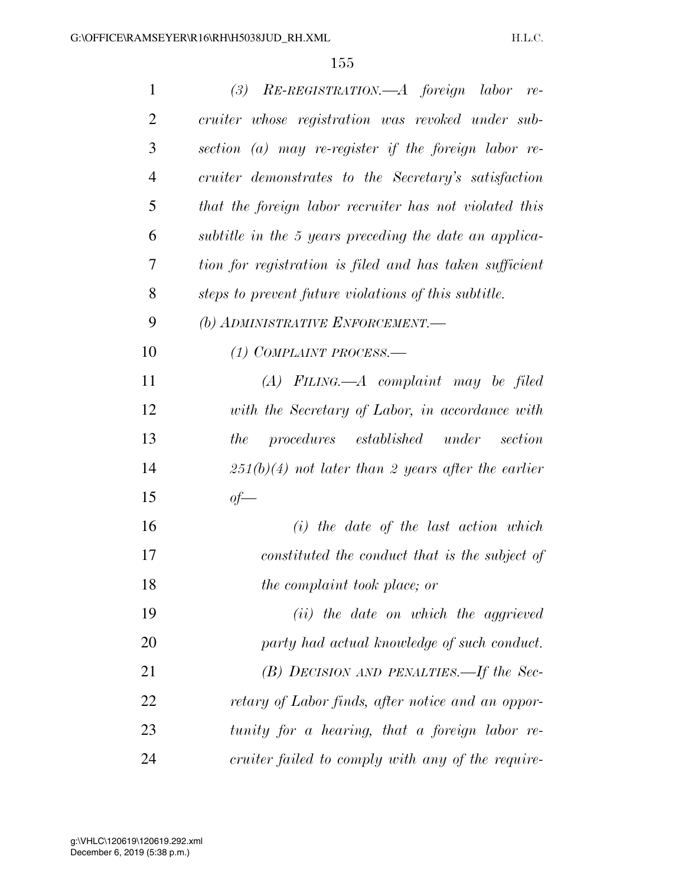| $\mathbf{1}$   | $(3)$ RE-REGISTRATION.—A foreign labor re-              |
|----------------|---------------------------------------------------------|
| $\overline{2}$ | cruiter whose registration was revoked under sub-       |
| 3              | section (a) may re-register if the foreign labor re-    |
| $\overline{4}$ | cruiter demonstrates to the Secretary's satisfaction    |
| 5              | that the foreign labor recruiter has not violated this  |
| 6              | subtitle in the 5 years preceding the date an applica-  |
| 7              | tion for registration is filed and has taken sufficient |
| 8              | steps to prevent future violations of this subtitle.    |
| 9              | (b) ADMINISTRATIVE ENFORCEMENT.-                        |
| 10             | (1) COMPLAINT PROCESS.-                                 |
| 11             | $(A)$ FILING.— $A$ complaint may be filed               |
| 12             | with the Secretary of Labor, in accordance with         |
| 13             | procedures established under section<br>the             |
| 14             | $251(b)(4)$ not later than 2 years after the earlier    |
| 15             | $of-$                                                   |
| 16             | $(i)$ the date of the last action which                 |
| 17             | constituted the conduct that is the subject of          |
| 18             | the complaint took place; or                            |
| 19             | (ii) the date on which the aggrieved                    |
| 20             | party had actual knowledge of such conduct.             |
| 21             | $(B)$ DECISION AND PENALTIES.—If the Sec-               |
| 22             | retary of Labor finds, after notice and an oppor-       |
| 23             | tunity for a hearing, that a foreign labor re-          |
| 24             | cruiter failed to comply with any of the require-       |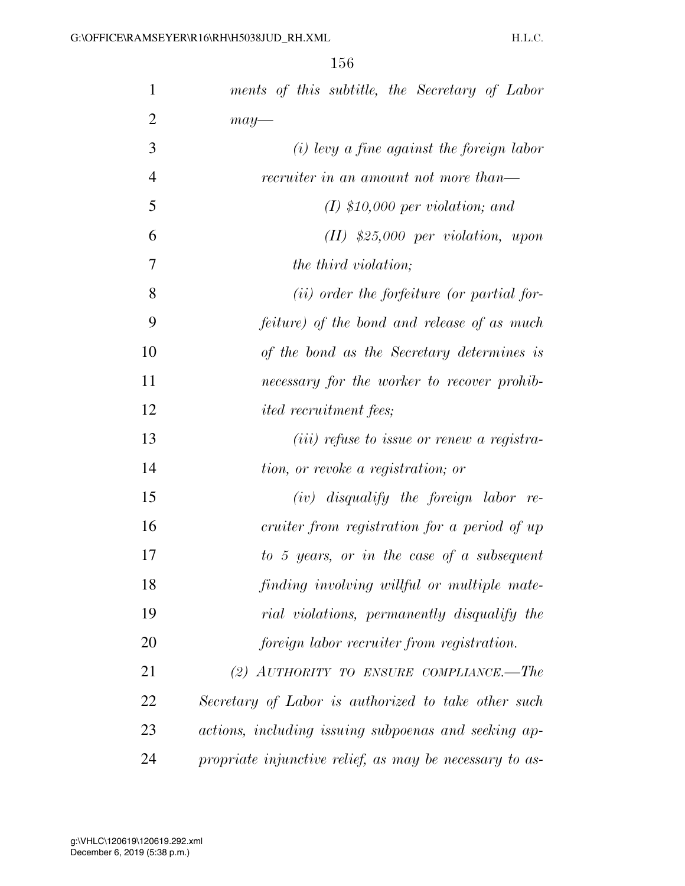| 1              | ments of this subtitle, the Secretary of Labor          |
|----------------|---------------------------------------------------------|
| $\overline{2}$ | $may-$                                                  |
| 3              | $(i)$ levy a fine against the foreign labor             |
| $\overline{4}$ | recruiter in an amount not more than—                   |
| 5              | $(I)$ \$10,000 per violation; and                       |
| 6              | $(II)$ \$25,000 per violation, upon                     |
| 7              | the third violation;                                    |
| 8              | $(ii)$ order the forfeiture (or partial for-            |
| 9              | feiture) of the bond and release of as much             |
| 10             | of the bond as the Secretary determines is              |
| 11             | necessary for the worker to recover prohib-             |
| 12             | <i>ited recruitment fees;</i>                           |
| 13             | ( <i>iii</i> ) refuse to issue or renew a registra-     |
| 14             | tion, or revoke a registration; or                      |
| 15             | $(iv)$ disqualify the foreign labor re-                 |
| 16             | cruiter from registration for a period of up            |
| 17             | to 5 years, or in the case of a subsequent              |
| 18             | finding involving willful or multiple mate-             |
| 19             | rial violations, permanently disqualify the             |
| 20             | foreign labor recruiter from registration.              |
| 21             | (2) AUTHORITY TO ENSURE COMPLIANCE.-The                 |
| 22             | Secretary of Labor is authorized to take other such     |
| 23             | actions, including issuing subpoenas and seeking ap-    |
| 24             | propriate injunctive relief, as may be necessary to as- |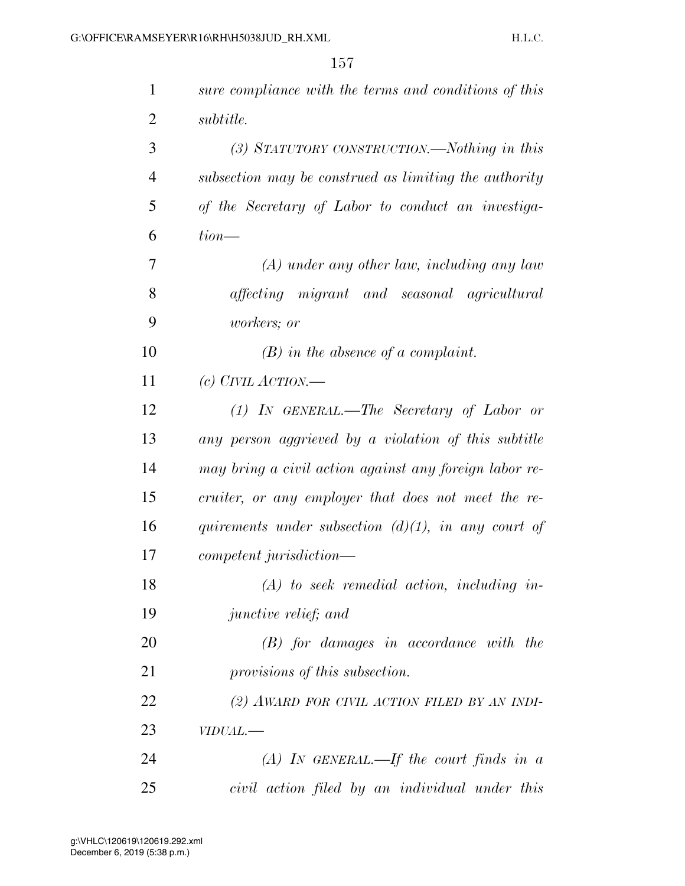| $\mathbf{1}$   | sure compliance with the terms and conditions of this  |
|----------------|--------------------------------------------------------|
| $\overline{2}$ | <i>subtitle.</i>                                       |
| 3              | (3) STATUTORY CONSTRUCTION.—Nothing in this            |
| $\overline{4}$ | subsection may be construed as limiting the authority  |
| 5              | of the Secretary of Labor to conduct an investiga-     |
| 6              | $tion$ —                                               |
| 7              | $(A)$ under any other law, including any law           |
| 8              | affecting migrant and seasonal agricultural            |
| 9              | <i>workers</i> ; or                                    |
| 10             | $(B)$ in the absence of a complaint.                   |
| 11             | (c) CIVIL ACTION.—                                     |
| 12             | $(1)$ IN GENERAL.—The Secretary of Labor or            |
| 13             | any person aggrieved by a violation of this subtitle   |
| 14             | may bring a civil action against any foreign labor re- |
| 15             | cruiter, or any employer that does not meet the re-    |
| 16             | quirements under subsection $(d)(1)$ , in any court of |
| 17             | competent jurisdiction—                                |
| 18             | $(A)$ to seek remedial action, including in-           |
| 19             | <i>junctive relief; and</i>                            |
| 20             | $(B)$ for damages in accordance with the               |
| 21             | provisions of this subsection.                         |
| 22             | (2) AWARD FOR CIVIL ACTION FILED BY AN INDI-           |
| 23             | VIDUAL.-                                               |
| 24             | (A) IN GENERAL.—If the court finds in $a$              |
| 25             | civil action filed by an individual under this         |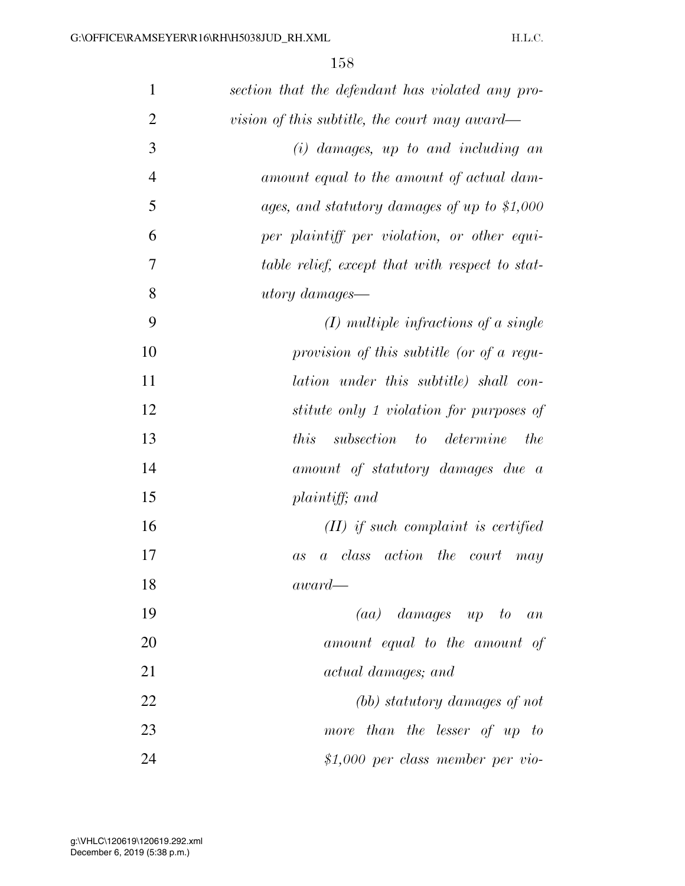| $\mathbf{1}$   | section that the defendant has violated any pro-     |
|----------------|------------------------------------------------------|
| $\overline{2}$ | vision of this subtitle, the court may award—        |
| 3              | $(i)$ damages, up to and including an                |
| $\overline{4}$ | amount equal to the amount of actual dam-            |
| 5              | ages, and statutory damages of up to $$1,000$        |
| 6              | per plaintiff per violation, or other equi-          |
| 7              | table relief, except that with respect to stat-      |
| 8              | utory damages—                                       |
| 9              | $(I)$ multiple infractions of a single               |
| 10             | provision of this subtitle (or of a regu-            |
| 11             | lation under this subtitle) shall con-               |
| 12             | stitute only 1 violation for purposes of             |
| 13             | subsection to determine<br><i>this</i><br><i>the</i> |
| 14             | amount of statutory damages due a                    |
| 15             | plaintiff; and                                       |
| 16             | $(II)$ if such complaint is certified                |
| 17             | class action the court may<br>$\alpha$<br>as         |
| 18             | $award-$                                             |
| 19             | $(aa)$ damages up to an                              |
| 20             | amount equal to the amount of                        |
| 21             | actual damages; and                                  |
| 22             | (bb) statutory damages of not                        |
| 23             | more than the lesser of up to                        |
| 24             | $$1,000$ per class member per vio-                   |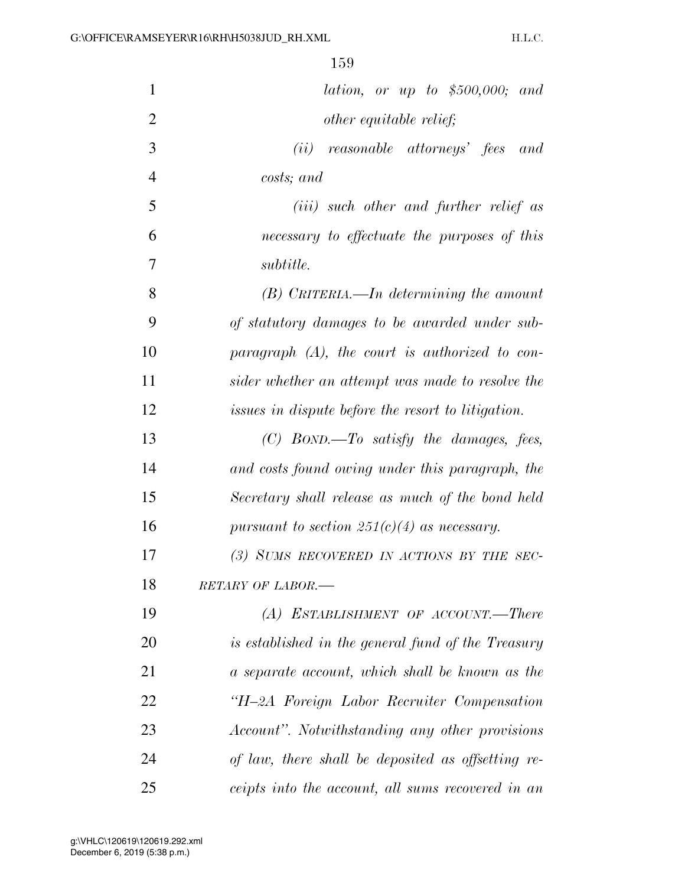| $\mathbf{1}$   | lation, or up to $$500,000;$ and                   |
|----------------|----------------------------------------------------|
| $\overline{2}$ | <i>other equitable relief;</i>                     |
| 3              | $(ii)$ reasonable attorneys' fees<br>and           |
| $\overline{4}$ | costs; and                                         |
| 5              | ( <i>iii</i> ) such other and further relief as    |
| 6              | necessary to effectuate the purposes of this       |
| 7              | <i>subtitle.</i>                                   |
| 8              | $(B)$ CRITERIA.—In determining the amount          |
| 9              | of statutory damages to be awarded under sub-      |
| 10             | paragraph $(A)$ , the court is authorized to con-  |
| 11             | sider whether an attempt was made to resolve the   |
| 12             | issues in dispute before the resort to litigation. |
| 13             | $(C)$ BOND.—To satisfy the damages, fees,          |
| 14             | and costs found owing under this paragraph, the    |
| 15             | Secretary shall release as much of the bond held   |
| 16             | pursuant to section $251(c)(4)$ as necessary.      |
| 17             | (3) SUMS RECOVERED IN ACTIONS BY THE SEC-          |
| 18             | RETARY OF LABOR.-                                  |
| 19             | (A) ESTABLISHMENT OF ACCOUNT.—There                |
| 20             | is established in the general fund of the Treasury |
| 21             | a separate account, which shall be known as the    |
| 22             | "H-2A Foreign Labor Recruiter Compensation         |
| 23             | Account". Notwithstanding any other provisions     |
| 24             | of law, there shall be deposited as offsetting re- |
| 25             | ceipts into the account, all sums recovered in an  |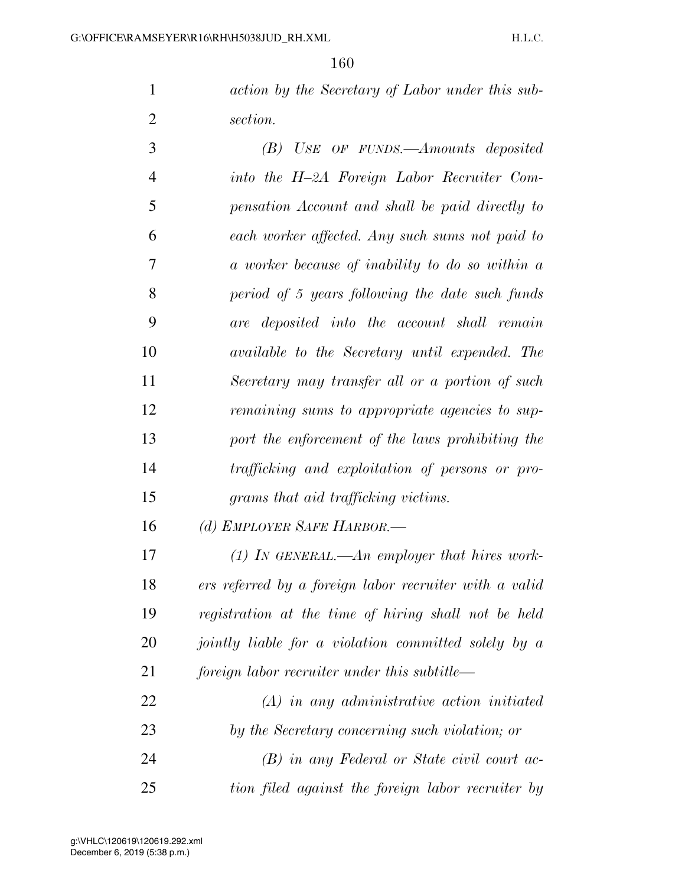*action by the Secretary of Labor under this sub-section.* 

 *(B) USE OF FUNDS.—Amounts deposited into the H–2A Foreign Labor Recruiter Com- pensation Account and shall be paid directly to each worker affected. Any such sums not paid to a worker because of inability to do so within a period of 5 years following the date such funds are deposited into the account shall remain available to the Secretary until expended. The Secretary may transfer all or a portion of such remaining sums to appropriate agencies to sup- port the enforcement of the laws prohibiting the trafficking and exploitation of persons or pro-grams that aid trafficking victims.* 

*(d) EMPLOYER SAFE HARBOR.—* 

 *(1) IN GENERAL.—An employer that hires work- ers referred by a foreign labor recruiter with a valid registration at the time of hiring shall not be held jointly liable for a violation committed solely by a foreign labor recruiter under this subtitle—* 

 *(A) in any administrative action initiated by the Secretary concerning such violation; or (B) in any Federal or State civil court ac-tion filed against the foreign labor recruiter by*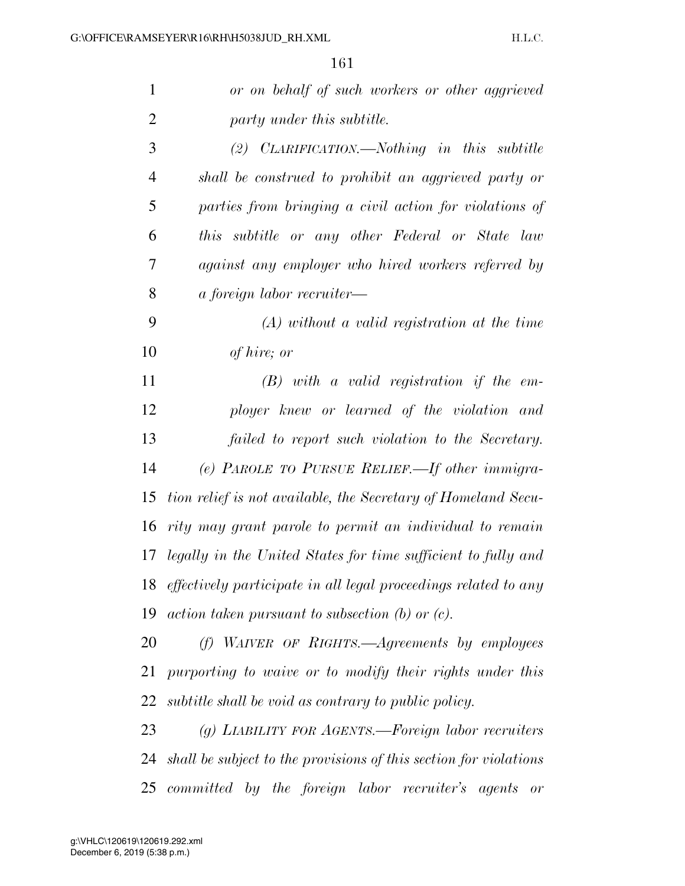| $\mathbf{1}$   | or on behalf of such workers or other aggrieved                   |
|----------------|-------------------------------------------------------------------|
| $\overline{2}$ | party under this subtitle.                                        |
| 3              | $(2)$ CLARIFICATION.—Nothing in this subtitle                     |
| $\overline{4}$ | shall be construed to prohibit an aggrieved party or              |
| 5              | parties from bringing a civil action for violations of            |
| 6              | this subtitle or any other Federal or State law                   |
| $\tau$         | against any employer who hired workers referred by                |
| 8              | a foreign labor recruiter—                                        |
| 9              | $(A)$ without a valid registration at the time                    |
| 10             | of hire; or                                                       |
| 11             | $(B)$ with a valid registration if the em-                        |
| 12             | ployer knew or learned of the violation and                       |
| 13             | failed to report such violation to the Secretary.                 |
| 14             | (e) PAROLE TO PURSUE RELIEF.—If other immigra-                    |
| 15             | tion relief is not available, the Secretary of Homeland Secu-     |
| 16             | rity may grant parole to permit an individual to remain           |
| 17             | legally in the United States for time sufficient to fully and     |
| 18             | effectively participate in all legal proceedings related to any   |
| 19             | $action$ taken pursuant to subsection (b) or (c).                 |
| 20             | $(f)$ WAIVER OF RIGHTS.—Agreements by employees                   |
| 21             | purporting to waive or to modify their rights under this          |
| 22             | subtitle shall be void as contrary to public policy.              |
| 23             | (g) LIABILITY FOR AGENTS.—Foreign labor recruiters                |
| 24             | shall be subject to the provisions of this section for violations |
| 25             | committed by the foreign labor recruiter's agents or              |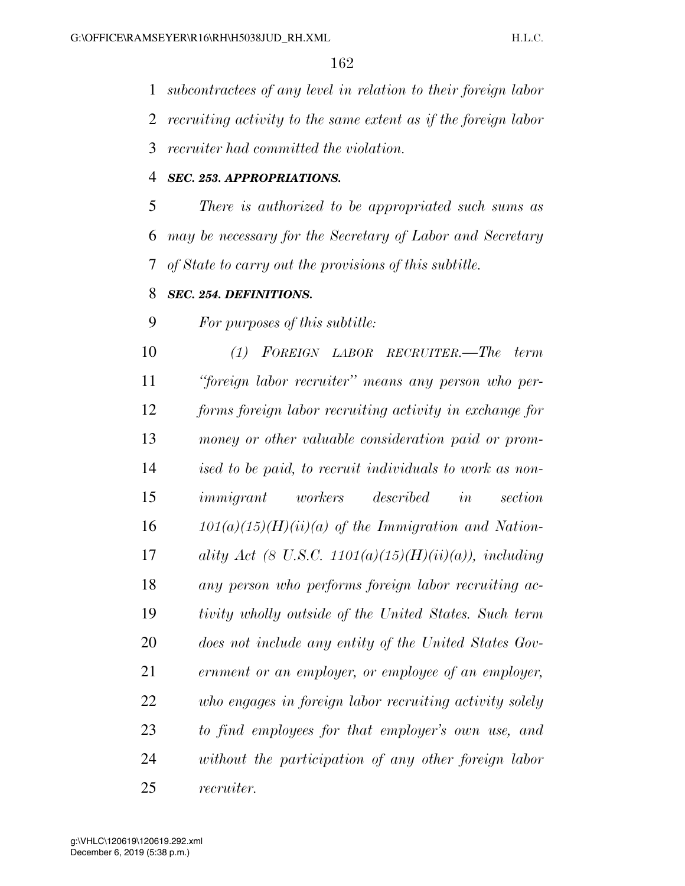*subcontractees of any level in relation to their foreign labor* 

*recruiting activity to the same extent as if the foreign labor* 

*recruiter had committed the violation.* 

## *SEC. 253. APPROPRIATIONS.*

 *There is authorized to be appropriated such sums as may be necessary for the Secretary of Labor and Secretary of State to carry out the provisions of this subtitle.* 

## *SEC. 254. DEFINITIONS.*

*For purposes of this subtitle:* 

 *(1) FOREIGN LABOR RECRUITER.—The term ''foreign labor recruiter'' means any person who per- forms foreign labor recruiting activity in exchange for money or other valuable consideration paid or prom- ised to be paid, to recruit individuals to work as non- immigrant workers described in section 101(a)(15)(H)(ii)(a) of the Immigration and Nation- ality Act (8 U.S.C. 1101(a)(15)(H)(ii)(a)), including any person who performs foreign labor recruiting ac- tivity wholly outside of the United States. Such term does not include any entity of the United States Gov- ernment or an employer, or employee of an employer, who engages in foreign labor recruiting activity solely to find employees for that employer's own use, and without the participation of any other foreign labor recruiter.*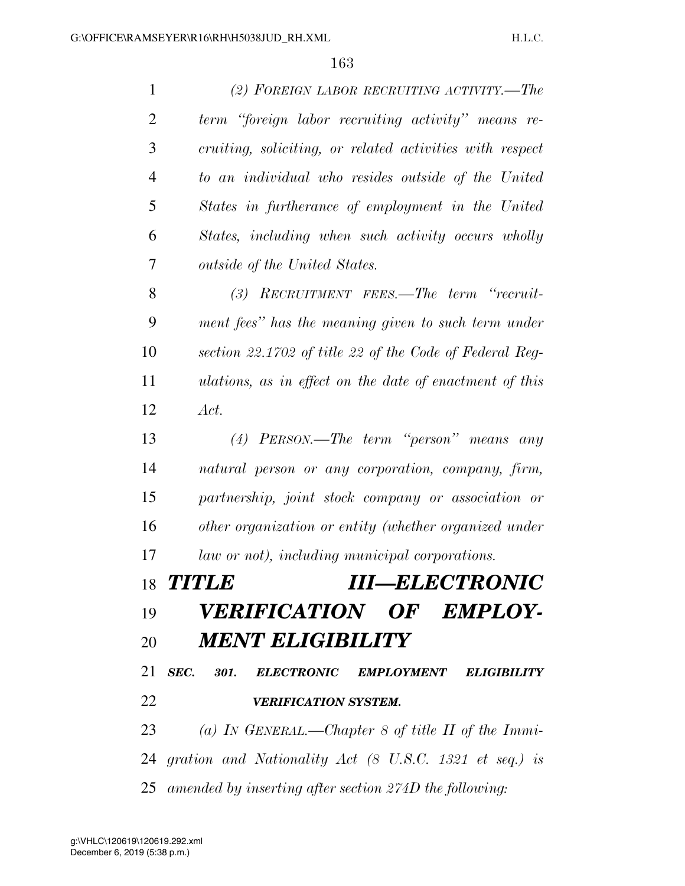*(2) FOREIGN LABOR RECRUITING ACTIVITY.—The term ''foreign labor recruiting activity'' means re- cruiting, soliciting, or related activities with respect to an individual who resides outside of the United States in furtherance of employment in the United States, including when such activity occurs wholly outside of the United States. (3) RECRUITMENT FEES.—The term ''recruit- ment fees'' has the meaning given to such term under section 22.1702 of title 22 of the Code of Federal Reg- ulations, as in effect on the date of enactment of this Act. (4) PERSON.—The term ''person'' means any natural person or any corporation, company, firm, partnership, joint stock company or association or other organization or entity (whether organized under law or not), including municipal corporations.*  **TITLE III—ELECTRONIC**  *VERIFICATION OF EMPLOY- MENT ELIGIBILITY SEC. 301. ELECTRONIC EMPLOYMENT ELIGIBILITY VERIFICATION SYSTEM. (a) IN GENERAL.—Chapter 8 of title II of the Immi-gration and Nationality Act (8 U.S.C. 1321 et seq.) is* 

*amended by inserting after section 274D the following:*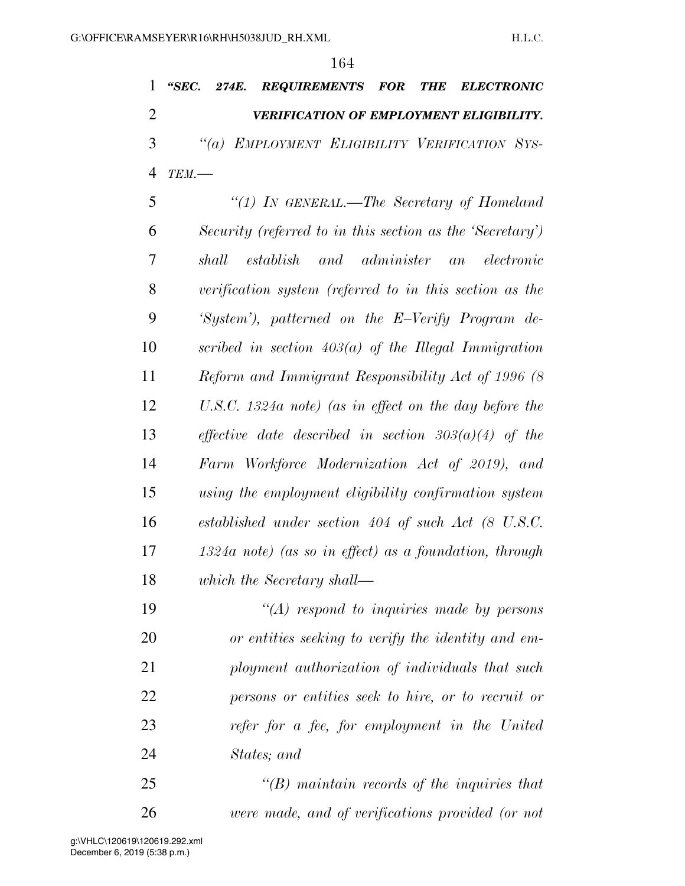*''SEC. 274E. REQUIREMENTS FOR THE ELECTRONIC VERIFICATION OF EMPLOYMENT ELIGIBILITY. ''(a) EMPLOYMENT ELIGIBILITY VERIFICATION SYS-TEM.—* 

 *''(1) IN GENERAL.—The Secretary of Homeland Security (referred to in this section as the 'Secretary') shall establish and administer an electronic verification system (referred to in this section as the 'System'), patterned on the E–Verify Program de- scribed in section 403(a) of the Illegal Immigration Reform and Immigrant Responsibility Act of 1996 (8 U.S.C. 1324a note) (as in effect on the day before the effective date described in section 303(a)(4) of the Farm Workforce Modernization Act of 2019), and using the employment eligibility confirmation system established under section 404 of such Act (8 U.S.C. 1324a note) (as so in effect) as a foundation, through which the Secretary shall—* 

 *''(A) respond to inquiries made by persons or entities seeking to verify the identity and em- ployment authorization of individuals that such persons or entities seek to hire, or to recruit or refer for a fee, for employment in the United States; and* 

 *''(B) maintain records of the inquiries that were made, and of verifications provided (or not*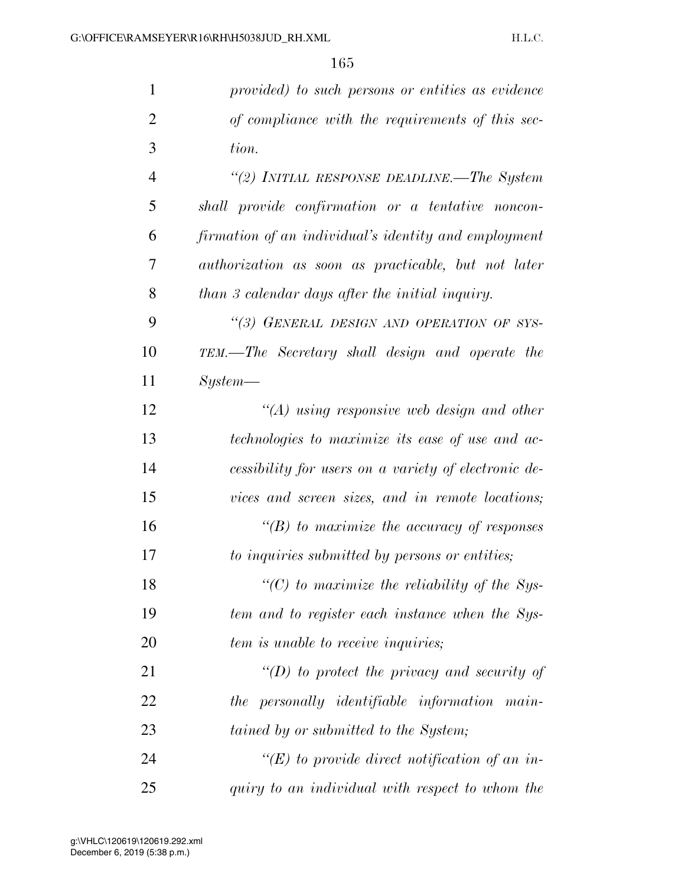| $\mathbf{1}$   | provided) to such persons or entities as evidence          |
|----------------|------------------------------------------------------------|
| $\overline{2}$ | of compliance with the requirements of this sec-           |
| 3              | tion.                                                      |
| $\overline{4}$ | "(2) INITIAL RESPONSE DEADLINE.—The System                 |
| 5              | shall provide confirmation or a tentative noncon-          |
| 6              | firmation of an individual's identity and employment       |
| 7              | <i>authorization</i> as soon as practicable, but not later |
| 8              | than 3 calendar days after the initial inquiry.            |
| 9              | "(3) GENERAL DESIGN AND OPERATION OF SYS-                  |
| 10             | TEM.—The Secretary shall design and operate the            |
| 11             | $System-$                                                  |
| 12             | $\lq (A)$ using responsive web design and other            |
| 13             | technologies to maximize its ease of use and ac-           |
| 14             | cessibility for users on a variety of electronic de-       |
| 15             | vices and screen sizes, and in remote locations;           |
| 16             | $\lq (B)$ to maximize the accuracy of responses            |
| 17             | to inquiries submitted by persons or entities;             |
| 18             | $\lq\lq C$ to maximize the reliability of the Sys-         |
| 19             | tem and to register each instance when the Sys-            |
| 20             | tem is unable to receive inquiries;                        |
| 21             | "(D) to protect the privacy and security of                |
| 22             | the personally identifiable information main-              |
| 23             | tained by or submitted to the System;                      |
| 24             | "(E) to provide direct notification of an in-              |
| 25             | quiry to an individual with respect to whom the            |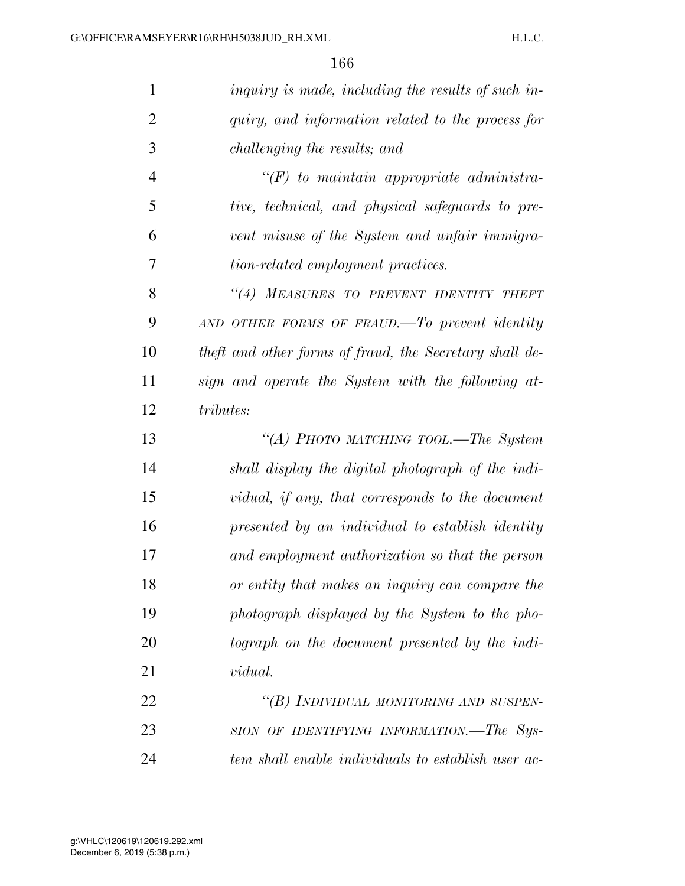| $\mathbf{1}$   | <i>inquiry is made, including the results of such in-</i> |
|----------------|-----------------------------------------------------------|
| $\overline{2}$ | quiry, and information related to the process for         |
| 3              | challenging the results; and                              |
| $\overline{4}$ | $\lq (F)$ to maintain appropriate administra-             |
| 5              | tive, technical, and physical safeguards to pre-          |
| 6              | vent misuse of the System and unfair immigra-             |
| 7              | tion-related employment practices.                        |
| 8              | "(4) MEASURES TO PREVENT IDENTITY THEFT                   |
| 9              | AND OTHER FORMS OF FRAUD.—To prevent identity             |
| 10             | theft and other forms of fraud, the Secretary shall de-   |
| 11             | sign and operate the System with the following at-        |
| 12             | <i>tributes:</i>                                          |
| 13             | "(A) PHOTO MATCHING TOOL.—The System                      |
| 14             | shall display the digital photograph of the indi-         |
| 15             | vidual, if any, that corresponds to the document          |
| 16             | presented by an individual to establish identity          |
| 17             | and employment authorization so that the person           |
| 18             | or entity that makes an inquiry can compare the           |
| 19             | photograph displayed by the System to the pho-            |
| 20             | tograph on the document presented by the indi-            |
| 21             | <i>vidual.</i>                                            |
| 22             | "(B) INDIVIDUAL MONITORING AND SUSPEN-                    |
| 23             | SION OF IDENTIFYING INFORMATION.—The Sys-                 |
| 24             | tem shall enable individuals to establish user ac-        |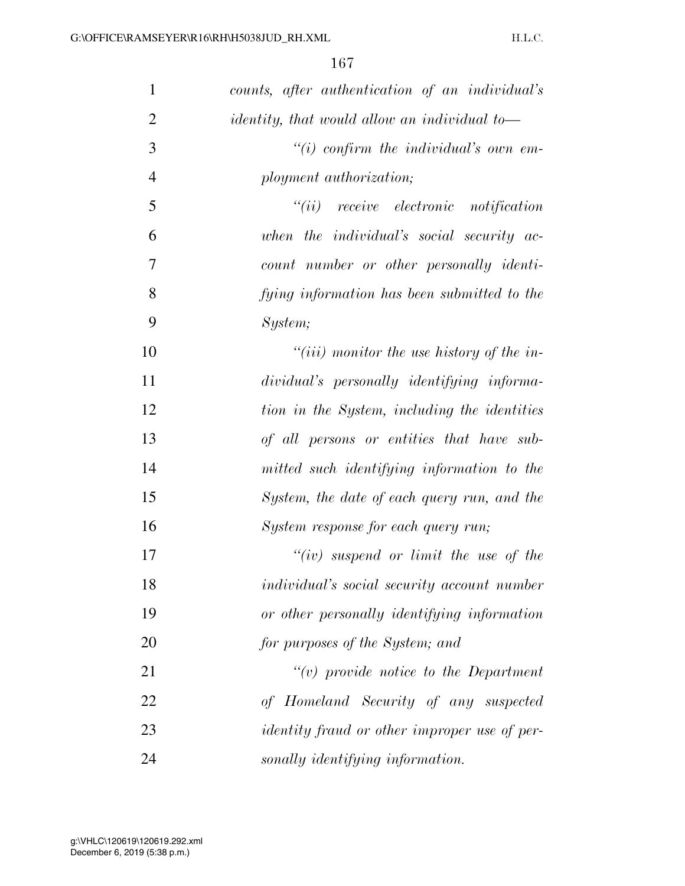| 1              | counts, after authentication of an individual's      |
|----------------|------------------------------------------------------|
| $\overline{2}$ | <i>identity, that would allow an individual to</i> — |
| 3              | $\lq\lq(i)$ confirm the individual's own em-         |
| $\overline{4}$ | ployment authorization;                              |
| 5              | $``(ii)$ receive electronic notification             |
| 6              | when the individual's social security ac-            |
| 7              | count number or other personally identi-             |
| 8              | fying information has been submitted to the          |
| 9              | System;                                              |
| 10             | "( <i>iii</i> ) monitor the use history of the in-   |
| 11             | dividual's personally identifying informa-           |
| 12             | tion in the System, including the identities         |
| 13             | of all persons or entities that have sub-            |
| 14             | mitted such identifying information to the           |
| 15             | System, the date of each query run, and the          |
| 16             | System response for each query run;                  |
| 17             | "(iv) suspend or limit the use of the                |
| 18             | <i>individual's social security account number</i>   |
| 19             | or other personally identifying information          |
| 20             | for purposes of the System; and                      |
| 21             | $``(v)$ provide notice to the Department             |
| 22             | of Homeland Security of any suspected                |
| 23             | <i>identity fraud or other improper use of per-</i>  |
| 24             | sonally identifying information.                     |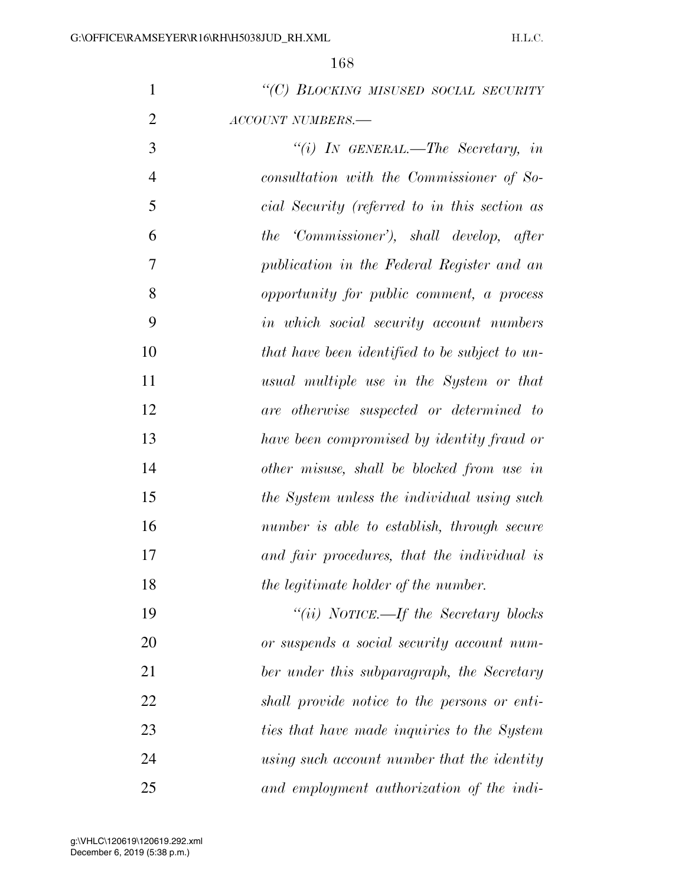| "(C) BLOCKING MISUSED SOCIAL SECURITY |  |
|---------------------------------------|--|
| ACCOUNT NUMBERS.—                     |  |

 *''(i) IN GENERAL.—The Secretary, in consultation with the Commissioner of So- cial Security (referred to in this section as the 'Commissioner'), shall develop, after publication in the Federal Register and an opportunity for public comment, a process in which social security account numbers that have been identified to be subject to un- usual multiple use in the System or that are otherwise suspected or determined to have been compromised by identity fraud or other misuse, shall be blocked from use in the System unless the individual using such number is able to establish, through secure and fair procedures, that the individual is the legitimate holder of the number. ''(ii) NOTICE.—If the Secretary blocks* 

 *or suspends a social security account num- ber under this subparagraph, the Secretary shall provide notice to the persons or enti- ties that have made inquiries to the System using such account number that the identity and employment authorization of the indi-*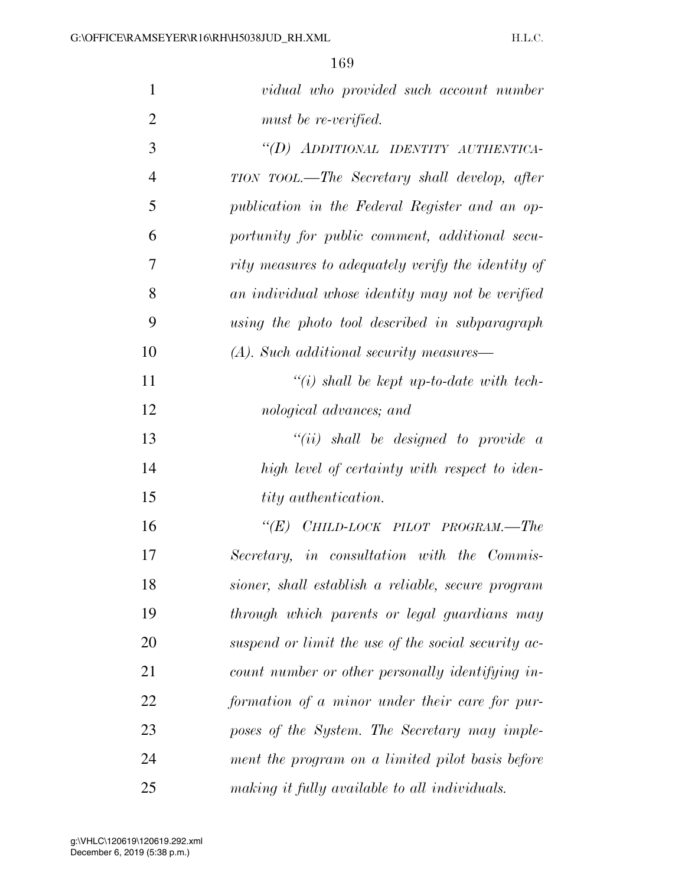| $\mathbf{1}$   | vidual who provided such account number             |
|----------------|-----------------------------------------------------|
| $\overline{2}$ | must be re-verified.                                |
| 3              | "(D) ADDITIONAL IDENTITY AUTHENTICA-                |
| $\overline{4}$ | TION TOOL.—The Secretary shall develop, after       |
| 5              | publication in the Federal Register and an op-      |
| 6              | portunity for public comment, additional secu-      |
| 7              | rity measures to adequately verify the identity of  |
| 8              | an individual whose identity may not be verified    |
| 9              | using the photo tool described in subparagraph      |
| 10             | $(A)$ . Such additional security measures—          |
| 11             | $\lq\lq(i)$ shall be kept up-to-date with tech-     |
| 12             | nological advances; and                             |
| 13             | $``(ii)$ shall be designed to provide a             |
| 14             | high level of certainty with respect to iden-       |
| 15             | <i>tity authentication</i> .                        |
| 16             | " $(E)$ CHILD-LOCK PILOT PROGRAM.—The               |
| 17             | Secretary, in consultation with the Commis-         |
| 18             | sioner, shall establish a reliable, secure program  |
| 19             | through which parents or legal guardians may        |
| 20             | suspend or limit the use of the social security ac- |
| 21             | count number or other personally identifying in-    |
| 22             | formation of a minor under their care for pur-      |
| 23             | poses of the System. The Secretary may imple-       |
| 24             | ment the program on a limited pilot basis before    |
| 25             | making it fully available to all individuals.       |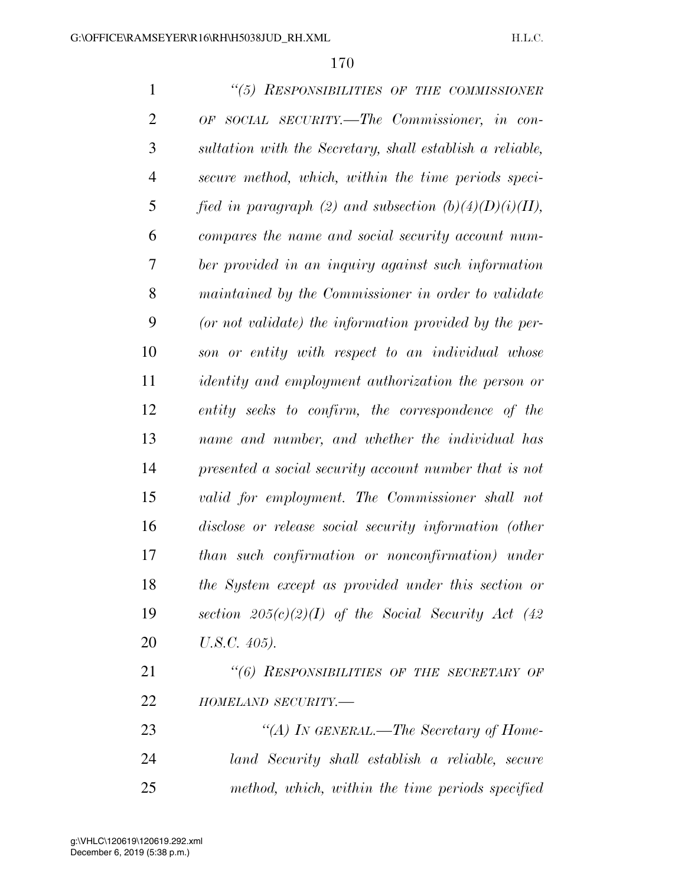*''(5) RESPONSIBILITIES OF THE COMMISSIONER OF SOCIAL SECURITY.—The Commissioner, in con- sultation with the Secretary, shall establish a reliable, secure method, which, within the time periods speci- fied in paragraph (2) and subsection (b)(4)(D)(i)(II), compares the name and social security account num- ber provided in an inquiry against such information maintained by the Commissioner in order to validate (or not validate) the information provided by the per- son or entity with respect to an individual whose identity and employment authorization the person or entity seeks to confirm, the correspondence of the name and number, and whether the individual has presented a social security account number that is not valid for employment. The Commissioner shall not disclose or release social security information (other than such confirmation or nonconfirmation) under the System except as provided under this section or section 205(c)(2)(I) of the Social Security Act (42 U.S.C. 405). ''(6) RESPONSIBILITIES OF THE SECRETARY OF HOMELAND SECURITY.— ''(A) IN GENERAL.—The Secretary of Home- land Security shall establish a reliable, secure method, which, within the time periods specified*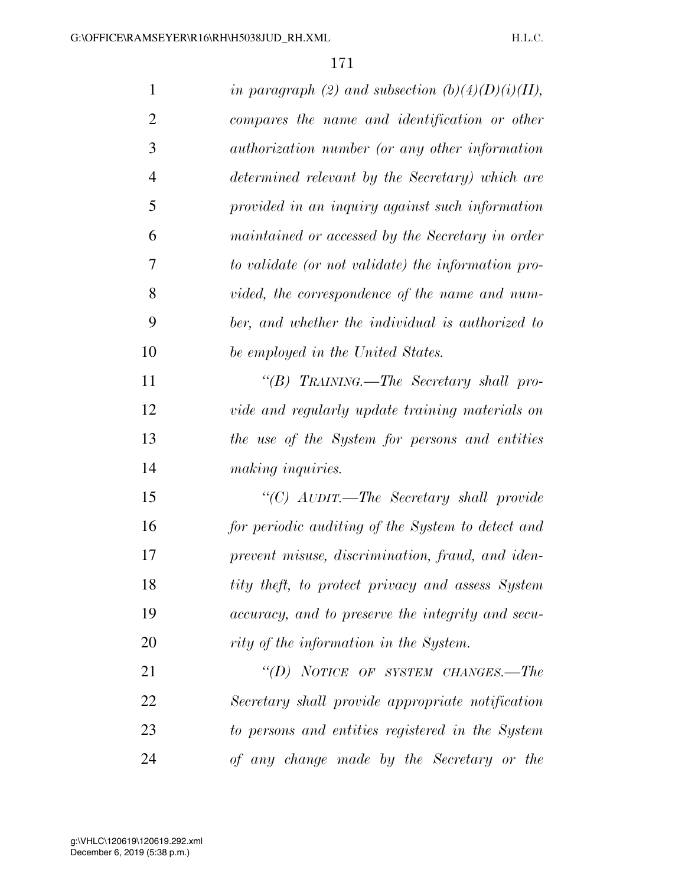| $\mathbf{1}$   | in paragraph (2) and subsection $(b)(4)(D)(i)(II)$ ,  |
|----------------|-------------------------------------------------------|
| $\overline{2}$ | compares the name and identification or other         |
| 3              | <i>authorization number (or any other information</i> |
| $\overline{4}$ | determined relevant by the Secretary) which are       |
| 5              | provided in an inquiry against such information       |
| 6              | maintained or accessed by the Secretary in order      |
| 7              | to validate (or not validate) the information pro-    |
| 8              | vided, the correspondence of the name and num-        |
| 9              | ber, and whether the individual is authorized to      |
| 10             | be employed in the United States.                     |
| 11             | "(B) TRAINING.—The Secretary shall pro-               |
| 12             | vide and regularly update training materials on       |
| 13             | the use of the System for persons and entities        |
| 14             | making inquiries.                                     |
| 15             | "(C) AUDIT.—The Secretary shall provide               |
| 16             | for periodic auditing of the System to detect and     |
| 17             | prevent misuse, discrimination, fraud, and iden-      |
| 18             | tity theft, to protect privacy and assess System      |
| 19             | accuracy, and to preserve the integrity and secu-     |
| 20             | rity of the information in the System.                |
| 21             | "(D) NOTICE OF SYSTEM CHANGES.—The                    |
| 22             | Secretary shall provide appropriate notification      |
| 23             | to persons and entities registered in the System      |
| 24             | of any change made by the Secretary or the            |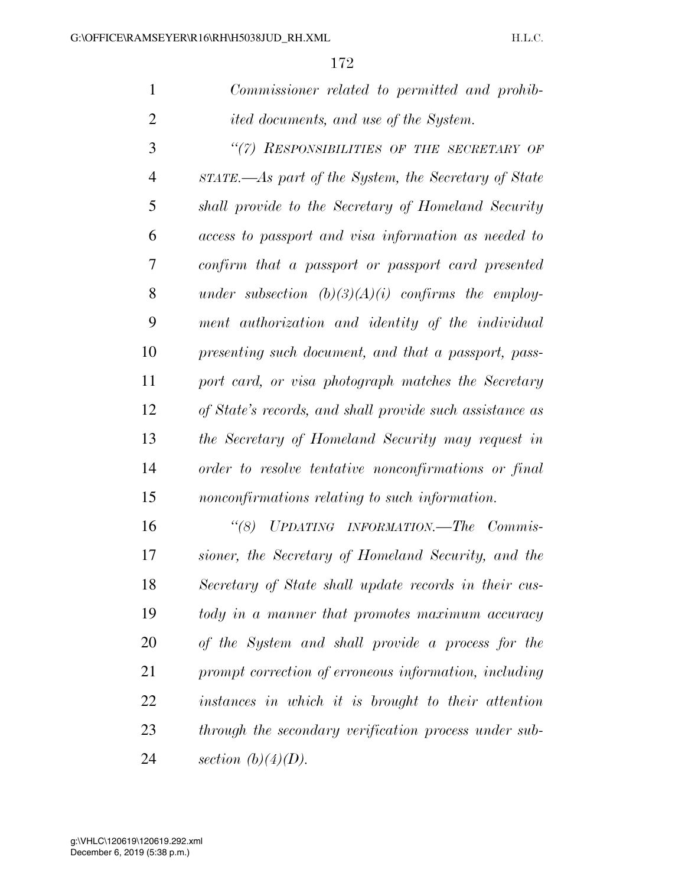|                             | Commissioner related to permitted and prohib-        |
|-----------------------------|------------------------------------------------------|
| $\mathcal{D}_{\mathcal{L}}$ | <i>ited documents, and use of the System.</i>        |
| 3                           | "(7) RESPONSIBILITIES OF THE SECRETARY OF            |
| $\overline{4}$              | STATE.—As part of the System, the Secretary of State |
| 5                           | shall provide to the Secretary of Homeland Security  |
| 6                           | access to passport and visa information as needed to |

 *confirm that a passport or passport card presented under subsection (b)(3)(A)(i) confirms the employ- ment authorization and identity of the individual presenting such document, and that a passport, pass- port card, or visa photograph matches the Secretary of State's records, and shall provide such assistance as the Secretary of Homeland Security may request in order to resolve tentative nonconfirmations or final nonconfirmations relating to such information.* 

 *''(8) UPDATING INFORMATION.—The Commis- sioner, the Secretary of Homeland Security, and the Secretary of State shall update records in their cus- tody in a manner that promotes maximum accuracy of the System and shall provide a process for the prompt correction of erroneous information, including instances in which it is brought to their attention through the secondary verification process under sub-section (b)(4)(D).*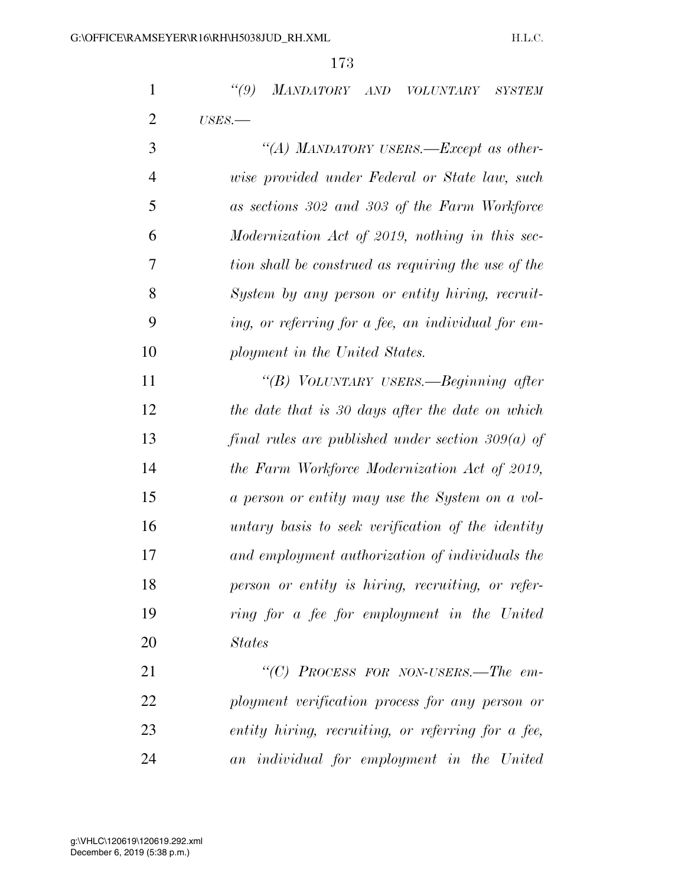*''(9) MANDATORY AND VOLUNTARY SYSTEM USES.—* 

| 3  | "(A) MANDATORY USERS.—Except as other-              |
|----|-----------------------------------------------------|
| 4  | wise provided under Federal or State law, such      |
| 5  | as sections 302 and 303 of the Farm Workforce       |
| 6  | Modernization Act of 2019, nothing in this sec-     |
| 7  | tion shall be construed as requiring the use of the |
| 8  | System by any person or entity hiring, recruit-     |
| 9  | ing, or referring for a fee, an individual for em-  |
| 10 | ployment in the United States.                      |
|    |                                                     |

 *''(B) VOLUNTARY USERS.—Beginning after the date that is 30 days after the date on which final rules are published under section 309(a) of the Farm Workforce Modernization Act of 2019, a person or entity may use the System on a vol- untary basis to seek verification of the identity and employment authorization of individuals the person or entity is hiring, recruiting, or refer- ring for a fee for employment in the United States* 

 *''(C) PROCESS FOR NON-USERS.—The em- ployment verification process for any person or entity hiring, recruiting, or referring for a fee, an individual for employment in the United*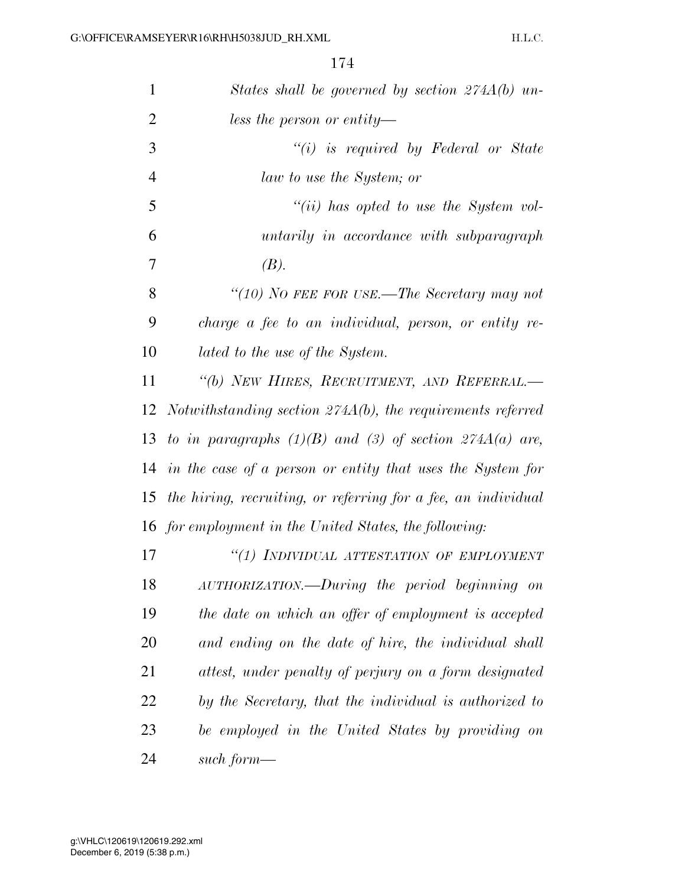| $\mathbf{1}$   | States shall be governed by section $274A(b)$ un-             |
|----------------|---------------------------------------------------------------|
| $\overline{2}$ | less the person or entity—                                    |
| 3              | $``(i)$ is required by Federal or State                       |
| $\overline{4}$ | law to use the System; or                                     |
| 5              | $``(ii)$ has opted to use the System vol-                     |
| 6              | untarily in accordance with subparagraph                      |
| 7              | (B).                                                          |
| 8              | "(10) NO FEE FOR USE.—The Secretary may not                   |
| 9              | charge a fee to an individual, person, or entity re-          |
| 10             | lated to the use of the System.                               |
| 11             | "(b) NEW HIRES, RECRUITMENT, AND REFERRAL.-                   |
| 12             | Notwithstanding section $274A(b)$ , the requirements referred |
| 13             | to in paragraphs $(1)(B)$ and $(3)$ of section $274A(a)$ are, |
|                | 14 in the case of a person or entity that uses the System for |
| 15             | the hiring, recruiting, or referring for a fee, an individual |
|                | 16 for employment in the United States, the following:        |
| 17             | "(1) INDIVIDUAL ATTESTATION OF EMPLOYMENT                     |
| 18             | AUTHORIZATION.—During the period beginning on                 |
| 19             | the date on which an offer of employment is accepted          |
| 20             | and ending on the date of hire, the individual shall          |
| 21             | attest, under penalty of perjury on a form designated         |
| 22             | by the Secretary, that the individual is authorized to        |
| 23             | be employed in the United States by providing on              |
| 24             | such form—                                                    |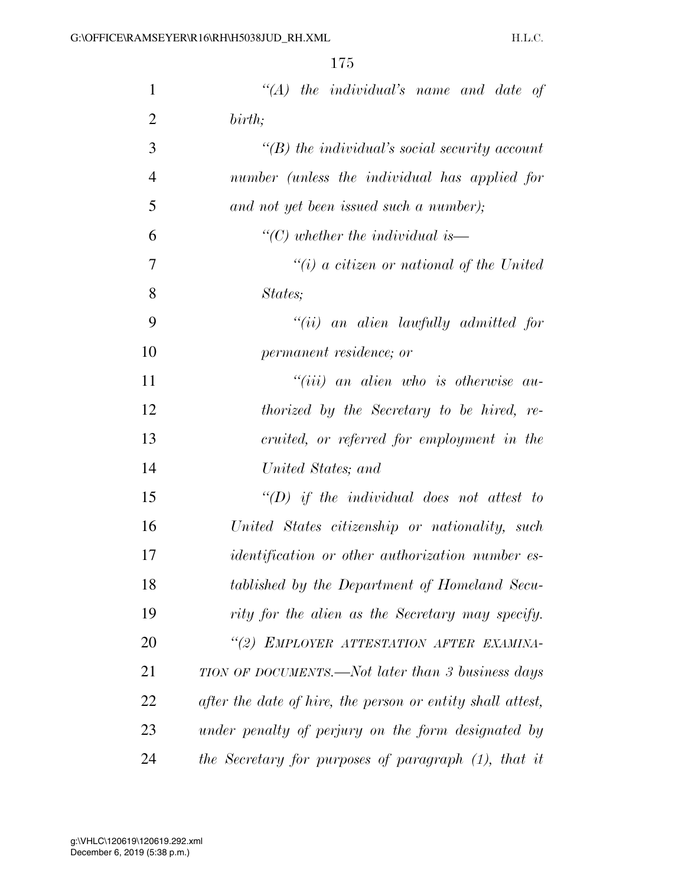| $\mathbf{1}$   | " $(A)$ the individual's name and date of                  |
|----------------|------------------------------------------------------------|
| $\overline{2}$ | birth;                                                     |
| 3              | $\lq (B)$ the individual's social security account         |
| $\overline{4}$ | number (unless the individual has applied for              |
| 5              | and not yet been issued such a number);                    |
| 6              | $\lq$ <sup>"</sup> (C) whether the individual is —         |
| 7              | "(i) a citizen or national of the United                   |
| 8              | States;                                                    |
| 9              | $``(ii)$ an alien lawfully admitted for                    |
| 10             | permanent residence; or                                    |
| 11             | $``(iii)$ an alien who is otherwise au-                    |
| 12             | thorized by the Secretary to be hired, re-                 |
| 13             | cruited, or referred for employment in the                 |
| 14             | United States; and                                         |
| 15             | $\lq (D)$ if the individual does not attest to             |
| 16             | United States citizenship or nationality, such             |
| 17             | <i>identification or other authorization number es-</i>    |
| 18             | tablished by the Department of Homeland Secu-              |
| 19             | rity for the alien as the Secretary may specify.           |
| 20             | "(2) EMPLOYER ATTESTATION AFTER EXAMINA-                   |
| 21             | TION OF DOCUMENTS.—Not later than 3 business days          |
| 22             | after the date of hire, the person or entity shall attest, |
| 23             | under penalty of perjury on the form designated by         |
| 24             | the Secretary for purposes of paragraph (1), that it       |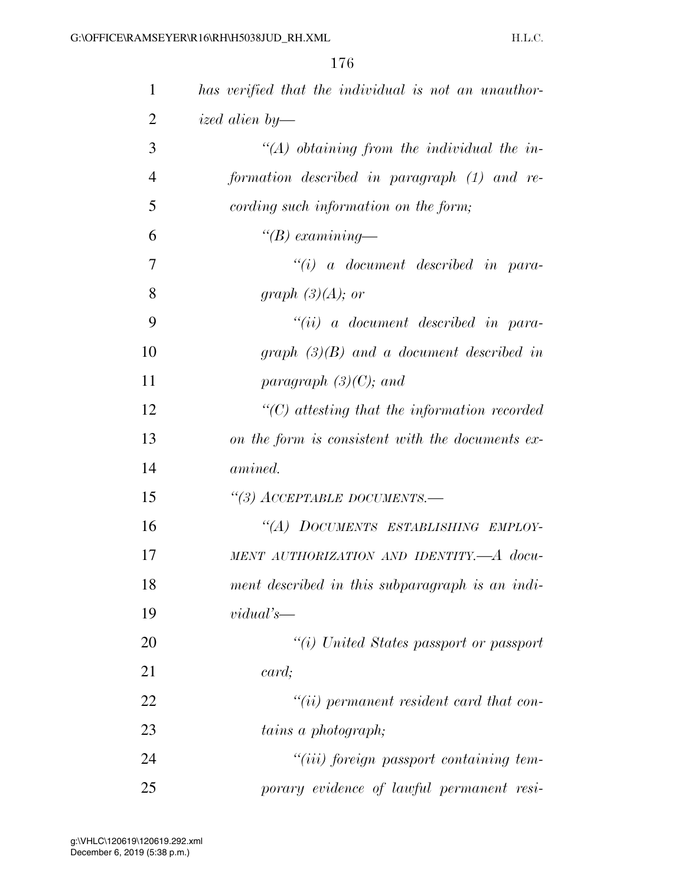| $\mathbf{1}$   | has verified that the individual is not an unauthor- |
|----------------|------------------------------------------------------|
| $\overline{2}$ | ized alien by—                                       |
| 3              | $\lq (A)$ obtaining from the individual the in-      |
| $\overline{4}$ | formation described in paragraph (1) and re-         |
| 5              | cording such information on the form;                |
| 6              | "(B) examining—                                      |
| 7              | $``(i)$ a document described in para-                |
| 8              | graph $(3)(A)$ ; or                                  |
| 9              | $``(ii)$ a document described in para-               |
| 10             | graph $(3)(B)$ and a document described in           |
| 11             | paragraph $(3)(C)$ ; and                             |
| 12             | $\lq$ (C) attesting that the information recorded    |
| 13             | on the form is consistent with the documents ex-     |
| 14             | amined.                                              |
| 15             | "(3) ACCEPTABLE DOCUMENTS.-                          |
| 16             | "(A) DOCUMENTS ESTABLISHING EMPLOY-                  |
| 17             | MENT AUTHORIZATION AND IDENTITY.—A docu-             |
| 18             | ment described in this subparagraph is an indi-      |
| 19             | $vidual's$ —                                         |
| 20             | "(i) United States passport or passport              |
| 21             | card;                                                |
| 22             | $``(ii)$ permanent resident card that con-           |
| 23             | tains a photograph;                                  |
| 24             | "(iii) foreign passport containing tem-              |
| 25             | porary evidence of lawful permanent resi-            |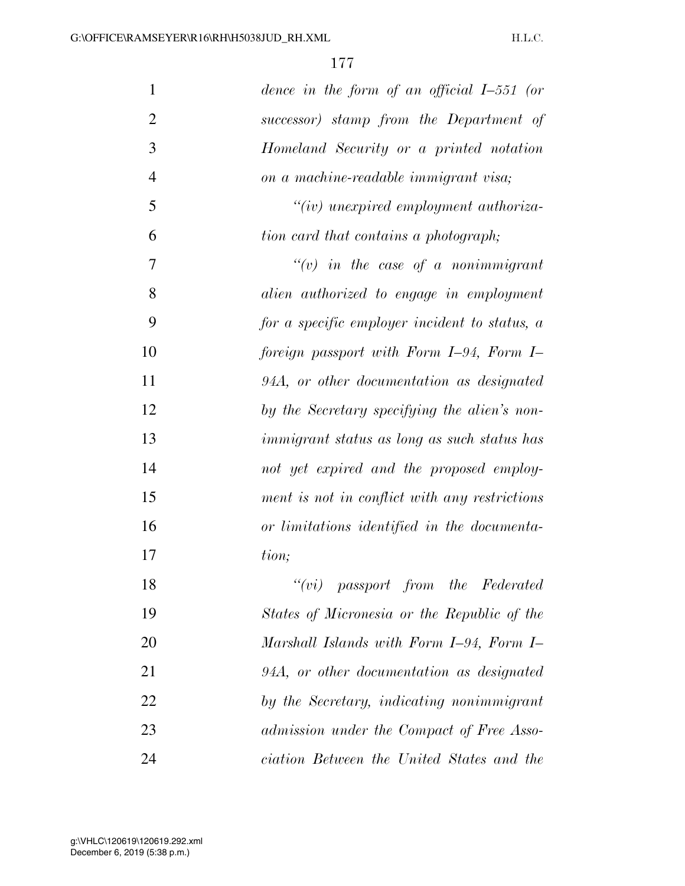| $\mathbf{1}$   | dence in the form of an official $I$ -551 (or      |
|----------------|----------------------------------------------------|
| $\overline{2}$ | successor) stamp from the Department of            |
| 3              | Homeland Security or a printed notation            |
| $\overline{4}$ | on a machine-readable immigrant visa;              |
| 5              | $``(iv)$ unexpired employment authoriza-           |
| 6              | tion card that contains a photograph;              |
| 7              | $\tilde{f}(v)$ in the case of a nonimmigrant       |
| 8              | alien authorized to engage in employment           |
| 9              | for a specific employer incident to status, a      |
| 10             | foreign passport with Form I-94, Form I-           |
| 11             | 94A, or other documentation as designated          |
| 12             | by the Secretary specifying the alien's non-       |
| 13             | <i>immigrant status as long as such status has</i> |
| 14             | not yet expired and the proposed employ-           |
| 15             | ment is not in conflict with any restrictions      |
| 16             | or limitations identified in the documenta-        |
| 17             | tion;                                              |
| 18             | $``(vi)$ passport from the Federated               |
| 19             | States of Micronesia or the Republic of the        |
| 20             | Marshall Islands with Form I–94, Form I–           |
| 21             | 94A, or other documentation as designated          |
| 22             | by the Secretary, indicating nonimmigrant          |
| 23             | admission under the Compact of Free Asso-          |
| 24             | ciation Between the United States and the          |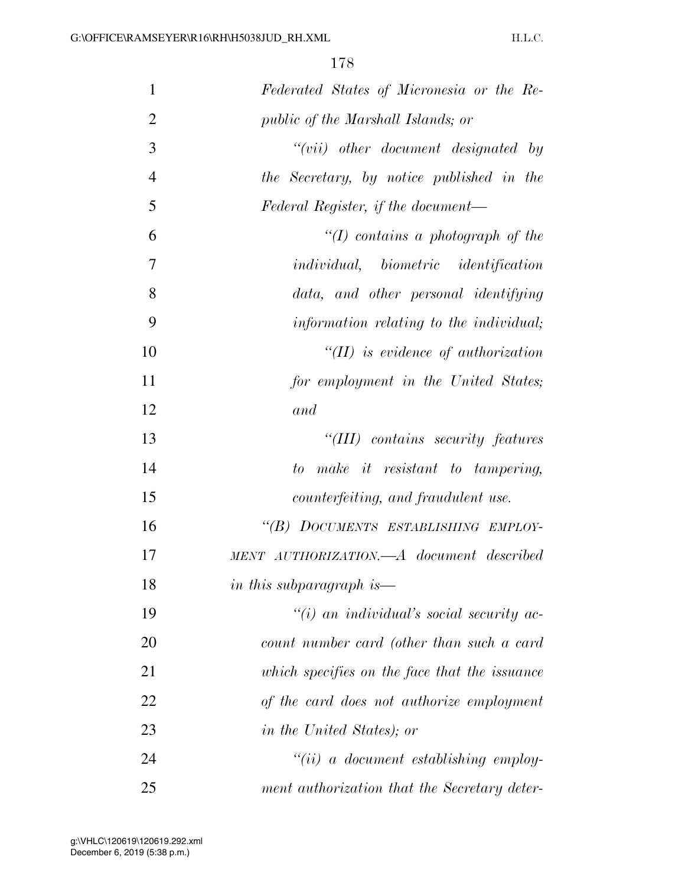| $\mathbf{1}$   | Federated States of Micronesia or the Re-           |
|----------------|-----------------------------------------------------|
| $\overline{2}$ | <i>public of the Marshall Islands; or</i>           |
| 3              | $``(vii)$ other document designated by              |
| $\overline{4}$ | the Secretary, by notice published in the           |
| 5              | Federal Register, if the document-                  |
| 6              | "(I) contains a photograph of the                   |
| 7              | <i>individual</i> , <i>biometric identification</i> |
| 8              | data, and other personal identifying                |
| 9              | information relating to the individual;             |
| 10             | $H(H)$ is evidence of authorization                 |
| 11             | for employment in the United States;                |
| 12             | and                                                 |
| 13             | "(III) contains security features                   |
| 14             | make it resistant to tampering,<br>to               |
| 15             | counterfeiting, and fraudulent use.                 |
| 16             | "(B) DOCUMENTS ESTABLISHING EMPLOY-                 |
| 17             | MENT AUTHORIZATION.—A document described            |
| 18             | in this subparagraph is—                            |
| 19             | $``(i)$ an individual's social security ac-         |
| 20             | count number card (other than such a card           |
| 21             | which specifies on the face that the issuance       |
| 22             | of the card does not authorize employment           |
| 23             | in the United States); or                           |
| 24             | $``(ii)$ a document establishing employ-            |
| 25             | ment authorization that the Secretary deter-        |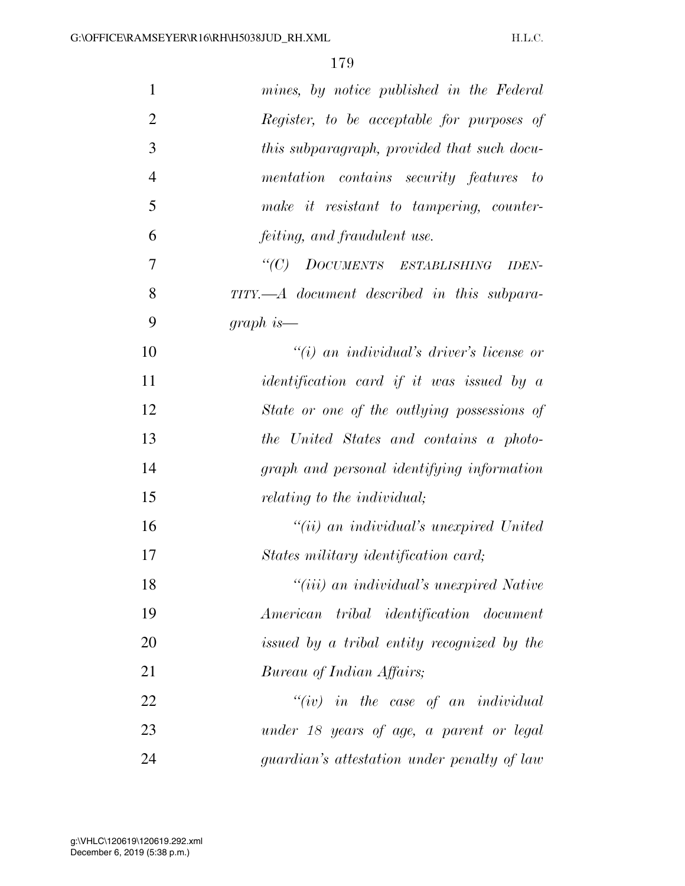| $\mathbf{1}$   | mines, by notice published in the Federal                     |
|----------------|---------------------------------------------------------------|
| $\overline{2}$ | Register, to be acceptable for purposes of                    |
| 3              | this subparagraph, provided that such docu-                   |
| $\overline{4}$ | mentation contains security features to                       |
| 5              | make it resistant to tampering, counter-                      |
| 6              | feiting, and fraudulent use.                                  |
| 7              | DOCUMENTS ESTABLISHING IDEN-<br>$\lq C$ )                     |
| 8              | $TITY. \longrightarrow A$ document described in this subpara- |
| 9              | $graph$ is—                                                   |
| 10             | $\lq\lq(i)$ an individual's driver's license or               |
| 11             | <i>identification card if it was issued by a</i>              |
| 12             | State or one of the outlying possessions of                   |
| 13             | the United States and contains a photo-                       |
| 14             | graph and personal identifying information                    |
| 15             | <i>relating to the individual</i> ;                           |
| 16             | "(ii) an individual's unexpired United                        |
| 17             | States military identification card;                          |
| 18             | "(iii) an individual's unexpired Native                       |
| 19             | American tribal identification document                       |
| 20             | issued by a tribal entity recognized by the                   |
| 21             | Bureau of Indian Affairs;                                     |
| 22             | $``(iv)$ in the case of an individual                         |
| 23             | under 18 years of age, a parent or legal                      |
| 24             | <i>guardian's attestation under penalty of law</i>            |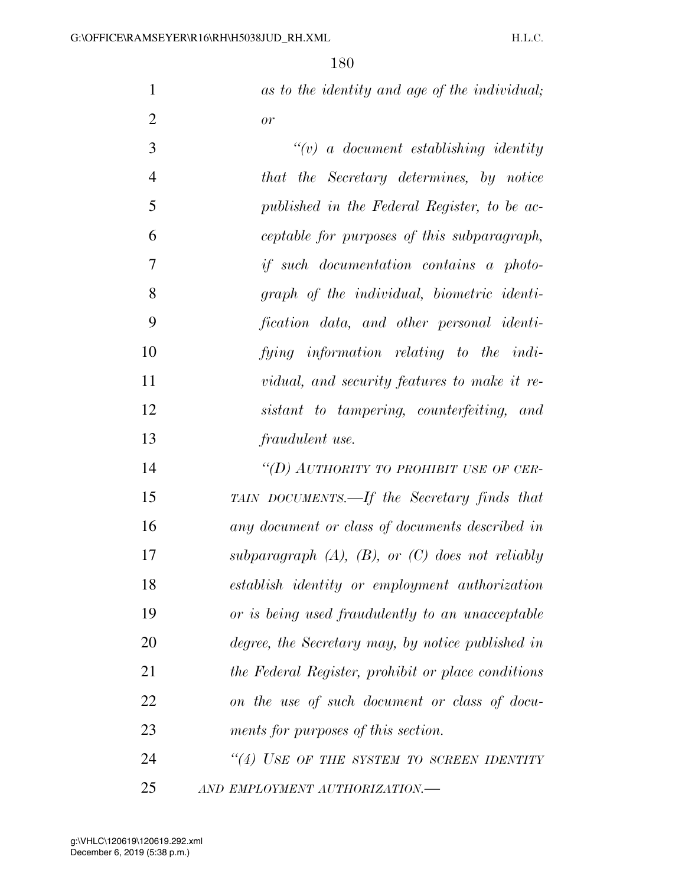*as to the identity and age of the individual; or* 

 *''(v) a document establishing identity that the Secretary determines, by notice published in the Federal Register, to be ac- ceptable for purposes of this subparagraph, if such documentation contains a photo- graph of the individual, biometric identi- fication data, and other personal identi- fying information relating to the indi- vidual, and security features to make it re- sistant to tampering, counterfeiting, and fraudulent use.* 

 *''(D) AUTHORITY TO PROHIBIT USE OF CER- TAIN DOCUMENTS.—If the Secretary finds that any document or class of documents described in subparagraph (A), (B), or (C) does not reliably establish identity or employment authorization or is being used fraudulently to an unacceptable degree, the Secretary may, by notice published in the Federal Register, prohibit or place conditions on the use of such document or class of docu-ments for purposes of this section.* 

 *''(4) USE OF THE SYSTEM TO SCREEN IDENTITY AND EMPLOYMENT AUTHORIZATION.—*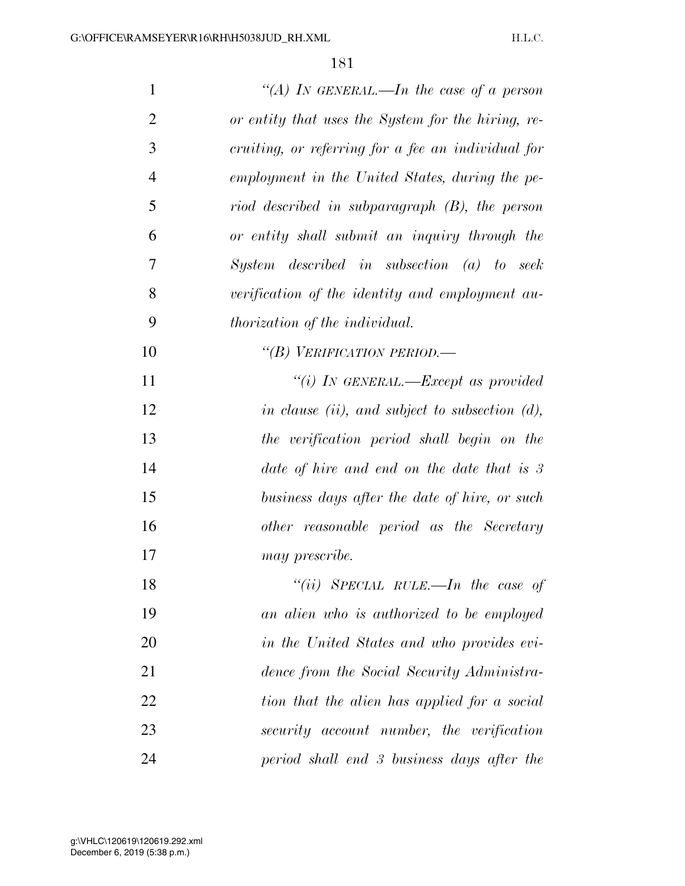| $\mathbf{1}$   | "(A) IN GENERAL.—In the case of a person           |
|----------------|----------------------------------------------------|
| $\overline{2}$ | or entity that uses the System for the hiring, re- |
| 3              | cruiting, or referring for a fee an individual for |
| $\overline{4}$ | employment in the United States, during the pe-    |
| 5              | riod described in subparagraph $(B)$ , the person  |
| 6              | or entity shall submit an inquiry through the      |
| 7              | $System$ described in subsection (a) to seek       |
| 8              | verification of the identity and employment au-    |
| 9              | <i>thorization of the individual.</i>              |
| 10             | "(B) VERIFICATION PERIOD.—                         |
| 11             | "(i) IN GENERAL.—Except as provided                |
| 12             | in clause (ii), and subject to subsection $(d)$ ,  |
| 13             | the verification period shall begin on the         |
| 14             | date of hire and end on the date that is 3         |
| 15             | business days after the date of hire, or such      |
| 16             | other reasonable period as the Secretary           |
| 17             | may prescribe.                                     |
| 18             | "(ii) SPECIAL RULE.—In the case of                 |
| 19             | an alien who is authorized to be employed          |
| 20             | in the United States and who provides evi-         |
| 21             | dence from the Social Security Administra-         |
| 22             | tion that the alien has applied for a social       |
| 23             | security account number, the verification          |
| 24             | period shall end 3 business days after the         |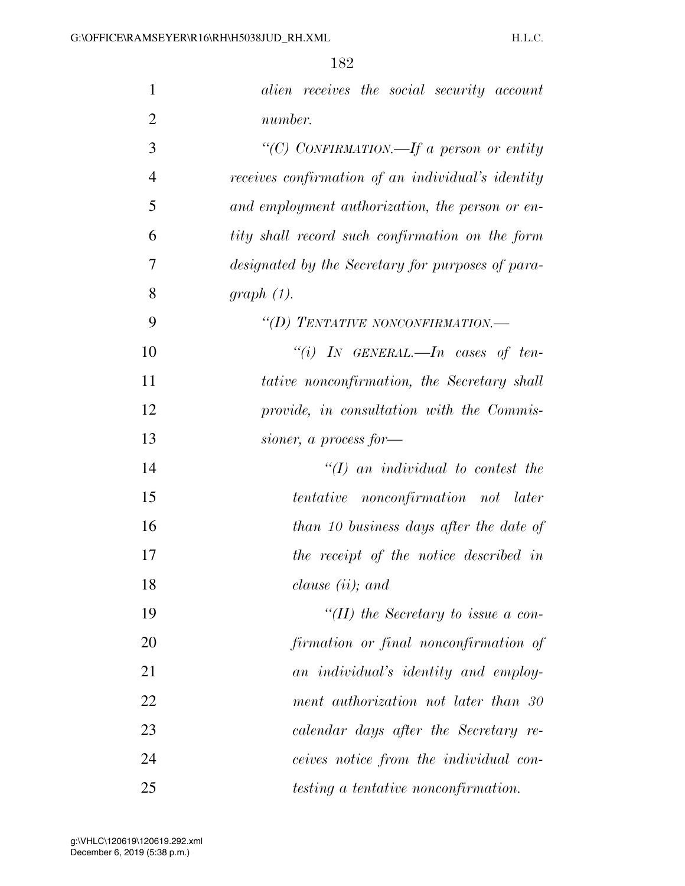| $\mathbf{1}$   | alien receives the social security account        |
|----------------|---------------------------------------------------|
| $\overline{2}$ | number.                                           |
| 3              | "(C) CONFIRMATION.—If a person or entity          |
| $\overline{4}$ | receives confirmation of an individual's identity |
| 5              | and employment authorization, the person or en-   |
| 6              | tity shall record such confirmation on the form   |
| 7              | designated by the Secretary for purposes of para- |
| 8              | graph(1).                                         |
| 9              | "(D) TENTATIVE NONCONFIRMATION.-                  |
| 10             | "(i) IN GENERAL.—In cases of ten-                 |
| 11             | tative nonconfirmation, the Secretary shall       |
| 12             | provide, in consultation with the Commis-         |
| 13             | sioner, a process for-                            |
| 14             | $\lq (I)$ an individual to contest the            |
| 15             | <i>tentative</i> nonconfirmation not later        |
| 16             | than 10 business days after the date of           |
| 17             | the receipt of the notice described in            |
| 18             | clause (ii); and                                  |
| 19             | "(II) the Secretary to issue a con-               |
| 20             | firmation or final nonconfirmation of             |
| 21             | an individual's identity and employ-              |
| 22             | ment authorization not later than 30              |
| 23             | calendar days after the Secretary re-             |
| 24             | ceives notice from the individual con-            |
| 25             | testing a tentative nonconfirmation.              |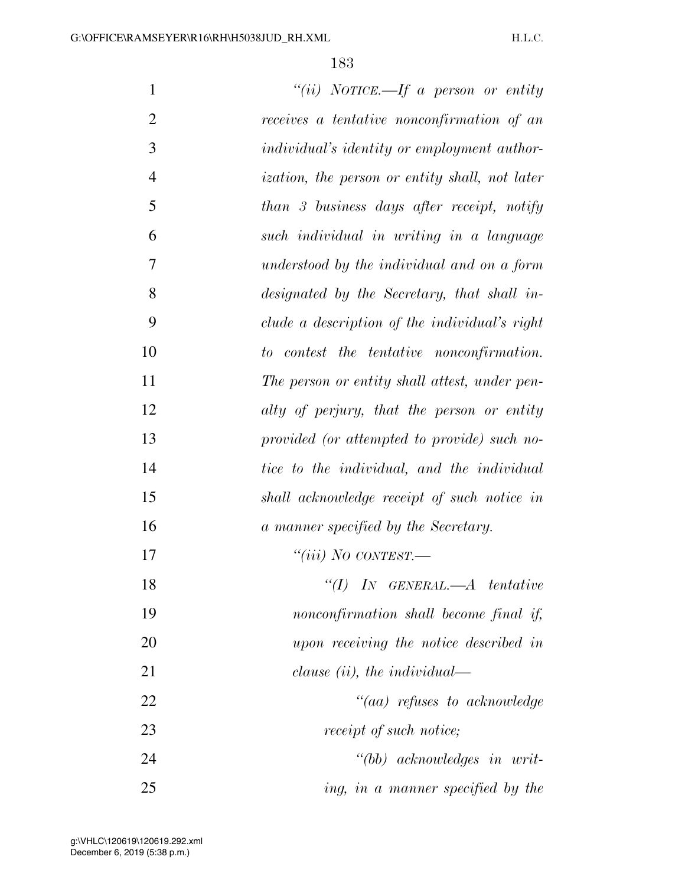| $\mathbf{1}$   | "(ii) NOTICE.—If a person or entity                   |
|----------------|-------------------------------------------------------|
| $\overline{2}$ | receives a tentative nonconfirmation of an            |
| 3              | <i>individual's identity or employment author-</i>    |
| $\overline{4}$ | <i>ization, the person or entity shall, not later</i> |
| 5              | than 3 business days after receipt, notify            |
| 6              | such individual in writing in a language              |
| 7              | understood by the individual and on a form            |
| 8              | designated by the Secretary, that shall in-           |
| 9              | clude a description of the individual's right         |
| 10             | to contest the tentative nonconfirmation.             |
| 11             | The person or entity shall attest, under pen-         |
| 12             | alty of perjury, that the person or entity            |
| 13             | provided (or attempted to provide) such no-           |
| 14             | tice to the individual, and the individual            |
| 15             | shall acknowledge receipt of such notice in           |
| 16             | a manner specified by the Secretary.                  |
| 17             | "(iii) NO CONTEST.—                                   |
| 18             | $``(I)$ IN GENERAL.—A tentative                       |
| 19             | nonconfirmation shall become final if,                |
| 20             | upon receiving the notice described in                |
| 21             | clause $(ii)$ , the individual—                       |
| 22             | $\lq\lq (aa)$ refuses to acknowledge                  |
| 23             | receipt of such notice;                               |
| 24             | $"(bb)$ acknowledges in writ-                         |
| 25             | ing, in a manner specified by the                     |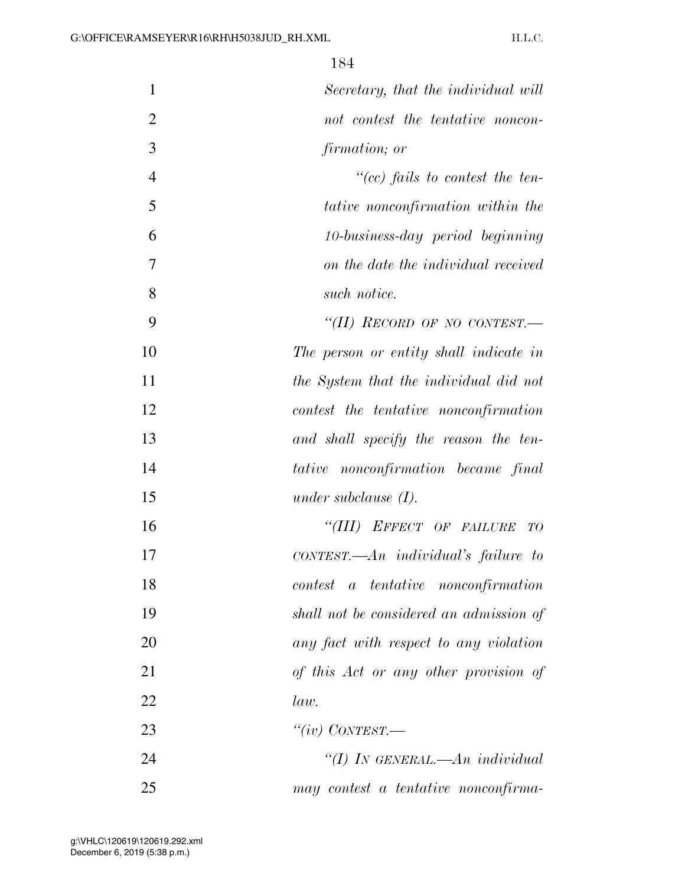| $\mathbf{1}$   | Secretary, that the individual will                           |
|----------------|---------------------------------------------------------------|
| $\overline{2}$ | not contest the tentative noncon-                             |
| 3              | firmation; or                                                 |
| $\overline{4}$ | $\lq\lq (cc)$ fails to contest the ten-                       |
| 5              | <i>tative nonconfirmation within the</i>                      |
| 6              | 10-business-day period beginning                              |
| $\overline{7}$ | on the date the individual received                           |
| 8              | such notice.                                                  |
| 9              | "(II) RECORD OF NO CONTEST.-                                  |
| 10             | The person or entity shall indicate in                        |
| 11             | the System that the individual did not                        |
| 12             | contest the tentative nonconfirmation                         |
| 13             | and shall specify the reason the ten-                         |
| 14             | tative nonconfirmation became final                           |
| 15             | under subclause $(I)$ .                                       |
| 16             | "(III) EFFECT OF FAILURE TO                                   |
| 17             | $CONTEST.$ <i>An</i> individual's failure to                  |
| 18             | $\,contest$ $\,a$ $\,$ $\,tentative$ $\,$ $\,nonconfirmation$ |
| 19             | shall not be considered an admission of                       |
| 20             | any fact with respect to any violation                        |
| 21             | of this Act or any other provision of                         |
| 22             | law.                                                          |
| 23             | "(iv) $CONTEST$ .                                             |
| 24             | "(I) In GENERAL.—An individual                                |
| 25             | may contest a tentative nonconfirma-                          |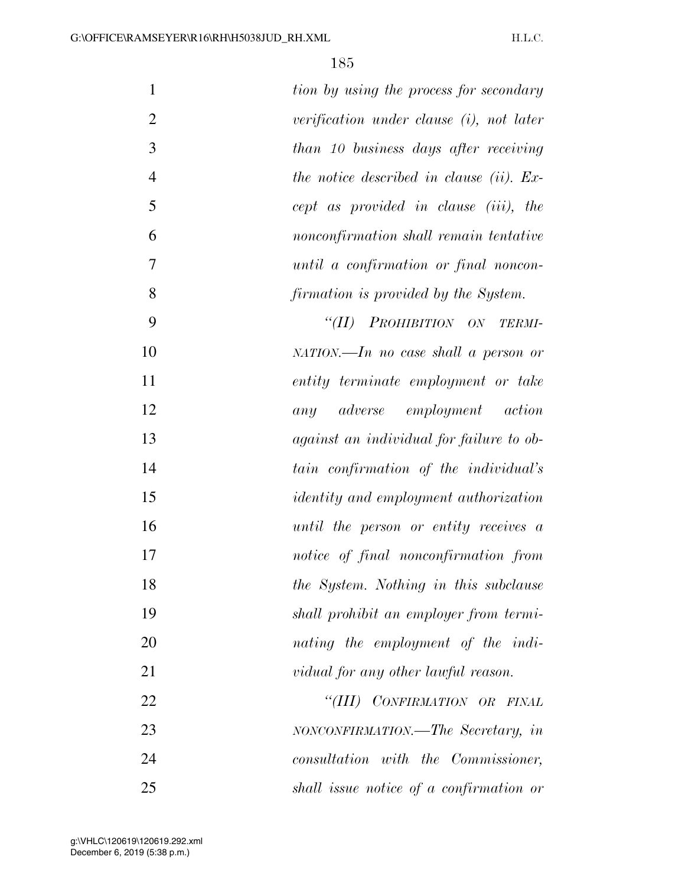| $\mathbf{1}$   | tion by using the process for secondary         |
|----------------|-------------------------------------------------|
| $\overline{2}$ | verification under clause $(i)$ , not later     |
| 3              | than 10 business days after receiving           |
| $\overline{4}$ | the notice described in clause (ii). $Ex$       |
| 5              | cept as provided in clause (iii), the           |
| 6              | nonconfirmation shall remain tentative          |
| 7              | until a confirmation or final noncon-           |
| 8              | firmation is provided by the System.            |
| 9              | "(II) PROHIBITION ON TERMI-                     |
| 10             | $NATION$ —In no case shall a person or          |
| 11             | entity terminate employment or take             |
| 12             | <i>adverse employment action</i><br>any         |
| 13             | <i>against an individual for failure to ob-</i> |
| 14             | tain confirmation of the individual's           |
| 15             | <i>identity</i> and employment authorization    |
| 16             | until the person or entity receives a           |
| 17             | notice of final nonconfirmation from            |
| 18             | the System. Nothing in this subclause           |
| 19             | shall prohibit an employer from termi-          |
| 20             | nating the employment of the indi-              |
| 21             | vidual for any other lawful reason.             |
| 22             | "(III) CONFIRMATION OR FINAL                    |
| 23             | NONCONFIRMATION.—The Secretary, in              |
| 24             | consultation with the Commissioner,             |
| 25             | shall issue notice of a confirmation or         |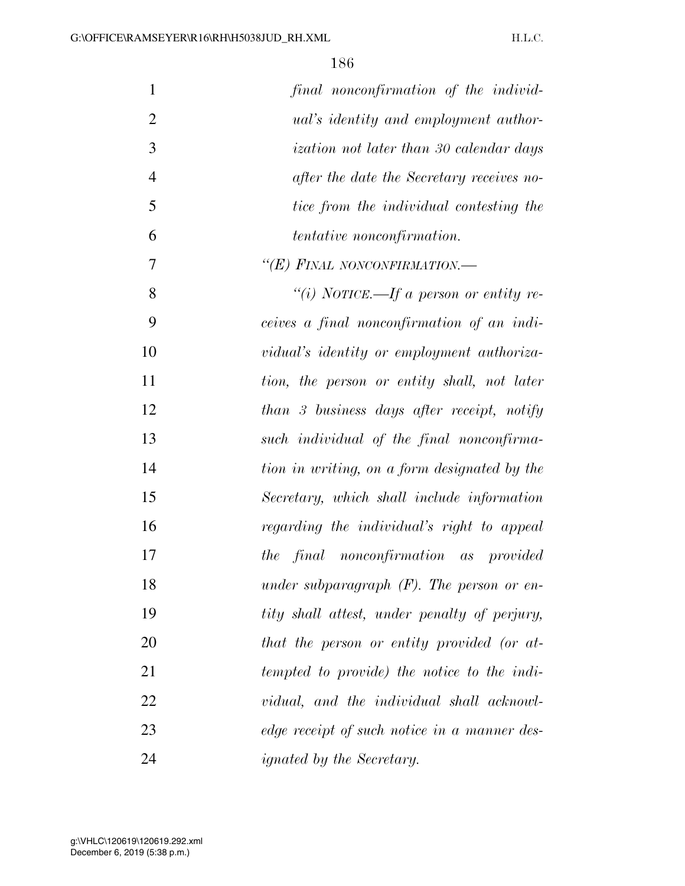| $\mathbf{1}$   | final nonconfirmation of the individ-          |
|----------------|------------------------------------------------|
| $\overline{2}$ | <i>ual's identity and employment author-</i>   |
| 3              | <i>ization not later than 30 calendar days</i> |
| $\overline{4}$ | after the date the Secretary receives no-      |
| 5              | tice from the individual contesting the        |
| 6              | <i>tentative nonconfirmation.</i>              |
| 7              | "(E) FINAL NONCONFIRMATION.-                   |
| 8              | "(i) NOTICE.—If a person or entity re-         |
| 9              | ceives a final nonconfirmation of an indi-     |
| 10             | vidual's identity or employment authoriza-     |
| 11             | tion, the person or entity shall, not later    |
| 12             | than 3 business days after receipt, notify     |
| 13             | such individual of the final nonconfirma-      |
| 14             | tion in writing, on a form designated by the   |
| 15             | Secretary, which shall include information     |
| 16             | regarding the individual's right to appeal     |
| 17             | the final nonconfirmation as provided          |
| 18             | under subparagraph $(F)$ . The person or en-   |
| 19             | tity shall attest, under penalty of perjury,   |
| 20             | that the person or entity provided (or at-     |
| 21             | tempted to provide) the notice to the indi-    |
| 22             | vidual, and the individual shall acknowl-      |
| 23             | edge receipt of such notice in a manner des-   |
| 24             | <i>ignated by the Secretary.</i>               |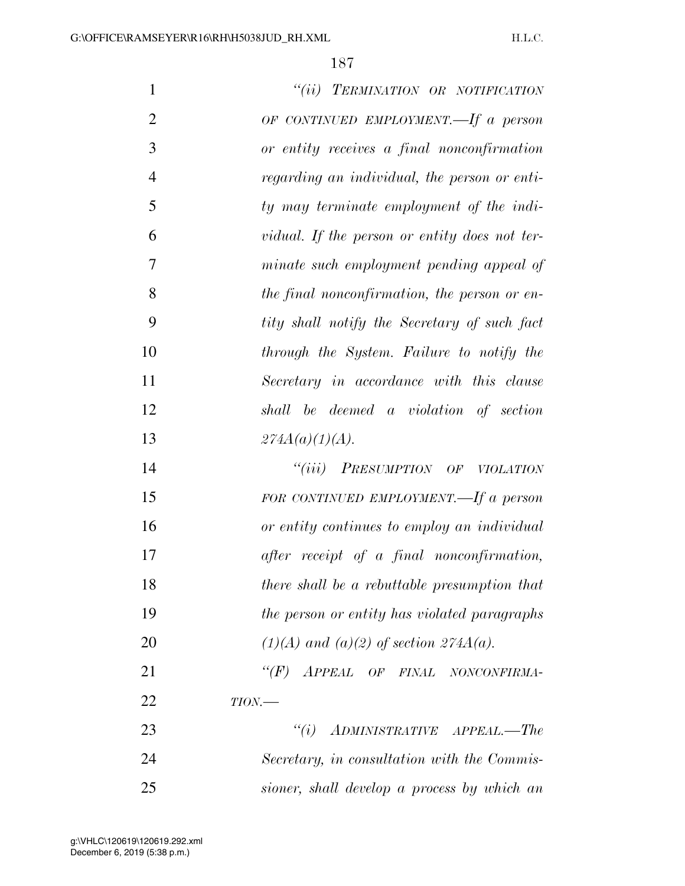| $\mathbf{1}$   | "(ii) TERMINATION OR NOTIFICATION             |
|----------------|-----------------------------------------------|
| $\overline{2}$ | OF CONTINUED EMPLOYMENT.—If a person          |
| 3              | or entity receives a final nonconfirmation    |
| $\overline{4}$ | regarding an individual, the person or enti-  |
| 5              | ty may terminate employment of the indi-      |
| 6              | vidual. If the person or entity does not ter- |
| 7              | minate such employment pending appeal of      |
| 8              | the final nonconfirmation, the person or en-  |
| 9              | tity shall notify the Secretary of such fact  |
| 10             | through the System. Failure to notify the     |
| 11             | Secretary in accordance with this clause      |
| 12             | shall be deemed a violation of section        |
| 13             | 274A(a)(1)(A).                                |
| 14             | "(iii) PRESUMPTION OF VIOLATION               |
| 15             | FOR CONTINUED EMPLOYMENT.—If a person         |
| 16             | or entity continues to employ an individual   |
| 17             | after receipt of a final nonconfirmation,     |
| 18             | there shall be a rebuttable presumption that  |
| 19             | the person or entity has violated paragraphs  |
| 20             | $(1)(A)$ and $(a)(2)$ of section $274A(a)$ .  |
| 21             | "(F) APPEAL OF FINAL NONCONFIRMA-             |
| 22             | $TION$ —                                      |
| 23             | $``(i)$ ADMINISTRATIVE APPEAL.—The            |
| 24             | Secretary, in consultation with the Commis-   |
| 25             | sioner, shall develop a process by which an   |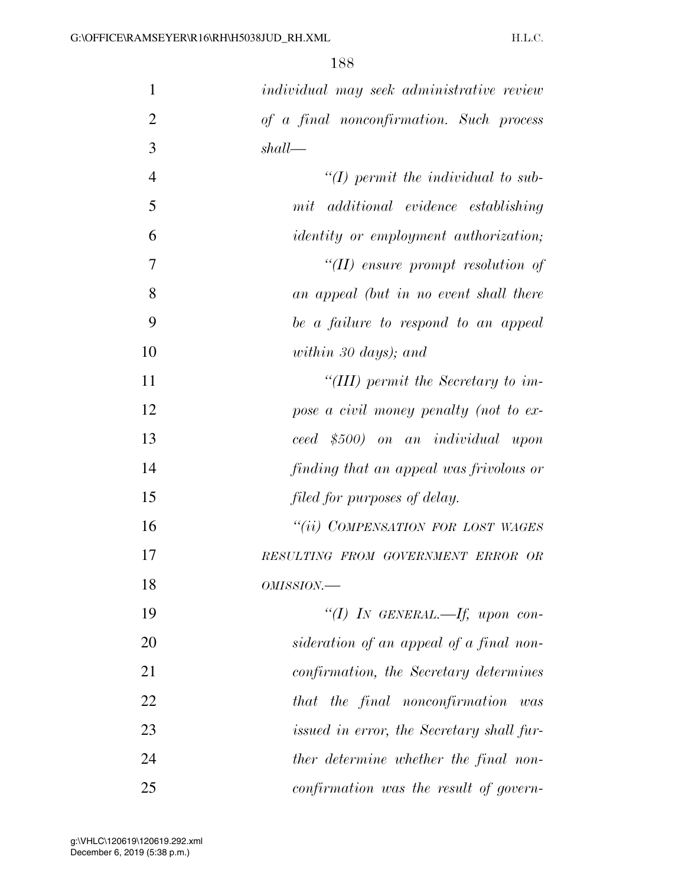| $\mathbf{1}$   | individual may seek administrative review     |
|----------------|-----------------------------------------------|
| $\overline{2}$ | of a final nonconfirmation. Such process      |
| 3              | shall                                         |
| $\overline{4}$ | $\lq (I)$ permit the individual to sub-       |
| 5              | mit additional evidence establishing          |
| 6              | <i>identity</i> or employment authorization;  |
| 7              | $\lq$ (II) ensure prompt resolution of        |
| 8              | an appeal (but in no event shall there        |
| 9              | be a failure to respond to an appeal          |
| 10             | within 30 days); and                          |
| 11             | "(III) permit the Secretary to im-            |
| 12             | pose a civil money penalty (not to ex-        |
| 13             | ceed \$500) on an individual upon             |
| 14             | finding that an appeal was frivolous or       |
| 15             | filed for purposes of delay.                  |
| 16             | "(ii) COMPENSATION FOR LOST WAGES             |
| 17             | RESULTING FROM GOVERNMENT ERROR OR            |
| 18             | OMISSION.-                                    |
| 19             | "(I) IN GENERAL.—If, upon con-                |
| 20             | sideration of an appeal of a final non-       |
| 21             | <i>confirmation, the Secretary determines</i> |
| 22             | that the final nonconfirmation<br>was         |
| 23             | issued in error, the Secretary shall fur-     |
| 24             | ther determine whether the final non-         |
| 25             | confirmation was the result of govern-        |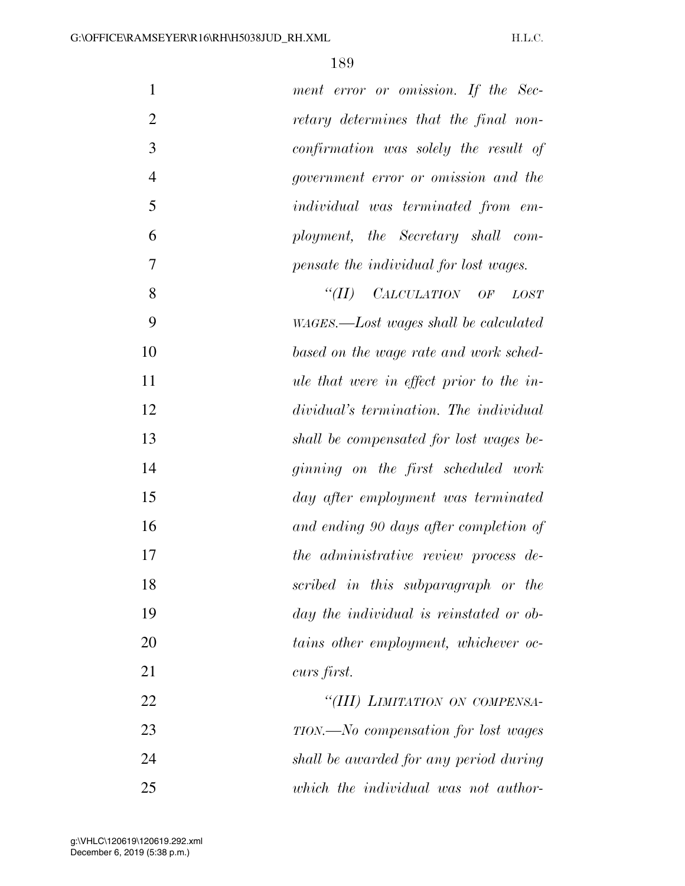| $\mathbf{1}$   | ment error or omission. If the Sec-       |
|----------------|-------------------------------------------|
| $\overline{2}$ | retary determines that the final non-     |
| 3              | confirmation was solely the result of     |
| $\overline{4}$ | government error or omission and the      |
| 5              | <i>individual</i> was terminated from em- |
| 6              | ployment, the Secretary shall com-        |
| 7              | pensate the individual for lost wages.    |
| 8              | CALCULATION OF<br>$\lq(T)$<br><b>LOST</b> |
| 9              | WAGES.—Lost wages shall be calculated     |
| 10             | based on the wage rate and work sched-    |
| 11             | ule that were in effect prior to the in-  |
| 12             | dividual's termination. The individual    |
| 13             | shall be compensated for lost wages be-   |
| 14             | ginning on the first scheduled work       |
| 15             | day after employment was terminated       |
| 16             | and ending 90 days after completion of    |
| 17             | the administrative review process de-     |
| 18             | scribed in this subparagraph or the       |
| 19             | day the individual is reinstated or ob-   |
| 20             | tains other employment, whichever oc-     |
| 21             | curs first.                               |
| 22             | "(III) LIMITATION ON COMPENSA-            |
| 23             | TION.—No compensation for lost wages      |
| 24             | shall be awarded for any period during    |
| 25             | which the individual was not author-      |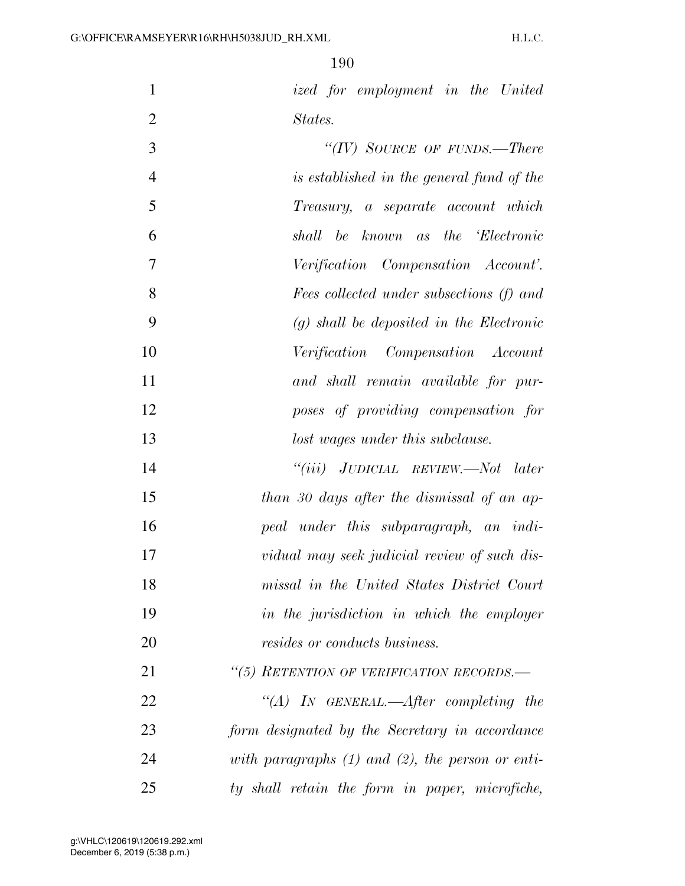*ized for employment in the United States.* 

| 3              | "(IV) SOURCE OF FUNDS.—There                 |
|----------------|----------------------------------------------|
| $\overline{4}$ | is established in the general fund of the    |
| 5              | Treasury, a separate account which           |
| 6              | shall be known as the Electronic             |
| $\overline{7}$ | Verification Compensation Account'.          |
| 8              | Fees collected under subsections (f) and     |
| 9              | $(g)$ shall be deposited in the Electronic   |
| 10             | Verification Compensation Account            |
| 11             | and shall remain available for pur-          |
| 12             | poses of providing compensation for          |
| 13             | lost wages under this subclause.             |
| 14             | "(iii) JUDICIAL REVIEW.—Not later            |
| 15             | than 30 days after the dismissal of an ap-   |
| 16             | peal under this subparagraph, an indi-       |
| 17             | vidual may seek judicial review of such dis- |
| 18             | missal in the United States District Court   |

 *missal in the United States District Court in the jurisdiction in which the employer resides or conducts business.* 

 *''(5) RETENTION OF VERIFICATION RECORDS.— ''(A) IN GENERAL.—After completing the form designated by the Secretary in accordance with paragraphs (1) and (2), the person or enti-ty shall retain the form in paper, microfiche,*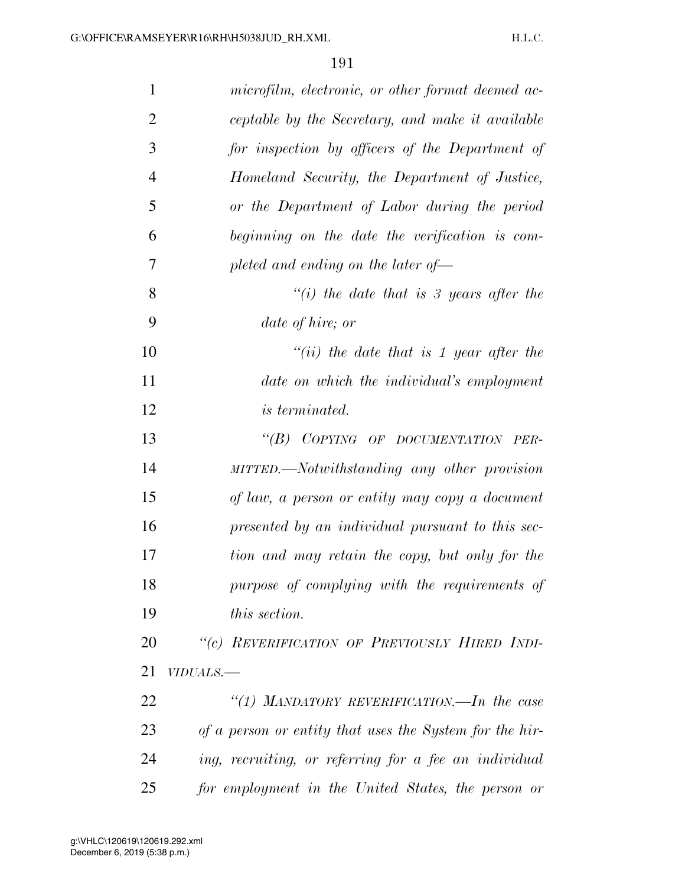| $\mathbf{1}$   | microfilm, electronic, or other format deemed ac-       |
|----------------|---------------------------------------------------------|
| $\overline{2}$ | ceptable by the Secretary, and make it available        |
| 3              | for inspection by officers of the Department of         |
| $\overline{4}$ | Homeland Security, the Department of Justice,           |
| 5              | or the Department of Labor during the period            |
| 6              | beginning on the date the verification is com-          |
| $\tau$         | pleted and ending on the later of-                      |
| 8              | "(i) the date that is 3 years after the                 |
| 9              | date of hire; or                                        |
| 10             | $``(ii)$ the date that is 1 year after the              |
| 11             | date on which the individual's employment               |
| 12             | <i>is terminated.</i>                                   |
| 13             | "(B) COPYING OF DOCUMENTATION PER-                      |
| 14             | MITTED.—Notwithstanding any other provision             |
| 15             | of law, a person or entity may copy a document          |
| 16             | presented by an individual pursuant to this sec-        |
| 17             | tion and may retain the copy, but only for the          |
| 18             | purpose of complying with the requirements of           |
| 19             | this section.                                           |
| 20             | "(c) REVERIFICATION OF PREVIOUSLY HIRED INDI-           |
| 21             | VIDUALS.-                                               |
| 22             | "(1) MANDATORY REVERIFICATION.—In the case              |
| 23             | of a person or entity that uses the System for the hir- |
| 24             | ing, recruiting, or referring for a fee an individual   |
| 25             | for employment in the United States, the person or      |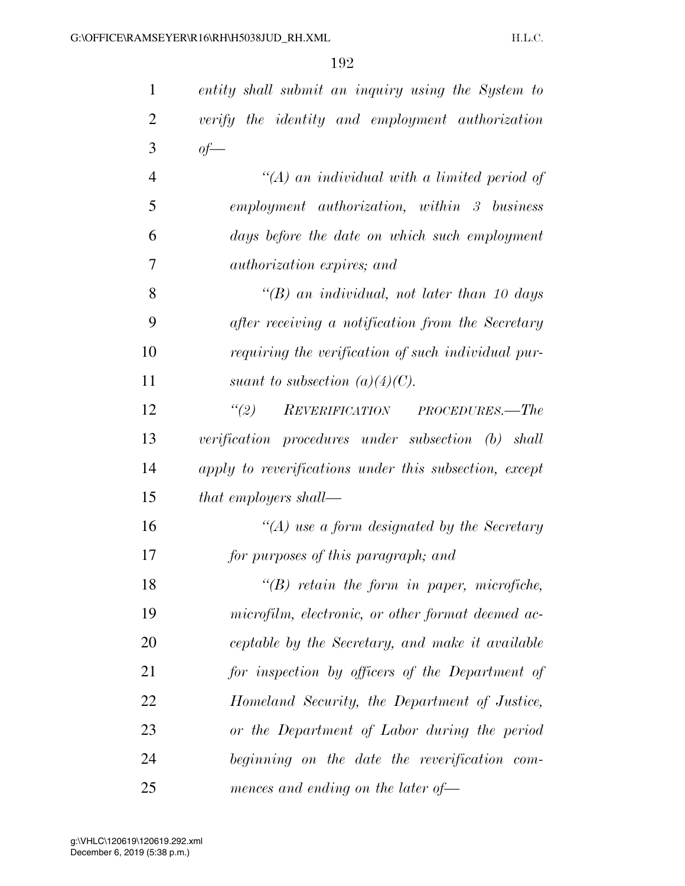| $\mathbf{1}$   | entity shall submit an inquiry using the System to     |
|----------------|--------------------------------------------------------|
| $\overline{2}$ | verify the identity and employment authorization       |
| 3              | $of$ —                                                 |
| $\overline{4}$ | $\lq (A)$ an individual with a limited period of       |
| 5              | employment authorization, within 3 business            |
| 6              | days before the date on which such employment          |
| 7              | <i>authorization expires; and</i>                      |
| 8              | "(B) an individual, not later than 10 days             |
| 9              | after receiving a notification from the Secretary      |
| 10             | requiring the verification of such individual pur-     |
| 11             | suant to subsection $(a)(4)(C)$ .                      |
| 12             | (2)<br>REVERIFICATION PROCEDURES.—The                  |
| 13             | verification procedures under subsection (b) shall     |
| 14             | apply to reverifications under this subsection, except |
| 15             | that employers shall—                                  |
| 16             | $\lq (A)$ use a form designated by the Secretary       |
| 17             | for purposes of this paragraph; and                    |
| 18             | $\lq\lq(B)$ retain the form in paper, microfiche,      |
| 19             | microfilm, electronic, or other format deemed ac-      |
| 20             | ceptable by the Secretary, and make it available       |
| 21             | for inspection by officers of the Department of        |
| 22             | Homeland Security, the Department of Justice,          |
| 23             | or the Department of Labor during the period           |
| 24             | beginning on the date the reverification com-          |
| 25             | mences and ending on the later of-                     |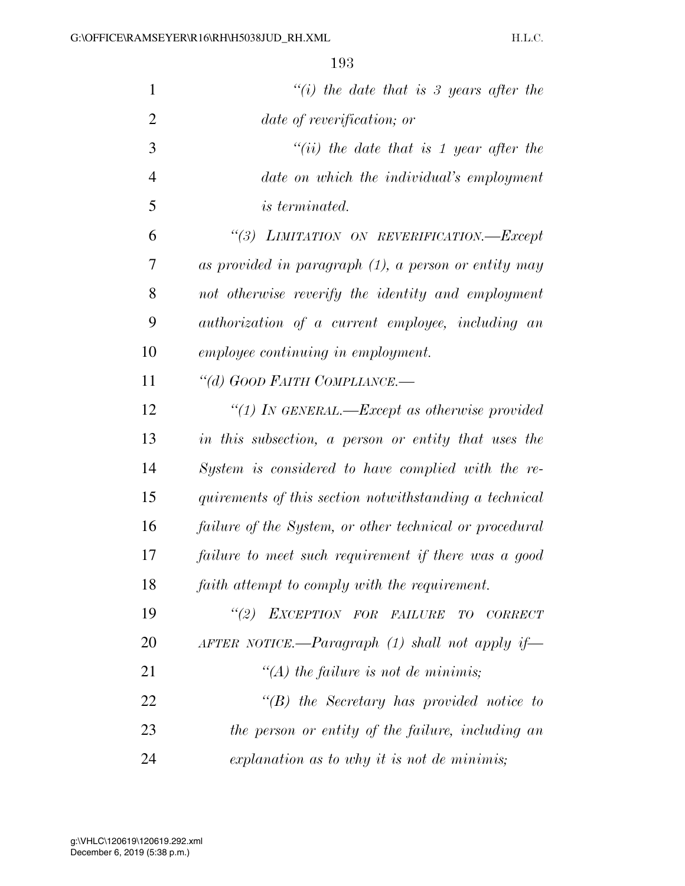| $\mathbf{1}$   | "(i) the date that is 3 years after the                 |
|----------------|---------------------------------------------------------|
| $\overline{2}$ | date of reverification; or                              |
| 3              | "(ii) the date that is 1 year after the                 |
| $\overline{4}$ | date on which the individual's employment               |
| 5              | <i>is terminated.</i>                                   |
| 6              | "(3) LIMITATION ON REVERIFICATION.-Except               |
| 7              | as provided in paragraph $(1)$ , a person or entity may |
| 8              | not otherwise reverify the identity and employment      |
| 9              | authorization of a current employee, including an       |
| 10             | employee continuing in employment.                      |
| 11             | "(d) GOOD FAITH COMPLIANCE.-                            |
| 12             | "(1) IN GENERAL.—Except as otherwise provided           |
| 13             | in this subsection, a person or entity that uses the    |
| 14             | System is considered to have complied with the re-      |
| 15             | quirements of this section notwithstanding a technical  |
| 16             | failure of the System, or other technical or procedural |
| 17             | failure to meet such requirement if there was a good    |
| 18             | faith attempt to comply with the requirement.           |
| 19             | "(2) EXCEPTION FOR FAILURE TO CORRECT                   |
| 20             | AFTER NOTICE.—Paragraph $(1)$ shall not apply if—       |
| 21             | "(A) the failure is not de minimis;                     |
| 22             | $\lq\lq B$ the Secretary has provided notice to         |
| 23             | the person or entity of the failure, including an       |
| 24             | explanation as to why it is not de minimis;             |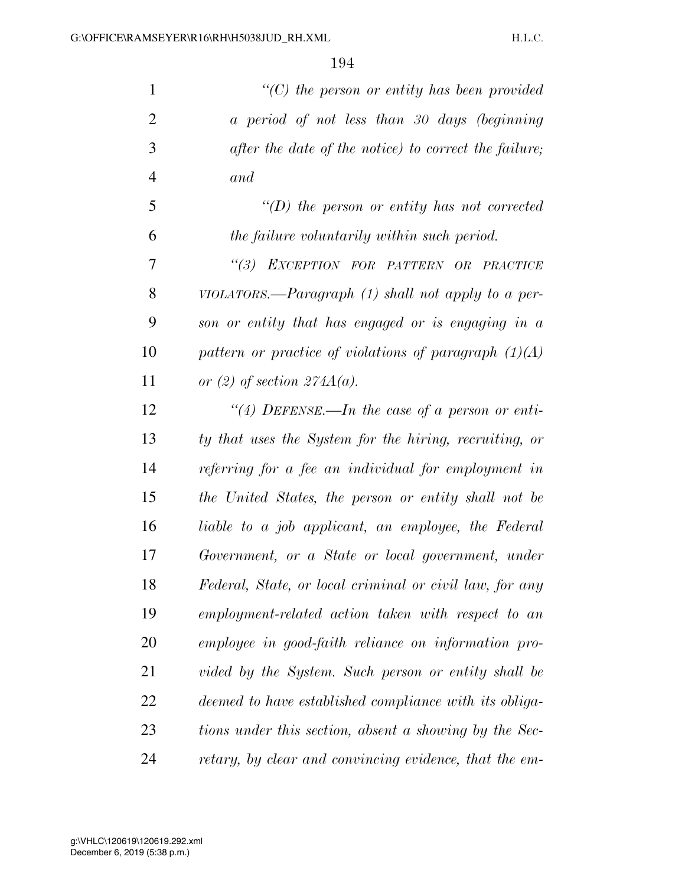| $\mathbf{1}$   | $\lq\lq C$ the person or entity has been provided       |
|----------------|---------------------------------------------------------|
| $\overline{2}$ | a period of not less than 30 days (beginning            |
| 3              | after the date of the notice) to correct the failure;   |
| $\overline{4}$ | and                                                     |
| 5              | "(D) the person or entity has not corrected             |
| 6              | the failure voluntarily within such period.             |
| 7              | "(3) EXCEPTION FOR PATTERN OR PRACTICE                  |
| 8              | VIOLATORS.—Paragraph $(1)$ shall not apply to a per-    |
| 9              | son or entity that has engaged or is engaging in a      |
| 10             | pattern or practice of violations of paragraph $(1)(A)$ |
| 11             | or (2) of section $274A(a)$ .                           |
| 12             | "(4) DEFENSE.—In the case of a person or enti-          |
| 13             | ty that uses the System for the hiring, recruiting, or  |
| 14             | referring for a fee an individual for employment in     |
| 15             | the United States, the person or entity shall not be    |
| 16             | liable to a job applicant, an employee, the Federal     |
| 17             | Government, or a State or local government, under       |
| 18             | Federal, State, or local criminal or civil law, for any |
| 19             | employment-related action taken with respect to an      |
| 20             | employee in good-faith reliance on information pro-     |
| 21             | vided by the System. Such person or entity shall be     |
| 22             | deemed to have established compliance with its obliga-  |
| 23             | tions under this section, absent a showing by the Sec-  |
| 24             | retary, by clear and convincing evidence, that the em-  |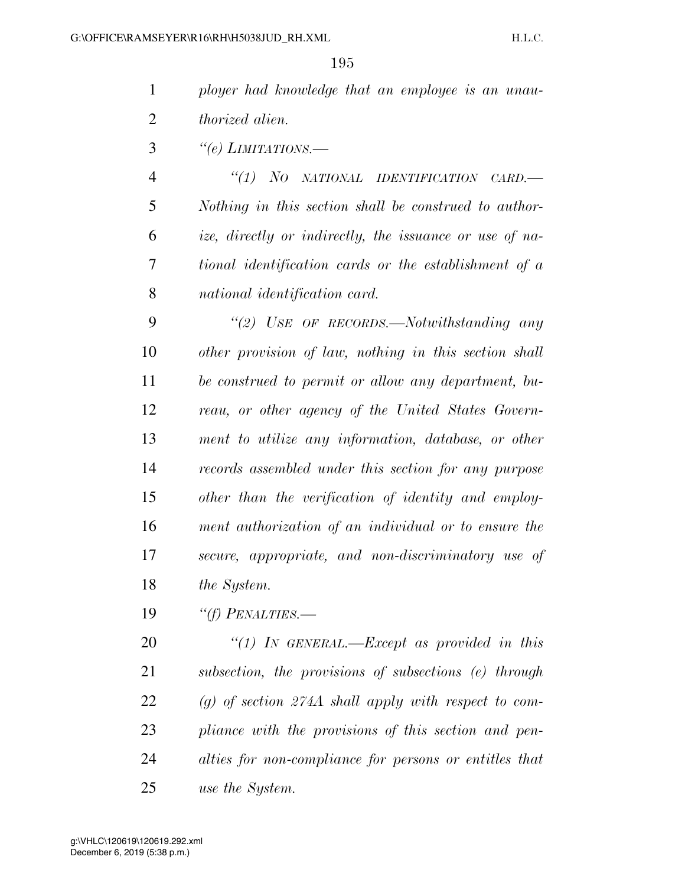|                | 199                                                     |
|----------------|---------------------------------------------------------|
| $\mathbf{1}$   | ployer had knowledge that an employee is an unau-       |
| $\overline{2}$ | thorized alien.                                         |
| 3              | "(e) LIMITATIONS.—                                      |
| $\overline{4}$ | "(1) NO NATIONAL IDENTIFICATION CARD.-                  |
| 5              | Nothing in this section shall be construed to author-   |
| 6              | ize, directly or indirectly, the issuance or use of na- |
| 7              | tional identification cards or the establishment of a   |
| 8              | national identification card.                           |
| 9              | "(2) USE OF RECORDS.—Notwithstanding any                |
| 10             | other provision of law, nothing in this section shall   |
| 11             | be construed to permit or allow any department, bu-     |
| 12             | reau, or other agency of the United States Govern-      |
| 13             | ment to utilize any information, database, or other     |
| 14             | records assembled under this section for any purpose    |
| 15             | other than the verification of identity and employ-     |
| 16             | ment authorization of an individual or to ensure the    |
| 17             | secure, appropriate, and non-discriminatory use of      |
| 18             | the System.                                             |
| 19             | "(f) PENALTIES.-                                        |

 *''(1) IN GENERAL.—Except as provided in this subsection, the provisions of subsections (e) through (g) of section 274A shall apply with respect to com- pliance with the provisions of this section and pen- alties for non-compliance for persons or entitles that use the System.*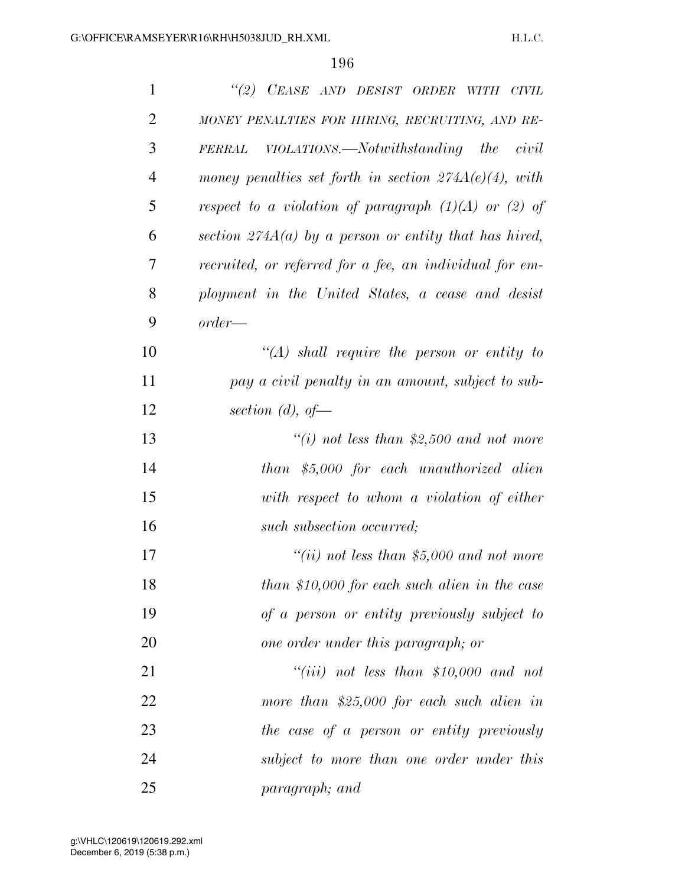| $\mathbf{1}$   | "(2) CEASE AND DESIST ORDER<br>WITH CIVIL                |
|----------------|----------------------------------------------------------|
| $\overline{2}$ | MONEY PENALTIES FOR HIRING, RECRUITING, AND RE-          |
| 3              | FERRAL VIOLATIONS.—Notwithstanding the civil             |
| $\overline{4}$ | money penalties set forth in section $274A(e)(4)$ , with |
| 5              | respect to a violation of paragraph $(1)(A)$ or $(2)$ of |
| 6              | section $274A(a)$ by a person or entity that has hired,  |
| 7              | recruited, or referred for a fee, an individual for em-  |
| 8              | ployment in the United States, a cease and desist        |
| 9              | $order -$                                                |
| 10             | $\lq (A)$ shall require the person or entity to          |
| 11             | pay a civil penalty in an amount, subject to sub-        |
| 12             | section $(d)$ , of-                                      |
| 13             | "(i) not less than \$2,500 and not more                  |
| 14             | than \$5,000 for each unauthorized alien                 |
| 15             | with respect to whom a violation of either               |
| 16             | such subsection occurred;                                |
| 17             | "(ii) not less than \$5,000 and not more                 |
| 18             | than \$10,000 for each such alien in the case            |
| 19             | of a person or entity previously subject to              |
| 20             | one order under this paragraph; or                       |
| 21             | "(iii) not less than \$10,000 and not                    |
| 22             | more than $$25,000$ for each such alien in               |
| 23             | the case of a person or entity previously                |
| 24             | subject to more than one order under this                |
| 25             | paragraph; and                                           |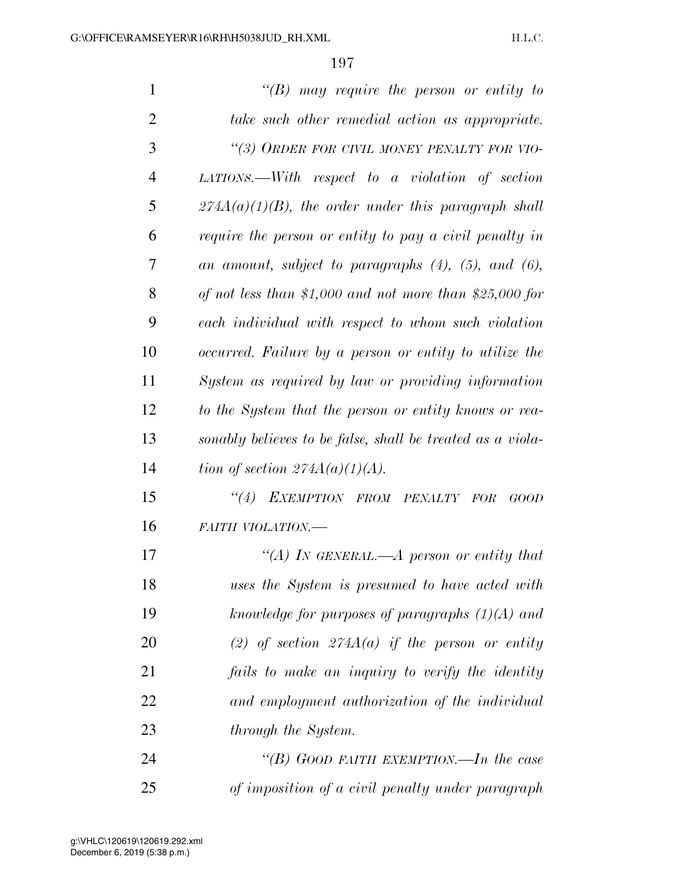| $\mathbf{1}$   | "(B) may require the person or entity to                     |
|----------------|--------------------------------------------------------------|
| $\overline{2}$ | take such other remedial action as appropriate.              |
| 3              | "(3) ORDER FOR CIVIL MONEY PENALTY FOR VIO-                  |
| $\overline{4}$ | $LATIONS$ . With respect to a violation of section           |
| 5              | $274A(a)(1)(B)$ , the order under this paragraph shall       |
| 6              | require the person or entity to pay a civil penalty in       |
| 7              | an amount, subject to paragraphs $(4)$ , $(5)$ , and $(6)$ , |
| 8              | of not less than \$1,000 and not more than \$25,000 for      |
| 9              | each individual with respect to whom such violation          |
| 10             | occurred. Failure by a person or entity to utilize the       |
| 11             | System as required by law or providing information           |
| 12             | to the System that the person or entity knows or rea-        |
| 13             | sonably believes to be false, shall be treated as a viola-   |
| 14             | tion of section $274A(a)(1)(A)$ .                            |
| 15             | EXEMPTION FROM PENALTY FOR<br>``(4)<br>GOOD                  |
| 16             | <b>FAITH VIOLATION.-</b>                                     |
| 17             | "(A) IN GENERAL.—A person or entity that                     |
| 18             | uses the System is presumed to have acted with               |
| 19             | knowledge for purposes of paragraphs $(1)(A)$ and            |
| 20             | (2) of section $274A(a)$ if the person or entity             |
| 21             | fails to make an inquiry to verify the identity              |
| 22             | and employment authorization of the individual               |
| 23             | through the System.                                          |
| 24             | "(B) GOOD FAITH EXEMPTION.—In the case                       |
| 25             | of imposition of a civil penalty under paragraph             |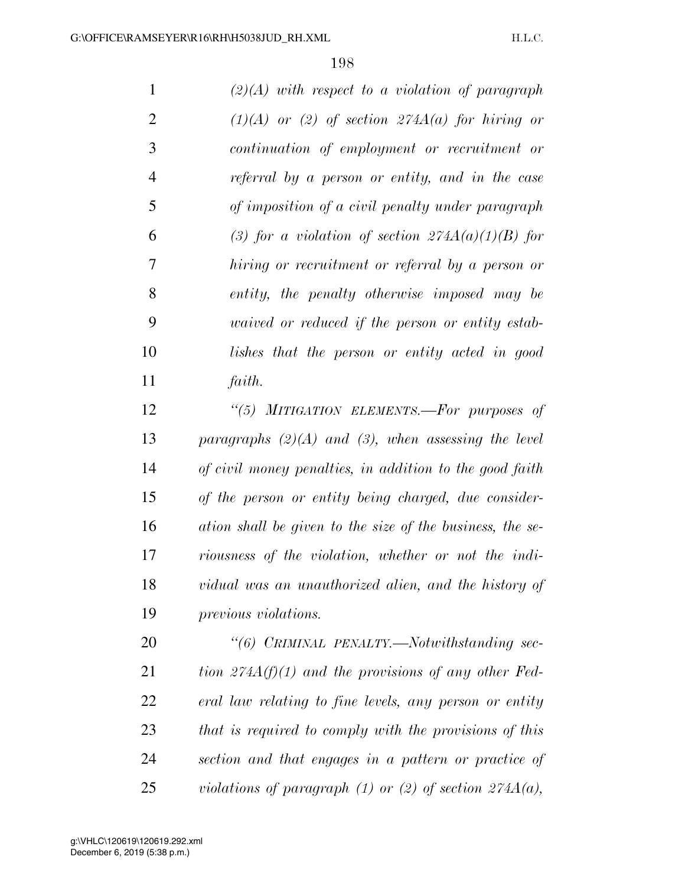*(2)(A) with respect to a violation of paragraph (1)(A) or (2) of section 274A(a) for hiring or continuation of employment or recruitment or referral by a person or entity, and in the case of imposition of a civil penalty under paragraph*   $(3)$  for a violation of section  $274A(a)(1)(B)$  for *hiring or recruitment or referral by a person or entity, the penalty otherwise imposed may be waived or reduced if the person or entity estab- lishes that the person or entity acted in good faith.* 

 *''(5) MITIGATION ELEMENTS.—For purposes of paragraphs (2)(A) and (3), when assessing the level of civil money penalties, in addition to the good faith of the person or entity being charged, due consider- ation shall be given to the size of the business, the se- riousness of the violation, whether or not the indi- vidual was an unauthorized alien, and the history of previous violations.* 

 *''(6) CRIMINAL PENALTY.—Notwithstanding sec- tion 274A(f)(1) and the provisions of any other Fed- eral law relating to fine levels, any person or entity that is required to comply with the provisions of this section and that engages in a pattern or practice of violations of paragraph (1) or (2) of section 274A(a),*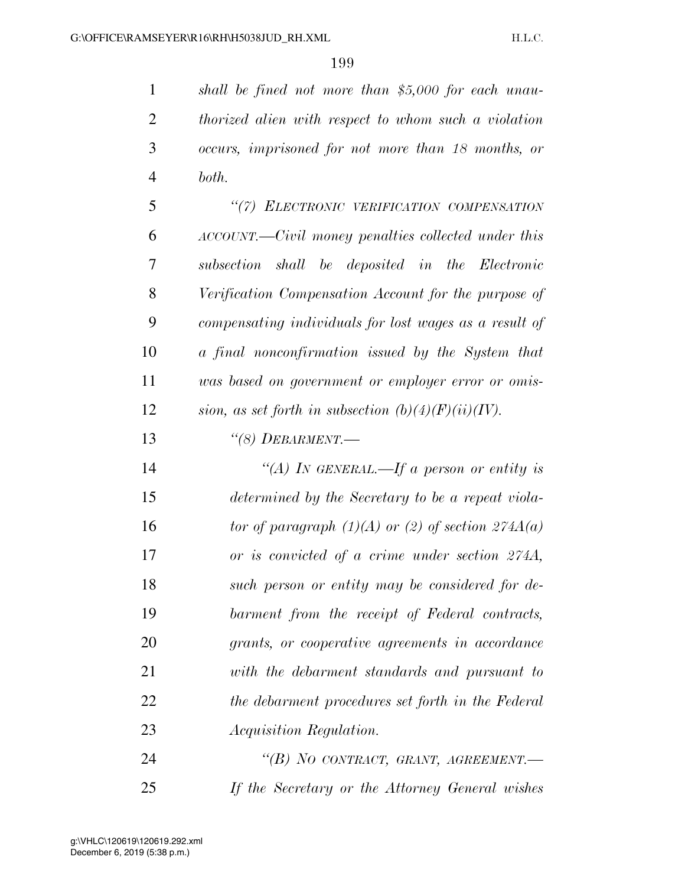*shall be fined not more than \$5,000 for each unau- thorized alien with respect to whom such a violation occurs, imprisoned for not more than 18 months, or both.* 

 *''(7) ELECTRONIC VERIFICATION COMPENSATION ACCOUNT.—Civil money penalties collected under this subsection shall be deposited in the Electronic Verification Compensation Account for the purpose of compensating individuals for lost wages as a result of a final nonconfirmation issued by the System that was based on government or employer error or omis-sion, as set forth in subsection (b)(4)(F)(ii)(IV).* 

*''(8) DEBARMENT.—* 

 *''(A) IN GENERAL.—If a person or entity is determined by the Secretary to be a repeat viola- tor of paragraph (1)(A) or (2) of section 274A(a) or is convicted of a crime under section 274A, such person or entity may be considered for de- barment from the receipt of Federal contracts, grants, or cooperative agreements in accordance with the debarment standards and pursuant to the debarment procedures set forth in the Federal Acquisition Regulation.* 

 *''(B) NO CONTRACT, GRANT, AGREEMENT.— If the Secretary or the Attorney General wishes*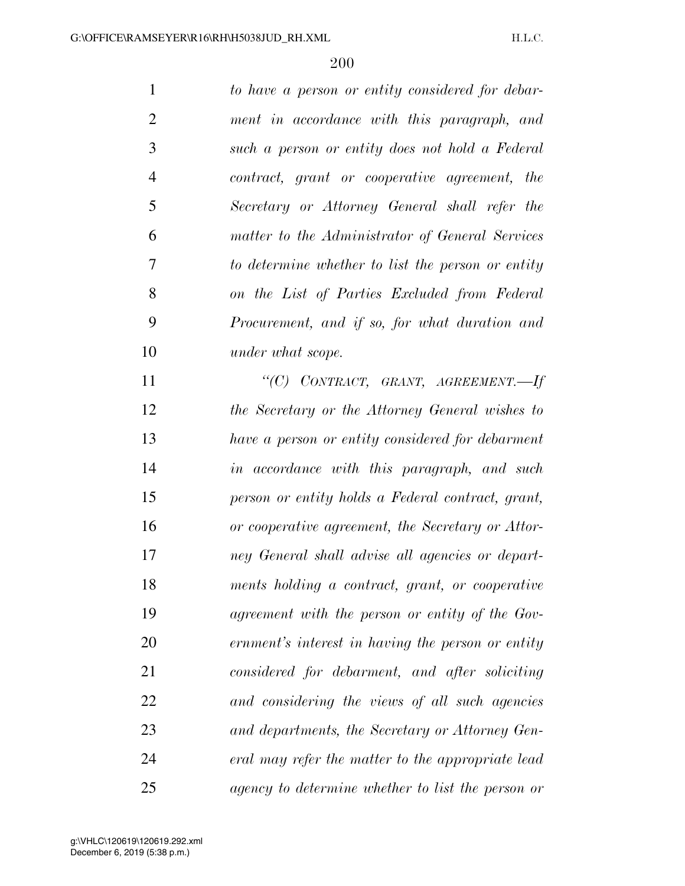| $\mathbf{1}$   | to have a person or entity considered for debar-  |
|----------------|---------------------------------------------------|
| $\overline{2}$ | ment in accordance with this paragraph, and       |
| 3              | such a person or entity does not hold a Federal   |
| $\overline{4}$ | contract, grant or cooperative agreement, the     |
| 5              | Secretary or Attorney General shall refer the     |
| 6              | matter to the Administrator of General Services   |
| $\overline{7}$ | to determine whether to list the person or entity |
| 8              | on the List of Parties Excluded from Federal      |
| 9              | Procurement, and if so, for what duration and     |
| 10             | under what scope.                                 |
| 11             | "(C) CONTRACT, GRANT, AGREEMENT.-If               |
| 12             | the Secretary or the Attorney General wishes to   |
| 13             | have a person or entity considered for debarment  |
| 14             | in accordance with this paragraph, and such       |
| 15             | person or entity holds a Federal contract, grant, |
| 16             | or cooperative agreement, the Secretary or Attor- |
| 17             | ney General shall advise all agencies or depart-  |
| 18             | ments holding a contract, grant, or cooperative   |
| 19             | agreement with the person or entity of the Gov-   |
| 20             | ernment's interest in having the person or entity |
| 21             | considered for debarment, and after soliciting    |
| 22             | and considering the views of all such agencies    |
| 23             | and departments, the Secretary or Attorney Gen-   |
| 24             | eral may refer the matter to the appropriate lead |
| 25             | agency to determine whether to list the person or |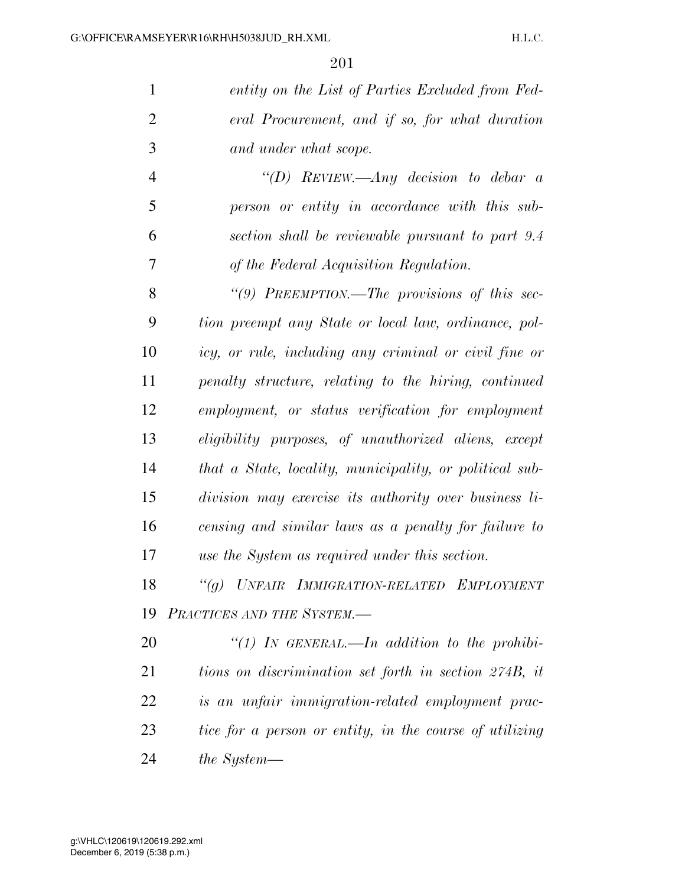| $\mathbf{1}$   | entity on the List of Parties Excluded from Fed-        |
|----------------|---------------------------------------------------------|
| $\overline{2}$ | eral Procurement, and if so, for what duration          |
| 3              | and under what scope.                                   |
| $\overline{4}$ | "(D) REVIEW.—Any decision to debar a                    |
| 5              | person or entity in accordance with this sub-           |
| 6              | section shall be reviewable pursuant to part 9.4        |
| 7              | of the Federal Acquisition Regulation.                  |
| 8              | "(9) PREEMPTION.—The provisions of this sec-            |
| 9              | tion preempt any State or local law, ordinance, pol-    |
| 10             | icy, or rule, including any criminal or civil fine or   |
| 11             | penalty structure, relating to the hiring, continued    |
| 12             | employment, or status verification for employment       |
| 13             | eligibility purposes, of unauthorized aliens, except    |
| 14             | that a State, locality, municipality, or political sub- |
| 15             | division may exercise its authority over business li-   |
| 16             | censing and similar laws as a penalty for failure to    |
| 17             | use the System as required under this section.          |
| 18             | "(g) UNFAIR IMMIGRATION-RELATED EMPLOYMENT              |
| 19             | PRACTICES AND THE SYSTEM.-                              |
| 20             | "(1) IN GENERAL.—In addition to the prohibi-            |
| 21             | tions on discrimination set forth in section 274B, it   |
| 22             | is an unfair immigration-related employment prac-       |
| 23             | tice for a person or entity, in the course of utilizing |

*the System—*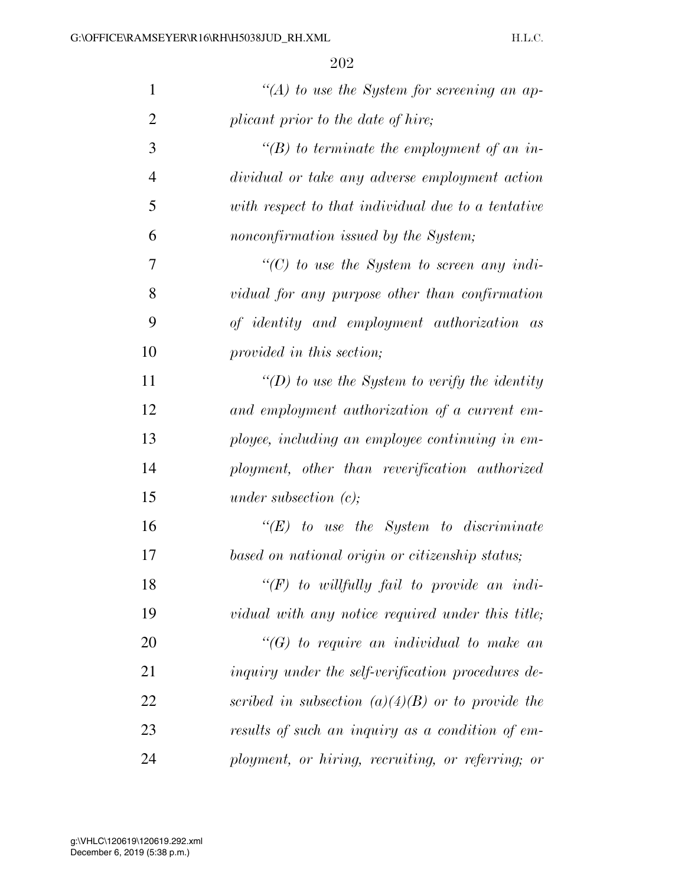| $\mathbf{1}$   | " $(A)$ to use the System for screening an ap-      |
|----------------|-----------------------------------------------------|
| $\overline{2}$ | plicant prior to the date of hire;                  |
| 3              | $\lq\lq(B)$ to terminate the employment of an in-   |
| $\overline{4}$ | dividual or take any adverse employment action      |
| 5              | with respect to that individual due to a tentative  |
| 6              | nonconfirmation issued by the System;               |
| 7              | $\lq\lq C$ to use the System to screen any indi-    |
| 8              | vidual for any purpose other than confirmation      |
| 9              | of identity and employment authorization as         |
| 10             | provided in this section;                           |
| 11             | "(D) to use the System to verify the identity       |
| 12             | and employment authorization of a current em-       |
| 13             | ployee, including an employee continuing in em-     |
| 14             | ployment, other than reverification authorized      |
| 15             | under subsection $(c)$ ;                            |
| 16             | $\lq\lq (E)$ to use the System to discriminate      |
| 17             | based on national origin or citizenship status;     |
| 18             | " $(F)$ to willfully fail to provide an indi-       |
| 19             | vidual with any notice required under this title;   |
| 20             | $\lq\lq(G)$ to require an individual to make an     |
| 21             | inquiry under the self-verification procedures de-  |
| 22             | scribed in subsection $(a)(4)(B)$ or to provide the |
| 23             | results of such an inquiry as a condition of em-    |
| 24             | ployment, or hiring, recruiting, or referring; or   |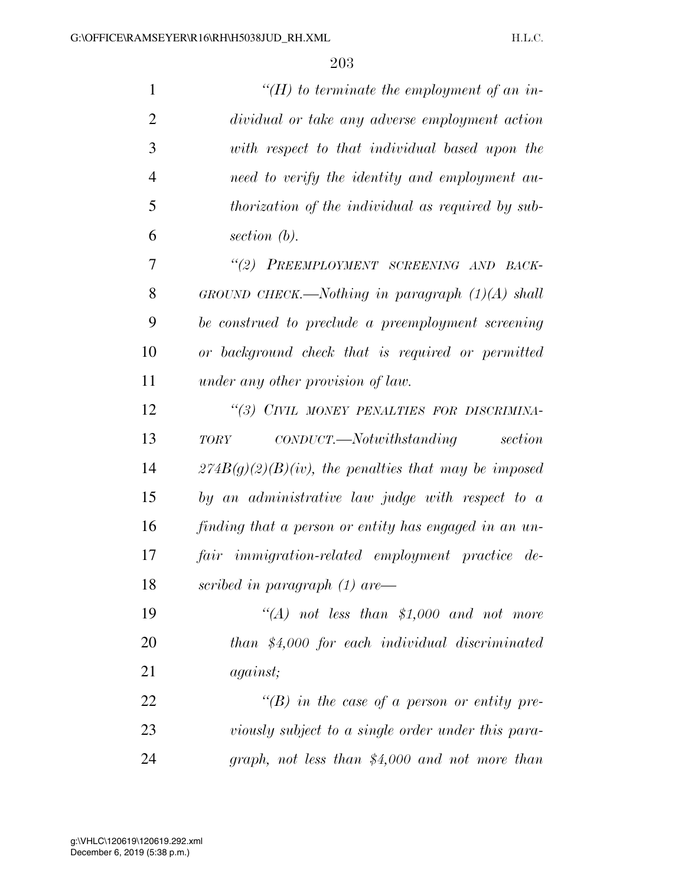| $\mathbf{1}$   | "(H) to terminate the employment of an in-                                                  |
|----------------|---------------------------------------------------------------------------------------------|
| $\overline{2}$ | dividual or take any adverse employment action                                              |
| 3              | with respect to that individual based upon the                                              |
| $\overline{4}$ | need to verify the identity and employment au-                                              |
| 5              | thorization of the individual as required by sub-                                           |
| 6              | section $(b)$ .                                                                             |
| 7              | "(2) PREEMPLOYMENT SCREENING AND BACK-                                                      |
| 8              | GROUND CHECK.—Nothing in paragraph $(1)(A)$ shall                                           |
| 9              | be construed to preclude a preemployment screening                                          |
| 10             | or background check that is required or permitted                                           |
| 11             | under any other provision of law.                                                           |
| 12             | "(3) CIVIL MONEY PENALTIES FOR DISCRIMINA-                                                  |
| 13             | $CONDUCT. \longrightarrow \longrightarrow$ <i>Notwithstanding</i><br>section<br><b>TORY</b> |
| 14             | $274B(g)(2)(B)(iv)$ , the penalties that may be imposed                                     |
| 15             | by an administrative law judge with respect to a                                            |
| 16             | finding that a person or entity has engaged in an un-                                       |
| 17             | <i>immigration-related employment practice de-</i><br>fair                                  |
| 18             | scribed in paragraph $(1)$ are-                                                             |
| 19             | $\lq\lq (A)$ not less than \$1,000 and not more                                             |
| 20             | than \$4,000 for each individual discriminated                                              |
| 21             | <i>against</i> ;                                                                            |
| 22             | "(B) in the case of a person or entity pre-                                                 |
| 23             | viously subject to a single order under this para-                                          |
| 24             | graph, not less than $$4,000$ and not more than                                             |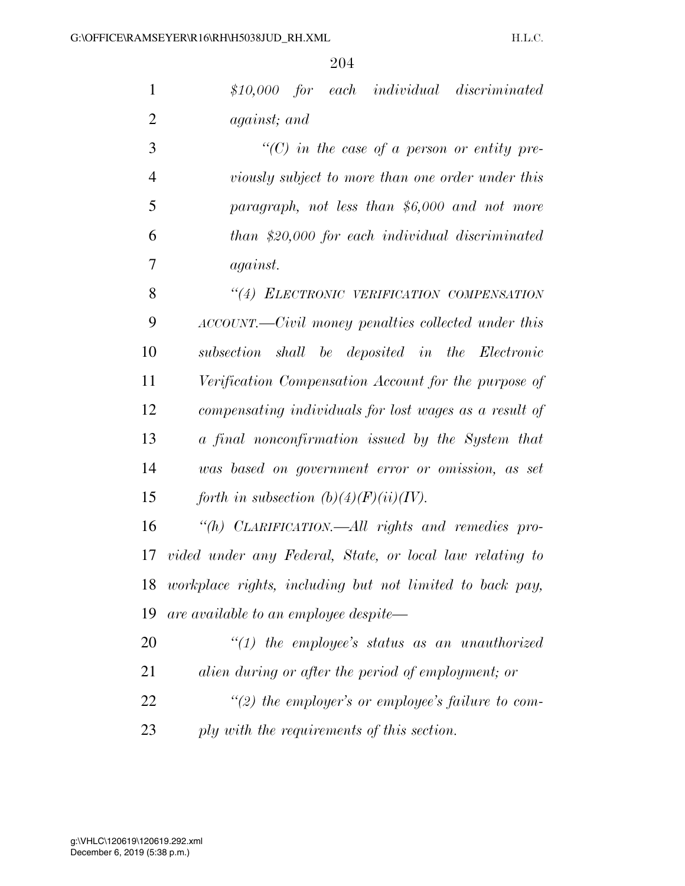|                      |  | $$10,000$ for each individual discriminated |
|----------------------|--|---------------------------------------------|
| <i>against</i> ; and |  |                                             |

 *''(C) in the case of a person or entity pre- viously subject to more than one order under this paragraph, not less than \$6,000 and not more than \$20,000 for each individual discriminated against.* 

 *''(4) ELECTRONIC VERIFICATION COMPENSATION ACCOUNT.—Civil money penalties collected under this subsection shall be deposited in the Electronic Verification Compensation Account for the purpose of compensating individuals for lost wages as a result of a final nonconfirmation issued by the System that was based on government error or omission, as set forth in subsection*  $(b)(4)(F)(ii)(IV)$ *.* 

 *''(h) CLARIFICATION.—All rights and remedies pro- vided under any Federal, State, or local law relating to workplace rights, including but not limited to back pay, are available to an employee despite—* 

 *''(1) the employee's status as an unauthorized alien during or after the period of employment; or* 

 *''(2) the employer's or employee's failure to com-ply with the requirements of this section.*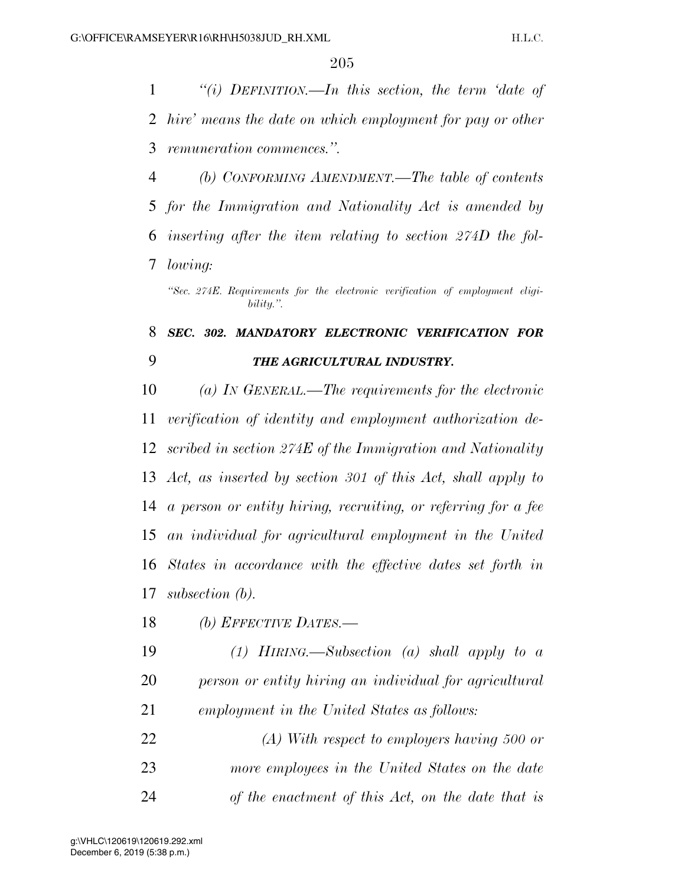*''(i) DEFINITION.—In this section, the term 'date of hire' means the date on which employment for pay or other remuneration commences.''.* 

 *(b) CONFORMING AMENDMENT.—The table of contents for the Immigration and Nationality Act is amended by inserting after the item relating to section 274D the fol-lowing:* 

## *SEC. 302. MANDATORY ELECTRONIC VERIFICATION FOR THE AGRICULTURAL INDUSTRY.*

 *(a) IN GENERAL.—The requirements for the electronic verification of identity and employment authorization de- scribed in section 274E of the Immigration and Nationality Act, as inserted by section 301 of this Act, shall apply to a person or entity hiring, recruiting, or referring for a fee an individual for agricultural employment in the United States in accordance with the effective dates set forth in subsection (b).* 

*(b) EFFECTIVE DATES.—* 

 *(1) HIRING.—Subsection (a) shall apply to a person or entity hiring an individual for agricultural employment in the United States as follows:* 

*<sup>&#</sup>x27;'Sec. 274E. Requirements for the electronic verification of employment eligibility.''.* 

 *(A) With respect to employers having 500 or more employees in the United States on the date of the enactment of this Act, on the date that is*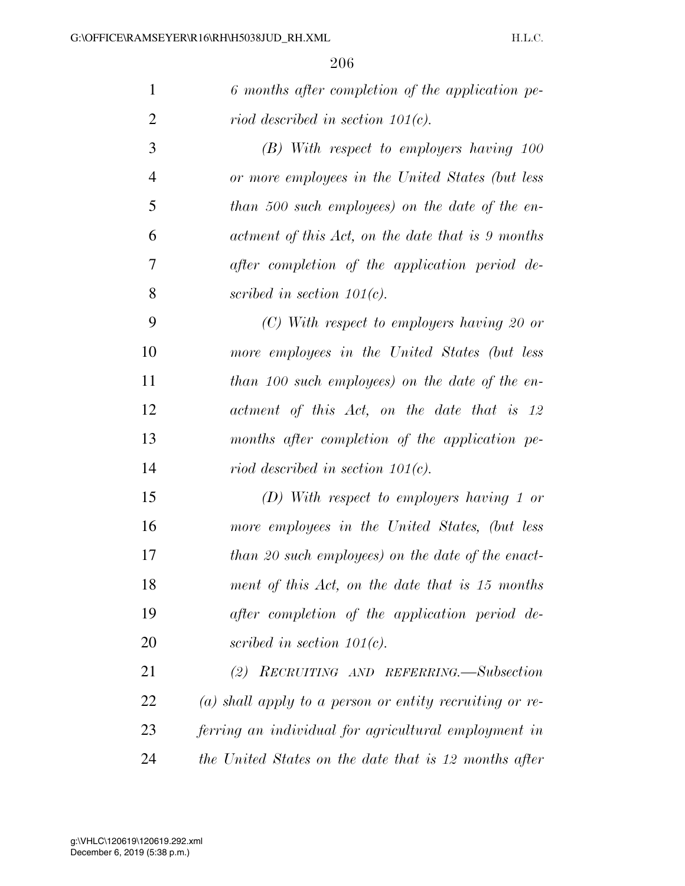| $\mathbf{1}$   | 6 months after completion of the application pe-        |
|----------------|---------------------------------------------------------|
| $\overline{2}$ | riod described in section $101(c)$ .                    |
| 3              | $(B)$ With respect to employers having 100              |
| $\overline{4}$ | or more employees in the United States (but less        |
| 5              | than 500 such employees) on the date of the en-         |
| 6              | actment of this Act, on the date that is 9 months       |
| 7              | after completion of the application period de-          |
| 8              | scribed in section $101(c)$ .                           |
| 9              | $(C)$ With respect to employers having 20 or            |
| 10             | more employees in the United States (but less           |
| 11             | than 100 such employees) on the date of the en-         |
| 12             | actment of this Act, on the date that is 12             |
| 13             | months after completion of the application pe-          |
| 14             | riod described in section $101(c)$ .                    |
| 15             | $(D)$ With respect to employers having 1 or             |
| 16             | more employees in the United States, (but less          |
| 17             | than 20 such employees) on the date of the enact-       |
| 18             | ment of this Act, on the date that is 15 months         |
| 19             | after completion of the application period de-          |
| 20             | scribed in section $101(c)$ .                           |
| 21             | (2) RECRUITING AND REFERRING.—Subsection                |
| 22             | (a) shall apply to a person or entity recruiting or re- |
| 23             | ferring an individual for agricultural employment in    |
| 24             | the United States on the date that is 12 months after   |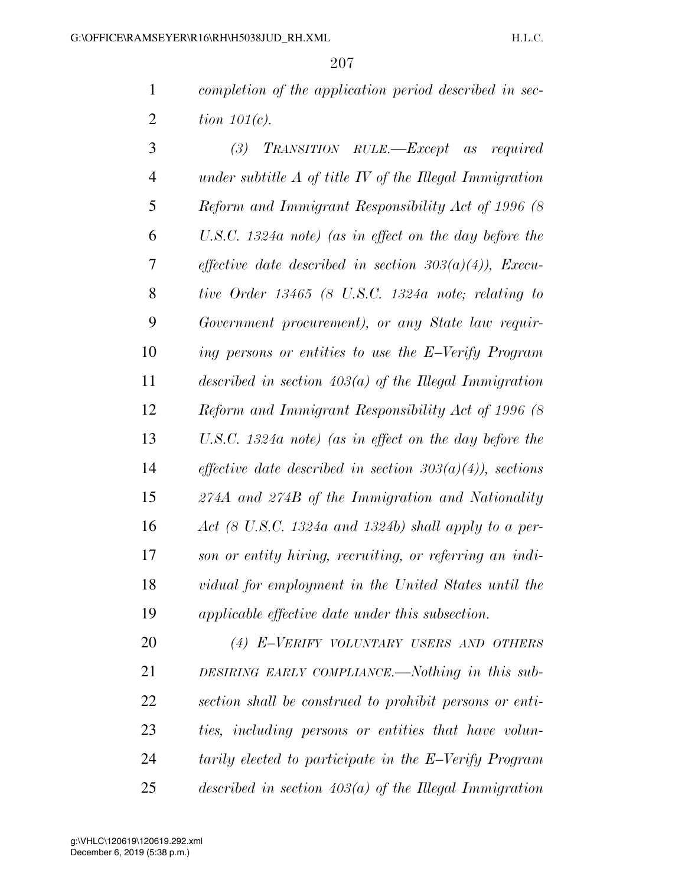*completion of the application period described in sec-tion 101(c).* 

 *(3) TRANSITION RULE.—Except as required under subtitle A of title IV of the Illegal Immigration Reform and Immigrant Responsibility Act of 1996 (8 U.S.C. 1324a note) (as in effect on the day before the effective date described in section 303(a)(4)), Execu- tive Order 13465 (8 U.S.C. 1324a note; relating to Government procurement), or any State law requir- ing persons or entities to use the E–Verify Program described in section 403(a) of the Illegal Immigration Reform and Immigrant Responsibility Act of 1996 (8 U.S.C. 1324a note) (as in effect on the day before the effective date described in section 303(a)(4)), sections 274A and 274B of the Immigration and Nationality Act (8 U.S.C. 1324a and 1324b) shall apply to a per- son or entity hiring, recruiting, or referring an indi- vidual for employment in the United States until the applicable effective date under this subsection.* 

 *(4) E–VERIFY VOLUNTARY USERS AND OTHERS DESIRING EARLY COMPLIANCE.—Nothing in this sub- section shall be construed to prohibit persons or enti- ties, including persons or entities that have volun- tarily elected to participate in the E–Verify Program described in section 403(a) of the Illegal Immigration*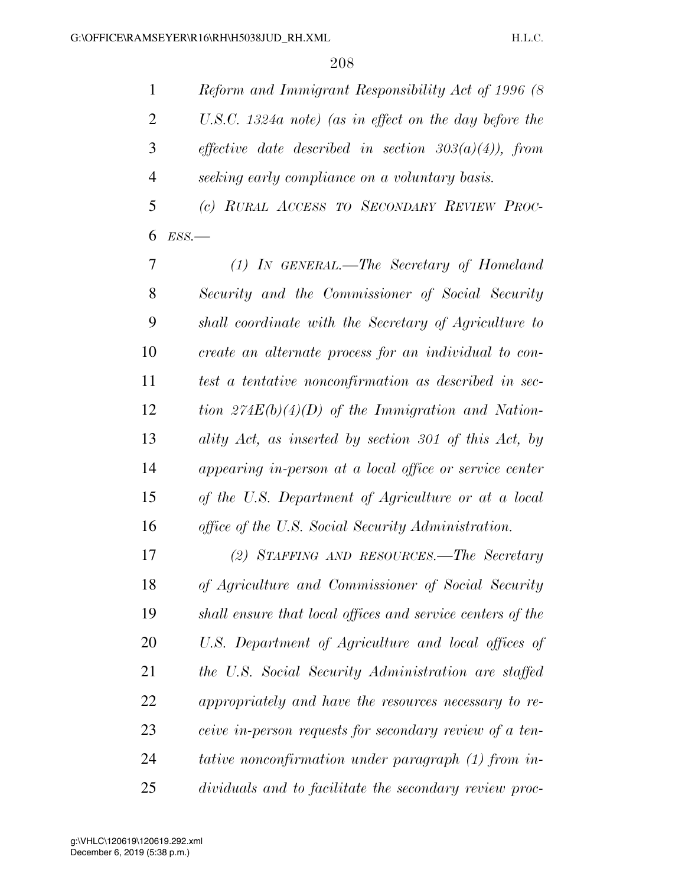*ESS.—* 

 *Reform and Immigrant Responsibility Act of 1996 (8 U.S.C. 1324a note) (as in effect on the day before the effective date described in section 303(a)(4)), from seeking early compliance on a voluntary basis. (c) RURAL ACCESS TO SECONDARY REVIEW PROC-*

 *(1) IN GENERAL.—The Secretary of Homeland Security and the Commissioner of Social Security shall coordinate with the Secretary of Agriculture to create an alternate process for an individual to con- test a tentative nonconfirmation as described in sec- tion 274E(b)(4)(D) of the Immigration and Nation- ality Act, as inserted by section 301 of this Act, by appearing in-person at a local office or service center of the U.S. Department of Agriculture or at a local office of the U.S. Social Security Administration.* 

 *(2) STAFFING AND RESOURCES.—The Secretary of Agriculture and Commissioner of Social Security shall ensure that local offices and service centers of the U.S. Department of Agriculture and local offices of the U.S. Social Security Administration are staffed appropriately and have the resources necessary to re- ceive in-person requests for secondary review of a ten- tative nonconfirmation under paragraph (1) from in-dividuals and to facilitate the secondary review proc-*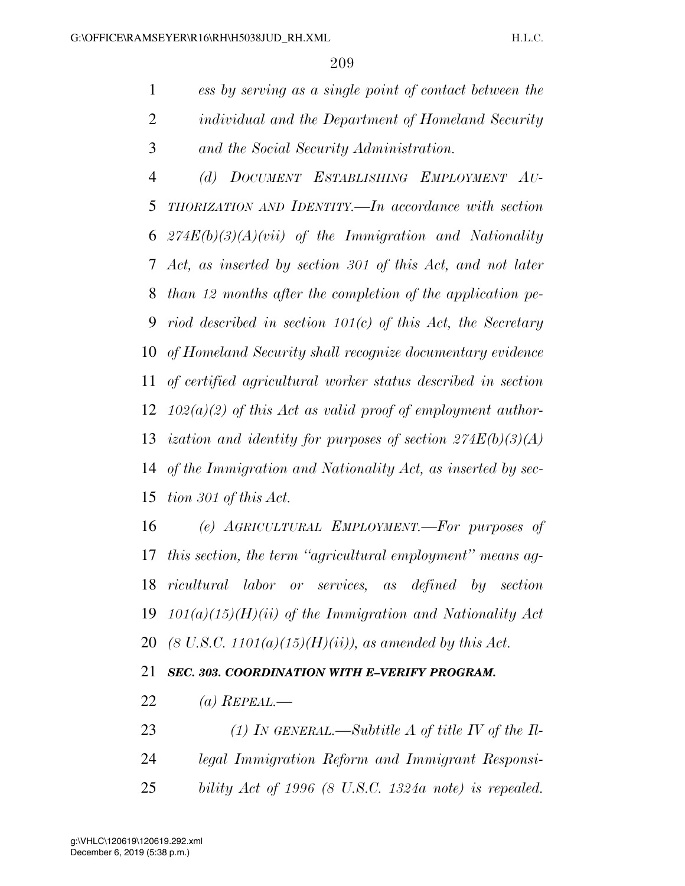*ess by serving as a single point of contact between the individual and the Department of Homeland Security and the Social Security Administration.* 

 *(d) DOCUMENT ESTABLISHING EMPLOYMENT AU- THORIZATION AND IDENTITY.—In accordance with section 274E(b)(3)(A)(vii) of the Immigration and Nationality Act, as inserted by section 301 of this Act, and not later than 12 months after the completion of the application pe- riod described in section 101(c) of this Act, the Secretary of Homeland Security shall recognize documentary evidence of certified agricultural worker status described in section 102(a)(2) of this Act as valid proof of employment author- ization and identity for purposes of section 274E(b)(3)(A) of the Immigration and Nationality Act, as inserted by sec-tion 301 of this Act.* 

 *(e) AGRICULTURAL EMPLOYMENT.—For purposes of this section, the term ''agricultural employment'' means ag- ricultural labor or services, as defined by section 101(a)(15)(H)(ii) of the Immigration and Nationality Act (8 U.S.C. 1101(a)(15)(H)(ii)), as amended by this Act.* 

*SEC. 303. COORDINATION WITH E–VERIFY PROGRAM.* 

*(a) REPEAL.—* 

*(1) IN GENERAL.—Subtitle A of title IV of the Il-*

- *legal Immigration Reform and Immigrant Responsi-*
- *bility Act of 1996 (8 U.S.C. 1324a note) is repealed.*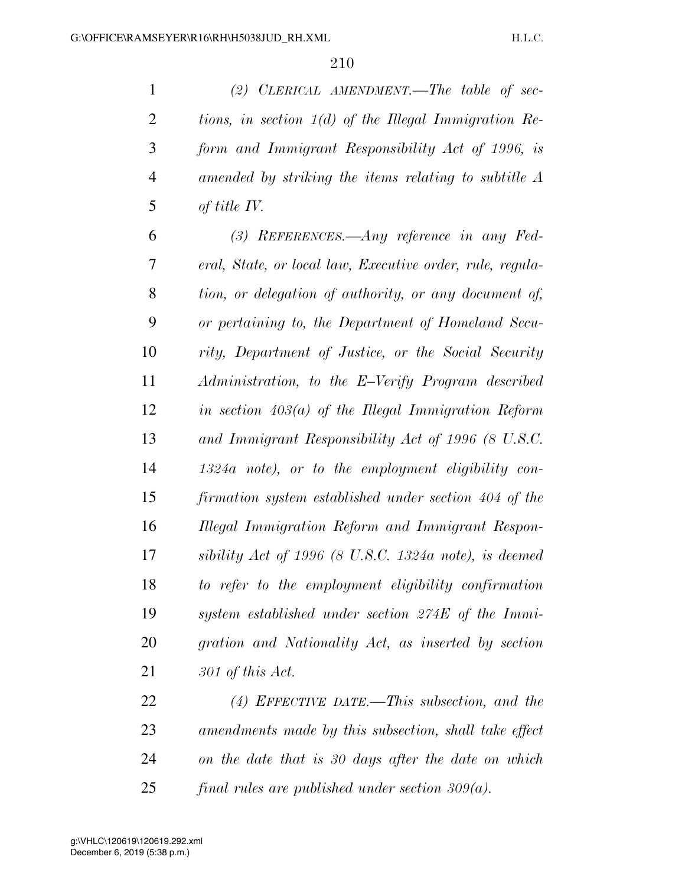*(2) CLERICAL AMENDMENT.—The table of sec- tions, in section 1(d) of the Illegal Immigration Re- form and Immigrant Responsibility Act of 1996, is amended by striking the items relating to subtitle A of title IV.* 

 *(3) REFERENCES.—Any reference in any Fed- eral, State, or local law, Executive order, rule, regula- tion, or delegation of authority, or any document of, or pertaining to, the Department of Homeland Secu- rity, Department of Justice, or the Social Security Administration, to the E–Verify Program described in section 403(a) of the Illegal Immigration Reform and Immigrant Responsibility Act of 1996 (8 U.S.C. 1324a note), or to the employment eligibility con- firmation system established under section 404 of the Illegal Immigration Reform and Immigrant Respon- sibility Act of 1996 (8 U.S.C. 1324a note), is deemed to refer to the employment eligibility confirmation system established under section 274E of the Immi- gration and Nationality Act, as inserted by section 301 of this Act.* 

 *(4) EFFECTIVE DATE.—This subsection, and the amendments made by this subsection, shall take effect on the date that is 30 days after the date on which final rules are published under section 309(a).*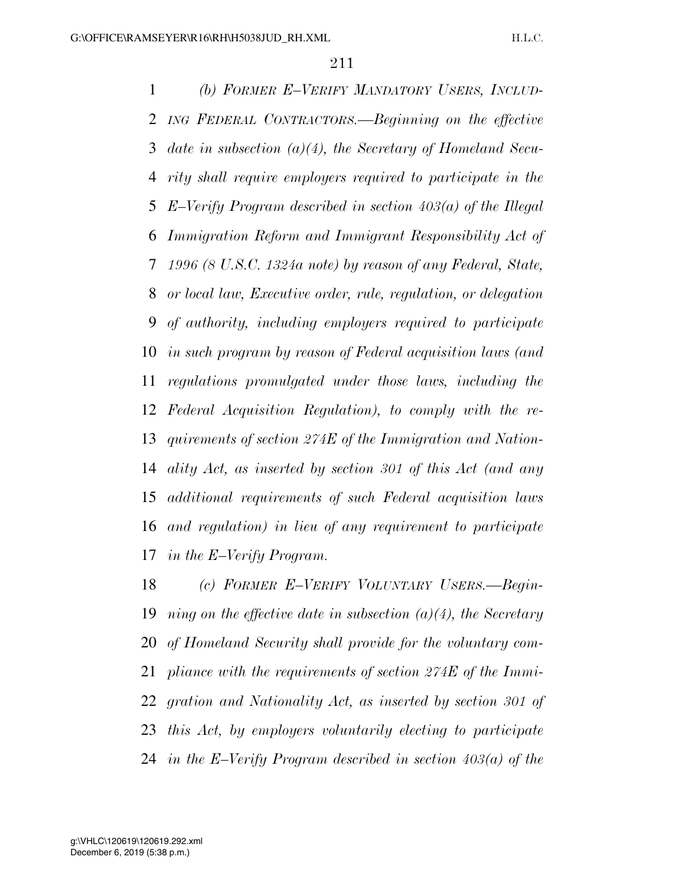*(b) FORMER E–VERIFY MANDATORY USERS, INCLUD- ING FEDERAL CONTRACTORS.—Beginning on the effective date in subsection (a)(4), the Secretary of Homeland Secu- rity shall require employers required to participate in the E–Verify Program described in section 403(a) of the Illegal Immigration Reform and Immigrant Responsibility Act of 1996 (8 U.S.C. 1324a note) by reason of any Federal, State, or local law, Executive order, rule, regulation, or delegation of authority, including employers required to participate in such program by reason of Federal acquisition laws (and regulations promulgated under those laws, including the Federal Acquisition Regulation), to comply with the re- quirements of section 274E of the Immigration and Nation- ality Act, as inserted by section 301 of this Act (and any additional requirements of such Federal acquisition laws and regulation) in lieu of any requirement to participate in the E–Verify Program.* 

 *(c) FORMER E–VERIFY VOLUNTARY USERS.—Begin- ning on the effective date in subsection (a)(4), the Secretary of Homeland Security shall provide for the voluntary com- pliance with the requirements of section 274E of the Immi- gration and Nationality Act, as inserted by section 301 of this Act, by employers voluntarily electing to participate in the E–Verify Program described in section 403(a) of the*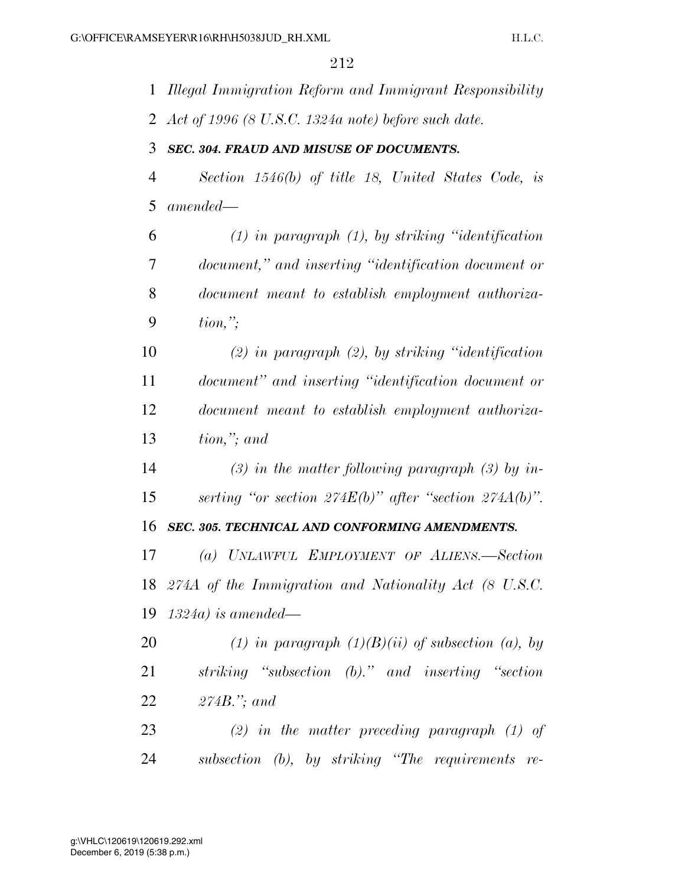*Illegal Immigration Reform and Immigrant Responsibility* 

*Act of 1996 (8 U.S.C. 1324a note) before such date.* 

## *SEC. 304. FRAUD AND MISUSE OF DOCUMENTS.*

 *Section 1546(b) of title 18, United States Code, is amended—* 

 *(1) in paragraph (1), by striking ''identification document,'' and inserting ''identification document or document meant to establish employment authoriza-tion,'';* 

 *(2) in paragraph (2), by striking ''identification document'' and inserting ''identification document or document meant to establish employment authoriza-tion,''; and* 

 *(3) in the matter following paragraph (3) by in-serting ''or section 274E(b)'' after ''section 274A(b)''.* 

*SEC. 305. TECHNICAL AND CONFORMING AMENDMENTS.* 

 *(a) UNLAWFUL EMPLOYMENT OF ALIENS.—Section 274A of the Immigration and Nationality Act (8 U.S.C. 1324a) is amended—* 

 *(1) in paragraph (1)(B)(ii) of subsection (a), by striking ''subsection (b).'' and inserting ''section 274B.''; and* 

 *(2) in the matter preceding paragraph (1) of subsection (b), by striking ''The requirements re-*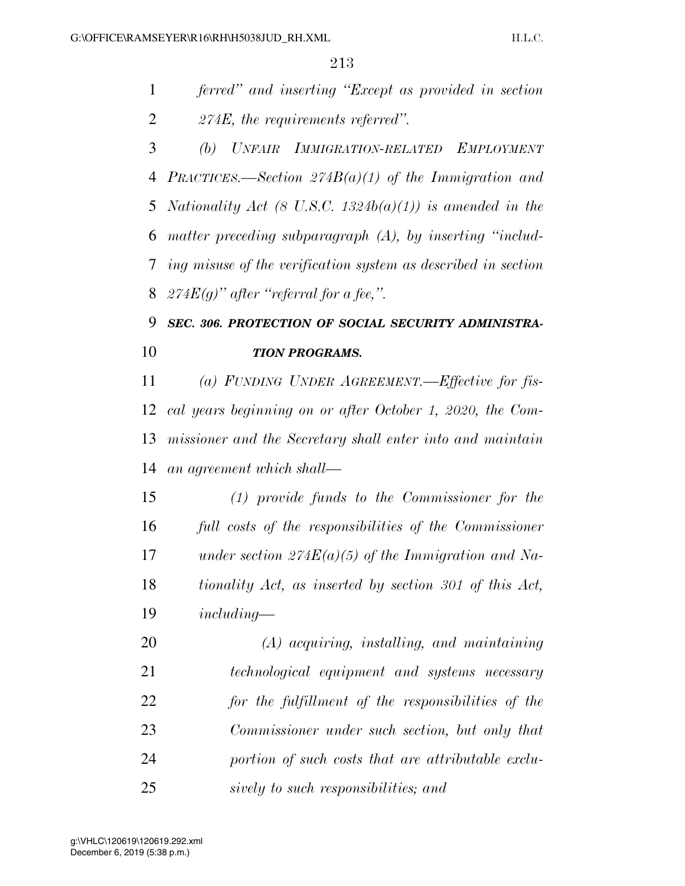*ferred'' and inserting ''Except as provided in section 274E, the requirements referred''.* 

 *(b) UNFAIR IMMIGRATION-RELATED EMPLOYMENT PRACTICES.—Section 274B(a)(1) of the Immigration and Nationality Act (8 U.S.C. 1324b(a)(1)) is amended in the matter preceding subparagraph (A), by inserting ''includ- ing misuse of the verification system as described in section*   $274E(q)$ " after "referral for a fee,".

## *SEC. 306. PROTECTION OF SOCIAL SECURITY ADMINISTRA-TION PROGRAMS.*

 *(a) FUNDING UNDER AGREEMENT.—Effective for fis- cal years beginning on or after October 1, 2020, the Com- missioner and the Secretary shall enter into and maintain an agreement which shall—* 

 *(1) provide funds to the Commissioner for the full costs of the responsibilities of the Commissioner under section 274E(a)(5) of the Immigration and Na- tionality Act, as inserted by section 301 of this Act, including—* 

 *(A) acquiring, installing, and maintaining technological equipment and systems necessary for the fulfillment of the responsibilities of the Commissioner under such section, but only that portion of such costs that are attributable exclu-sively to such responsibilities; and*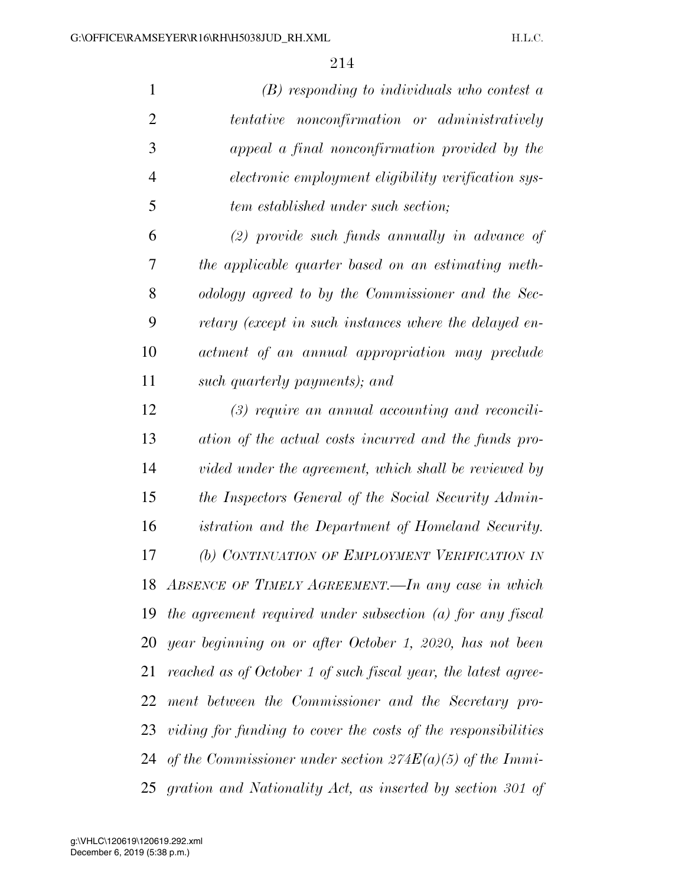| $\mathbf{1}$   | $(B)$ responding to individuals who contest $a$                |
|----------------|----------------------------------------------------------------|
| $\overline{2}$ | tentative nonconfirmation or administratively                  |
| 3              | appeal a final nonconfirmation provided by the                 |
| 4              | electronic employment eligibility verification sys-            |
| 5              | tem established under such section;                            |
| 6              | $(2)$ provide such funds annually in advance of                |
| 7              | the applicable quarter based on an estimating meth-            |
| 8              | odology agreed to by the Commissioner and the Sec-             |
| 9              | retary (except in such instances where the delayed en-         |
| 10             | actment of an annual appropriation may preclude                |
| 11             | such quarterly payments); and                                  |
| 12             | $(3)$ require an annual accounting and reconcili-              |
| 13             | ation of the actual costs incurred and the funds pro-          |
| 14             | vided under the agreement, which shall be reviewed by          |
| 15             | the Inspectors General of the Social Security Admin-           |
| 16             | istration and the Department of Homeland Security.             |
| 17             | (b) CONTINUATION OF EMPLOYMENT VERIFICATION IN                 |
| 18             | ABSENCE OF TIMELY AGREEMENT.—In any case in which              |
| 19             | the agreement required under subsection $(a)$ for any fiscal   |
| 20             | year beginning on or after October 1, 2020, has not been       |
| 21             | reached as of October 1 of such fiscal year, the latest agree- |
| 22             | ment between the Commissioner and the Secretary pro-           |
| 23             | viding for funding to cover the costs of the responsibilities  |
| 24             | of the Commissioner under section $274E(a)(5)$ of the Immi-    |
| 25             | gration and Nationality Act, as inserted by section 301 of     |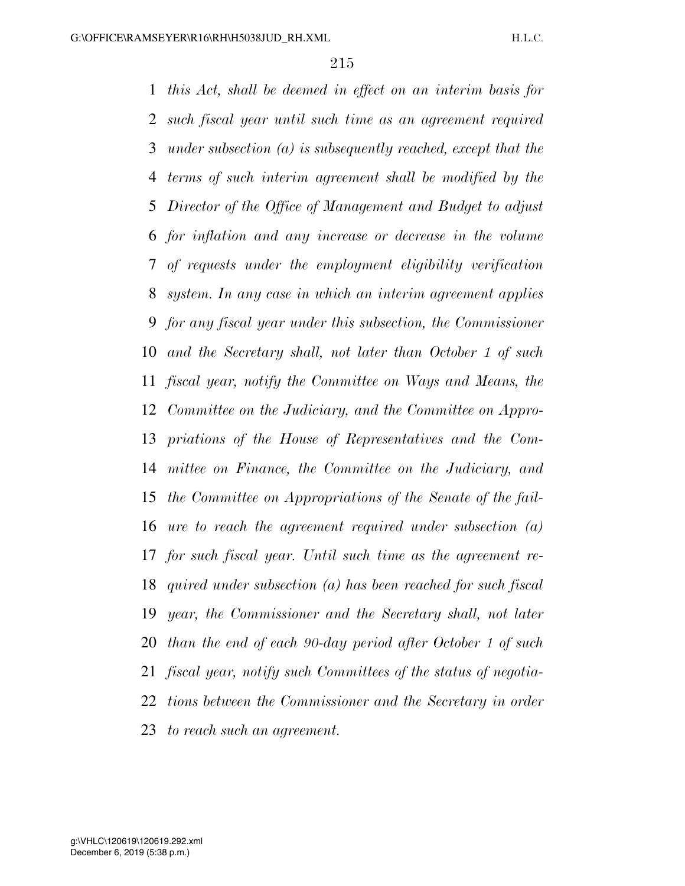*this Act, shall be deemed in effect on an interim basis for such fiscal year until such time as an agreement required under subsection (a) is subsequently reached, except that the terms of such interim agreement shall be modified by the Director of the Office of Management and Budget to adjust for inflation and any increase or decrease in the volume of requests under the employment eligibility verification system. In any case in which an interim agreement applies for any fiscal year under this subsection, the Commissioner and the Secretary shall, not later than October 1 of such fiscal year, notify the Committee on Ways and Means, the Committee on the Judiciary, and the Committee on Appro- priations of the House of Representatives and the Com- mittee on Finance, the Committee on the Judiciary, and the Committee on Appropriations of the Senate of the fail- ure to reach the agreement required under subsection (a) for such fiscal year. Until such time as the agreement re- quired under subsection (a) has been reached for such fiscal year, the Commissioner and the Secretary shall, not later than the end of each 90-day period after October 1 of such fiscal year, notify such Committees of the status of negotia- tions between the Commissioner and the Secretary in order to reach such an agreement.*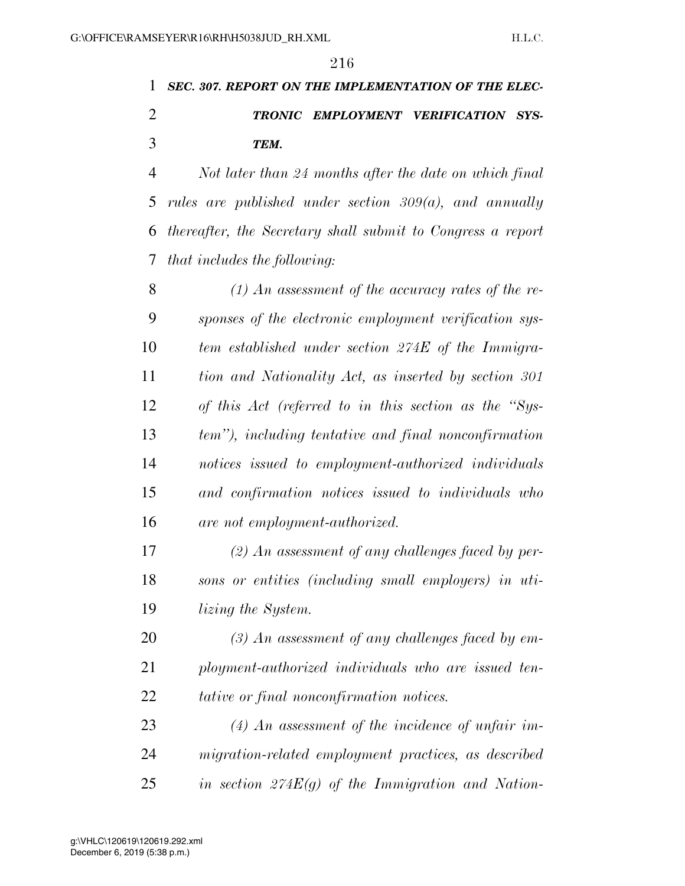## *SEC. 307. REPORT ON THE IMPLEMENTATION OF THE ELEC- TRONIC EMPLOYMENT VERIFICATION SYS-TEM.*

 *Not later than 24 months after the date on which final rules are published under section 309(a), and annually thereafter, the Secretary shall submit to Congress a report that includes the following:* 

 *(1) An assessment of the accuracy rates of the re- sponses of the electronic employment verification sys- tem established under section 274E of the Immigra- tion and Nationality Act, as inserted by section 301 of this Act (referred to in this section as the ''Sys- tem''), including tentative and final nonconfirmation notices issued to employment-authorized individuals and confirmation notices issued to individuals who are not employment-authorized.* 

 *(2) An assessment of any challenges faced by per- sons or entities (including small employers) in uti-lizing the System.* 

 *(3) An assessment of any challenges faced by em- ployment-authorized individuals who are issued ten-tative or final nonconfirmation notices.* 

 *(4) An assessment of the incidence of unfair im- migration-related employment practices, as described in section 274E(g) of the Immigration and Nation-*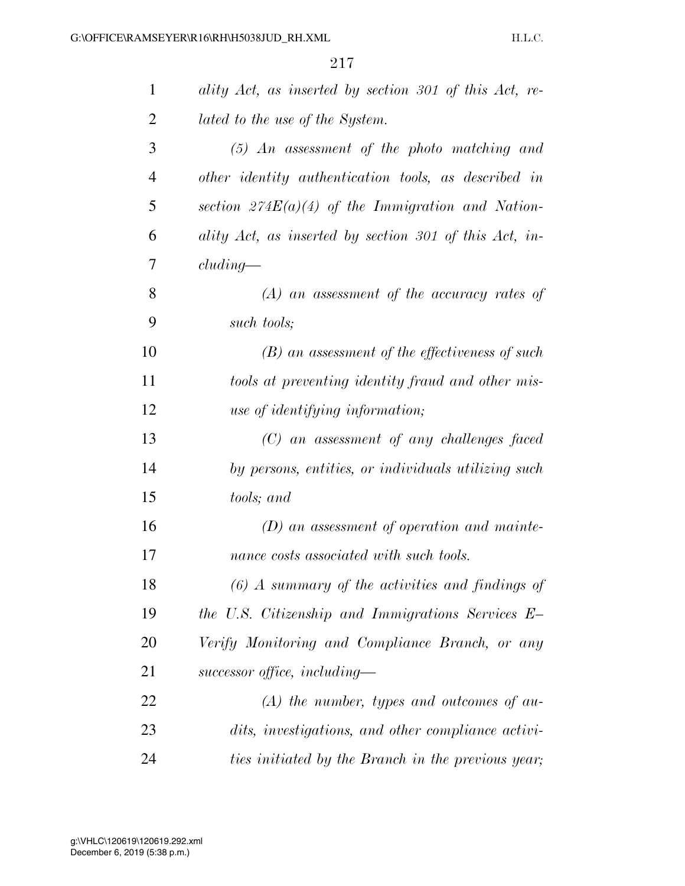| $\mathbf{1}$   | ality Act, as inserted by section 301 of this Act, re- |
|----------------|--------------------------------------------------------|
| $\overline{2}$ | lated to the use of the System.                        |
| 3              | $(5)$ An assessment of the photo matching and          |
| $\overline{4}$ | other identity authentication tools, as described in   |
| 5              | section $274E(a)(4)$ of the Immigration and Nation-    |
| 6              | ality Act, as inserted by section 301 of this Act, in- |
| 7              | cluding                                                |
| 8              | $(A)$ an assessment of the accuracy rates of           |
| 9              | such tools;                                            |
| 10             | $(B)$ an assessment of the effectiveness of such       |
| 11             | tools at preventing identity fraud and other mis-      |
| 12             | use of identifying information;                        |
| 13             | $(C)$ an assessment of any challenges faced            |
| 14             | by persons, entities, or individuals utilizing such    |
| 15             | tools; and                                             |
| 16             | $(D)$ an assessment of operation and mainte-           |
| 17             | nance costs associated with such tools.                |
| 18             | $(6)$ A summary of the activities and findings of      |
| 19             | the U.S. Citizenship and Immigrations Services $E-$    |
| 20             | Verify Monitoring and Compliance Branch, or any        |
| 21             | successor office, including-                           |
| 22             | $(A)$ the number, types and outcomes of au-            |
| 23             | dits, investigations, and other compliance activi-     |
| 24             | ties initiated by the Branch in the previous year;     |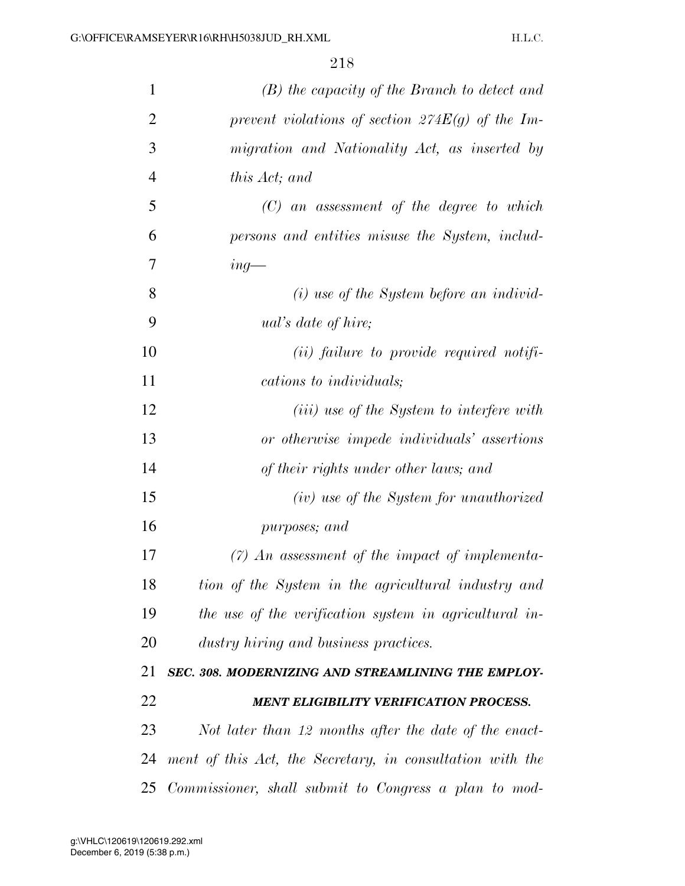| $\mathbf{1}$   | $(B)$ the capacity of the Branch to detect and            |
|----------------|-----------------------------------------------------------|
| $\overline{2}$ | prevent violations of section $274E(g)$ of the Im-        |
| 3              | migration and Nationality Act, as inserted by             |
| $\overline{4}$ | this Act; and                                             |
| 5              | $(C)$ an assessment of the degree to which                |
| 6              | persons and entities misuse the System, includ-           |
| 7              | $ing-$                                                    |
| 8              | $(i)$ use of the System before an individ-                |
| 9              | <i>ual's date of hire;</i>                                |
| 10             | ( <i>ii</i> ) failure to provide required notifi-         |
| 11             | <i>cations to individuals;</i>                            |
| 12             | ( <i>iii</i> ) use of the System to interfere with        |
| 13             | or otherwise impede individuals' assertions               |
| 14             | of their rights under other laws; and                     |
| 15             | $(iv)$ use of the System for unauthorized                 |
| 16             | purposes; and                                             |
| 17             | $(7)$ An assessment of the impact of implementa-          |
| 18             | tion of the System in the agricultural industry and       |
| 19             | the use of the verification system in agricultural in-    |
| 20             | dustry hiring and business practices.                     |
| 21             | SEC. 308. MODERNIZING AND STREAMLINING THE EMPLOY-        |
| 22             | <b>MENT ELIGIBILITY VERIFICATION PROCESS.</b>             |
| 23             | Not later than 12 months after the date of the enact-     |
| 24             | ment of this Act, the Secretary, in consultation with the |
|                | 25 Commissioner, shall submit to Congress a plan to mod-  |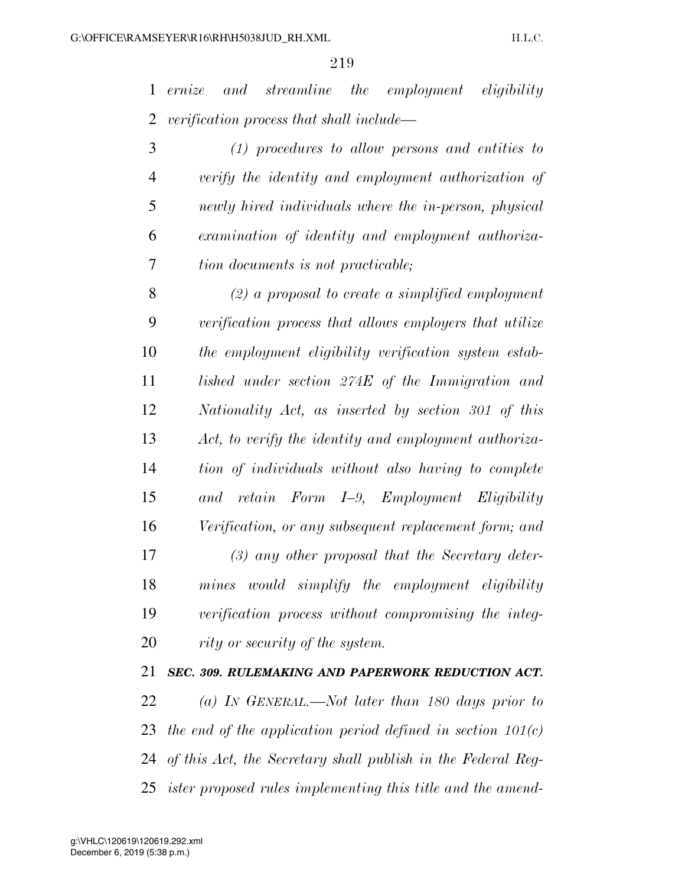*ernize and streamline the employment eligibility verification process that shall include—* 

 *(1) procedures to allow persons and entities to verify the identity and employment authorization of newly hired individuals where the in-person, physical examination of identity and employment authoriza-tion documents is not practicable;* 

 *(2) a proposal to create a simplified employment verification process that allows employers that utilize the employment eligibility verification system estab- lished under section 274E of the Immigration and Nationality Act, as inserted by section 301 of this Act, to verify the identity and employment authoriza- tion of individuals without also having to complete and retain Form I–9, Employment Eligibility Verification, or any subsequent replacement form; and (3) any other proposal that the Secretary deter- mines would simplify the employment eligibility verification process without compromising the integ-rity or security of the system.* 

 *SEC. 309. RULEMAKING AND PAPERWORK REDUCTION ACT. (a) IN GENERAL.—Not later than 180 days prior to the end of the application period defined in section 101(c)* 

*of this Act, the Secretary shall publish in the Federal Reg-*

*ister proposed rules implementing this title and the amend-*